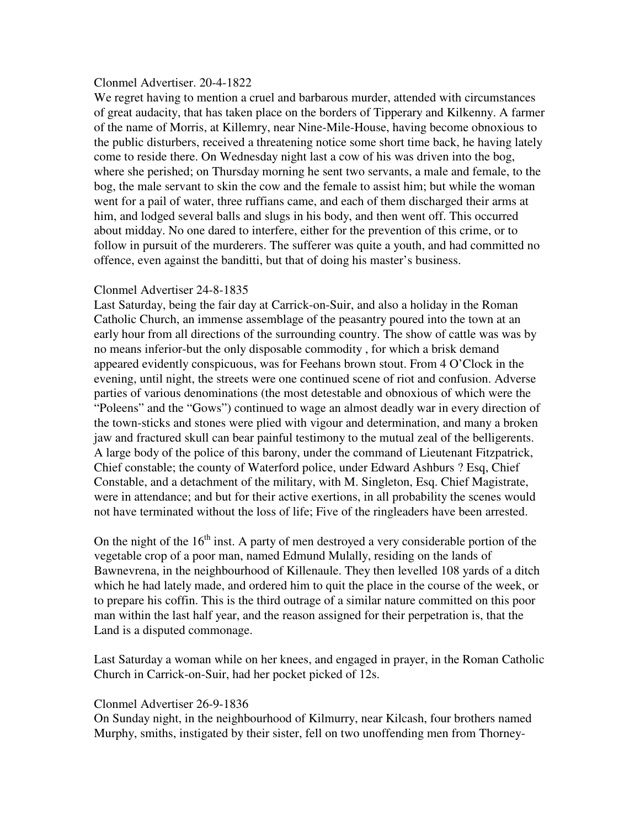## Clonmel Advertiser. 20-4-1822

We regret having to mention a cruel and barbarous murder, attended with circumstances of great audacity, that has taken place on the borders of Tipperary and Kilkenny. A farmer of the name of Morris, at Killemry, near Nine-Mile-House, having become obnoxious to the public disturbers, received a threatening notice some short time back, he having lately come to reside there. On Wednesday night last a cow of his was driven into the bog, where she perished; on Thursday morning he sent two servants, a male and female, to the bog, the male servant to skin the cow and the female to assist him; but while the woman went for a pail of water, three ruffians came, and each of them discharged their arms at him, and lodged several balls and slugs in his body, and then went off. This occurred about midday. No one dared to interfere, either for the prevention of this crime, or to follow in pursuit of the murderers. The sufferer was quite a youth, and had committed no offence, even against the banditti, but that of doing his master's business.

# Clonmel Advertiser 24-8-1835

Last Saturday, being the fair day at Carrick-on-Suir, and also a holiday in the Roman Catholic Church, an immense assemblage of the peasantry poured into the town at an early hour from all directions of the surrounding country. The show of cattle was was by no means inferior-but the only disposable commodity , for which a brisk demand appeared evidently conspicuous, was for Feehans brown stout. From 4 O'Clock in the evening, until night, the streets were one continued scene of riot and confusion. Adverse parties of various denominations (the most detestable and obnoxious of which were the "Poleens" and the "Gows") continued to wage an almost deadly war in every direction of the town-sticks and stones were plied with vigour and determination, and many a broken jaw and fractured skull can bear painful testimony to the mutual zeal of the belligerents. A large body of the police of this barony, under the command of Lieutenant Fitzpatrick, Chief constable; the county of Waterford police, under Edward Ashburs ? Esq, Chief Constable, and a detachment of the military, with M. Singleton, Esq. Chief Magistrate, were in attendance; and but for their active exertions, in all probability the scenes would not have terminated without the loss of life; Five of the ringleaders have been arrested.

On the night of the  $16<sup>th</sup>$  inst. A party of men destroyed a very considerable portion of the vegetable crop of a poor man, named Edmund Mulally, residing on the lands of Bawnevrena, in the neighbourhood of Killenaule. They then levelled 108 yards of a ditch which he had lately made, and ordered him to quit the place in the course of the week, or to prepare his coffin. This is the third outrage of a similar nature committed on this poor man within the last half year, and the reason assigned for their perpetration is, that the Land is a disputed commonage.

Last Saturday a woman while on her knees, and engaged in prayer, in the Roman Catholic Church in Carrick-on-Suir, had her pocket picked of 12s.

# Clonmel Advertiser 26-9-1836

On Sunday night, in the neighbourhood of Kilmurry, near Kilcash, four brothers named Murphy, smiths, instigated by their sister, fell on two unoffending men from Thorney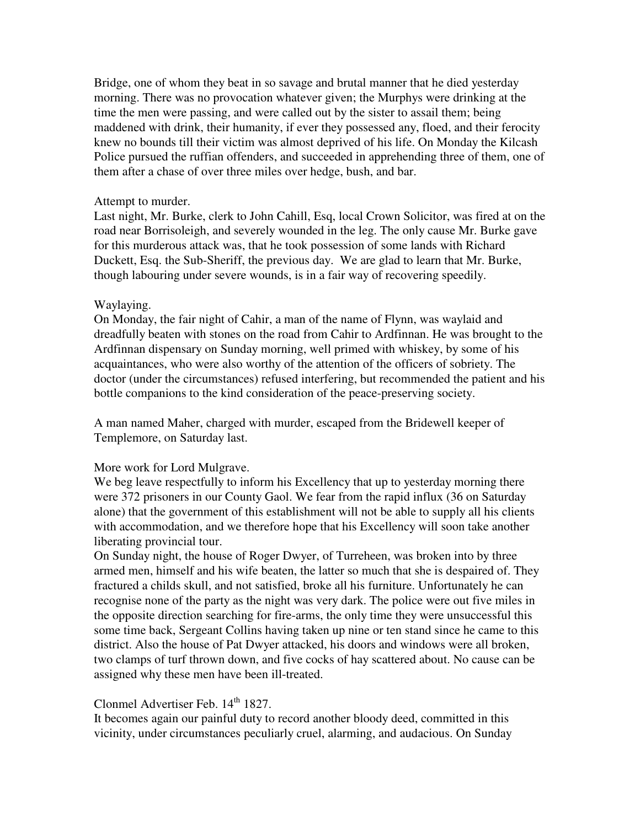Bridge, one of whom they beat in so savage and brutal manner that he died yesterday morning. There was no provocation whatever given; the Murphys were drinking at the time the men were passing, and were called out by the sister to assail them; being maddened with drink, their humanity, if ever they possessed any, floed, and their ferocity knew no bounds till their victim was almost deprived of his life. On Monday the Kilcash Police pursued the ruffian offenders, and succeeded in apprehending three of them, one of them after a chase of over three miles over hedge, bush, and bar.

## Attempt to murder.

Last night, Mr. Burke, clerk to John Cahill, Esq, local Crown Solicitor, was fired at on the road near Borrisoleigh, and severely wounded in the leg. The only cause Mr. Burke gave for this murderous attack was, that he took possession of some lands with Richard Duckett, Esq. the Sub-Sheriff, the previous day. We are glad to learn that Mr. Burke, though labouring under severe wounds, is in a fair way of recovering speedily.

# Waylaying.

On Monday, the fair night of Cahir, a man of the name of Flynn, was waylaid and dreadfully beaten with stones on the road from Cahir to Ardfinnan. He was brought to the Ardfinnan dispensary on Sunday morning, well primed with whiskey, by some of his acquaintances, who were also worthy of the attention of the officers of sobriety. The doctor (under the circumstances) refused interfering, but recommended the patient and his bottle companions to the kind consideration of the peace-preserving society.

A man named Maher, charged with murder, escaped from the Bridewell keeper of Templemore, on Saturday last.

# More work for Lord Mulgrave.

We beg leave respectfully to inform his Excellency that up to yesterday morning there were 372 prisoners in our County Gaol. We fear from the rapid influx (36 on Saturday alone) that the government of this establishment will not be able to supply all his clients with accommodation, and we therefore hope that his Excellency will soon take another liberating provincial tour.

On Sunday night, the house of Roger Dwyer, of Turreheen, was broken into by three armed men, himself and his wife beaten, the latter so much that she is despaired of. They fractured a childs skull, and not satisfied, broke all his furniture. Unfortunately he can recognise none of the party as the night was very dark. The police were out five miles in the opposite direction searching for fire-arms, the only time they were unsuccessful this some time back, Sergeant Collins having taken up nine or ten stand since he came to this district. Also the house of Pat Dwyer attacked, his doors and windows were all broken, two clamps of turf thrown down, and five cocks of hay scattered about. No cause can be assigned why these men have been ill-treated.

# Clonmel Advertiser Feb. 14<sup>th</sup> 1827.

It becomes again our painful duty to record another bloody deed, committed in this vicinity, under circumstances peculiarly cruel, alarming, and audacious. On Sunday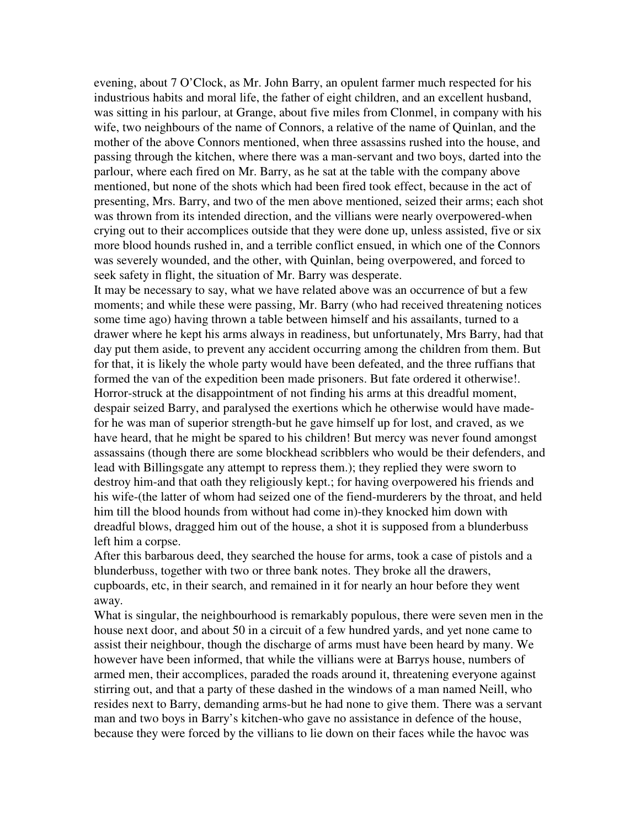evening, about 7 O'Clock, as Mr. John Barry, an opulent farmer much respected for his industrious habits and moral life, the father of eight children, and an excellent husband, was sitting in his parlour, at Grange, about five miles from Clonmel, in company with his wife, two neighbours of the name of Connors, a relative of the name of Quinlan, and the mother of the above Connors mentioned, when three assassins rushed into the house, and passing through the kitchen, where there was a man-servant and two boys, darted into the parlour, where each fired on Mr. Barry, as he sat at the table with the company above mentioned, but none of the shots which had been fired took effect, because in the act of presenting, Mrs. Barry, and two of the men above mentioned, seized their arms; each shot was thrown from its intended direction, and the villians were nearly overpowered-when crying out to their accomplices outside that they were done up, unless assisted, five or six more blood hounds rushed in, and a terrible conflict ensued, in which one of the Connors was severely wounded, and the other, with Quinlan, being overpowered, and forced to seek safety in flight, the situation of Mr. Barry was desperate.

It may be necessary to say, what we have related above was an occurrence of but a few moments; and while these were passing, Mr. Barry (who had received threatening notices some time ago) having thrown a table between himself and his assailants, turned to a drawer where he kept his arms always in readiness, but unfortunately, Mrs Barry, had that day put them aside, to prevent any accident occurring among the children from them. But for that, it is likely the whole party would have been defeated, and the three ruffians that formed the van of the expedition been made prisoners. But fate ordered it otherwise!. Horror-struck at the disappointment of not finding his arms at this dreadful moment, despair seized Barry, and paralysed the exertions which he otherwise would have madefor he was man of superior strength-but he gave himself up for lost, and craved, as we have heard, that he might be spared to his children! But mercy was never found amongst assassains (though there are some blockhead scribblers who would be their defenders, and lead with Billingsgate any attempt to repress them.); they replied they were sworn to destroy him-and that oath they religiously kept.; for having overpowered his friends and his wife-(the latter of whom had seized one of the fiend-murderers by the throat, and held him till the blood hounds from without had come in)-they knocked him down with dreadful blows, dragged him out of the house, a shot it is supposed from a blunderbuss left him a corpse.

After this barbarous deed, they searched the house for arms, took a case of pistols and a blunderbuss, together with two or three bank notes. They broke all the drawers, cupboards, etc, in their search, and remained in it for nearly an hour before they went away.

What is singular, the neighbourhood is remarkably populous, there were seven men in the house next door, and about 50 in a circuit of a few hundred yards, and yet none came to assist their neighbour, though the discharge of arms must have been heard by many. We however have been informed, that while the villians were at Barrys house, numbers of armed men, their accomplices, paraded the roads around it, threatening everyone against stirring out, and that a party of these dashed in the windows of a man named Neill, who resides next to Barry, demanding arms-but he had none to give them. There was a servant man and two boys in Barry's kitchen-who gave no assistance in defence of the house, because they were forced by the villians to lie down on their faces while the havoc was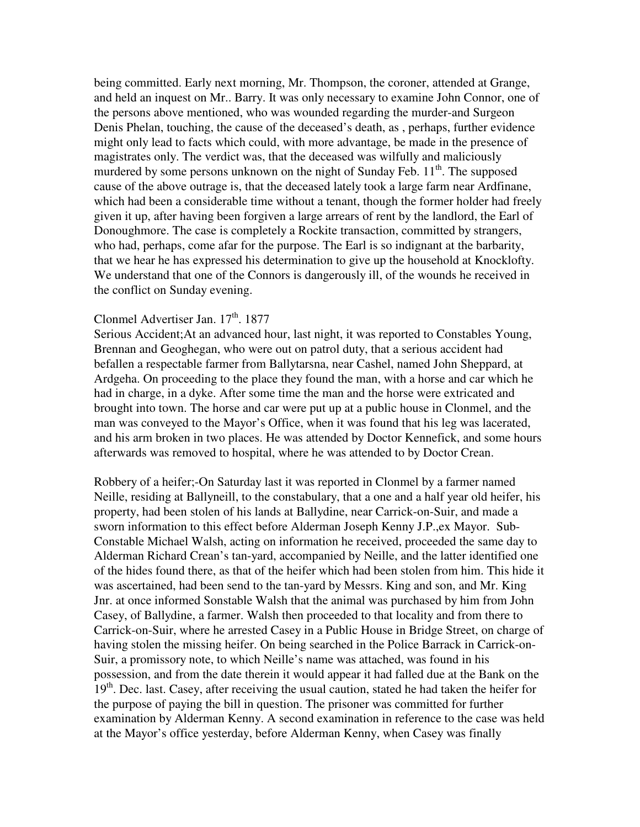being committed. Early next morning, Mr. Thompson, the coroner, attended at Grange, and held an inquest on Mr.. Barry. It was only necessary to examine John Connor, one of the persons above mentioned, who was wounded regarding the murder-and Surgeon Denis Phelan, touching, the cause of the deceased's death, as , perhaps, further evidence might only lead to facts which could, with more advantage, be made in the presence of magistrates only. The verdict was, that the deceased was wilfully and maliciously murdered by some persons unknown on the night of Sunday Feb.  $11<sup>th</sup>$ . The supposed cause of the above outrage is, that the deceased lately took a large farm near Ardfinane, which had been a considerable time without a tenant, though the former holder had freely given it up, after having been forgiven a large arrears of rent by the landlord, the Earl of Donoughmore. The case is completely a Rockite transaction, committed by strangers, who had, perhaps, come afar for the purpose. The Earl is so indignant at the barbarity, that we hear he has expressed his determination to give up the household at Knocklofty. We understand that one of the Connors is dangerously ill, of the wounds he received in the conflict on Sunday evening.

# Clonmel Advertiser Jan. 17<sup>th</sup>. 1877

Serious Accident;At an advanced hour, last night, it was reported to Constables Young, Brennan and Geoghegan, who were out on patrol duty, that a serious accident had befallen a respectable farmer from Ballytarsna, near Cashel, named John Sheppard, at Ardgeha. On proceeding to the place they found the man, with a horse and car which he had in charge, in a dyke. After some time the man and the horse were extricated and brought into town. The horse and car were put up at a public house in Clonmel, and the man was conveyed to the Mayor's Office, when it was found that his leg was lacerated, and his arm broken in two places. He was attended by Doctor Kennefick, and some hours afterwards was removed to hospital, where he was attended to by Doctor Crean.

Robbery of a heifer;-On Saturday last it was reported in Clonmel by a farmer named Neille, residing at Ballyneill, to the constabulary, that a one and a half year old heifer, his property, had been stolen of his lands at Ballydine, near Carrick-on-Suir, and made a sworn information to this effect before Alderman Joseph Kenny J.P.,ex Mayor. Sub-Constable Michael Walsh, acting on information he received, proceeded the same day to Alderman Richard Crean's tan-yard, accompanied by Neille, and the latter identified one of the hides found there, as that of the heifer which had been stolen from him. This hide it was ascertained, had been send to the tan-yard by Messrs. King and son, and Mr. King Jnr. at once informed Sonstable Walsh that the animal was purchased by him from John Casey, of Ballydine, a farmer. Walsh then proceeded to that locality and from there to Carrick-on-Suir, where he arrested Casey in a Public House in Bridge Street, on charge of having stolen the missing heifer. On being searched in the Police Barrack in Carrick-on-Suir, a promissory note, to which Neille's name was attached, was found in his possession, and from the date therein it would appear it had falled due at the Bank on the 19<sup>th</sup>. Dec. last. Casey, after receiving the usual caution, stated he had taken the heifer for the purpose of paying the bill in question. The prisoner was committed for further examination by Alderman Kenny. A second examination in reference to the case was held at the Mayor's office yesterday, before Alderman Kenny, when Casey was finally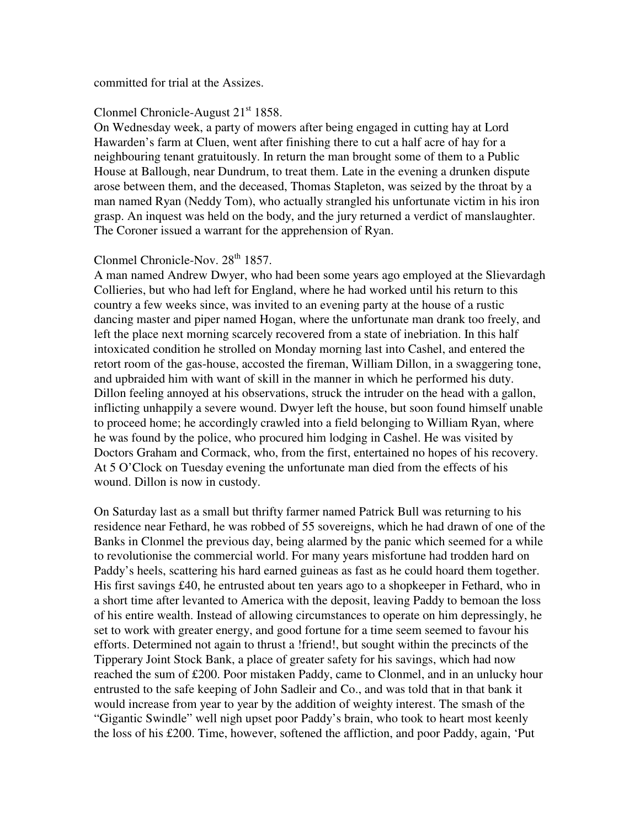#### committed for trial at the Assizes.

## Clonmel Chronicle-August  $21<sup>st</sup> 1858$ .

On Wednesday week, a party of mowers after being engaged in cutting hay at Lord Hawarden's farm at Cluen, went after finishing there to cut a half acre of hay for a neighbouring tenant gratuitously. In return the man brought some of them to a Public House at Ballough, near Dundrum, to treat them. Late in the evening a drunken dispute arose between them, and the deceased, Thomas Stapleton, was seized by the throat by a man named Ryan (Neddy Tom), who actually strangled his unfortunate victim in his iron grasp. An inquest was held on the body, and the jury returned a verdict of manslaughter. The Coroner issued a warrant for the apprehension of Ryan.

# Clonmel Chronicle-Nov. 28<sup>th</sup> 1857.

A man named Andrew Dwyer, who had been some years ago employed at the Slievardagh Collieries, but who had left for England, where he had worked until his return to this country a few weeks since, was invited to an evening party at the house of a rustic dancing master and piper named Hogan, where the unfortunate man drank too freely, and left the place next morning scarcely recovered from a state of inebriation. In this half intoxicated condition he strolled on Monday morning last into Cashel, and entered the retort room of the gas-house, accosted the fireman, William Dillon, in a swaggering tone, and upbraided him with want of skill in the manner in which he performed his duty. Dillon feeling annoyed at his observations, struck the intruder on the head with a gallon, inflicting unhappily a severe wound. Dwyer left the house, but soon found himself unable to proceed home; he accordingly crawled into a field belonging to William Ryan, where he was found by the police, who procured him lodging in Cashel. He was visited by Doctors Graham and Cormack, who, from the first, entertained no hopes of his recovery. At 5 O'Clock on Tuesday evening the unfortunate man died from the effects of his wound. Dillon is now in custody.

On Saturday last as a small but thrifty farmer named Patrick Bull was returning to his residence near Fethard, he was robbed of 55 sovereigns, which he had drawn of one of the Banks in Clonmel the previous day, being alarmed by the panic which seemed for a while to revolutionise the commercial world. For many years misfortune had trodden hard on Paddy's heels, scattering his hard earned guineas as fast as he could hoard them together. His first savings £40, he entrusted about ten years ago to a shopkeeper in Fethard, who in a short time after levanted to America with the deposit, leaving Paddy to bemoan the loss of his entire wealth. Instead of allowing circumstances to operate on him depressingly, he set to work with greater energy, and good fortune for a time seem seemed to favour his efforts. Determined not again to thrust a !friend!, but sought within the precincts of the Tipperary Joint Stock Bank, a place of greater safety for his savings, which had now reached the sum of £200. Poor mistaken Paddy, came to Clonmel, and in an unlucky hour entrusted to the safe keeping of John Sadleir and Co., and was told that in that bank it would increase from year to year by the addition of weighty interest. The smash of the "Gigantic Swindle" well nigh upset poor Paddy's brain, who took to heart most keenly the loss of his £200. Time, however, softened the affliction, and poor Paddy, again, 'Put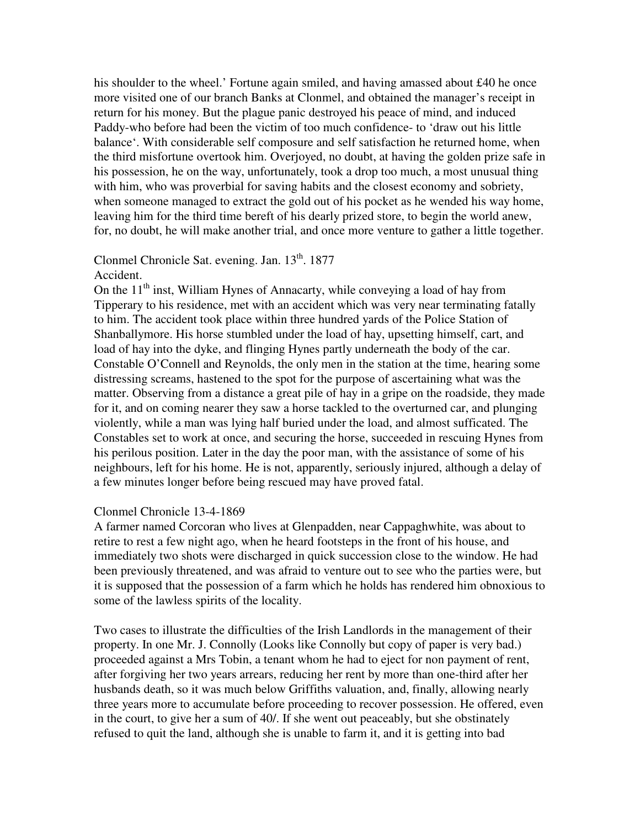his shoulder to the wheel.' Fortune again smiled, and having amassed about £40 he once more visited one of our branch Banks at Clonmel, and obtained the manager's receipt in return for his money. But the plague panic destroyed his peace of mind, and induced Paddy-who before had been the victim of too much confidence- to 'draw out his little balance'. With considerable self composure and self satisfaction he returned home, when the third misfortune overtook him. Overjoyed, no doubt, at having the golden prize safe in his possession, he on the way, unfortunately, took a drop too much, a most unusual thing with him, who was proverbial for saving habits and the closest economy and sobriety, when someone managed to extract the gold out of his pocket as he wended his way home, leaving him for the third time bereft of his dearly prized store, to begin the world anew, for, no doubt, he will make another trial, and once more venture to gather a little together.

# Clonmel Chronicle Sat. evening. Jan. 13<sup>th</sup>. 1877

# Accident.

On the  $11<sup>th</sup>$  inst, William Hynes of Annacarty, while conveying a load of hay from Tipperary to his residence, met with an accident which was very near terminating fatally to him. The accident took place within three hundred yards of the Police Station of Shanballymore. His horse stumbled under the load of hay, upsetting himself, cart, and load of hay into the dyke, and flinging Hynes partly underneath the body of the car. Constable O'Connell and Reynolds, the only men in the station at the time, hearing some distressing screams, hastened to the spot for the purpose of ascertaining what was the matter. Observing from a distance a great pile of hay in a gripe on the roadside, they made for it, and on coming nearer they saw a horse tackled to the overturned car, and plunging violently, while a man was lying half buried under the load, and almost sufficated. The Constables set to work at once, and securing the horse, succeeded in rescuing Hynes from his perilous position. Later in the day the poor man, with the assistance of some of his neighbours, left for his home. He is not, apparently, seriously injured, although a delay of a few minutes longer before being rescued may have proved fatal.

# Clonmel Chronicle 13-4-1869

A farmer named Corcoran who lives at Glenpadden, near Cappaghwhite, was about to retire to rest a few night ago, when he heard footsteps in the front of his house, and immediately two shots were discharged in quick succession close to the window. He had been previously threatened, and was afraid to venture out to see who the parties were, but it is supposed that the possession of a farm which he holds has rendered him obnoxious to some of the lawless spirits of the locality.

Two cases to illustrate the difficulties of the Irish Landlords in the management of their property. In one Mr. J. Connolly (Looks like Connolly but copy of paper is very bad.) proceeded against a Mrs Tobin, a tenant whom he had to eject for non payment of rent, after forgiving her two years arrears, reducing her rent by more than one-third after her husbands death, so it was much below Griffiths valuation, and, finally, allowing nearly three years more to accumulate before proceeding to recover possession. He offered, even in the court, to give her a sum of 40/. If she went out peaceably, but she obstinately refused to quit the land, although she is unable to farm it, and it is getting into bad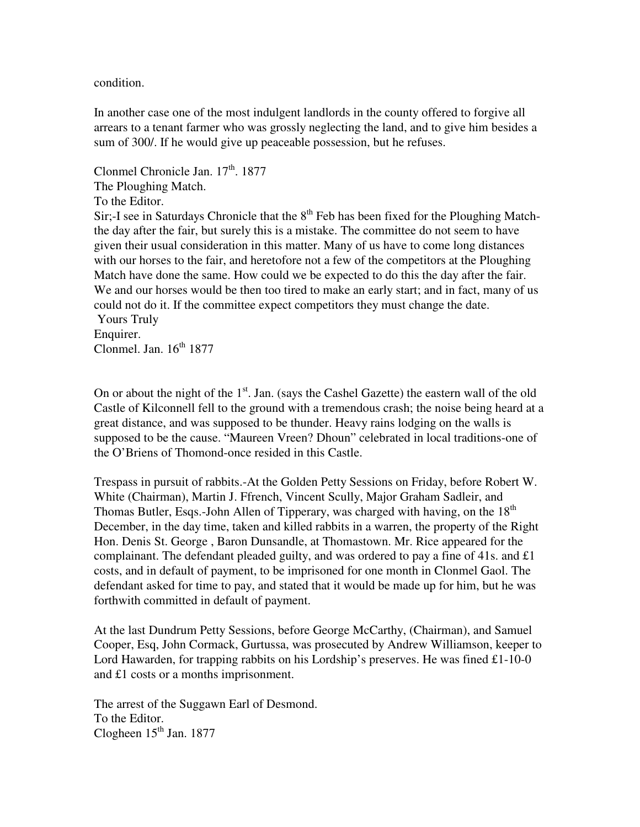condition.

In another case one of the most indulgent landlords in the county offered to forgive all arrears to a tenant farmer who was grossly neglecting the land, and to give him besides a sum of 300/. If he would give up peaceable possession, but he refuses.

Clonmel Chronicle Jan. 17<sup>th</sup>. 1877 The Ploughing Match. To the Editor. Sir;-I see in Saturdays Chronicle that the  $8<sup>th</sup>$  Feb has been fixed for the Ploughing Matchthe day after the fair, but surely this is a mistake. The committee do not seem to have given their usual consideration in this matter. Many of us have to come long distances with our horses to the fair, and heretofore not a few of the competitors at the Ploughing Match have done the same. How could we be expected to do this the day after the fair. We and our horses would be then too tired to make an early start; and in fact, many of us could not do it. If the committee expect competitors they must change the date. Yours Truly

Enquirer. Clonmel. Jan.  $16^{th}$  1877

On or about the night of the  $1<sup>st</sup>$ . Jan. (says the Cashel Gazette) the eastern wall of the old Castle of Kilconnell fell to the ground with a tremendous crash; the noise being heard at a great distance, and was supposed to be thunder. Heavy rains lodging on the walls is supposed to be the cause. "Maureen Vreen? Dhoun" celebrated in local traditions-one of the O'Briens of Thomond-once resided in this Castle.

Trespass in pursuit of rabbits.-At the Golden Petty Sessions on Friday, before Robert W. White (Chairman), Martin J. Ffrench, Vincent Scully, Major Graham Sadleir, and Thomas Butler, Esqs.-John Allen of Tipperary, was charged with having, on the 18<sup>th</sup> December, in the day time, taken and killed rabbits in a warren, the property of the Right Hon. Denis St. George , Baron Dunsandle, at Thomastown. Mr. Rice appeared for the complainant. The defendant pleaded guilty, and was ordered to pay a fine of 41s. and £1 costs, and in default of payment, to be imprisoned for one month in Clonmel Gaol. The defendant asked for time to pay, and stated that it would be made up for him, but he was forthwith committed in default of payment.

At the last Dundrum Petty Sessions, before George McCarthy, (Chairman), and Samuel Cooper, Esq, John Cormack, Gurtussa, was prosecuted by Andrew Williamson, keeper to Lord Hawarden, for trapping rabbits on his Lordship's preserves. He was fined £1-10-0 and £1 costs or a months imprisonment.

The arrest of the Suggawn Earl of Desmond. To the Editor. Clogheen  $15<sup>th</sup>$  Jan. 1877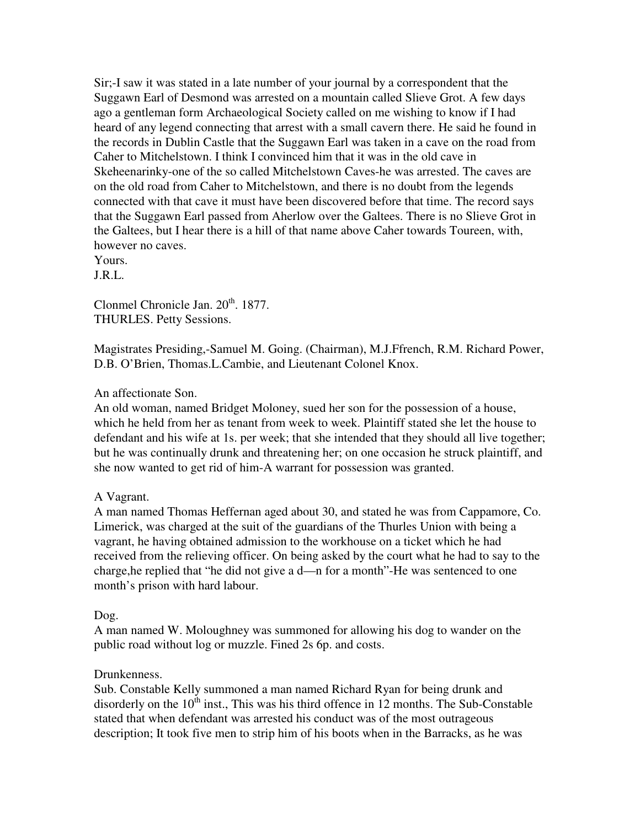Sir;-I saw it was stated in a late number of your journal by a correspondent that the Suggawn Earl of Desmond was arrested on a mountain called Slieve Grot. A few days ago a gentleman form Archaeological Society called on me wishing to know if I had heard of any legend connecting that arrest with a small cavern there. He said he found in the records in Dublin Castle that the Suggawn Earl was taken in a cave on the road from Caher to Mitchelstown. I think I convinced him that it was in the old cave in Skeheenarinky-one of the so called Mitchelstown Caves-he was arrested. The caves are on the old road from Caher to Mitchelstown, and there is no doubt from the legends connected with that cave it must have been discovered before that time. The record says that the Suggawn Earl passed from Aherlow over the Galtees. There is no Slieve Grot in the Galtees, but I hear there is a hill of that name above Caher towards Toureen, with, however no caves.

Yours.

J.R.L.

Clonmel Chronicle Jan.  $20<sup>th</sup>$ . 1877. THURLES. Petty Sessions.

Magistrates Presiding,-Samuel M. Going. (Chairman), M.J.Ffrench, R.M. Richard Power, D.B. O'Brien, Thomas.L.Cambie, and Lieutenant Colonel Knox.

# An affectionate Son.

An old woman, named Bridget Moloney, sued her son for the possession of a house, which he held from her as tenant from week to week. Plaintiff stated she let the house to defendant and his wife at 1s. per week; that she intended that they should all live together; but he was continually drunk and threatening her; on one occasion he struck plaintiff, and she now wanted to get rid of him-A warrant for possession was granted.

## A Vagrant.

A man named Thomas Heffernan aged about 30, and stated he was from Cappamore, Co. Limerick, was charged at the suit of the guardians of the Thurles Union with being a vagrant, he having obtained admission to the workhouse on a ticket which he had received from the relieving officer. On being asked by the court what he had to say to the charge,he replied that "he did not give a d—n for a month"-He was sentenced to one month's prison with hard labour.

## Dog.

A man named W. Moloughney was summoned for allowing his dog to wander on the public road without log or muzzle. Fined 2s 6p. and costs.

## Drunkenness.

Sub. Constable Kelly summoned a man named Richard Ryan for being drunk and disorderly on the  $10<sup>th</sup>$  inst., This was his third offence in 12 months. The Sub-Constable stated that when defendant was arrested his conduct was of the most outrageous description; It took five men to strip him of his boots when in the Barracks, as he was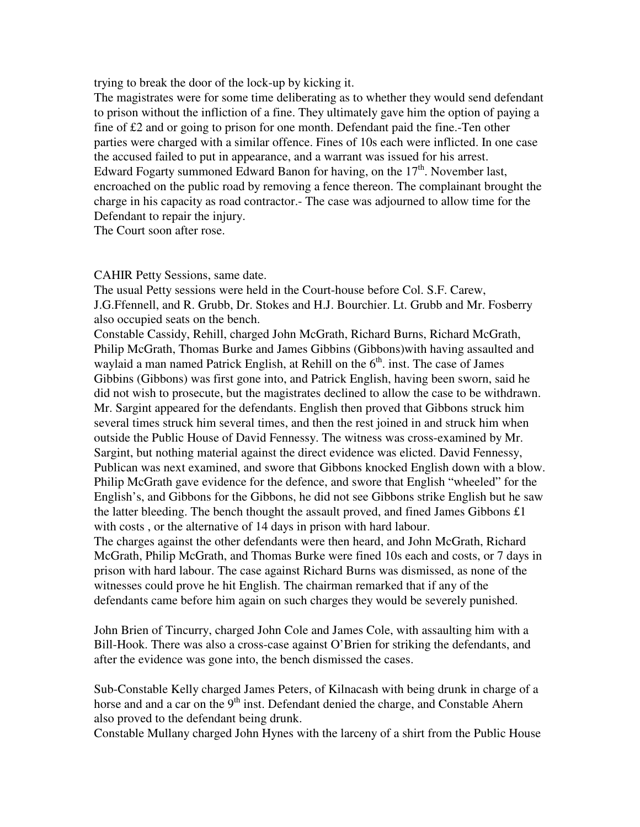trying to break the door of the lock-up by kicking it.

The magistrates were for some time deliberating as to whether they would send defendant to prison without the infliction of a fine. They ultimately gave him the option of paying a fine of £2 and or going to prison for one month. Defendant paid the fine.-Ten other parties were charged with a similar offence. Fines of 10s each were inflicted. In one case the accused failed to put in appearance, and a warrant was issued for his arrest. Edward Fogarty summoned Edward Banon for having, on the  $17<sup>th</sup>$ . November last, encroached on the public road by removing a fence thereon. The complainant brought the charge in his capacity as road contractor.- The case was adjourned to allow time for the Defendant to repair the injury.

The Court soon after rose.

#### CAHIR Petty Sessions, same date.

The usual Petty sessions were held in the Court-house before Col. S.F. Carew, J.G.Ffennell, and R. Grubb, Dr. Stokes and H.J. Bourchier. Lt. Grubb and Mr. Fosberry also occupied seats on the bench.

Constable Cassidy, Rehill, charged John McGrath, Richard Burns, Richard McGrath, Philip McGrath, Thomas Burke and James Gibbins (Gibbons)with having assaulted and waylaid a man named Patrick English, at Rehill on the  $6<sup>th</sup>$  inst. The case of James Gibbins (Gibbons) was first gone into, and Patrick English, having been sworn, said he did not wish to prosecute, but the magistrates declined to allow the case to be withdrawn. Mr. Sargint appeared for the defendants. English then proved that Gibbons struck him several times struck him several times, and then the rest joined in and struck him when outside the Public House of David Fennessy. The witness was cross-examined by Mr. Sargint, but nothing material against the direct evidence was elicted. David Fennessy, Publican was next examined, and swore that Gibbons knocked English down with a blow. Philip McGrath gave evidence for the defence, and swore that English "wheeled" for the English's, and Gibbons for the Gibbons, he did not see Gibbons strike English but he saw the latter bleeding. The bench thought the assault proved, and fined James Gibbons £1 with costs , or the alternative of 14 days in prison with hard labour.

The charges against the other defendants were then heard, and John McGrath, Richard McGrath, Philip McGrath, and Thomas Burke were fined 10s each and costs, or 7 days in prison with hard labour. The case against Richard Burns was dismissed, as none of the witnesses could prove he hit English. The chairman remarked that if any of the defendants came before him again on such charges they would be severely punished.

John Brien of Tincurry, charged John Cole and James Cole, with assaulting him with a Bill-Hook. There was also a cross-case against O'Brien for striking the defendants, and after the evidence was gone into, the bench dismissed the cases.

Sub-Constable Kelly charged James Peters, of Kilnacash with being drunk in charge of a horse and and a car on the 9<sup>th</sup> inst. Defendant denied the charge, and Constable Ahern also proved to the defendant being drunk.

Constable Mullany charged John Hynes with the larceny of a shirt from the Public House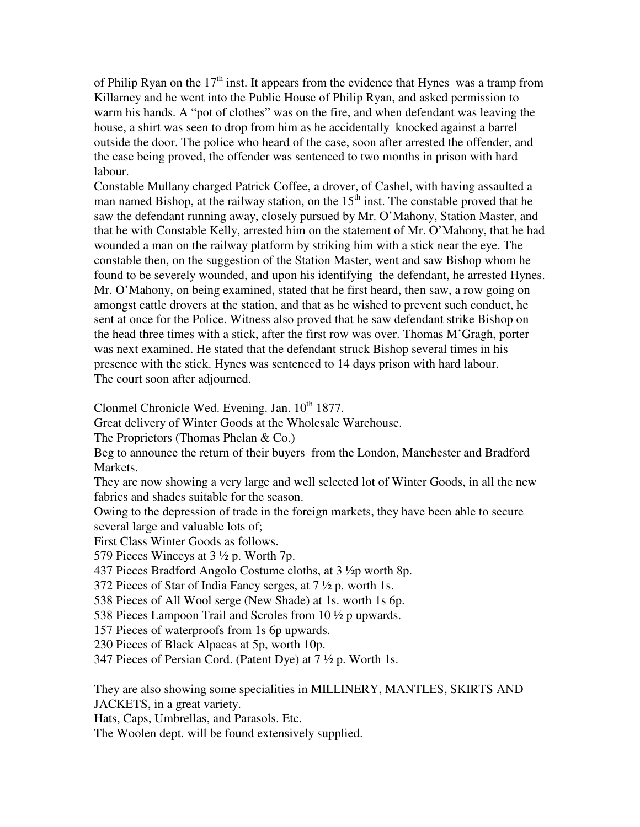of Philip Ryan on the  $17<sup>th</sup>$  inst. It appears from the evidence that Hynes was a tramp from Killarney and he went into the Public House of Philip Ryan, and asked permission to warm his hands. A "pot of clothes" was on the fire, and when defendant was leaving the house, a shirt was seen to drop from him as he accidentally knocked against a barrel outside the door. The police who heard of the case, soon after arrested the offender, and the case being proved, the offender was sentenced to two months in prison with hard labour.

Constable Mullany charged Patrick Coffee, a drover, of Cashel, with having assaulted a man named Bishop, at the railway station, on the  $15<sup>th</sup>$  inst. The constable proved that he saw the defendant running away, closely pursued by Mr. O'Mahony, Station Master, and that he with Constable Kelly, arrested him on the statement of Mr. O'Mahony, that he had wounded a man on the railway platform by striking him with a stick near the eye. The constable then, on the suggestion of the Station Master, went and saw Bishop whom he found to be severely wounded, and upon his identifying the defendant, he arrested Hynes. Mr. O'Mahony, on being examined, stated that he first heard, then saw, a row going on amongst cattle drovers at the station, and that as he wished to prevent such conduct, he sent at once for the Police. Witness also proved that he saw defendant strike Bishop on the head three times with a stick, after the first row was over. Thomas M'Gragh, porter was next examined. He stated that the defendant struck Bishop several times in his presence with the stick. Hynes was sentenced to 14 days prison with hard labour. The court soon after adjourned.

Clonmel Chronicle Wed. Evening. Jan.  $10^{th}$  1877.

Great delivery of Winter Goods at the Wholesale Warehouse.

The Proprietors (Thomas Phelan & Co.)

Beg to announce the return of their buyers from the London, Manchester and Bradford Markets.

They are now showing a very large and well selected lot of Winter Goods, in all the new fabrics and shades suitable for the season.

Owing to the depression of trade in the foreign markets, they have been able to secure several large and valuable lots of;

First Class Winter Goods as follows.

579 Pieces Winceys at 3 ½ p. Worth 7p.

437 Pieces Bradford Angolo Costume cloths, at 3 ½p worth 8p.

372 Pieces of Star of India Fancy serges, at 7 ½ p. worth 1s.

538 Pieces of All Wool serge (New Shade) at 1s. worth 1s 6p.

538 Pieces Lampoon Trail and Scroles from 10 ½ p upwards.

157 Pieces of waterproofs from 1s 6p upwards.

230 Pieces of Black Alpacas at 5p, worth 10p.

347 Pieces of Persian Cord. (Patent Dye) at 7 ½ p. Worth 1s.

They are also showing some specialities in MILLINERY, MANTLES, SKIRTS AND JACKETS, in a great variety.

Hats, Caps, Umbrellas, and Parasols. Etc.

The Woolen dept. will be found extensively supplied.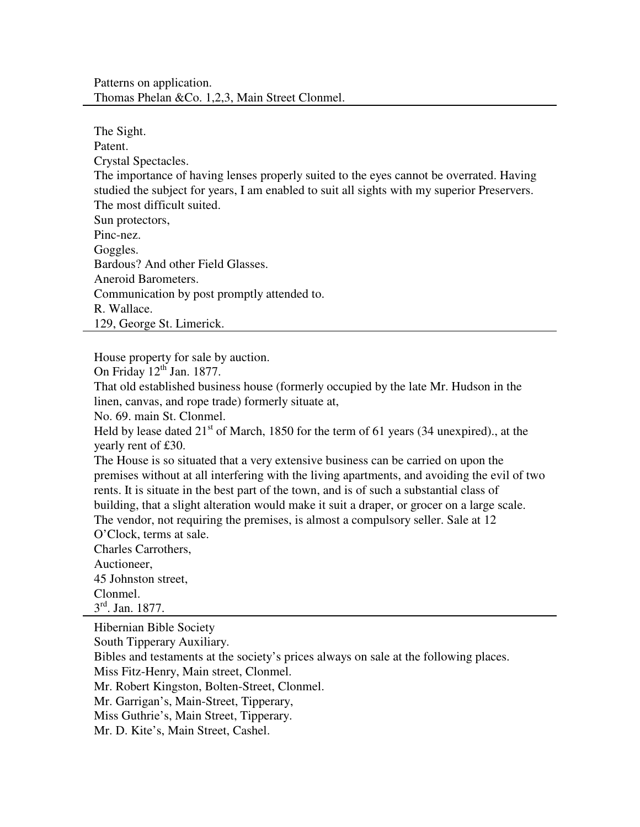Patterns on application. Thomas Phelan &Co. 1,2,3, Main Street Clonmel.

The Sight. Patent. Crystal Spectacles. The importance of having lenses properly suited to the eyes cannot be overrated. Having studied the subject for years, I am enabled to suit all sights with my superior Preservers. The most difficult suited. Sun protectors, Pinc-nez. Goggles. Bardous? And other Field Glasses. Aneroid Barometers. Communication by post promptly attended to. R. Wallace. 129, George St. Limerick.

House property for sale by auction.

On Friday  $12<sup>th</sup>$  Jan. 1877.

That old established business house (formerly occupied by the late Mr. Hudson in the linen, canvas, and rope trade) formerly situate at,

No. 69. main St. Clonmel.

Held by lease dated  $21^{st}$  of March, 1850 for the term of 61 years (34 unexpired)., at the yearly rent of £30.

The House is so situated that a very extensive business can be carried on upon the premises without at all interfering with the living apartments, and avoiding the evil of two rents. It is situate in the best part of the town, and is of such a substantial class of building, that a slight alteration would make it suit a draper, or grocer on a large scale. The vendor, not requiring the premises, is almost a compulsory seller. Sale at 12

O'Clock, terms at sale.

Charles Carrothers,

Auctioneer, 45 Johnston street, Clonmel.

3 rd. Jan. 1877.

Hibernian Bible Society

South Tipperary Auxiliary.

Bibles and testaments at the society's prices always on sale at the following places.

Miss Fitz-Henry, Main street, Clonmel.

Mr. Robert Kingston, Bolten-Street, Clonmel.

Mr. Garrigan's, Main-Street, Tipperary,

Miss Guthrie's, Main Street, Tipperary.

Mr. D. Kite's, Main Street, Cashel.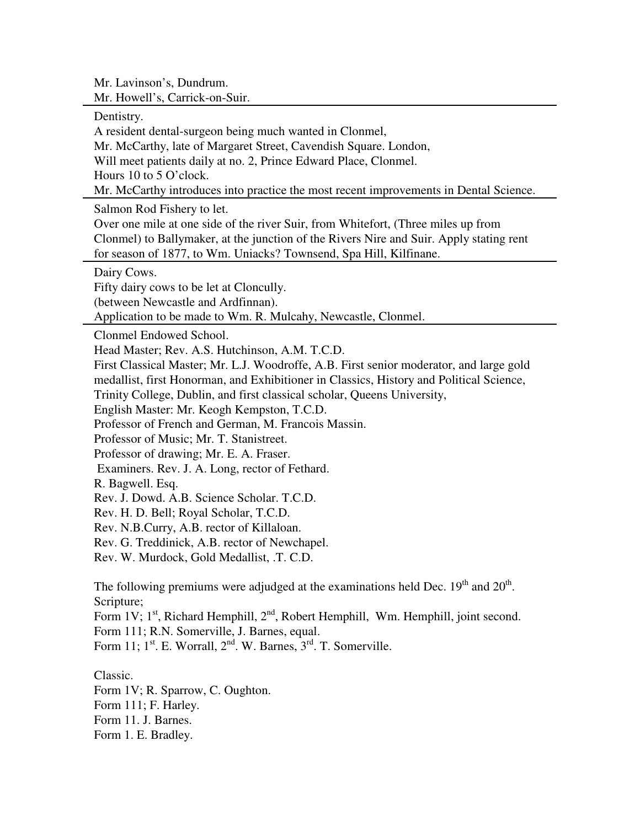Mr. Lavinson's, Dundrum. Mr. Howell's, Carrick-on-Suir.

Dentistry. A resident dental-surgeon being much wanted in Clonmel, Mr. McCarthy, late of Margaret Street, Cavendish Square. London, Will meet patients daily at no. 2, Prince Edward Place, Clonmel. Hours 10 to 5 O'clock. Mr. McCarthy introduces into practice the most recent improvements in Dental Science. Salmon Rod Fishery to let. Over one mile at one side of the river Suir, from Whitefort, (Three miles up from Clonmel) to Ballymaker, at the junction of the Rivers Nire and Suir. Apply stating rent for season of 1877, to Wm. Uniacks? Townsend, Spa Hill, Kilfinane. Dairy Cows. Fifty dairy cows to be let at Cloncully. (between Newcastle and Ardfinnan). Application to be made to Wm. R. Mulcahy, Newcastle, Clonmel. Clonmel Endowed School. Head Master; Rev. A.S. Hutchinson, A.M. T.C.D. First Classical Master; Mr. L.J. Woodroffe, A.B. First senior moderator, and large gold medallist, first Honorman, and Exhibitioner in Classics, History and Political Science, Trinity College, Dublin, and first classical scholar, Queens University, English Master: Mr. Keogh Kempston, T.C.D. Professor of French and German, M. Francois Massin. Professor of Music; Mr. T. Stanistreet. Professor of drawing; Mr. E. A. Fraser. Examiners. Rev. J. A. Long, rector of Fethard. R. Bagwell. Esq. Rev. J. Dowd. A.B. Science Scholar. T.C.D. Rev. H. D. Bell; Royal Scholar, T.C.D. Rev. N.B.Curry, A.B. rector of Killaloan. Rev. G. Treddinick, A.B. rector of Newchapel. Rev. W. Murdock, Gold Medallist, .T. C.D. The following premiums were adjudged at the examinations held Dec.  $19<sup>th</sup>$  and  $20<sup>th</sup>$ . Scripture; Form 1V;  $1<sup>st</sup>$ , Richard Hemphill,  $2<sup>nd</sup>$ , Robert Hemphill, Wm. Hemphill, joint second. Form 111; R.N. Somerville, J. Barnes, equal. Form 11;  $1^{\text{st}}$ . E. Worrall,  $2^{\text{nd}}$ . W. Barnes,  $3^{\text{rd}}$ . T. Somerville. Classic. Form 1V; R. Sparrow, C. Oughton. Form 111; F. Harley. Form 11. J. Barnes.

Form 1. E. Bradley.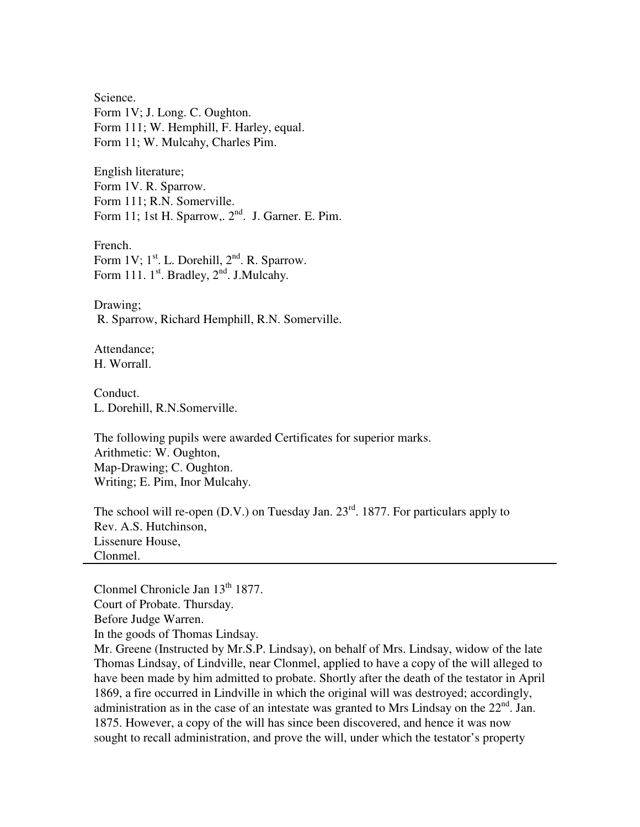Science. Form 1V; J. Long. C. Oughton. Form 111; W. Hemphill, F. Harley, equal. Form 11; W. Mulcahy, Charles Pim.

English literature; Form 1V. R. Sparrow. Form 111; R.N. Somerville. Form 11; 1st H. Sparrow,.  $2<sup>nd</sup>$ . J. Garner. E. Pim.

French. Form 1V;  $1^{st}$ . L. Dorehill,  $2^{nd}$ . R. Sparrow. Form 111.  $1^{st}$ . Bradley,  $2^{nd}$ . J.Mulcahy.

Drawing; R. Sparrow, Richard Hemphill, R.N. Somerville.

Attendance; H. Worrall.

Conduct. L. Dorehill, R.N.Somerville.

The following pupils were awarded Certificates for superior marks. Arithmetic: W. Oughton, Map-Drawing; C. Oughton. Writing; E. Pim, Inor Mulcahy.

The school will re-open  $(D.V.)$  on Tuesday Jan.  $23<sup>rd</sup>$ . 1877. For particulars apply to Rev. A.S. Hutchinson, Lissenure House, Clonmel.

Clonmel Chronicle Jan  $13<sup>th</sup> 1877$ . Court of Probate. Thursday. Before Judge Warren. In the goods of Thomas Lindsay. Mr. Greene (Instructed by Mr.S.P. Lindsay), on behalf of Mrs. Lindsay, widow of the late

Thomas Lindsay, of Lindville, near Clonmel, applied to have a copy of the will alleged to have been made by him admitted to probate. Shortly after the death of the testator in April 1869, a fire occurred in Lindville in which the original will was destroyed; accordingly, administration as in the case of an intestate was granted to Mrs Lindsay on the  $22<sup>nd</sup>$ . Jan. 1875. However, a copy of the will has since been discovered, and hence it was now sought to recall administration, and prove the will, under which the testator's property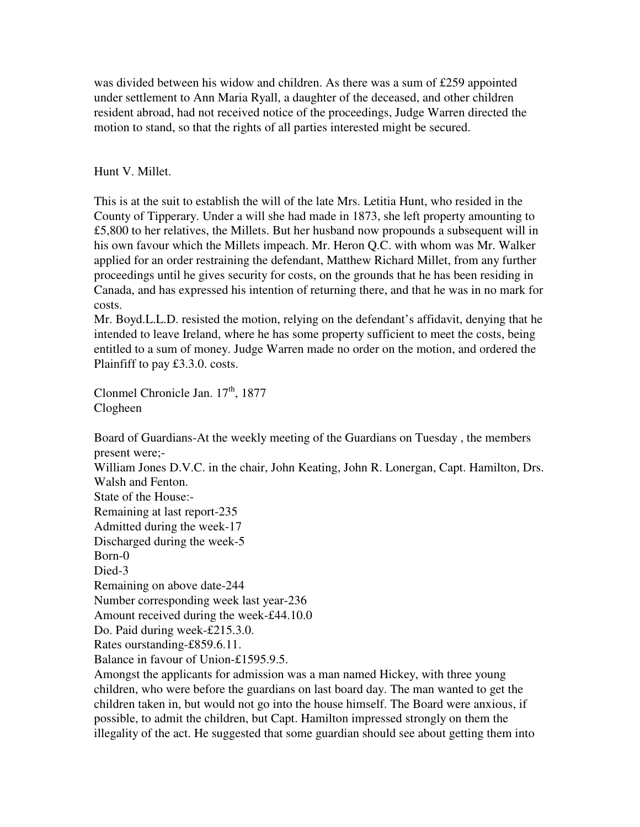was divided between his widow and children. As there was a sum of £259 appointed under settlement to Ann Maria Ryall, a daughter of the deceased, and other children resident abroad, had not received notice of the proceedings, Judge Warren directed the motion to stand, so that the rights of all parties interested might be secured.

# Hunt V. Millet.

This is at the suit to establish the will of the late Mrs. Letitia Hunt, who resided in the County of Tipperary. Under a will she had made in 1873, she left property amounting to £5,800 to her relatives, the Millets. But her husband now propounds a subsequent will in his own favour which the Millets impeach. Mr. Heron Q.C. with whom was Mr. Walker applied for an order restraining the defendant, Matthew Richard Millet, from any further proceedings until he gives security for costs, on the grounds that he has been residing in Canada, and has expressed his intention of returning there, and that he was in no mark for costs.

Mr. Boyd.L.L.D. resisted the motion, relying on the defendant's affidavit, denying that he intended to leave Ireland, where he has some property sufficient to meet the costs, being entitled to a sum of money. Judge Warren made no order on the motion, and ordered the Plainfiff to pay £3.3.0. costs.

Clonmel Chronicle Jan. 17<sup>th</sup>, 1877 Clogheen

Board of Guardians-At the weekly meeting of the Guardians on Tuesday , the members present were;-

William Jones D.V.C. in the chair, John Keating, John R. Lonergan, Capt. Hamilton, Drs. Walsh and Fenton. State of the House:- Remaining at last report-235 Admitted during the week-17 Discharged during the week-5 Born-0

Died-3

Remaining on above date-244

Number corresponding week last year-236

Amount received during the week-£44.10.0

Do. Paid during week-£215.3.0.

Rates ourstanding-£859.6.11.

Balance in favour of Union-£1595.9.5.

Amongst the applicants for admission was a man named Hickey, with three young children, who were before the guardians on last board day. The man wanted to get the children taken in, but would not go into the house himself. The Board were anxious, if possible, to admit the children, but Capt. Hamilton impressed strongly on them the illegality of the act. He suggested that some guardian should see about getting them into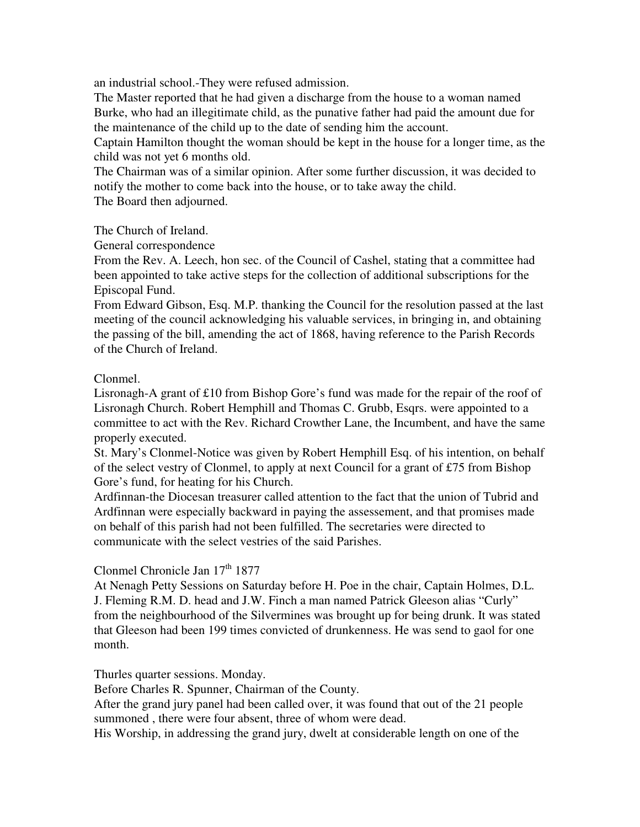an industrial school.-They were refused admission.

The Master reported that he had given a discharge from the house to a woman named Burke, who had an illegitimate child, as the punative father had paid the amount due for the maintenance of the child up to the date of sending him the account.

Captain Hamilton thought the woman should be kept in the house for a longer time, as the child was not yet 6 months old.

The Chairman was of a similar opinion. After some further discussion, it was decided to notify the mother to come back into the house, or to take away the child. The Board then adjourned.

The Church of Ireland.

General correspondence

From the Rev. A. Leech, hon sec. of the Council of Cashel, stating that a committee had been appointed to take active steps for the collection of additional subscriptions for the Episcopal Fund.

From Edward Gibson, Esq. M.P. thanking the Council for the resolution passed at the last meeting of the council acknowledging his valuable services, in bringing in, and obtaining the passing of the bill, amending the act of 1868, having reference to the Parish Records of the Church of Ireland.

# Clonmel.

Lisronagh-A grant of £10 from Bishop Gore's fund was made for the repair of the roof of Lisronagh Church. Robert Hemphill and Thomas C. Grubb, Esqrs. were appointed to a committee to act with the Rev. Richard Crowther Lane, the Incumbent, and have the same properly executed.

St. Mary's Clonmel-Notice was given by Robert Hemphill Esq. of his intention, on behalf of the select vestry of Clonmel, to apply at next Council for a grant of £75 from Bishop Gore's fund, for heating for his Church.

Ardfinnan-the Diocesan treasurer called attention to the fact that the union of Tubrid and Ardfinnan were especially backward in paying the assessement, and that promises made on behalf of this parish had not been fulfilled. The secretaries were directed to communicate with the select vestries of the said Parishes.

# Clonmel Chronicle Jan 17<sup>th</sup> 1877

At Nenagh Petty Sessions on Saturday before H. Poe in the chair, Captain Holmes, D.L. J. Fleming R.M. D. head and J.W. Finch a man named Patrick Gleeson alias "Curly" from the neighbourhood of the Silvermines was brought up for being drunk. It was stated that Gleeson had been 199 times convicted of drunkenness. He was send to gaol for one month.

Thurles quarter sessions. Monday.

Before Charles R. Spunner, Chairman of the County.

After the grand jury panel had been called over, it was found that out of the 21 people summoned , there were four absent, three of whom were dead.

His Worship, in addressing the grand jury, dwelt at considerable length on one of the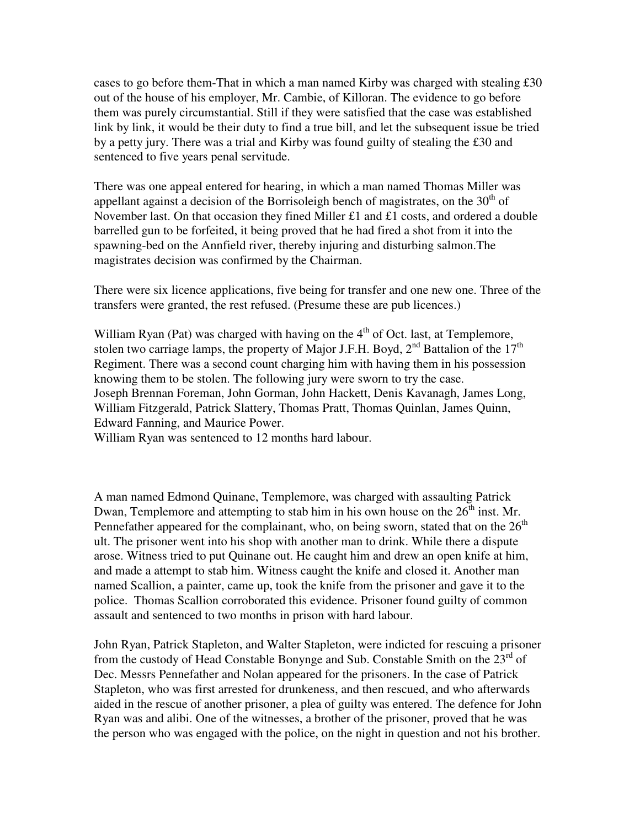cases to go before them-That in which a man named Kirby was charged with stealing £30 out of the house of his employer, Mr. Cambie, of Killoran. The evidence to go before them was purely circumstantial. Still if they were satisfied that the case was established link by link, it would be their duty to find a true bill, and let the subsequent issue be tried by a petty jury. There was a trial and Kirby was found guilty of stealing the £30 and sentenced to five years penal servitude.

There was one appeal entered for hearing, in which a man named Thomas Miller was appellant against a decision of the Borrisoleigh bench of magistrates, on the  $30<sup>th</sup>$  of November last. On that occasion they fined Miller £1 and £1 costs, and ordered a double barrelled gun to be forfeited, it being proved that he had fired a shot from it into the spawning-bed on the Annfield river, thereby injuring and disturbing salmon.The magistrates decision was confirmed by the Chairman.

There were six licence applications, five being for transfer and one new one. Three of the transfers were granted, the rest refused. (Presume these are pub licences.)

William Ryan (Pat) was charged with having on the  $4<sup>th</sup>$  of Oct. last, at Templemore, stolen two carriage lamps, the property of Major J.F.H. Boyd,  $2<sup>nd</sup>$  Battalion of the  $17<sup>th</sup>$ Regiment. There was a second count charging him with having them in his possession knowing them to be stolen. The following jury were sworn to try the case. Joseph Brennan Foreman, John Gorman, John Hackett, Denis Kavanagh, James Long, William Fitzgerald, Patrick Slattery, Thomas Pratt, Thomas Quinlan, James Quinn, Edward Fanning, and Maurice Power.

William Ryan was sentenced to 12 months hard labour.

A man named Edmond Quinane, Templemore, was charged with assaulting Patrick Dwan, Templemore and attempting to stab him in his own house on the  $26<sup>th</sup>$  inst. Mr. Pennefather appeared for the complainant, who, on being sworn, stated that on the  $26<sup>th</sup>$ ult. The prisoner went into his shop with another man to drink. While there a dispute arose. Witness tried to put Quinane out. He caught him and drew an open knife at him, and made a attempt to stab him. Witness caught the knife and closed it. Another man named Scallion, a painter, came up, took the knife from the prisoner and gave it to the police. Thomas Scallion corroborated this evidence. Prisoner found guilty of common assault and sentenced to two months in prison with hard labour.

John Ryan, Patrick Stapleton, and Walter Stapleton, were indicted for rescuing a prisoner from the custody of Head Constable Bonynge and Sub. Constable Smith on the  $23<sup>rd</sup>$  of Dec. Messrs Pennefather and Nolan appeared for the prisoners. In the case of Patrick Stapleton, who was first arrested for drunkeness, and then rescued, and who afterwards aided in the rescue of another prisoner, a plea of guilty was entered. The defence for John Ryan was and alibi. One of the witnesses, a brother of the prisoner, proved that he was the person who was engaged with the police, on the night in question and not his brother.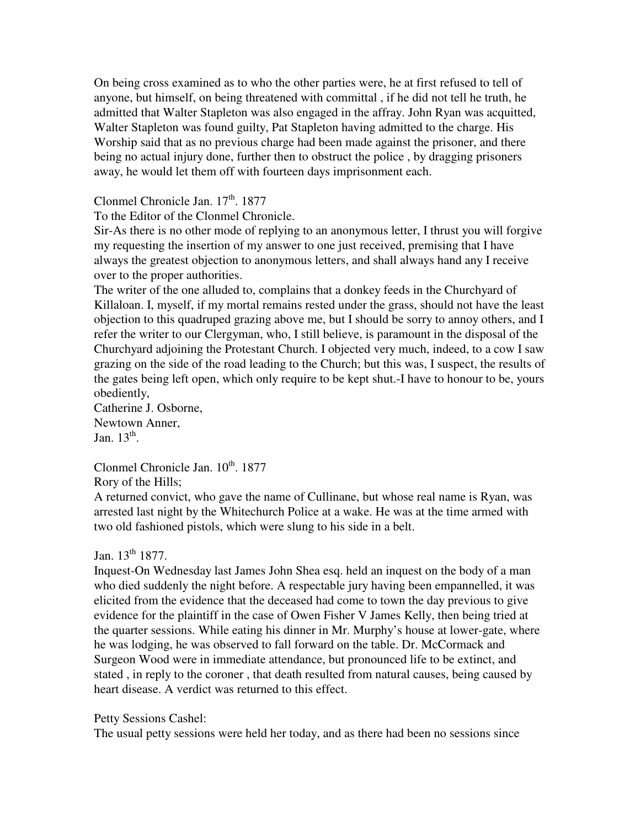On being cross examined as to who the other parties were, he at first refused to tell of anyone, but himself, on being threatened with committal , if he did not tell he truth, he admitted that Walter Stapleton was also engaged in the affray. John Ryan was acquitted, Walter Stapleton was found guilty, Pat Stapleton having admitted to the charge. His Worship said that as no previous charge had been made against the prisoner, and there being no actual injury done, further then to obstruct the police , by dragging prisoners away, he would let them off with fourteen days imprisonment each.

Clonmel Chronicle Jan.  $17<sup>th</sup>$ . 1877

To the Editor of the Clonmel Chronicle.

Sir-As there is no other mode of replying to an anonymous letter, I thrust you will forgive my requesting the insertion of my answer to one just received, premising that I have always the greatest objection to anonymous letters, and shall always hand any I receive over to the proper authorities.

The writer of the one alluded to, complains that a donkey feeds in the Churchyard of Killaloan. I, myself, if my mortal remains rested under the grass, should not have the least objection to this quadruped grazing above me, but I should be sorry to annoy others, and I refer the writer to our Clergyman, who, I still believe, is paramount in the disposal of the Churchyard adjoining the Protestant Church. I objected very much, indeed, to a cow I saw grazing on the side of the road leading to the Church; but this was, I suspect, the results of the gates being left open, which only require to be kept shut.-I have to honour to be, yours obediently,

Catherine J. Osborne, Newtown Anner, Jan.  $13<sup>th</sup>$ .

Clonmel Chronicle Jan.  $10^{th}$ , 1877 Rory of the Hills;

A returned convict, who gave the name of Cullinane, but whose real name is Ryan, was arrested last night by the Whitechurch Police at a wake. He was at the time armed with

two old fashioned pistols, which were slung to his side in a belt.

# Jan.  $13^{th}$  1877.

Inquest-On Wednesday last James John Shea esq. held an inquest on the body of a man who died suddenly the night before. A respectable jury having been empannelled, it was elicited from the evidence that the deceased had come to town the day previous to give evidence for the plaintiff in the case of Owen Fisher V James Kelly, then being tried at the quarter sessions. While eating his dinner in Mr. Murphy's house at lower-gate, where he was lodging, he was observed to fall forward on the table. Dr. McCormack and Surgeon Wood were in immediate attendance, but pronounced life to be extinct, and stated , in reply to the coroner , that death resulted from natural causes, being caused by heart disease. A verdict was returned to this effect.

# Petty Sessions Cashel:

The usual petty sessions were held her today, and as there had been no sessions since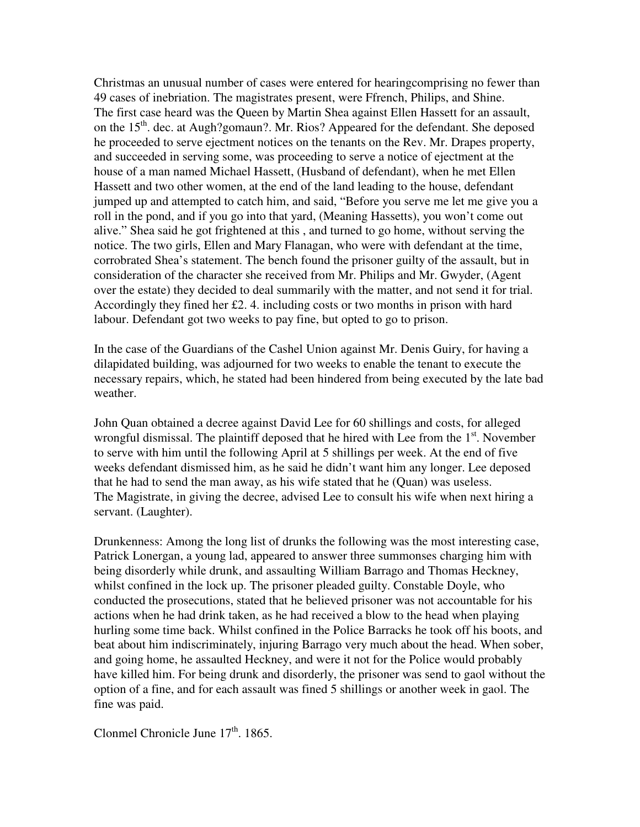Christmas an unusual number of cases were entered for hearingcomprising no fewer than 49 cases of inebriation. The magistrates present, were Ffrench, Philips, and Shine. The first case heard was the Queen by Martin Shea against Ellen Hassett for an assault, on the  $15<sup>th</sup>$ . dec. at Augh?gomaun?. Mr. Rios? Appeared for the defendant. She deposed he proceeded to serve ejectment notices on the tenants on the Rev. Mr. Drapes property, and succeeded in serving some, was proceeding to serve a notice of ejectment at the house of a man named Michael Hassett, (Husband of defendant), when he met Ellen Hassett and two other women, at the end of the land leading to the house, defendant jumped up and attempted to catch him, and said, "Before you serve me let me give you a roll in the pond, and if you go into that yard, (Meaning Hassetts), you won't come out alive." Shea said he got frightened at this , and turned to go home, without serving the notice. The two girls, Ellen and Mary Flanagan, who were with defendant at the time, corrobrated Shea's statement. The bench found the prisoner guilty of the assault, but in consideration of the character she received from Mr. Philips and Mr. Gwyder, (Agent over the estate) they decided to deal summarily with the matter, and not send it for trial. Accordingly they fined her  $£2$ . 4. including costs or two months in prison with hard labour. Defendant got two weeks to pay fine, but opted to go to prison.

In the case of the Guardians of the Cashel Union against Mr. Denis Guiry, for having a dilapidated building, was adjourned for two weeks to enable the tenant to execute the necessary repairs, which, he stated had been hindered from being executed by the late bad weather.

John Quan obtained a decree against David Lee for 60 shillings and costs, for alleged wrongful dismissal. The plaintiff deposed that he hired with Lee from the  $1<sup>st</sup>$ . November to serve with him until the following April at 5 shillings per week. At the end of five weeks defendant dismissed him, as he said he didn't want him any longer. Lee deposed that he had to send the man away, as his wife stated that he (Quan) was useless. The Magistrate, in giving the decree, advised Lee to consult his wife when next hiring a servant. (Laughter).

Drunkenness: Among the long list of drunks the following was the most interesting case, Patrick Lonergan, a young lad, appeared to answer three summonses charging him with being disorderly while drunk, and assaulting William Barrago and Thomas Heckney, whilst confined in the lock up. The prisoner pleaded guilty. Constable Doyle, who conducted the prosecutions, stated that he believed prisoner was not accountable for his actions when he had drink taken, as he had received a blow to the head when playing hurling some time back. Whilst confined in the Police Barracks he took off his boots, and beat about him indiscriminately, injuring Barrago very much about the head. When sober, and going home, he assaulted Heckney, and were it not for the Police would probably have killed him. For being drunk and disorderly, the prisoner was send to gaol without the option of a fine, and for each assault was fined 5 shillings or another week in gaol. The fine was paid.

Clonmel Chronicle June  $17<sup>th</sup>$ . 1865.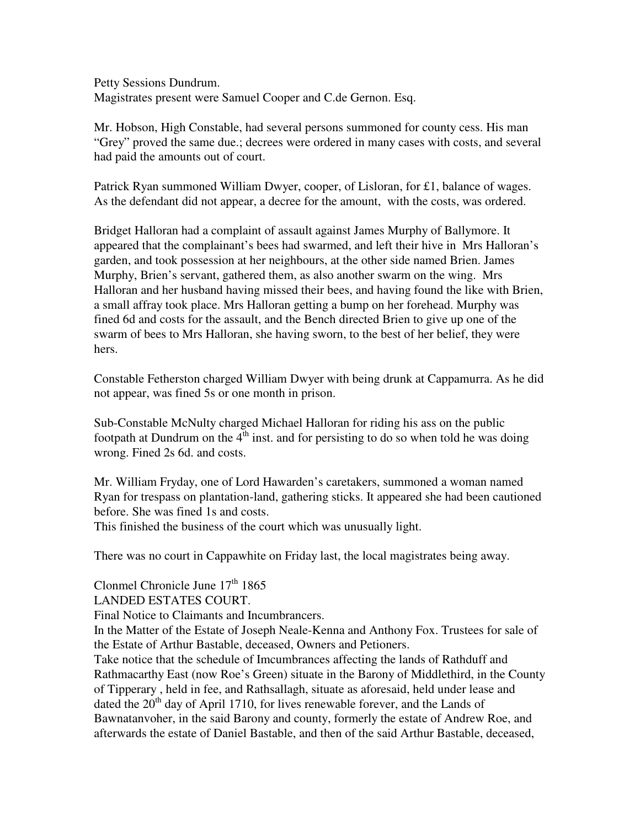Petty Sessions Dundrum. Magistrates present were Samuel Cooper and C.de Gernon. Esq.

Mr. Hobson, High Constable, had several persons summoned for county cess. His man "Grey" proved the same due.; decrees were ordered in many cases with costs, and several had paid the amounts out of court.

Patrick Ryan summoned William Dwyer, cooper, of Lisloran, for £1, balance of wages. As the defendant did not appear, a decree for the amount, with the costs, was ordered.

Bridget Halloran had a complaint of assault against James Murphy of Ballymore. It appeared that the complainant's bees had swarmed, and left their hive in Mrs Halloran's garden, and took possession at her neighbours, at the other side named Brien. James Murphy, Brien's servant, gathered them, as also another swarm on the wing. Mrs Halloran and her husband having missed their bees, and having found the like with Brien, a small affray took place. Mrs Halloran getting a bump on her forehead. Murphy was fined 6d and costs for the assault, and the Bench directed Brien to give up one of the swarm of bees to Mrs Halloran, she having sworn, to the best of her belief, they were hers.

Constable Fetherston charged William Dwyer with being drunk at Cappamurra. As he did not appear, was fined 5s or one month in prison.

Sub-Constable McNulty charged Michael Halloran for riding his ass on the public footpath at Dundrum on the  $4<sup>th</sup>$  inst. and for persisting to do so when told he was doing wrong. Fined 2s 6d. and costs.

Mr. William Fryday, one of Lord Hawarden's caretakers, summoned a woman named Ryan for trespass on plantation-land, gathering sticks. It appeared she had been cautioned before. She was fined 1s and costs.

This finished the business of the court which was unusually light.

There was no court in Cappawhite on Friday last, the local magistrates being away.

Clonmel Chronicle June 17<sup>th</sup> 1865

LANDED ESTATES COURT.

Final Notice to Claimants and Incumbrancers.

In the Matter of the Estate of Joseph Neale-Kenna and Anthony Fox. Trustees for sale of the Estate of Arthur Bastable, deceased, Owners and Petioners.

Take notice that the schedule of Imcumbrances affecting the lands of Rathduff and Rathmacarthy East (now Roe's Green) situate in the Barony of Middlethird, in the County of Tipperary , held in fee, and Rathsallagh, situate as aforesaid, held under lease and dated the  $20<sup>th</sup>$  day of April 1710, for lives renewable forever, and the Lands of Bawnatanvoher, in the said Barony and county, formerly the estate of Andrew Roe, and afterwards the estate of Daniel Bastable, and then of the said Arthur Bastable, deceased,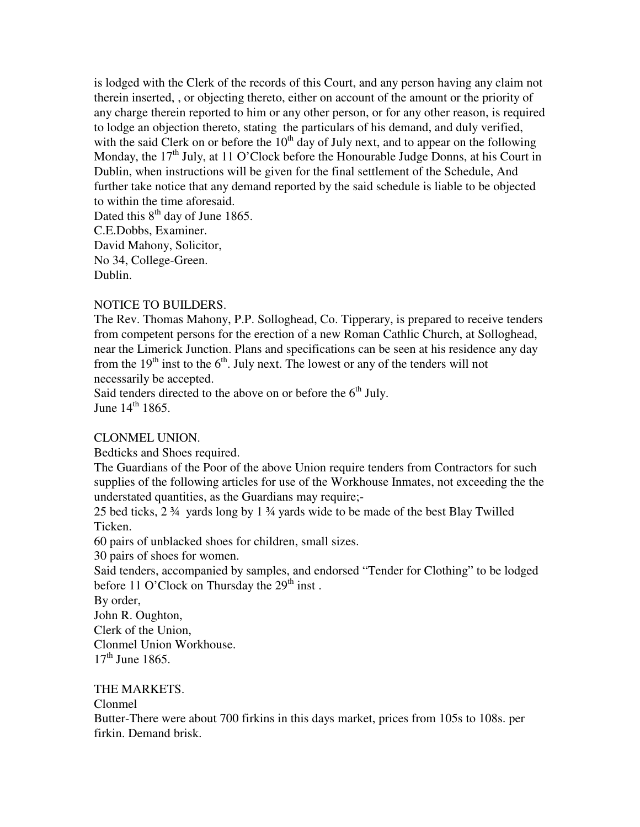is lodged with the Clerk of the records of this Court, and any person having any claim not therein inserted, , or objecting thereto, either on account of the amount or the priority of any charge therein reported to him or any other person, or for any other reason, is required to lodge an objection thereto, stating the particulars of his demand, and duly verified, with the said Clerk on or before the  $10<sup>th</sup>$  day of July next, and to appear on the following Monday, the  $17<sup>th</sup>$  July, at 11 O'Clock before the Honourable Judge Donns, at his Court in Dublin, when instructions will be given for the final settlement of the Schedule, And further take notice that any demand reported by the said schedule is liable to be objected to within the time aforesaid. Dated this  $8<sup>th</sup>$  day of June 1865.

C.E.Dobbs, Examiner. David Mahony, Solicitor, No 34, College-Green. Dublin.

# NOTICE TO BUILDERS.

The Rev. Thomas Mahony, P.P. Solloghead, Co. Tipperary, is prepared to receive tenders from competent persons for the erection of a new Roman Cathlic Church, at Solloghead, near the Limerick Junction. Plans and specifications can be seen at his residence any day from the  $19<sup>th</sup>$  inst to the  $6<sup>th</sup>$ . July next. The lowest or any of the tenders will not necessarily be accepted.

Said tenders directed to the above on or before the  $6<sup>th</sup>$  July. June  $14^{th}$  1865.

# CLONMEL UNION.

Bedticks and Shoes required.

The Guardians of the Poor of the above Union require tenders from Contractors for such supplies of the following articles for use of the Workhouse Inmates, not exceeding the the understated quantities, as the Guardians may require;-

25 bed ticks, 2 ¾ yards long by 1 ¾ yards wide to be made of the best Blay Twilled Ticken.

60 pairs of unblacked shoes for children, small sizes.

30 pairs of shoes for women.

Said tenders, accompanied by samples, and endorsed "Tender for Clothing" to be lodged before 11 O'Clock on Thursday the  $29<sup>th</sup>$  inst.

By order,

John R. Oughton,

Clerk of the Union,

Clonmel Union Workhouse.

 $17<sup>th</sup>$  June 1865.

## THE MARKETS.

## Clonmel

Butter-There were about 700 firkins in this days market, prices from 105s to 108s. per firkin. Demand brisk.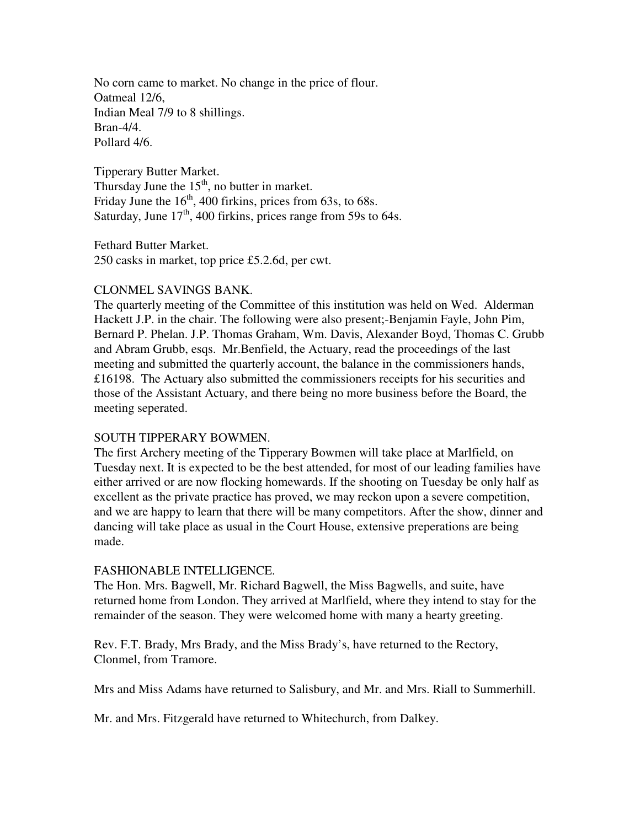No corn came to market. No change in the price of flour. Oatmeal 12/6, Indian Meal 7/9 to 8 shillings. Bran-4/4. Pollard 4/6.

Tipperary Butter Market. Thursday June the  $15<sup>th</sup>$ , no butter in market. Friday June the  $16<sup>th</sup>$ , 400 firkins, prices from 63s, to 68s. Saturday, June  $17<sup>th</sup>$ , 400 firkins, prices range from 59s to 64s.

Fethard Butter Market. 250 casks in market, top price £5.2.6d, per cwt.

# CLONMEL SAVINGS BANK.

The quarterly meeting of the Committee of this institution was held on Wed. Alderman Hackett J.P. in the chair. The following were also present;-Benjamin Fayle, John Pim, Bernard P. Phelan. J.P. Thomas Graham, Wm. Davis, Alexander Boyd, Thomas C. Grubb and Abram Grubb, esqs. Mr.Benfield, the Actuary, read the proceedings of the last meeting and submitted the quarterly account, the balance in the commissioners hands, £16198. The Actuary also submitted the commissioners receipts for his securities and those of the Assistant Actuary, and there being no more business before the Board, the meeting seperated.

# SOUTH TIPPERARY BOWMEN.

The first Archery meeting of the Tipperary Bowmen will take place at Marlfield, on Tuesday next. It is expected to be the best attended, for most of our leading families have either arrived or are now flocking homewards. If the shooting on Tuesday be only half as excellent as the private practice has proved, we may reckon upon a severe competition, and we are happy to learn that there will be many competitors. After the show, dinner and dancing will take place as usual in the Court House, extensive preperations are being made.

# FASHIONABLE INTELLIGENCE.

The Hon. Mrs. Bagwell, Mr. Richard Bagwell, the Miss Bagwells, and suite, have returned home from London. They arrived at Marlfield, where they intend to stay for the remainder of the season. They were welcomed home with many a hearty greeting.

Rev. F.T. Brady, Mrs Brady, and the Miss Brady's, have returned to the Rectory, Clonmel, from Tramore.

Mrs and Miss Adams have returned to Salisbury, and Mr. and Mrs. Riall to Summerhill.

Mr. and Mrs. Fitzgerald have returned to Whitechurch, from Dalkey.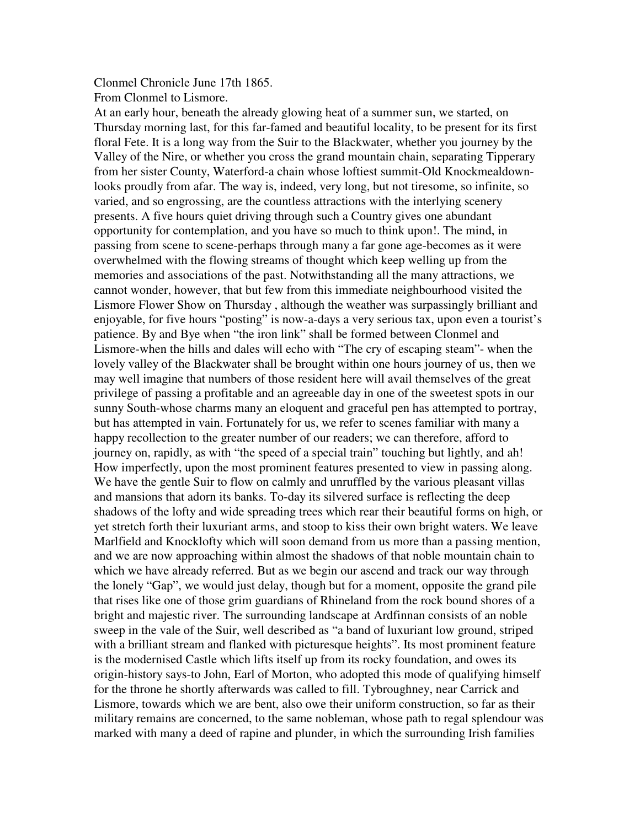Clonmel Chronicle June 17th 1865.

From Clonmel to Lismore.

At an early hour, beneath the already glowing heat of a summer sun, we started, on Thursday morning last, for this far-famed and beautiful locality, to be present for its first floral Fete. It is a long way from the Suir to the Blackwater, whether you journey by the Valley of the Nire, or whether you cross the grand mountain chain, separating Tipperary from her sister County, Waterford-a chain whose loftiest summit-Old Knockmealdownlooks proudly from afar. The way is, indeed, very long, but not tiresome, so infinite, so varied, and so engrossing, are the countless attractions with the interlying scenery presents. A five hours quiet driving through such a Country gives one abundant opportunity for contemplation, and you have so much to think upon!. The mind, in passing from scene to scene-perhaps through many a far gone age-becomes as it were overwhelmed with the flowing streams of thought which keep welling up from the memories and associations of the past. Notwithstanding all the many attractions, we cannot wonder, however, that but few from this immediate neighbourhood visited the Lismore Flower Show on Thursday , although the weather was surpassingly brilliant and enjoyable, for five hours "posting" is now-a-days a very serious tax, upon even a tourist's patience. By and Bye when "the iron link" shall be formed between Clonmel and Lismore-when the hills and dales will echo with "The cry of escaping steam"- when the lovely valley of the Blackwater shall be brought within one hours journey of us, then we may well imagine that numbers of those resident here will avail themselves of the great privilege of passing a profitable and an agreeable day in one of the sweetest spots in our sunny South-whose charms many an eloquent and graceful pen has attempted to portray, but has attempted in vain. Fortunately for us, we refer to scenes familiar with many a happy recollection to the greater number of our readers; we can therefore, afford to journey on, rapidly, as with "the speed of a special train" touching but lightly, and ah! How imperfectly, upon the most prominent features presented to view in passing along. We have the gentle Suir to flow on calmly and unruffled by the various pleasant villas and mansions that adorn its banks. To-day its silvered surface is reflecting the deep shadows of the lofty and wide spreading trees which rear their beautiful forms on high, or yet stretch forth their luxuriant arms, and stoop to kiss their own bright waters. We leave Marlfield and Knocklofty which will soon demand from us more than a passing mention, and we are now approaching within almost the shadows of that noble mountain chain to which we have already referred. But as we begin our ascend and track our way through the lonely "Gap", we would just delay, though but for a moment, opposite the grand pile that rises like one of those grim guardians of Rhineland from the rock bound shores of a bright and majestic river. The surrounding landscape at Ardfinnan consists of an noble sweep in the vale of the Suir, well described as "a band of luxuriant low ground, striped with a brilliant stream and flanked with picturesque heights". Its most prominent feature is the modernised Castle which lifts itself up from its rocky foundation, and owes its origin-history says-to John, Earl of Morton, who adopted this mode of qualifying himself for the throne he shortly afterwards was called to fill. Tybroughney, near Carrick and Lismore, towards which we are bent, also owe their uniform construction, so far as their military remains are concerned, to the same nobleman, whose path to regal splendour was marked with many a deed of rapine and plunder, in which the surrounding Irish families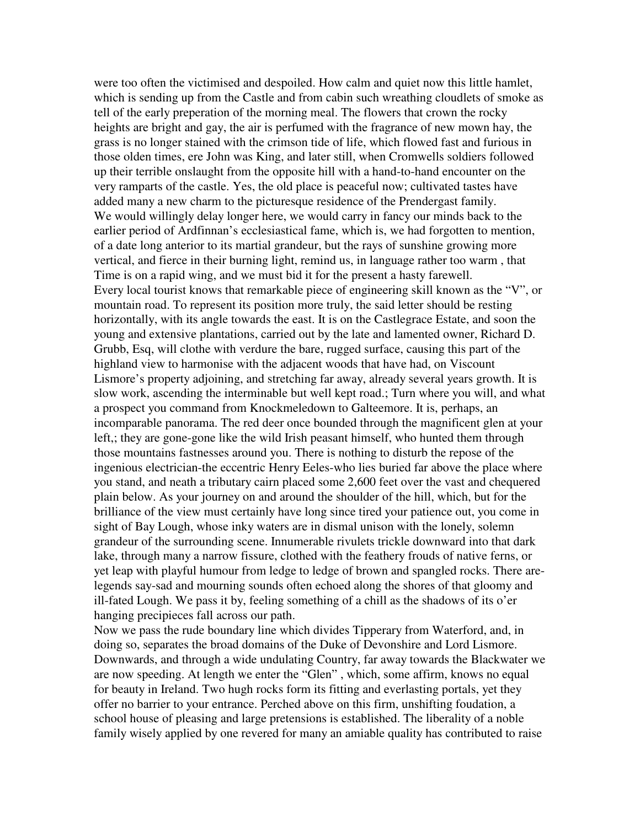were too often the victimised and despoiled. How calm and quiet now this little hamlet, which is sending up from the Castle and from cabin such wreathing cloudlets of smoke as tell of the early preperation of the morning meal. The flowers that crown the rocky heights are bright and gay, the air is perfumed with the fragrance of new mown hay, the grass is no longer stained with the crimson tide of life, which flowed fast and furious in those olden times, ere John was King, and later still, when Cromwells soldiers followed up their terrible onslaught from the opposite hill with a hand-to-hand encounter on the very ramparts of the castle. Yes, the old place is peaceful now; cultivated tastes have added many a new charm to the picturesque residence of the Prendergast family. We would willingly delay longer here, we would carry in fancy our minds back to the earlier period of Ardfinnan's ecclesiastical fame, which is, we had forgotten to mention, of a date long anterior to its martial grandeur, but the rays of sunshine growing more vertical, and fierce in their burning light, remind us, in language rather too warm , that Time is on a rapid wing, and we must bid it for the present a hasty farewell. Every local tourist knows that remarkable piece of engineering skill known as the "V", or mountain road. To represent its position more truly, the said letter should be resting horizontally, with its angle towards the east. It is on the Castlegrace Estate, and soon the young and extensive plantations, carried out by the late and lamented owner, Richard D. Grubb, Esq, will clothe with verdure the bare, rugged surface, causing this part of the highland view to harmonise with the adjacent woods that have had, on Viscount Lismore's property adjoining, and stretching far away, already several years growth. It is slow work, ascending the interminable but well kept road.; Turn where you will, and what a prospect you command from Knockmeledown to Galteemore. It is, perhaps, an incomparable panorama. The red deer once bounded through the magnificent glen at your left,; they are gone-gone like the wild Irish peasant himself, who hunted them through those mountains fastnesses around you. There is nothing to disturb the repose of the ingenious electrician-the eccentric Henry Eeles-who lies buried far above the place where you stand, and neath a tributary cairn placed some 2,600 feet over the vast and chequered plain below. As your journey on and around the shoulder of the hill, which, but for the brilliance of the view must certainly have long since tired your patience out, you come in sight of Bay Lough, whose inky waters are in dismal unison with the lonely, solemn grandeur of the surrounding scene. Innumerable rivulets trickle downward into that dark lake, through many a narrow fissure, clothed with the feathery frouds of native ferns, or yet leap with playful humour from ledge to ledge of brown and spangled rocks. There arelegends say-sad and mourning sounds often echoed along the shores of that gloomy and ill-fated Lough. We pass it by, feeling something of a chill as the shadows of its o'er hanging precipieces fall across our path.

Now we pass the rude boundary line which divides Tipperary from Waterford, and, in doing so, separates the broad domains of the Duke of Devonshire and Lord Lismore. Downwards, and through a wide undulating Country, far away towards the Blackwater we are now speeding. At length we enter the "Glen" , which, some affirm, knows no equal for beauty in Ireland. Two hugh rocks form its fitting and everlasting portals, yet they offer no barrier to your entrance. Perched above on this firm, unshifting foudation, a school house of pleasing and large pretensions is established. The liberality of a noble family wisely applied by one revered for many an amiable quality has contributed to raise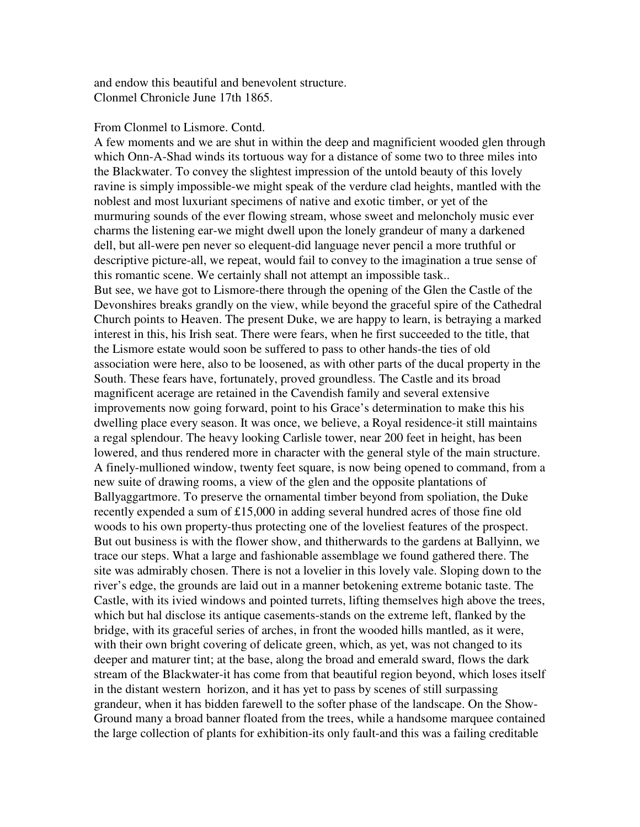and endow this beautiful and benevolent structure. Clonmel Chronicle June 17th 1865.

#### From Clonmel to Lismore. Contd.

A few moments and we are shut in within the deep and magnificient wooded glen through which Onn-A-Shad winds its tortuous way for a distance of some two to three miles into the Blackwater. To convey the slightest impression of the untold beauty of this lovely ravine is simply impossible-we might speak of the verdure clad heights, mantled with the noblest and most luxuriant specimens of native and exotic timber, or yet of the murmuring sounds of the ever flowing stream, whose sweet and meloncholy music ever charms the listening ear-we might dwell upon the lonely grandeur of many a darkened dell, but all-were pen never so elequent-did language never pencil a more truthful or descriptive picture-all, we repeat, would fail to convey to the imagination a true sense of this romantic scene. We certainly shall not attempt an impossible task.. But see, we have got to Lismore-there through the opening of the Glen the Castle of the Devonshires breaks grandly on the view, while beyond the graceful spire of the Cathedral Church points to Heaven. The present Duke, we are happy to learn, is betraying a marked interest in this, his Irish seat. There were fears, when he first succeeded to the title, that the Lismore estate would soon be suffered to pass to other hands-the ties of old association were here, also to be loosened, as with other parts of the ducal property in the South. These fears have, fortunately, proved groundless. The Castle and its broad magnificent acerage are retained in the Cavendish family and several extensive improvements now going forward, point to his Grace's determination to make this his dwelling place every season. It was once, we believe, a Royal residence-it still maintains a regal splendour. The heavy looking Carlisle tower, near 200 feet in height, has been lowered, and thus rendered more in character with the general style of the main structure. A finely-mullioned window, twenty feet square, is now being opened to command, from a new suite of drawing rooms, a view of the glen and the opposite plantations of Ballyaggartmore. To preserve the ornamental timber beyond from spoliation, the Duke recently expended a sum of £15,000 in adding several hundred acres of those fine old woods to his own property-thus protecting one of the loveliest features of the prospect. But out business is with the flower show, and thitherwards to the gardens at Ballyinn, we trace our steps. What a large and fashionable assemblage we found gathered there. The site was admirably chosen. There is not a lovelier in this lovely vale. Sloping down to the river's edge, the grounds are laid out in a manner betokening extreme botanic taste. The Castle, with its ivied windows and pointed turrets, lifting themselves high above the trees, which but hal disclose its antique casements-stands on the extreme left, flanked by the bridge, with its graceful series of arches, in front the wooded hills mantled, as it were, with their own bright covering of delicate green, which, as yet, was not changed to its deeper and maturer tint; at the base, along the broad and emerald sward, flows the dark stream of the Blackwater-it has come from that beautiful region beyond, which loses itself in the distant western horizon, and it has yet to pass by scenes of still surpassing grandeur, when it has bidden farewell to the softer phase of the landscape. On the Show-Ground many a broad banner floated from the trees, while a handsome marquee contained the large collection of plants for exhibition-its only fault-and this was a failing creditable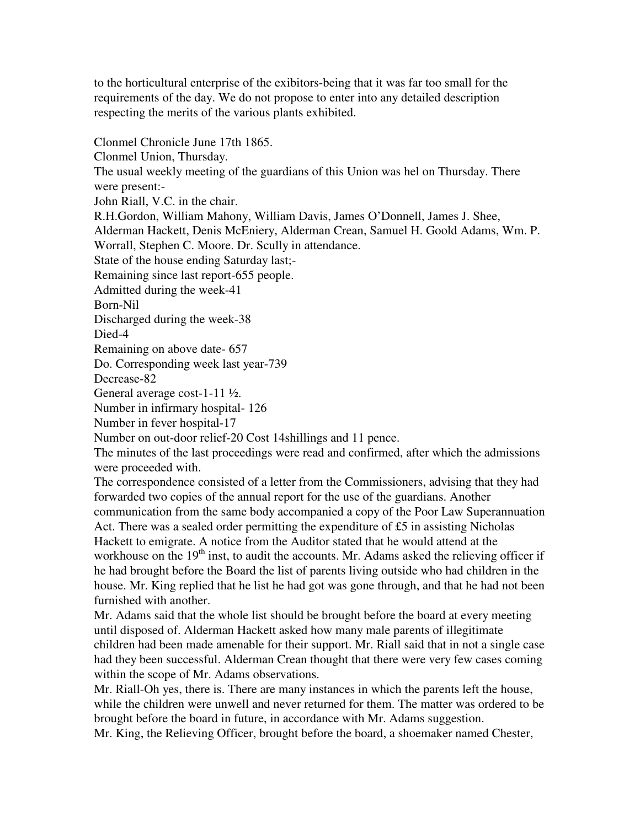to the horticultural enterprise of the exibitors-being that it was far too small for the requirements of the day. We do not propose to enter into any detailed description respecting the merits of the various plants exhibited.

Clonmel Chronicle June 17th 1865.

Clonmel Union, Thursday.

The usual weekly meeting of the guardians of this Union was hel on Thursday. There were present:-

John Riall, V.C. in the chair.

R.H.Gordon, William Mahony, William Davis, James O'Donnell, James J. Shee, Alderman Hackett, Denis McEniery, Alderman Crean, Samuel H. Goold Adams, Wm. P.

Worrall, Stephen C. Moore. Dr. Scully in attendance.

State of the house ending Saturday last;-

Remaining since last report-655 people.

Admitted during the week-41

Born-Nil

Discharged during the week-38

Died-4

Remaining on above date- 657

Do. Corresponding week last year-739

Decrease-82

General average cost-1-11 ½.

Number in infirmary hospital- 126

Number in fever hospital-17

Number on out-door relief-20 Cost 14shillings and 11 pence.

The minutes of the last proceedings were read and confirmed, after which the admissions were proceeded with.

The correspondence consisted of a letter from the Commissioners, advising that they had forwarded two copies of the annual report for the use of the guardians. Another communication from the same body accompanied a copy of the Poor Law Superannuation Act. There was a sealed order permitting the expenditure of £5 in assisting Nicholas Hackett to emigrate. A notice from the Auditor stated that he would attend at the workhouse on the  $19<sup>th</sup>$  inst, to audit the accounts. Mr. Adams asked the relieving officer if he had brought before the Board the list of parents living outside who had children in the house. Mr. King replied that he list he had got was gone through, and that he had not been furnished with another.

Mr. Adams said that the whole list should be brought before the board at every meeting until disposed of. Alderman Hackett asked how many male parents of illegitimate children had been made amenable for their support. Mr. Riall said that in not a single case had they been successful. Alderman Crean thought that there were very few cases coming within the scope of Mr. Adams observations.

Mr. Riall-Oh yes, there is. There are many instances in which the parents left the house, while the children were unwell and never returned for them. The matter was ordered to be brought before the board in future, in accordance with Mr. Adams suggestion.

Mr. King, the Relieving Officer, brought before the board, a shoemaker named Chester,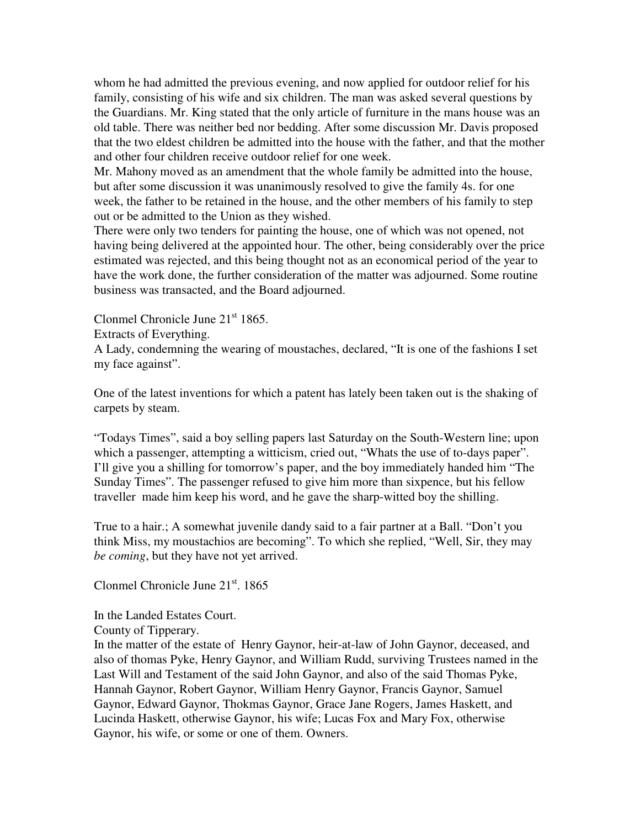whom he had admitted the previous evening, and now applied for outdoor relief for his family, consisting of his wife and six children. The man was asked several questions by the Guardians. Mr. King stated that the only article of furniture in the mans house was an old table. There was neither bed nor bedding. After some discussion Mr. Davis proposed that the two eldest children be admitted into the house with the father, and that the mother and other four children receive outdoor relief for one week.

Mr. Mahony moved as an amendment that the whole family be admitted into the house, but after some discussion it was unanimously resolved to give the family 4s. for one week, the father to be retained in the house, and the other members of his family to step out or be admitted to the Union as they wished.

There were only two tenders for painting the house, one of which was not opened, not having being delivered at the appointed hour. The other, being considerably over the price estimated was rejected, and this being thought not as an economical period of the year to have the work done, the further consideration of the matter was adjourned. Some routine business was transacted, and the Board adjourned.

Clonmel Chronicle June 21<sup>st</sup> 1865.

Extracts of Everything.

A Lady, condemning the wearing of moustaches, declared, "It is one of the fashions I set my face against".

One of the latest inventions for which a patent has lately been taken out is the shaking of carpets by steam.

"Todays Times", said a boy selling papers last Saturday on the South-Western line; upon which a passenger, attempting a witticism, cried out, "Whats the use of to-days paper". I'll give you a shilling for tomorrow's paper, and the boy immediately handed him "The Sunday Times". The passenger refused to give him more than sixpence, but his fellow traveller made him keep his word, and he gave the sharp-witted boy the shilling.

True to a hair.; A somewhat juvenile dandy said to a fair partner at a Ball. "Don't you think Miss, my moustachios are becoming". To which she replied, "Well, Sir, they may *be coming*, but they have not yet arrived.

Clonmel Chronicle June  $21<sup>st</sup>$ . 1865

In the Landed Estates Court.

County of Tipperary.

In the matter of the estate of Henry Gaynor, heir-at-law of John Gaynor, deceased, and also of thomas Pyke, Henry Gaynor, and William Rudd, surviving Trustees named in the Last Will and Testament of the said John Gaynor, and also of the said Thomas Pyke, Hannah Gaynor, Robert Gaynor, William Henry Gaynor, Francis Gaynor, Samuel Gaynor, Edward Gaynor, Thokmas Gaynor, Grace Jane Rogers, James Haskett, and Lucinda Haskett, otherwise Gaynor, his wife; Lucas Fox and Mary Fox, otherwise Gaynor, his wife, or some or one of them. Owners.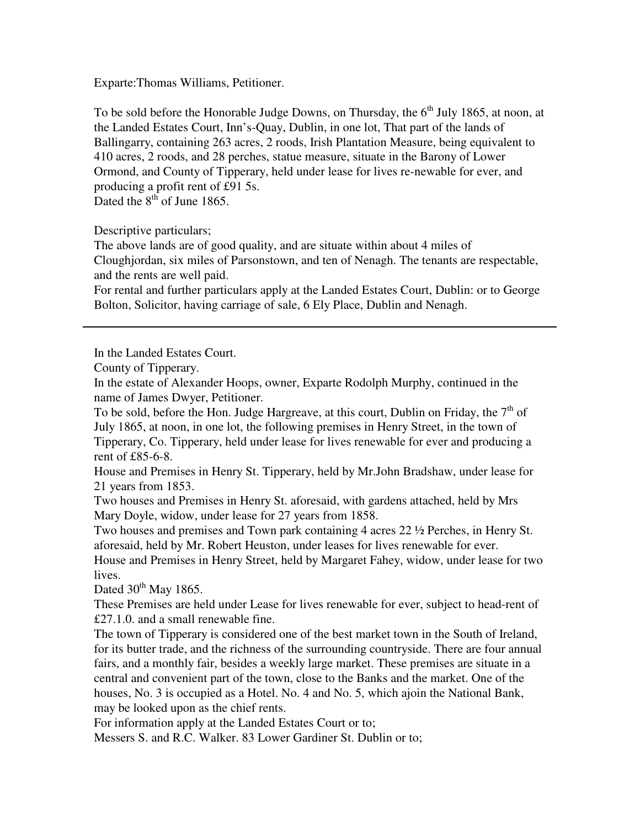Exparte:Thomas Williams, Petitioner.

To be sold before the Honorable Judge Downs, on Thursday, the  $6<sup>th</sup>$  July 1865, at noon, at the Landed Estates Court, Inn's-Quay, Dublin, in one lot, That part of the lands of Ballingarry, containing 263 acres, 2 roods, Irish Plantation Measure, being equivalent to 410 acres, 2 roods, and 28 perches, statue measure, situate in the Barony of Lower Ormond, and County of Tipperary, held under lease for lives re-newable for ever, and producing a profit rent of £91 5s. Dated the  $8<sup>th</sup>$  of June 1865.

Descriptive particulars;

The above lands are of good quality, and are situate within about 4 miles of Cloughjordan, six miles of Parsonstown, and ten of Nenagh. The tenants are respectable, and the rents are well paid.

For rental and further particulars apply at the Landed Estates Court, Dublin: or to George Bolton, Solicitor, having carriage of sale, 6 Ely Place, Dublin and Nenagh.

In the Landed Estates Court.

In the estate of Alexander Hoops, owner, Exparte Rodolph Murphy, continued in the name of James Dwyer, Petitioner.

To be sold, before the Hon. Judge Hargreave, at this court, Dublin on Friday, the  $7<sup>th</sup>$  of July 1865, at noon, in one lot, the following premises in Henry Street, in the town of Tipperary, Co. Tipperary, held under lease for lives renewable for ever and producing a rent of £85-6-8.

House and Premises in Henry St. Tipperary, held by Mr.John Bradshaw, under lease for 21 years from 1853.

Two houses and Premises in Henry St. aforesaid, with gardens attached, held by Mrs Mary Doyle, widow, under lease for 27 years from 1858.

Two houses and premises and Town park containing 4 acres 22 ½ Perches, in Henry St. aforesaid, held by Mr. Robert Heuston, under leases for lives renewable for ever. House and Premises in Henry Street, held by Margaret Fahey, widow, under lease for two

lives.

Dated  $30^{th}$  May 1865.

These Premises are held under Lease for lives renewable for ever, subject to head-rent of £27.1.0. and a small renewable fine.

The town of Tipperary is considered one of the best market town in the South of Ireland, for its butter trade, and the richness of the surrounding countryside. There are four annual fairs, and a monthly fair, besides a weekly large market. These premises are situate in a central and convenient part of the town, close to the Banks and the market. One of the houses, No. 3 is occupied as a Hotel. No. 4 and No. 5, which ajoin the National Bank, may be looked upon as the chief rents.

For information apply at the Landed Estates Court or to;

Messers S. and R.C. Walker. 83 Lower Gardiner St. Dublin or to;

County of Tipperary.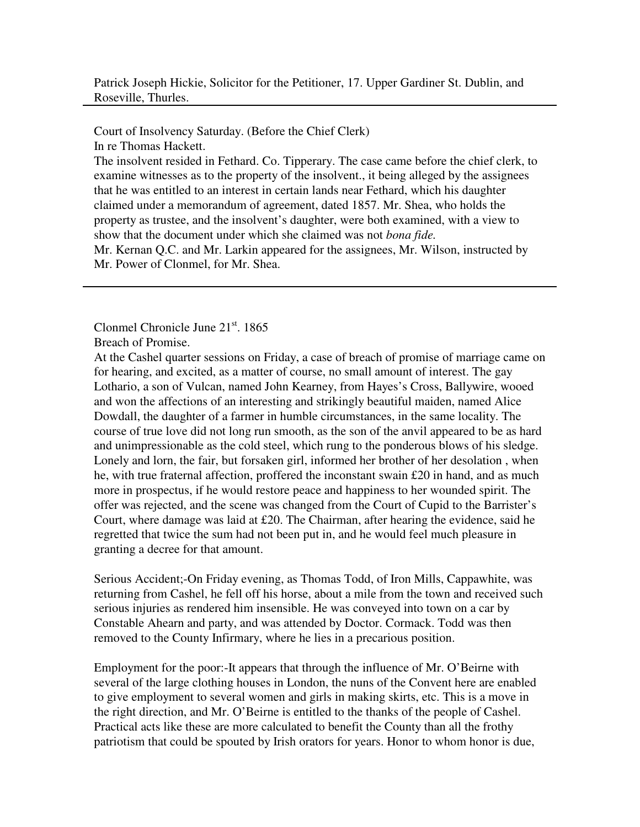Patrick Joseph Hickie, Solicitor for the Petitioner, 17. Upper Gardiner St. Dublin, and Roseville, Thurles.

Court of Insolvency Saturday. (Before the Chief Clerk) In re Thomas Hackett.

The insolvent resided in Fethard. Co. Tipperary. The case came before the chief clerk, to examine witnesses as to the property of the insolvent., it being alleged by the assignees that he was entitled to an interest in certain lands near Fethard, which his daughter claimed under a memorandum of agreement, dated 1857. Mr. Shea, who holds the property as trustee, and the insolvent's daughter, were both examined, with a view to show that the document under which she claimed was not *bona fide.* 

Mr. Kernan Q.C. and Mr. Larkin appeared for the assignees, Mr. Wilson, instructed by Mr. Power of Clonmel, for Mr. Shea.

Clonmel Chronicle June  $21<sup>st</sup>$ , 1865

Breach of Promise.

At the Cashel quarter sessions on Friday, a case of breach of promise of marriage came on for hearing, and excited, as a matter of course, no small amount of interest. The gay Lothario, a son of Vulcan, named John Kearney, from Hayes's Cross, Ballywire, wooed and won the affections of an interesting and strikingly beautiful maiden, named Alice Dowdall, the daughter of a farmer in humble circumstances, in the same locality. The course of true love did not long run smooth, as the son of the anvil appeared to be as hard and unimpressionable as the cold steel, which rung to the ponderous blows of his sledge. Lonely and lorn, the fair, but forsaken girl, informed her brother of her desolation , when he, with true fraternal affection, proffered the inconstant swain £20 in hand, and as much more in prospectus, if he would restore peace and happiness to her wounded spirit. The offer was rejected, and the scene was changed from the Court of Cupid to the Barrister's Court, where damage was laid at £20. The Chairman, after hearing the evidence, said he regretted that twice the sum had not been put in, and he would feel much pleasure in granting a decree for that amount.

Serious Accident;-On Friday evening, as Thomas Todd, of Iron Mills, Cappawhite, was returning from Cashel, he fell off his horse, about a mile from the town and received such serious injuries as rendered him insensible. He was conveyed into town on a car by Constable Ahearn and party, and was attended by Doctor. Cormack. Todd was then removed to the County Infirmary, where he lies in a precarious position.

Employment for the poor:-It appears that through the influence of Mr. O'Beirne with several of the large clothing houses in London, the nuns of the Convent here are enabled to give employment to several women and girls in making skirts, etc. This is a move in the right direction, and Mr. O'Beirne is entitled to the thanks of the people of Cashel. Practical acts like these are more calculated to benefit the County than all the frothy patriotism that could be spouted by Irish orators for years. Honor to whom honor is due,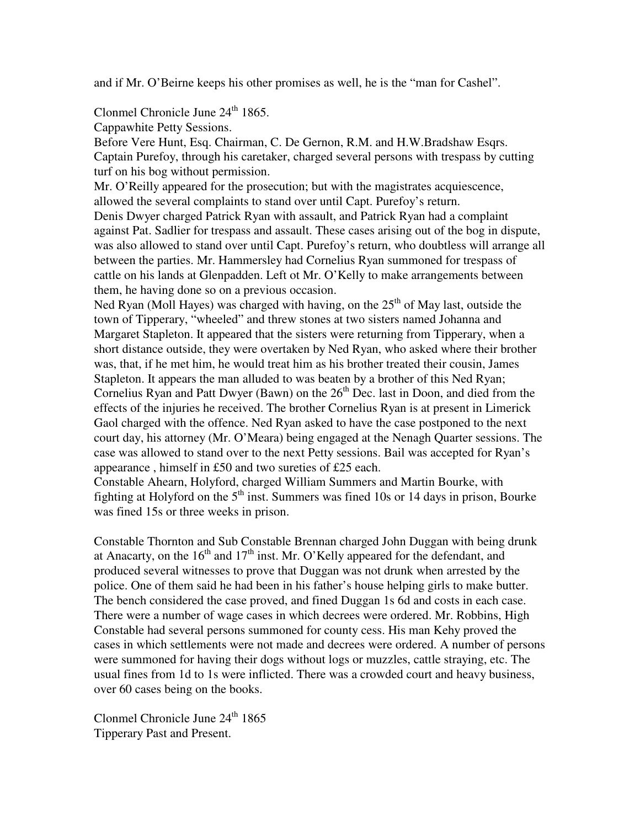and if Mr. O'Beirne keeps his other promises as well, he is the "man for Cashel".

Clonmel Chronicle June  $24<sup>th</sup> 1865$ .

Cappawhite Petty Sessions.

Before Vere Hunt, Esq. Chairman, C. De Gernon, R.M. and H.W.Bradshaw Esqrs. Captain Purefoy, through his caretaker, charged several persons with trespass by cutting turf on his bog without permission.

Mr. O'Reilly appeared for the prosecution; but with the magistrates acquiescence, allowed the several complaints to stand over until Capt. Purefoy's return.

Denis Dwyer charged Patrick Ryan with assault, and Patrick Ryan had a complaint against Pat. Sadlier for trespass and assault. These cases arising out of the bog in dispute, was also allowed to stand over until Capt. Purefoy's return, who doubtless will arrange all between the parties. Mr. Hammersley had Cornelius Ryan summoned for trespass of cattle on his lands at Glenpadden. Left ot Mr. O'Kelly to make arrangements between them, he having done so on a previous occasion.

Ned Ryan (Moll Hayes) was charged with having, on the  $25<sup>th</sup>$  of May last, outside the town of Tipperary, "wheeled" and threw stones at two sisters named Johanna and Margaret Stapleton. It appeared that the sisters were returning from Tipperary, when a short distance outside, they were overtaken by Ned Ryan, who asked where their brother was, that, if he met him, he would treat him as his brother treated their cousin, James Stapleton. It appears the man alluded to was beaten by a brother of this Ned Ryan; Cornelius Ryan and Patt Dwyer (Bawn) on the  $26<sup>th</sup>$  Dec. last in Doon, and died from the effects of the injuries he received. The brother Cornelius Ryan is at present in Limerick Gaol charged with the offence. Ned Ryan asked to have the case postponed to the next court day, his attorney (Mr. O'Meara) being engaged at the Nenagh Quarter sessions. The case was allowed to stand over to the next Petty sessions. Bail was accepted for Ryan's appearance , himself in £50 and two sureties of £25 each.

Constable Ahearn, Holyford, charged William Summers and Martin Bourke, with fighting at Holyford on the  $5<sup>th</sup>$  inst. Summers was fined 10s or 14 days in prison, Bourke was fined 15s or three weeks in prison.

Constable Thornton and Sub Constable Brennan charged John Duggan with being drunk at Anacarty, on the  $16<sup>th</sup>$  and  $17<sup>th</sup>$  inst. Mr. O'Kelly appeared for the defendant, and produced several witnesses to prove that Duggan was not drunk when arrested by the police. One of them said he had been in his father's house helping girls to make butter. The bench considered the case proved, and fined Duggan 1s 6d and costs in each case. There were a number of wage cases in which decrees were ordered. Mr. Robbins, High Constable had several persons summoned for county cess. His man Kehy proved the cases in which settlements were not made and decrees were ordered. A number of persons were summoned for having their dogs without logs or muzzles, cattle straying, etc. The usual fines from 1d to 1s were inflicted. There was a crowded court and heavy business, over 60 cases being on the books.

Clonmel Chronicle June 24<sup>th</sup> 1865 Tipperary Past and Present.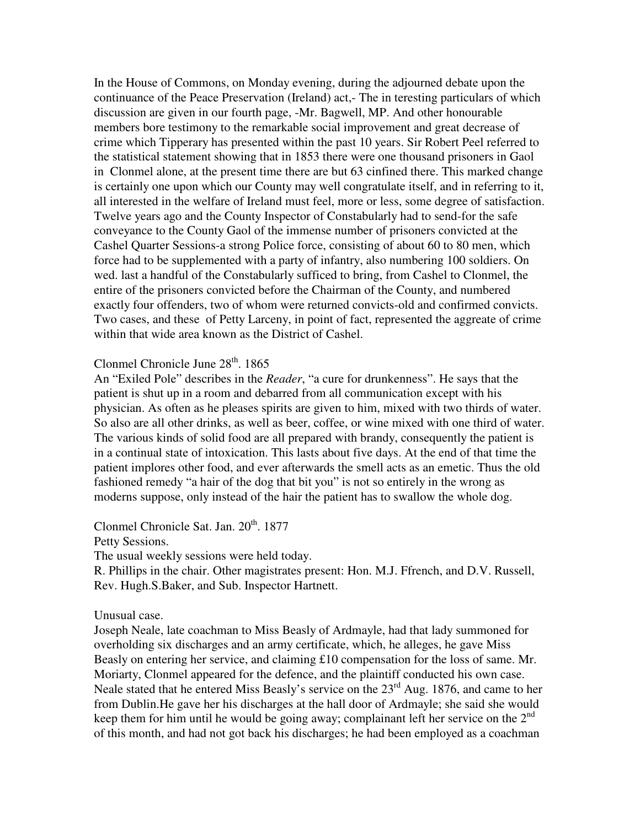In the House of Commons, on Monday evening, during the adjourned debate upon the continuance of the Peace Preservation (Ireland) act,- The in teresting particulars of which discussion are given in our fourth page, -Mr. Bagwell, MP. And other honourable members bore testimony to the remarkable social improvement and great decrease of crime which Tipperary has presented within the past 10 years. Sir Robert Peel referred to the statistical statement showing that in 1853 there were one thousand prisoners in Gaol in Clonmel alone, at the present time there are but 63 cinfined there. This marked change is certainly one upon which our County may well congratulate itself, and in referring to it, all interested in the welfare of Ireland must feel, more or less, some degree of satisfaction. Twelve years ago and the County Inspector of Constabularly had to send-for the safe conveyance to the County Gaol of the immense number of prisoners convicted at the Cashel Quarter Sessions-a strong Police force, consisting of about 60 to 80 men, which force had to be supplemented with a party of infantry, also numbering 100 soldiers. On wed. last a handful of the Constabularly sufficed to bring, from Cashel to Clonmel, the entire of the prisoners convicted before the Chairman of the County, and numbered exactly four offenders, two of whom were returned convicts-old and confirmed convicts. Two cases, and these of Petty Larceny, in point of fact, represented the aggreate of crime within that wide area known as the District of Cashel.

# Clonmel Chronicle June  $28<sup>th</sup>$ . 1865

An "Exiled Pole" describes in the *Reader*, "a cure for drunkenness". He says that the patient is shut up in a room and debarred from all communication except with his physician. As often as he pleases spirits are given to him, mixed with two thirds of water. So also are all other drinks, as well as beer, coffee, or wine mixed with one third of water. The various kinds of solid food are all prepared with brandy, consequently the patient is in a continual state of intoxication. This lasts about five days. At the end of that time the patient implores other food, and ever afterwards the smell acts as an emetic. Thus the old fashioned remedy "a hair of the dog that bit you" is not so entirely in the wrong as moderns suppose, only instead of the hair the patient has to swallow the whole dog.

Clonmel Chronicle Sat. Jan.  $20<sup>th</sup>$ , 1877

Petty Sessions.

The usual weekly sessions were held today.

R. Phillips in the chair. Other magistrates present: Hon. M.J. Ffrench, and D.V. Russell, Rev. Hugh.S.Baker, and Sub. Inspector Hartnett.

# Unusual case.

Joseph Neale, late coachman to Miss Beasly of Ardmayle, had that lady summoned for overholding six discharges and an army certificate, which, he alleges, he gave Miss Beasly on entering her service, and claiming £10 compensation for the loss of same. Mr. Moriarty, Clonmel appeared for the defence, and the plaintiff conducted his own case. Neale stated that he entered Miss Beasly's service on the 23<sup>rd</sup> Aug. 1876, and came to her from Dublin.He gave her his discharges at the hall door of Ardmayle; she said she would keep them for him until he would be going away; complainant left her service on the  $2<sup>nd</sup>$ of this month, and had not got back his discharges; he had been employed as a coachman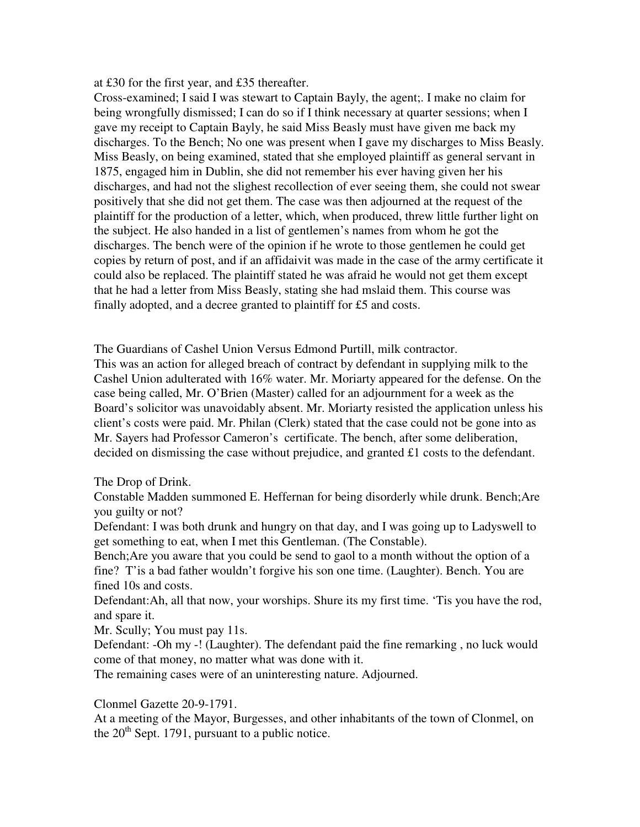at £30 for the first year, and £35 thereafter.

Cross-examined; I said I was stewart to Captain Bayly, the agent;. I make no claim for being wrongfully dismissed; I can do so if I think necessary at quarter sessions; when I gave my receipt to Captain Bayly, he said Miss Beasly must have given me back my discharges. To the Bench; No one was present when I gave my discharges to Miss Beasly. Miss Beasly, on being examined, stated that she employed plaintiff as general servant in 1875, engaged him in Dublin, she did not remember his ever having given her his discharges, and had not the slighest recollection of ever seeing them, she could not swear positively that she did not get them. The case was then adjourned at the request of the plaintiff for the production of a letter, which, when produced, threw little further light on the subject. He also handed in a list of gentlemen's names from whom he got the discharges. The bench were of the opinion if he wrote to those gentlemen he could get copies by return of post, and if an affidaivit was made in the case of the army certificate it could also be replaced. The plaintiff stated he was afraid he would not get them except that he had a letter from Miss Beasly, stating she had mslaid them. This course was finally adopted, and a decree granted to plaintiff for £5 and costs.

The Guardians of Cashel Union Versus Edmond Purtill, milk contractor.

This was an action for alleged breach of contract by defendant in supplying milk to the Cashel Union adulterated with 16% water. Mr. Moriarty appeared for the defense. On the case being called, Mr. O'Brien (Master) called for an adjournment for a week as the Board's solicitor was unavoidably absent. Mr. Moriarty resisted the application unless his client's costs were paid. Mr. Philan (Clerk) stated that the case could not be gone into as Mr. Sayers had Professor Cameron's certificate. The bench, after some deliberation, decided on dismissing the case without prejudice, and granted £1 costs to the defendant.

# The Drop of Drink.

Constable Madden summoned E. Heffernan for being disorderly while drunk. Bench;Are you guilty or not?

Defendant: I was both drunk and hungry on that day, and I was going up to Ladyswell to get something to eat, when I met this Gentleman. (The Constable).

Bench;Are you aware that you could be send to gaol to a month without the option of a fine? T'is a bad father wouldn't forgive his son one time. (Laughter). Bench. You are fined 10s and costs.

Defendant:Ah, all that now, your worships. Shure its my first time. 'Tis you have the rod, and spare it.

Mr. Scully; You must pay 11s.

Defendant: -Oh my -! (Laughter). The defendant paid the fine remarking , no luck would come of that money, no matter what was done with it.

The remaining cases were of an uninteresting nature. Adjourned.

# Clonmel Gazette 20-9-1791.

At a meeting of the Mayor, Burgesses, and other inhabitants of the town of Clonmel, on the  $20<sup>th</sup>$  Sept. 1791, pursuant to a public notice.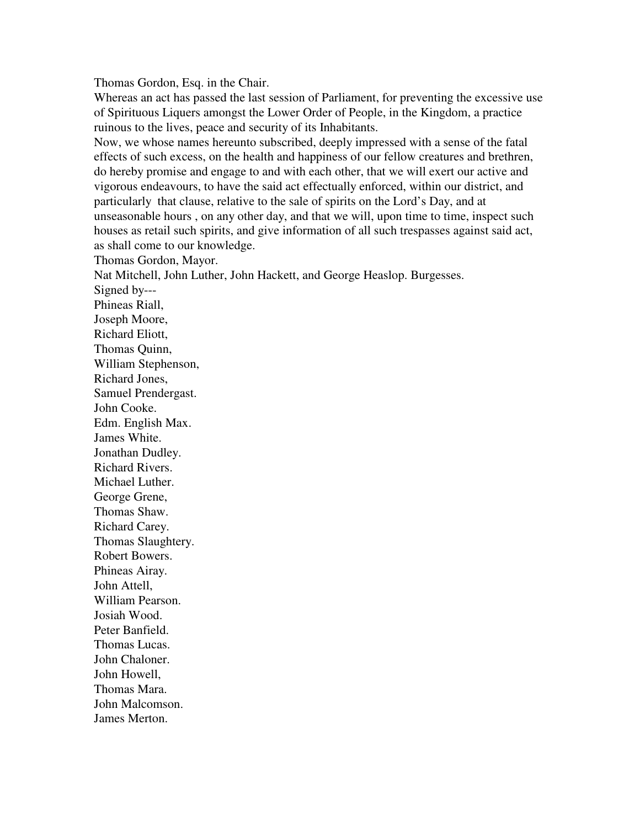Thomas Gordon, Esq. in the Chair.

Whereas an act has passed the last session of Parliament, for preventing the excessive use of Spirituous Liquers amongst the Lower Order of People, in the Kingdom, a practice ruinous to the lives, peace and security of its Inhabitants.

Now, we whose names hereunto subscribed, deeply impressed with a sense of the fatal effects of such excess, on the health and happiness of our fellow creatures and brethren, do hereby promise and engage to and with each other, that we will exert our active and vigorous endeavours, to have the said act effectually enforced, within our district, and particularly that clause, relative to the sale of spirits on the Lord's Day, and at unseasonable hours , on any other day, and that we will, upon time to time, inspect such houses as retail such spirits, and give information of all such trespasses against said act, as shall come to our knowledge.

Thomas Gordon, Mayor.

Nat Mitchell, John Luther, John Hackett, and George Heaslop. Burgesses.

Signed by--- Phineas Riall, Joseph Moore, Richard Eliott, Thomas Quinn, William Stephenson, Richard Jones, Samuel Prendergast. John Cooke. Edm. English Max. James White. Jonathan Dudley. Richard Rivers. Michael Luther. George Grene, Thomas Shaw. Richard Carey. Thomas Slaughtery. Robert Bowers. Phineas Airay. John Attell, William Pearson. Josiah Wood. Peter Banfield. Thomas Lucas. John Chaloner. John Howell, Thomas Mara. John Malcomson. James Merton.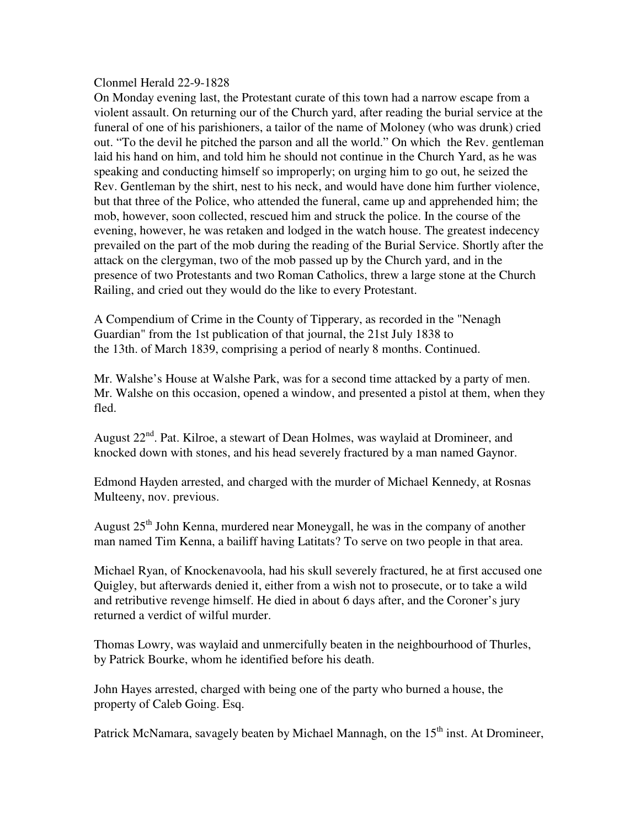## Clonmel Herald 22-9-1828

On Monday evening last, the Protestant curate of this town had a narrow escape from a violent assault. On returning our of the Church yard, after reading the burial service at the funeral of one of his parishioners, a tailor of the name of Moloney (who was drunk) cried out. "To the devil he pitched the parson and all the world." On which the Rev. gentleman laid his hand on him, and told him he should not continue in the Church Yard, as he was speaking and conducting himself so improperly; on urging him to go out, he seized the Rev. Gentleman by the shirt, nest to his neck, and would have done him further violence, but that three of the Police, who attended the funeral, came up and apprehended him; the mob, however, soon collected, rescued him and struck the police. In the course of the evening, however, he was retaken and lodged in the watch house. The greatest indecency prevailed on the part of the mob during the reading of the Burial Service. Shortly after the attack on the clergyman, two of the mob passed up by the Church yard, and in the presence of two Protestants and two Roman Catholics, threw a large stone at the Church Railing, and cried out they would do the like to every Protestant.

A Compendium of Crime in the County of Tipperary, as recorded in the "Nenagh Guardian" from the 1st publication of that journal, the 21st July 1838 to the 13th. of March 1839, comprising a period of nearly 8 months. Continued.

Mr. Walshe's House at Walshe Park, was for a second time attacked by a party of men. Mr. Walshe on this occasion, opened a window, and presented a pistol at them, when they fled.

August  $22<sup>nd</sup>$ . Pat. Kilroe, a stewart of Dean Holmes, was waylaid at Dromineer, and knocked down with stones, and his head severely fractured by a man named Gaynor.

Edmond Hayden arrested, and charged with the murder of Michael Kennedy, at Rosnas Multeeny, nov. previous.

August  $25<sup>th</sup>$  John Kenna, murdered near Moneygall, he was in the company of another man named Tim Kenna, a bailiff having Latitats? To serve on two people in that area.

Michael Ryan, of Knockenavoola, had his skull severely fractured, he at first accused one Quigley, but afterwards denied it, either from a wish not to prosecute, or to take a wild and retributive revenge himself. He died in about 6 days after, and the Coroner's jury returned a verdict of wilful murder.

Thomas Lowry, was waylaid and unmercifully beaten in the neighbourhood of Thurles, by Patrick Bourke, whom he identified before his death.

John Hayes arrested, charged with being one of the party who burned a house, the property of Caleb Going. Esq.

Patrick McNamara, savagely beaten by Michael Mannagh, on the 15<sup>th</sup> inst. At Dromineer,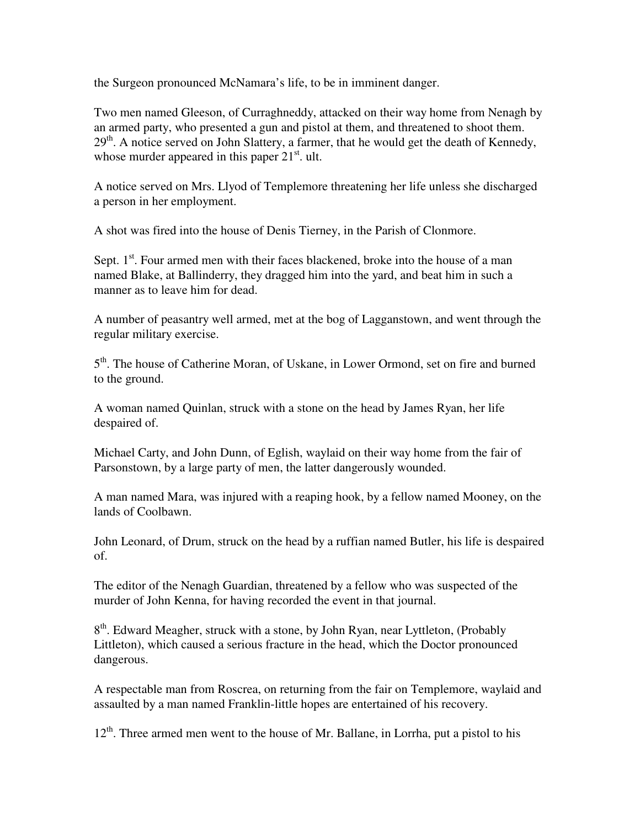the Surgeon pronounced McNamara's life, to be in imminent danger.

Two men named Gleeson, of Curraghneddy, attacked on their way home from Nenagh by an armed party, who presented a gun and pistol at them, and threatened to shoot them.  $29<sup>th</sup>$ . A notice served on John Slattery, a farmer, that he would get the death of Kennedy, whose murder appeared in this paper  $21<sup>st</sup>$ . ult.

A notice served on Mrs. Llyod of Templemore threatening her life unless she discharged a person in her employment.

A shot was fired into the house of Denis Tierney, in the Parish of Clonmore.

Sept.  $1<sup>st</sup>$ . Four armed men with their faces blackened, broke into the house of a man named Blake, at Ballinderry, they dragged him into the yard, and beat him in such a manner as to leave him for dead.

A number of peasantry well armed, met at the bog of Lagganstown, and went through the regular military exercise.

5<sup>th</sup>. The house of Catherine Moran, of Uskane, in Lower Ormond, set on fire and burned to the ground.

A woman named Quinlan, struck with a stone on the head by James Ryan, her life despaired of.

Michael Carty, and John Dunn, of Eglish, waylaid on their way home from the fair of Parsonstown, by a large party of men, the latter dangerously wounded.

A man named Mara, was injured with a reaping hook, by a fellow named Mooney, on the lands of Coolbawn.

John Leonard, of Drum, struck on the head by a ruffian named Butler, his life is despaired of.

The editor of the Nenagh Guardian, threatened by a fellow who was suspected of the murder of John Kenna, for having recorded the event in that journal.

8<sup>th</sup>. Edward Meagher, struck with a stone, by John Ryan, near Lyttleton, (Probably Littleton), which caused a serious fracture in the head, which the Doctor pronounced dangerous.

A respectable man from Roscrea, on returning from the fair on Templemore, waylaid and assaulted by a man named Franklin-little hopes are entertained of his recovery.

 $12<sup>th</sup>$ . Three armed men went to the house of Mr. Ballane, in Lorrha, put a pistol to his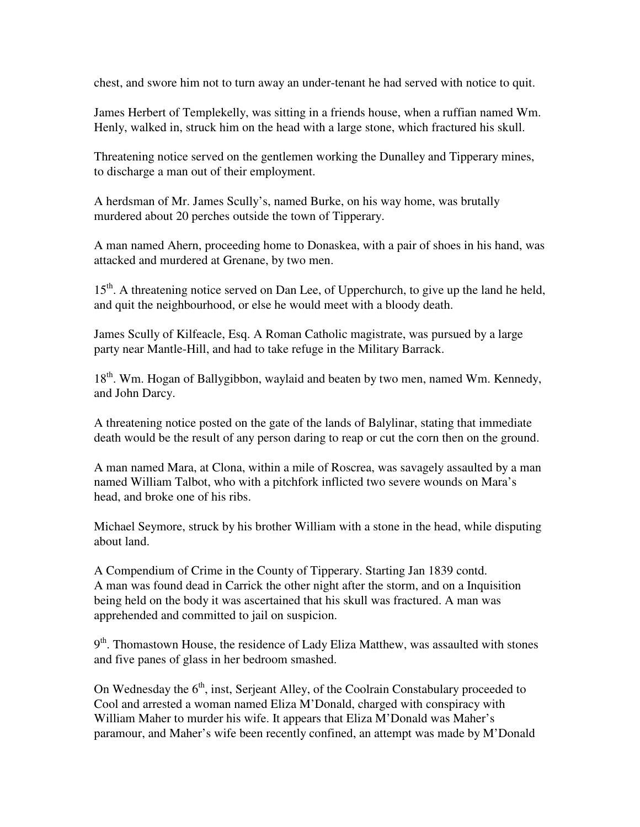chest, and swore him not to turn away an under-tenant he had served with notice to quit.

James Herbert of Templekelly, was sitting in a friends house, when a ruffian named Wm. Henly, walked in, struck him on the head with a large stone, which fractured his skull.

Threatening notice served on the gentlemen working the Dunalley and Tipperary mines, to discharge a man out of their employment.

A herdsman of Mr. James Scully's, named Burke, on his way home, was brutally murdered about 20 perches outside the town of Tipperary.

A man named Ahern, proceeding home to Donaskea, with a pair of shoes in his hand, was attacked and murdered at Grenane, by two men.

15<sup>th</sup>. A threatening notice served on Dan Lee, of Upperchurch, to give up the land he held, and quit the neighbourhood, or else he would meet with a bloody death.

James Scully of Kilfeacle, Esq. A Roman Catholic magistrate, was pursued by a large party near Mantle-Hill, and had to take refuge in the Military Barrack.

18<sup>th</sup>. Wm. Hogan of Ballygibbon, waylaid and beaten by two men, named Wm. Kennedy, and John Darcy.

A threatening notice posted on the gate of the lands of Balylinar, stating that immediate death would be the result of any person daring to reap or cut the corn then on the ground.

A man named Mara, at Clona, within a mile of Roscrea, was savagely assaulted by a man named William Talbot, who with a pitchfork inflicted two severe wounds on Mara's head, and broke one of his ribs.

Michael Seymore, struck by his brother William with a stone in the head, while disputing about land.

A Compendium of Crime in the County of Tipperary. Starting Jan 1839 contd. A man was found dead in Carrick the other night after the storm, and on a Inquisition being held on the body it was ascertained that his skull was fractured. A man was apprehended and committed to jail on suspicion.

9<sup>th</sup>. Thomastown House, the residence of Lady Eliza Matthew, was assaulted with stones and five panes of glass in her bedroom smashed.

On Wednesday the  $6<sup>th</sup>$ , inst, Serjeant Alley, of the Coolrain Constabulary proceeded to Cool and arrested a woman named Eliza M'Donald, charged with conspiracy with William Maher to murder his wife. It appears that Eliza M'Donald was Maher's paramour, and Maher's wife been recently confined, an attempt was made by M'Donald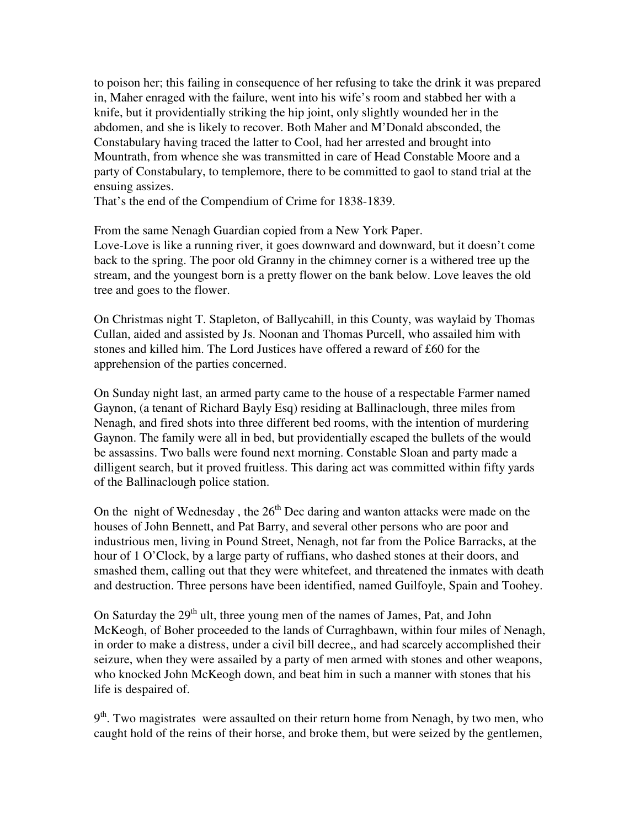to poison her; this failing in consequence of her refusing to take the drink it was prepared in, Maher enraged with the failure, went into his wife's room and stabbed her with a knife, but it providentially striking the hip joint, only slightly wounded her in the abdomen, and she is likely to recover. Both Maher and M'Donald absconded, the Constabulary having traced the latter to Cool, had her arrested and brought into Mountrath, from whence she was transmitted in care of Head Constable Moore and a party of Constabulary, to templemore, there to be committed to gaol to stand trial at the ensuing assizes.

That's the end of the Compendium of Crime for 1838-1839.

From the same Nenagh Guardian copied from a New York Paper. Love-Love is like a running river, it goes downward and downward, but it doesn't come back to the spring. The poor old Granny in the chimney corner is a withered tree up the stream, and the youngest born is a pretty flower on the bank below. Love leaves the old tree and goes to the flower.

On Christmas night T. Stapleton, of Ballycahill, in this County, was waylaid by Thomas Cullan, aided and assisted by Js. Noonan and Thomas Purcell, who assailed him with stones and killed him. The Lord Justices have offered a reward of £60 for the apprehension of the parties concerned.

On Sunday night last, an armed party came to the house of a respectable Farmer named Gaynon, (a tenant of Richard Bayly Esq) residing at Ballinaclough, three miles from Nenagh, and fired shots into three different bed rooms, with the intention of murdering Gaynon. The family were all in bed, but providentially escaped the bullets of the would be assassins. Two balls were found next morning. Constable Sloan and party made a dilligent search, but it proved fruitless. This daring act was committed within fifty yards of the Ballinaclough police station.

On the night of Wednesday, the  $26<sup>th</sup>$  Dec daring and wanton attacks were made on the houses of John Bennett, and Pat Barry, and several other persons who are poor and industrious men, living in Pound Street, Nenagh, not far from the Police Barracks, at the hour of 1 O'Clock, by a large party of ruffians, who dashed stones at their doors, and smashed them, calling out that they were whitefeet, and threatened the inmates with death and destruction. Three persons have been identified, named Guilfoyle, Spain and Toohey.

On Saturday the  $29<sup>th</sup>$  ult, three young men of the names of James, Pat, and John McKeogh, of Boher proceeded to the lands of Curraghbawn, within four miles of Nenagh, in order to make a distress, under a civil bill decree,, and had scarcely accomplished their seizure, when they were assailed by a party of men armed with stones and other weapons, who knocked John McKeogh down, and beat him in such a manner with stones that his life is despaired of.

9<sup>th</sup>. Two magistrates were assaulted on their return home from Nenagh, by two men, who caught hold of the reins of their horse, and broke them, but were seized by the gentlemen,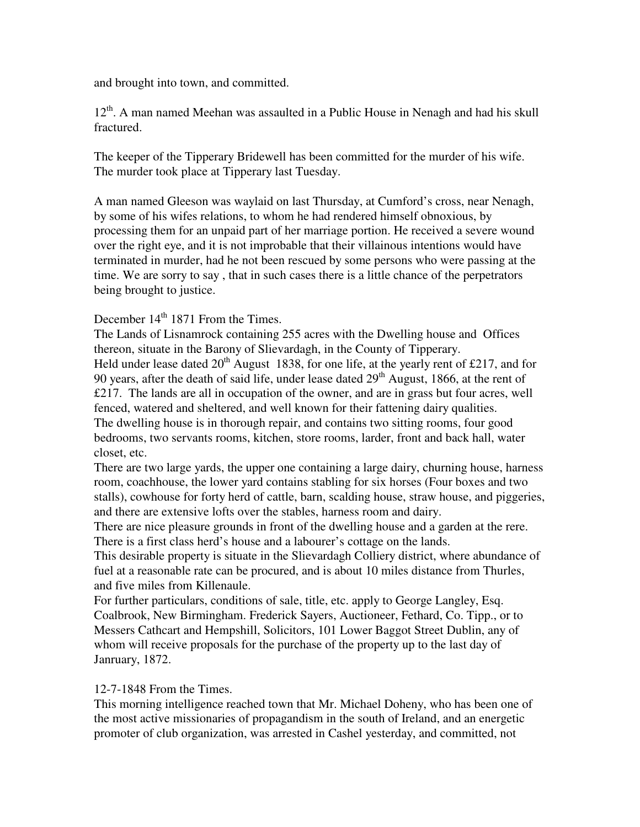and brought into town, and committed.

12<sup>th</sup>. A man named Meehan was assaulted in a Public House in Nenagh and had his skull fractured.

The keeper of the Tipperary Bridewell has been committed for the murder of his wife. The murder took place at Tipperary last Tuesday.

A man named Gleeson was waylaid on last Thursday, at Cumford's cross, near Nenagh, by some of his wifes relations, to whom he had rendered himself obnoxious, by processing them for an unpaid part of her marriage portion. He received a severe wound over the right eye, and it is not improbable that their villainous intentions would have terminated in murder, had he not been rescued by some persons who were passing at the time. We are sorry to say , that in such cases there is a little chance of the perpetrators being brought to justice.

December 14<sup>th</sup> 1871 From the Times.

The Lands of Lisnamrock containing 255 acres with the Dwelling house and Offices thereon, situate in the Barony of Slievardagh, in the County of Tipperary. Held under lease dated  $20<sup>th</sup>$  August 1838, for one life, at the yearly rent of £217, and for 90 years, after the death of said life, under lease dated  $29<sup>th</sup>$  August, 1866, at the rent of  $£217.$  The lands are all in occupation of the owner, and are in grass but four acres, well fenced, watered and sheltered, and well known for their fattening dairy qualities. The dwelling house is in thorough repair, and contains two sitting rooms, four good bedrooms, two servants rooms, kitchen, store rooms, larder, front and back hall, water closet, etc.

There are two large yards, the upper one containing a large dairy, churning house, harness room, coachhouse, the lower yard contains stabling for six horses (Four boxes and two stalls), cowhouse for forty herd of cattle, barn, scalding house, straw house, and piggeries, and there are extensive lofts over the stables, harness room and dairy.

There are nice pleasure grounds in front of the dwelling house and a garden at the rere. There is a first class herd's house and a labourer's cottage on the lands.

This desirable property is situate in the Slievardagh Colliery district, where abundance of fuel at a reasonable rate can be procured, and is about 10 miles distance from Thurles, and five miles from Killenaule.

For further particulars, conditions of sale, title, etc. apply to George Langley, Esq. Coalbrook, New Birmingham. Frederick Sayers, Auctioneer, Fethard, Co. Tipp., or to Messers Cathcart and Hempshill, Solicitors, 101 Lower Baggot Street Dublin, any of whom will receive proposals for the purchase of the property up to the last day of Janruary, 1872.

## 12-7-1848 From the Times.

This morning intelligence reached town that Mr. Michael Doheny, who has been one of the most active missionaries of propagandism in the south of Ireland, and an energetic promoter of club organization, was arrested in Cashel yesterday, and committed, not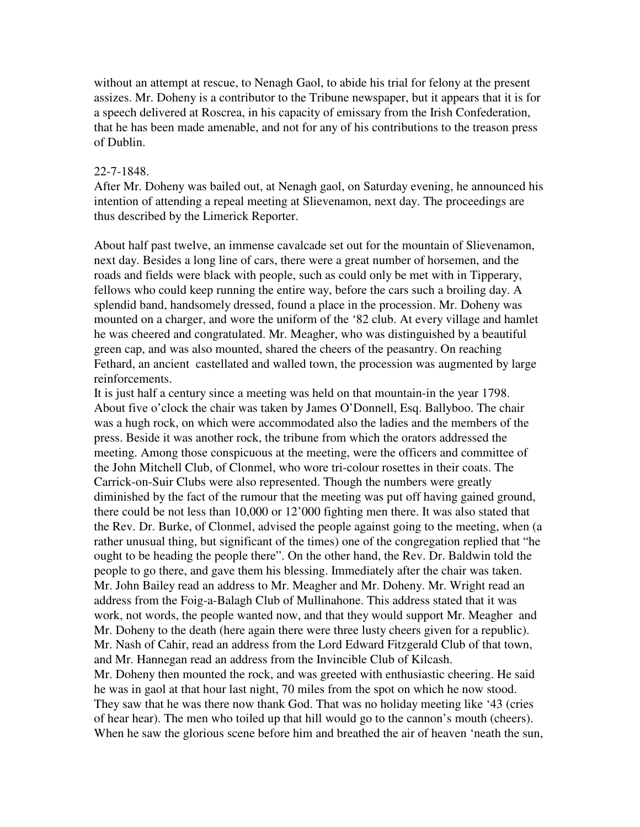without an attempt at rescue, to Nenagh Gaol, to abide his trial for felony at the present assizes. Mr. Doheny is a contributor to the Tribune newspaper, but it appears that it is for a speech delivered at Roscrea, in his capacity of emissary from the Irish Confederation, that he has been made amenable, and not for any of his contributions to the treason press of Dublin.

#### 22-7-1848.

After Mr. Doheny was bailed out, at Nenagh gaol, on Saturday evening, he announced his intention of attending a repeal meeting at Slievenamon, next day. The proceedings are thus described by the Limerick Reporter.

About half past twelve, an immense cavalcade set out for the mountain of Slievenamon, next day. Besides a long line of cars, there were a great number of horsemen, and the roads and fields were black with people, such as could only be met with in Tipperary, fellows who could keep running the entire way, before the cars such a broiling day. A splendid band, handsomely dressed, found a place in the procession. Mr. Doheny was mounted on a charger, and wore the uniform of the '82 club. At every village and hamlet he was cheered and congratulated. Mr. Meagher, who was distinguished by a beautiful green cap, and was also mounted, shared the cheers of the peasantry. On reaching Fethard, an ancient castellated and walled town, the procession was augmented by large reinforcements.

It is just half a century since a meeting was held on that mountain-in the year 1798. About five o'clock the chair was taken by James O'Donnell, Esq. Ballyboo. The chair was a hugh rock, on which were accommodated also the ladies and the members of the press. Beside it was another rock, the tribune from which the orators addressed the meeting. Among those conspicuous at the meeting, were the officers and committee of the John Mitchell Club, of Clonmel, who wore tri-colour rosettes in their coats. The Carrick-on-Suir Clubs were also represented. Though the numbers were greatly diminished by the fact of the rumour that the meeting was put off having gained ground, there could be not less than 10,000 or 12'000 fighting men there. It was also stated that the Rev. Dr. Burke, of Clonmel, advised the people against going to the meeting, when (a rather unusual thing, but significant of the times) one of the congregation replied that "he ought to be heading the people there". On the other hand, the Rev. Dr. Baldwin told the people to go there, and gave them his blessing. Immediately after the chair was taken. Mr. John Bailey read an address to Mr. Meagher and Mr. Doheny. Mr. Wright read an address from the Foig-a-Balagh Club of Mullinahone. This address stated that it was work, not words, the people wanted now, and that they would support Mr. Meagher and Mr. Doheny to the death (here again there were three lusty cheers given for a republic). Mr. Nash of Cahir, read an address from the Lord Edward Fitzgerald Club of that town, and Mr. Hannegan read an address from the Invincible Club of Kilcash. Mr. Doheny then mounted the rock, and was greeted with enthusiastic cheering. He said he was in gaol at that hour last night, 70 miles from the spot on which he now stood. They saw that he was there now thank God. That was no holiday meeting like '43 (cries of hear hear). The men who toiled up that hill would go to the cannon's mouth (cheers). When he saw the glorious scene before him and breathed the air of heaven 'neath the sun,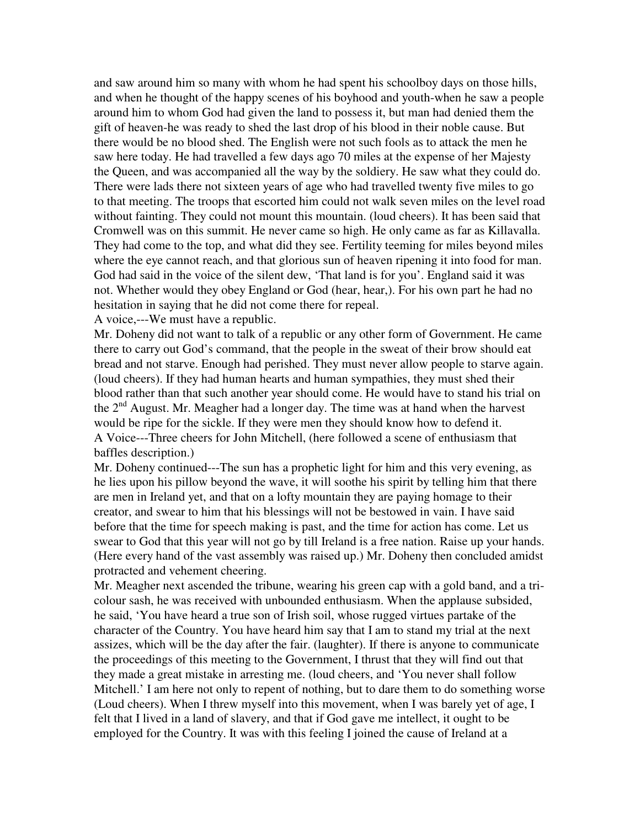and saw around him so many with whom he had spent his schoolboy days on those hills, and when he thought of the happy scenes of his boyhood and youth-when he saw a people around him to whom God had given the land to possess it, but man had denied them the gift of heaven-he was ready to shed the last drop of his blood in their noble cause. But there would be no blood shed. The English were not such fools as to attack the men he saw here today. He had travelled a few days ago 70 miles at the expense of her Majesty the Queen, and was accompanied all the way by the soldiery. He saw what they could do. There were lads there not sixteen years of age who had travelled twenty five miles to go to that meeting. The troops that escorted him could not walk seven miles on the level road without fainting. They could not mount this mountain. (loud cheers). It has been said that Cromwell was on this summit. He never came so high. He only came as far as Killavalla. They had come to the top, and what did they see. Fertility teeming for miles beyond miles where the eye cannot reach, and that glorious sun of heaven ripening it into food for man. God had said in the voice of the silent dew, 'That land is for you'. England said it was not. Whether would they obey England or God (hear, hear,). For his own part he had no hesitation in saying that he did not come there for repeal.

A voice,---We must have a republic.

Mr. Doheny did not want to talk of a republic or any other form of Government. He came there to carry out God's command, that the people in the sweat of their brow should eat bread and not starve. Enough had perished. They must never allow people to starve again. (loud cheers). If they had human hearts and human sympathies, they must shed their blood rather than that such another year should come. He would have to stand his trial on the  $2<sup>nd</sup>$  August. Mr. Meagher had a longer day. The time was at hand when the harvest would be ripe for the sickle. If they were men they should know how to defend it. A Voice---Three cheers for John Mitchell, (here followed a scene of enthusiasm that baffles description.)

Mr. Doheny continued---The sun has a prophetic light for him and this very evening, as he lies upon his pillow beyond the wave, it will soothe his spirit by telling him that there are men in Ireland yet, and that on a lofty mountain they are paying homage to their creator, and swear to him that his blessings will not be bestowed in vain. I have said before that the time for speech making is past, and the time for action has come. Let us swear to God that this year will not go by till Ireland is a free nation. Raise up your hands. (Here every hand of the vast assembly was raised up.) Mr. Doheny then concluded amidst protracted and vehement cheering.

Mr. Meagher next ascended the tribune, wearing his green cap with a gold band, and a tricolour sash, he was received with unbounded enthusiasm. When the applause subsided, he said, 'You have heard a true son of Irish soil, whose rugged virtues partake of the character of the Country. You have heard him say that I am to stand my trial at the next assizes, which will be the day after the fair. (laughter). If there is anyone to communicate the proceedings of this meeting to the Government, I thrust that they will find out that they made a great mistake in arresting me. (loud cheers, and 'You never shall follow Mitchell.' I am here not only to repent of nothing, but to dare them to do something worse (Loud cheers). When I threw myself into this movement, when I was barely yet of age, I felt that I lived in a land of slavery, and that if God gave me intellect, it ought to be employed for the Country. It was with this feeling I joined the cause of Ireland at a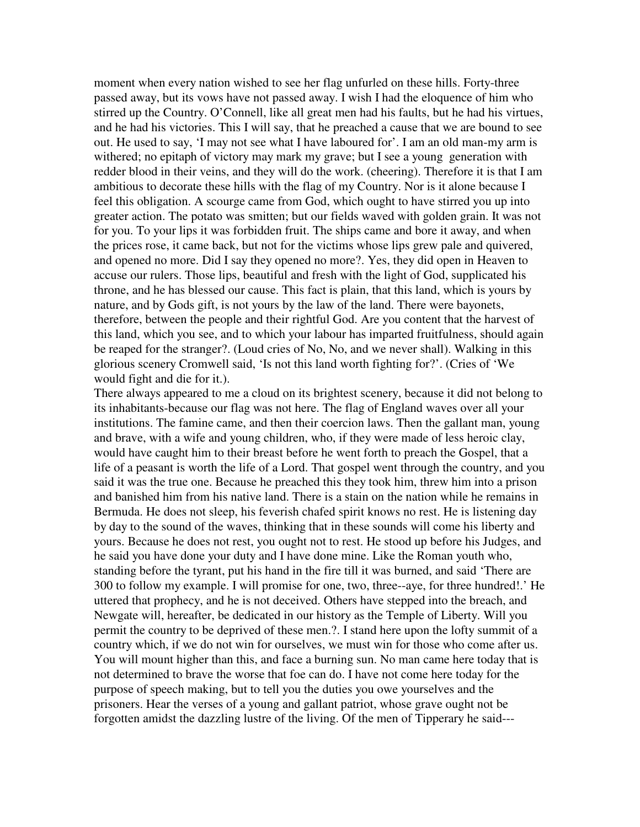moment when every nation wished to see her flag unfurled on these hills. Forty-three passed away, but its vows have not passed away. I wish I had the eloquence of him who stirred up the Country. O'Connell, like all great men had his faults, but he had his virtues, and he had his victories. This I will say, that he preached a cause that we are bound to see out. He used to say, 'I may not see what I have laboured for'. I am an old man-my arm is withered; no epitaph of victory may mark my grave; but I see a young generation with redder blood in their veins, and they will do the work. (cheering). Therefore it is that I am ambitious to decorate these hills with the flag of my Country. Nor is it alone because I feel this obligation. A scourge came from God, which ought to have stirred you up into greater action. The potato was smitten; but our fields waved with golden grain. It was not for you. To your lips it was forbidden fruit. The ships came and bore it away, and when the prices rose, it came back, but not for the victims whose lips grew pale and quivered, and opened no more. Did I say they opened no more?. Yes, they did open in Heaven to accuse our rulers. Those lips, beautiful and fresh with the light of God, supplicated his throne, and he has blessed our cause. This fact is plain, that this land, which is yours by nature, and by Gods gift, is not yours by the law of the land. There were bayonets, therefore, between the people and their rightful God. Are you content that the harvest of this land, which you see, and to which your labour has imparted fruitfulness, should again be reaped for the stranger?. (Loud cries of No, No, and we never shall). Walking in this glorious scenery Cromwell said, 'Is not this land worth fighting for?'. (Cries of 'We would fight and die for it.).

There always appeared to me a cloud on its brightest scenery, because it did not belong to its inhabitants-because our flag was not here. The flag of England waves over all your institutions. The famine came, and then their coercion laws. Then the gallant man, young and brave, with a wife and young children, who, if they were made of less heroic clay, would have caught him to their breast before he went forth to preach the Gospel, that a life of a peasant is worth the life of a Lord. That gospel went through the country, and you said it was the true one. Because he preached this they took him, threw him into a prison and banished him from his native land. There is a stain on the nation while he remains in Bermuda. He does not sleep, his feverish chafed spirit knows no rest. He is listening day by day to the sound of the waves, thinking that in these sounds will come his liberty and yours. Because he does not rest, you ought not to rest. He stood up before his Judges, and he said you have done your duty and I have done mine. Like the Roman youth who, standing before the tyrant, put his hand in the fire till it was burned, and said 'There are 300 to follow my example. I will promise for one, two, three--aye, for three hundred!.' He uttered that prophecy, and he is not deceived. Others have stepped into the breach, and Newgate will, hereafter, be dedicated in our history as the Temple of Liberty. Will you permit the country to be deprived of these men.?. I stand here upon the lofty summit of a country which, if we do not win for ourselves, we must win for those who come after us. You will mount higher than this, and face a burning sun. No man came here today that is not determined to brave the worse that foe can do. I have not come here today for the purpose of speech making, but to tell you the duties you owe yourselves and the prisoners. Hear the verses of a young and gallant patriot, whose grave ought not be forgotten amidst the dazzling lustre of the living. Of the men of Tipperary he said---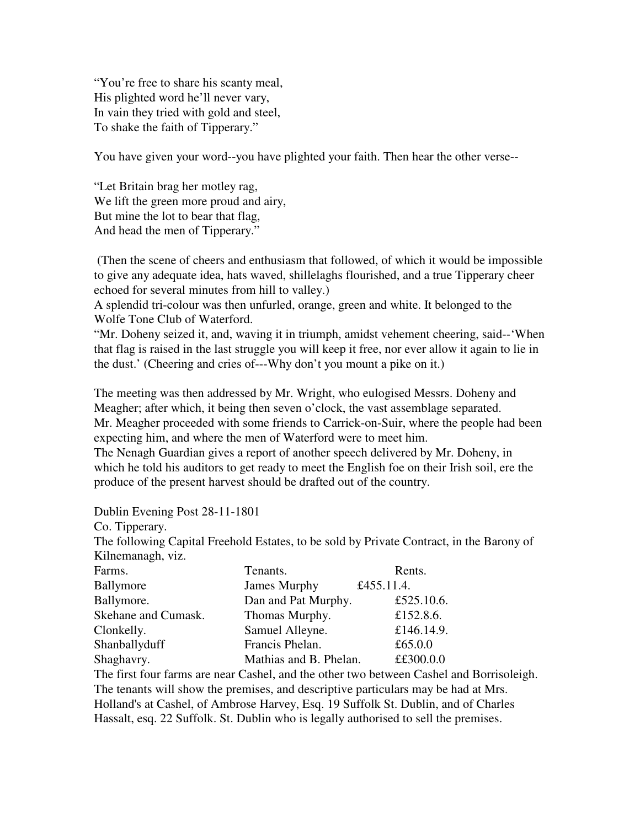"You're free to share his scanty meal, His plighted word he'll never vary, In vain they tried with gold and steel, To shake the faith of Tipperary."

You have given your word--you have plighted your faith. Then hear the other verse--

"Let Britain brag her motley rag, We lift the green more proud and airy, But mine the lot to bear that flag, And head the men of Tipperary."

 (Then the scene of cheers and enthusiasm that followed, of which it would be impossible to give any adequate idea, hats waved, shillelaghs flourished, and a true Tipperary cheer echoed for several minutes from hill to valley.)

A splendid tri-colour was then unfurled, orange, green and white. It belonged to the Wolfe Tone Club of Waterford.

"Mr. Doheny seized it, and, waving it in triumph, amidst vehement cheering, said--'When that flag is raised in the last struggle you will keep it free, nor ever allow it again to lie in the dust.' (Cheering and cries of---Why don't you mount a pike on it.)

The meeting was then addressed by Mr. Wright, who eulogised Messrs. Doheny and Meagher; after which, it being then seven o'clock, the vast assemblage separated. Mr. Meagher proceeded with some friends to Carrick-on-Suir, where the people had been expecting him, and where the men of Waterford were to meet him. The Nenagh Guardian gives a report of another speech delivered by Mr. Doheny, in which he told his auditors to get ready to meet the English foe on their Irish soil, ere the

Dublin Evening Post 28-11-1801

Co. Tipperary.

The following Capital Freehold Estates, to be sold by Private Contract, in the Barony of Kilnemanagh, viz.

| Farms.              | Tenants.               | Rents.     |
|---------------------|------------------------|------------|
| Ballymore           | James Murphy           | £455.11.4. |
| Ballymore.          | Dan and Pat Murphy.    | £525.10.6. |
| Skehane and Cumask. | Thomas Murphy.         | £152.8.6.  |
| Clonkelly.          | Samuel Alleyne.        | £146.14.9. |
| Shanballyduff       | Francis Phelan.        | £65.0.0    |
| Shaghavry.          | Mathias and B. Phelan. | ££300.0.0  |

produce of the present harvest should be drafted out of the country.

The first four farms are near Cashel, and the other two between Cashel and Borrisoleigh. The tenants will show the premises, and descriptive particulars may be had at Mrs. Holland's at Cashel, of Ambrose Harvey, Esq. 19 Suffolk St. Dublin, and of Charles Hassalt, esq. 22 Suffolk. St. Dublin who is legally authorised to sell the premises.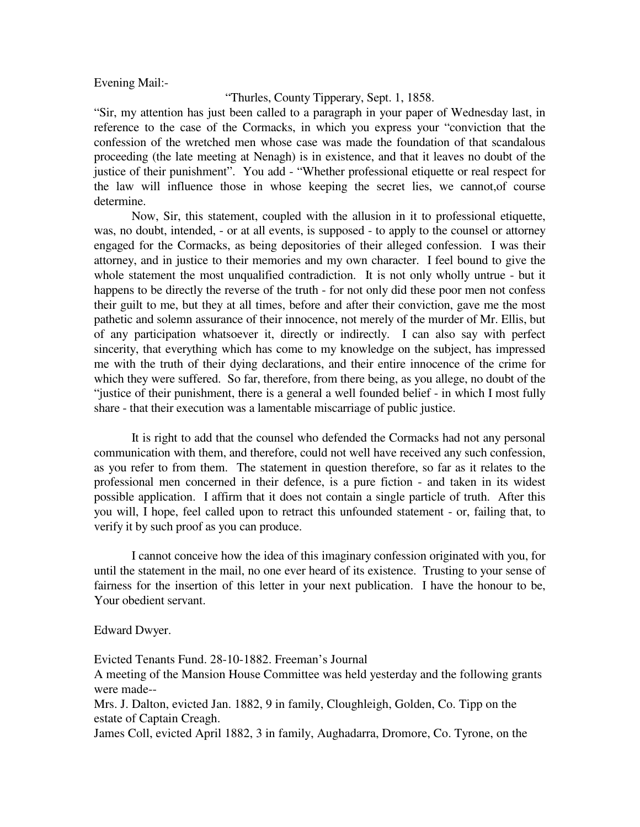Evening Mail:-

#### "Thurles, County Tipperary, Sept. 1, 1858.

"Sir, my attention has just been called to a paragraph in your paper of Wednesday last, in reference to the case of the Cormacks, in which you express your "conviction that the confession of the wretched men whose case was made the foundation of that scandalous proceeding (the late meeting at Nenagh) is in existence, and that it leaves no doubt of the justice of their punishment". You add - "Whether professional etiquette or real respect for the law will influence those in whose keeping the secret lies, we cannot,of course determine.

 Now, Sir, this statement, coupled with the allusion in it to professional etiquette, was, no doubt, intended, - or at all events, is supposed - to apply to the counsel or attorney engaged for the Cormacks, as being depositories of their alleged confession. I was their attorney, and in justice to their memories and my own character. I feel bound to give the whole statement the most unqualified contradiction. It is not only wholly untrue - but it happens to be directly the reverse of the truth - for not only did these poor men not confess their guilt to me, but they at all times, before and after their conviction, gave me the most pathetic and solemn assurance of their innocence, not merely of the murder of Mr. Ellis, but of any participation whatsoever it, directly or indirectly. I can also say with perfect sincerity, that everything which has come to my knowledge on the subject, has impressed me with the truth of their dying declarations, and their entire innocence of the crime for which they were suffered. So far, therefore, from there being, as you allege, no doubt of the "justice of their punishment, there is a general a well founded belief - in which I most fully share - that their execution was a lamentable miscarriage of public justice.

 It is right to add that the counsel who defended the Cormacks had not any personal communication with them, and therefore, could not well have received any such confession, as you refer to from them. The statement in question therefore, so far as it relates to the professional men concerned in their defence, is a pure fiction - and taken in its widest possible application. I affirm that it does not contain a single particle of truth. After this you will, I hope, feel called upon to retract this unfounded statement - or, failing that, to verify it by such proof as you can produce.

 I cannot conceive how the idea of this imaginary confession originated with you, for until the statement in the mail, no one ever heard of its existence. Trusting to your sense of fairness for the insertion of this letter in your next publication. I have the honour to be, Your obedient servant.

Edward Dwyer.

Evicted Tenants Fund. 28-10-1882. Freeman's Journal

A meeting of the Mansion House Committee was held yesterday and the following grants were made--

Mrs. J. Dalton, evicted Jan. 1882, 9 in family, Cloughleigh, Golden, Co. Tipp on the estate of Captain Creagh.

James Coll, evicted April 1882, 3 in family, Aughadarra, Dromore, Co. Tyrone, on the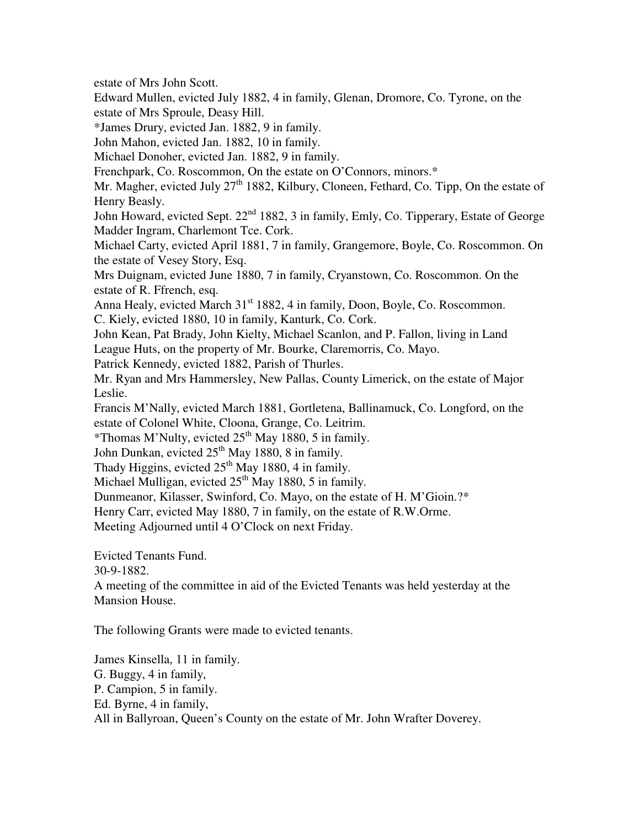estate of Mrs John Scott.

Edward Mullen, evicted July 1882, 4 in family, Glenan, Dromore, Co. Tyrone, on the estate of Mrs Sproule, Deasy Hill.

\*James Drury, evicted Jan. 1882, 9 in family.

John Mahon, evicted Jan. 1882, 10 in family.

Michael Donoher, evicted Jan. 1882, 9 in family.

Frenchpark, Co. Roscommon, On the estate on O'Connors, minors.\*

Mr. Magher, evicted July  $27<sup>th</sup> 1882$ , Kilbury, Cloneen, Fethard, Co. Tipp, On the estate of Henry Beasly.

John Howard, evicted Sept. 22<sup>nd</sup> 1882, 3 in family, Emly, Co. Tipperary, Estate of George Madder Ingram, Charlemont Tce. Cork.

Michael Carty, evicted April 1881, 7 in family, Grangemore, Boyle, Co. Roscommon. On the estate of Vesey Story, Esq.

Mrs Duignam, evicted June 1880, 7 in family, Cryanstown, Co. Roscommon. On the estate of R. Ffrench, esq.

Anna Healy, evicted March 31<sup>st</sup> 1882, 4 in family, Doon, Boyle, Co. Roscommon. C. Kiely, evicted 1880, 10 in family, Kanturk, Co. Cork.

John Kean, Pat Brady, John Kielty, Michael Scanlon, and P. Fallon, living in Land League Huts, on the property of Mr. Bourke, Claremorris, Co. Mayo.

Patrick Kennedy, evicted 1882, Parish of Thurles.

Mr. Ryan and Mrs Hammersley, New Pallas, County Limerick, on the estate of Major Leslie.

Francis M'Nally, evicted March 1881, Gortletena, Ballinamuck, Co. Longford, on the estate of Colonel White, Cloona, Grange, Co. Leitrim.

\*Thomas M'Nulty, evicted  $25<sup>th</sup>$  May 1880, 5 in family.

John Dunkan, evicted  $25<sup>th</sup>$  May 1880, 8 in family.

Thady Higgins, evicted  $25<sup>th</sup>$  May 1880, 4 in family.

Michael Mulligan, evicted  $25<sup>th</sup>$  May 1880, 5 in family.

Dunmeanor, Kilasser, Swinford, Co. Mayo, on the estate of H. M'Gioin.?\*

Henry Carr, evicted May 1880, 7 in family, on the estate of R.W.Orme.

Meeting Adjourned until 4 O'Clock on next Friday.

Evicted Tenants Fund.

30-9-1882.

A meeting of the committee in aid of the Evicted Tenants was held yesterday at the Mansion House.

The following Grants were made to evicted tenants.

James Kinsella, 11 in family. G. Buggy, 4 in family, P. Campion, 5 in family. Ed. Byrne, 4 in family, All in Ballyroan, Queen's County on the estate of Mr. John Wrafter Doverey.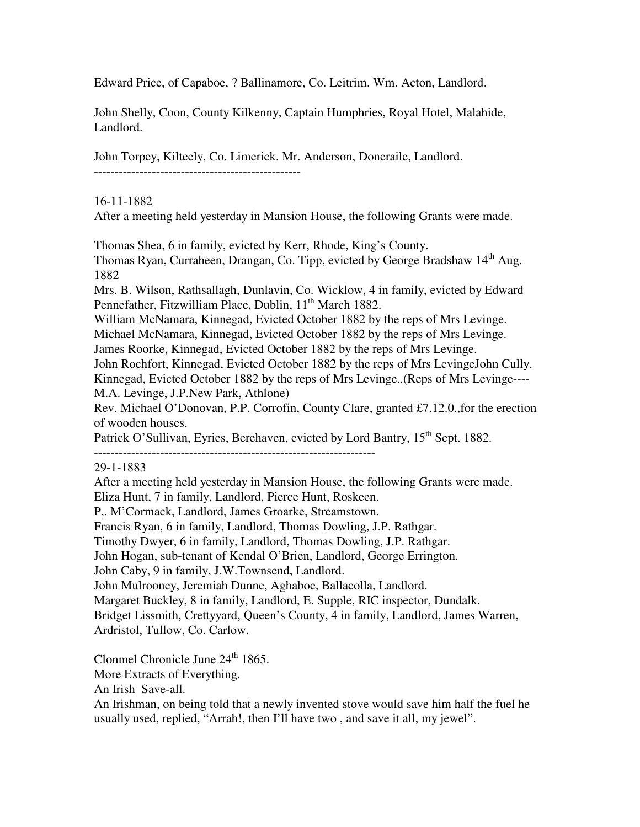Edward Price, of Capaboe, ? Ballinamore, Co. Leitrim. Wm. Acton, Landlord.

John Shelly, Coon, County Kilkenny, Captain Humphries, Royal Hotel, Malahide, Landlord.

John Torpey, Kilteely, Co. Limerick. Mr. Anderson, Doneraile, Landlord.

--------------------------------------------------

## 16-11-1882

After a meeting held yesterday in Mansion House, the following Grants were made.

Thomas Shea, 6 in family, evicted by Kerr, Rhode, King's County.

Thomas Ryan, Curraheen, Drangan, Co. Tipp, evicted by George Bradshaw 14<sup>th</sup> Aug. 1882

Mrs. B. Wilson, Rathsallagh, Dunlavin, Co. Wicklow, 4 in family, evicted by Edward Pennefather, Fitzwilliam Place, Dublin, 11<sup>th</sup> March 1882.

William McNamara, Kinnegad, Evicted October 1882 by the reps of Mrs Levinge.

Michael McNamara, Kinnegad, Evicted October 1882 by the reps of Mrs Levinge.

James Roorke, Kinnegad, Evicted October 1882 by the reps of Mrs Levinge.

John Rochfort, Kinnegad, Evicted October 1882 by the reps of Mrs LevingeJohn Cully.

Kinnegad, Evicted October 1882 by the reps of Mrs Levinge..(Reps of Mrs Levinge---- M.A. Levinge, J.P.New Park, Athlone)

Rev. Michael O'Donovan, P.P. Corrofin, County Clare, granted £7.12.0.,for the erection of wooden houses.

Patrick O'Sullivan, Eyries, Berehaven, evicted by Lord Bantry, 15<sup>th</sup> Sept. 1882.

--------------------------------------------------------------------

29-1-1883

After a meeting held yesterday in Mansion House, the following Grants were made. Eliza Hunt, 7 in family, Landlord, Pierce Hunt, Roskeen.

P,. M'Cormack, Landlord, James Groarke, Streamstown.

Francis Ryan, 6 in family, Landlord, Thomas Dowling, J.P. Rathgar.

Timothy Dwyer, 6 in family, Landlord, Thomas Dowling, J.P. Rathgar.

John Hogan, sub-tenant of Kendal O'Brien, Landlord, George Errington.

John Caby, 9 in family, J.W.Townsend, Landlord.

John Mulrooney, Jeremiah Dunne, Aghaboe, Ballacolla, Landlord.

Margaret Buckley, 8 in family, Landlord, E. Supple, RIC inspector, Dundalk.

Bridget Lissmith, Crettyyard, Queen's County, 4 in family, Landlord, James Warren, Ardristol, Tullow, Co. Carlow.

Clonmel Chronicle June 24<sup>th</sup> 1865.

More Extracts of Everything.

An Irish Save-all.

An Irishman, on being told that a newly invented stove would save him half the fuel he usually used, replied, "Arrah!, then I'll have two , and save it all, my jewel".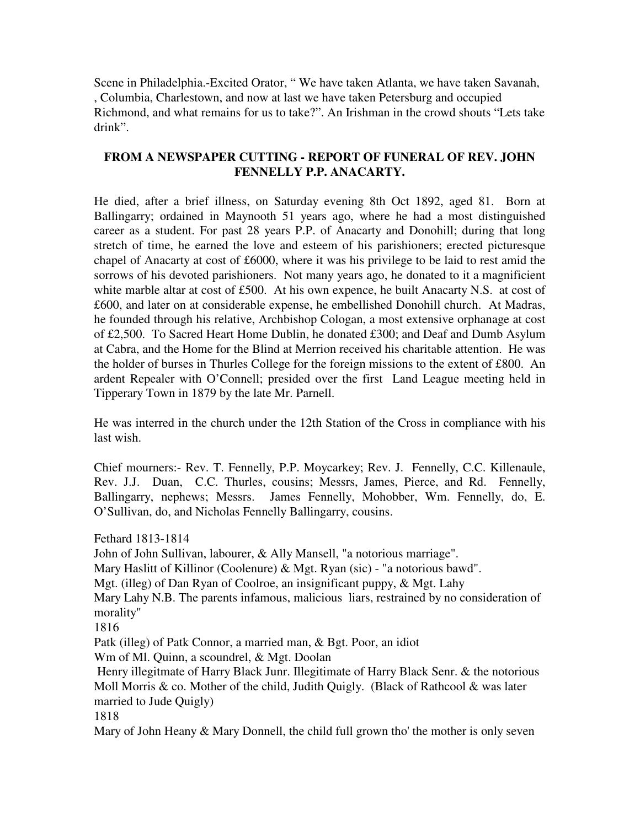Scene in Philadelphia.-Excited Orator, " We have taken Atlanta, we have taken Savanah, , Columbia, Charlestown, and now at last we have taken Petersburg and occupied Richmond, and what remains for us to take?". An Irishman in the crowd shouts "Lets take drink".

# **FROM A NEWSPAPER CUTTING - REPORT OF FUNERAL OF REV. JOHN FENNELLY P.P. ANACARTY.**

He died, after a brief illness, on Saturday evening 8th Oct 1892, aged 81. Born at Ballingarry; ordained in Maynooth 51 years ago, where he had a most distinguished career as a student. For past 28 years P.P. of Anacarty and Donohill; during that long stretch of time, he earned the love and esteem of his parishioners; erected picturesque chapel of Anacarty at cost of £6000, where it was his privilege to be laid to rest amid the sorrows of his devoted parishioners. Not many years ago, he donated to it a magnificient white marble altar at cost of £500. At his own expence, he built Anacarty N.S. at cost of £600, and later on at considerable expense, he embellished Donohill church. At Madras, he founded through his relative, Archbishop Cologan, a most extensive orphanage at cost of £2,500. To Sacred Heart Home Dublin, he donated £300; and Deaf and Dumb Asylum at Cabra, and the Home for the Blind at Merrion received his charitable attention. He was the holder of burses in Thurles College for the foreign missions to the extent of £800. An ardent Repealer with O'Connell; presided over the first Land League meeting held in Tipperary Town in 1879 by the late Mr. Parnell.

He was interred in the church under the 12th Station of the Cross in compliance with his last wish.

Chief mourners:- Rev. T. Fennelly, P.P. Moycarkey; Rev. J. Fennelly, C.C. Killenaule, Rev. J.J. Duan, C.C. Thurles, cousins; Messrs, James, Pierce, and Rd. Fennelly, Ballingarry, nephews; Messrs. James Fennelly, Mohobber, Wm. Fennelly, do, E. O'Sullivan, do, and Nicholas Fennelly Ballingarry, cousins.

Fethard 1813-1814

John of John Sullivan, labourer, & Ally Mansell, "a notorious marriage".

Mary Haslitt of Killinor (Coolenure) & Mgt. Ryan (sic) - "a notorious bawd".

Mgt. (illeg) of Dan Ryan of Coolroe, an insignificant puppy, & Mgt. Lahy

Mary Lahy N.B. The parents infamous, malicious liars, restrained by no consideration of morality"

1816

Patk (illeg) of Patk Connor, a married man, & Bgt. Poor, an idiot

Wm of Ml. Quinn, a scoundrel, & Mgt. Doolan

 Henry illegitmate of Harry Black Junr. Illegitimate of Harry Black Senr. & the notorious Moll Morris  $\&$  co. Mother of the child, Judith Quigly. (Black of Rathcool  $\&$  was later married to Jude Quigly)

1818

Mary of John Heany & Mary Donnell, the child full grown tho' the mother is only seven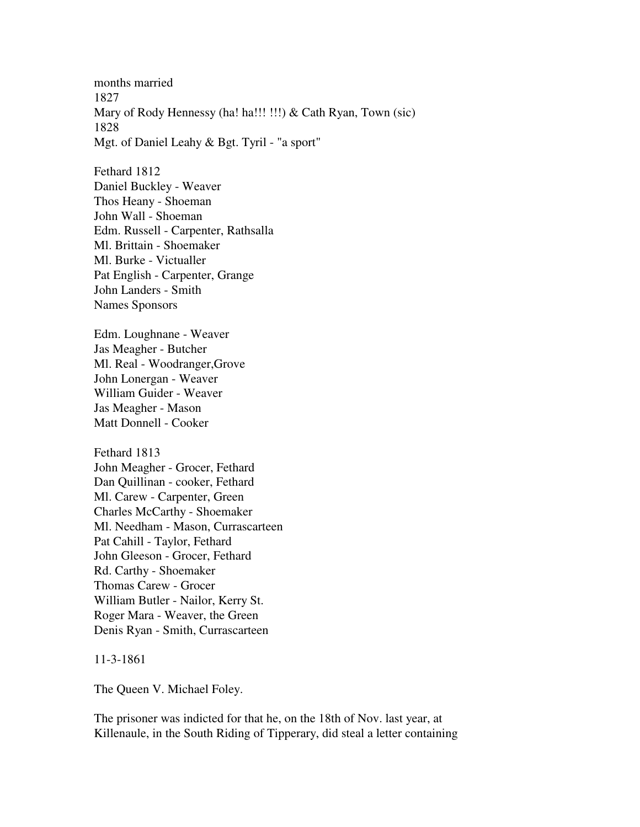months married 1827 Mary of Rody Hennessy (ha! ha!!! !!!) & Cath Ryan, Town (sic) 1828 Mgt. of Daniel Leahy & Bgt. Tyril - "a sport"

Fethard 1812 Daniel Buckley - Weaver Thos Heany - Shoeman John Wall - Shoeman Edm. Russell - Carpenter, Rathsalla Ml. Brittain - Shoemaker Ml. Burke - Victualler Pat English - Carpenter, Grange John Landers - Smith Names Sponsors

Edm. Loughnane - Weaver Jas Meagher - Butcher Ml. Real - Woodranger,Grove John Lonergan - Weaver William Guider - Weaver Jas Meagher - Mason Matt Donnell - Cooker

Fethard 1813 John Meagher - Grocer, Fethard Dan Quillinan - cooker, Fethard Ml. Carew - Carpenter, Green Charles McCarthy - Shoemaker Ml. Needham - Mason, Currascarteen Pat Cahill - Taylor, Fethard John Gleeson - Grocer, Fethard Rd. Carthy - Shoemaker Thomas Carew - Grocer William Butler - Nailor, Kerry St. Roger Mara - Weaver, the Green Denis Ryan - Smith, Currascarteen

11-3-1861

The Queen V. Michael Foley.

The prisoner was indicted for that he, on the 18th of Nov. last year, at Killenaule, in the South Riding of Tipperary, did steal a letter containing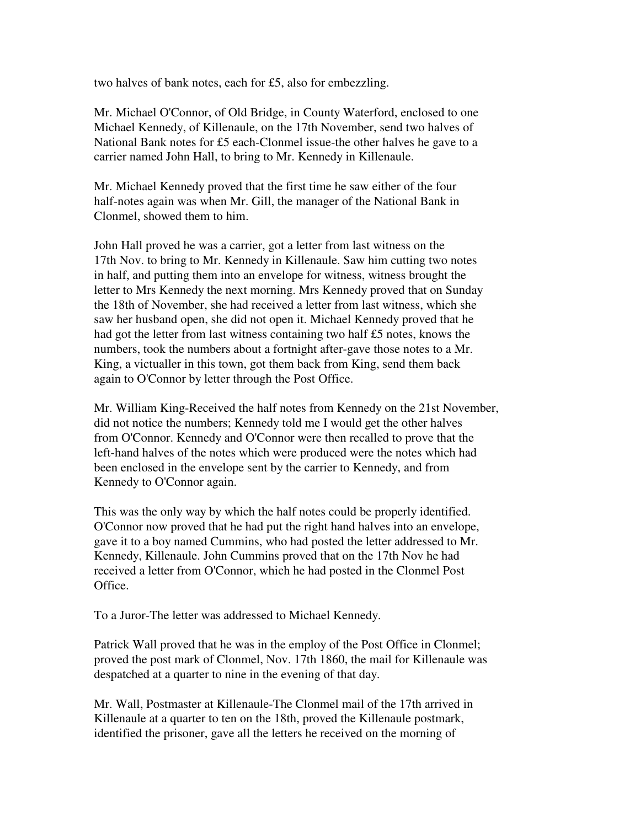two halves of bank notes, each for £5, also for embezzling.

Mr. Michael O'Connor, of Old Bridge, in County Waterford, enclosed to one Michael Kennedy, of Killenaule, on the 17th November, send two halves of National Bank notes for £5 each-Clonmel issue-the other halves he gave to a carrier named John Hall, to bring to Mr. Kennedy in Killenaule.

Mr. Michael Kennedy proved that the first time he saw either of the four half-notes again was when Mr. Gill, the manager of the National Bank in Clonmel, showed them to him.

John Hall proved he was a carrier, got a letter from last witness on the 17th Nov. to bring to Mr. Kennedy in Killenaule. Saw him cutting two notes in half, and putting them into an envelope for witness, witness brought the letter to Mrs Kennedy the next morning. Mrs Kennedy proved that on Sunday the 18th of November, she had received a letter from last witness, which she saw her husband open, she did not open it. Michael Kennedy proved that he had got the letter from last witness containing two half £5 notes, knows the numbers, took the numbers about a fortnight after-gave those notes to a Mr. King, a victualler in this town, got them back from King, send them back again to O'Connor by letter through the Post Office.

Mr. William King-Received the half notes from Kennedy on the 21st November, did not notice the numbers; Kennedy told me I would get the other halves from O'Connor. Kennedy and O'Connor were then recalled to prove that the left-hand halves of the notes which were produced were the notes which had been enclosed in the envelope sent by the carrier to Kennedy, and from Kennedy to O'Connor again.

This was the only way by which the half notes could be properly identified. O'Connor now proved that he had put the right hand halves into an envelope, gave it to a boy named Cummins, who had posted the letter addressed to Mr. Kennedy, Killenaule. John Cummins proved that on the 17th Nov he had received a letter from O'Connor, which he had posted in the Clonmel Post Office.

To a Juror-The letter was addressed to Michael Kennedy.

Patrick Wall proved that he was in the employ of the Post Office in Clonmel; proved the post mark of Clonmel, Nov. 17th 1860, the mail for Killenaule was despatched at a quarter to nine in the evening of that day.

Mr. Wall, Postmaster at Killenaule-The Clonmel mail of the 17th arrived in Killenaule at a quarter to ten on the 18th, proved the Killenaule postmark, identified the prisoner, gave all the letters he received on the morning of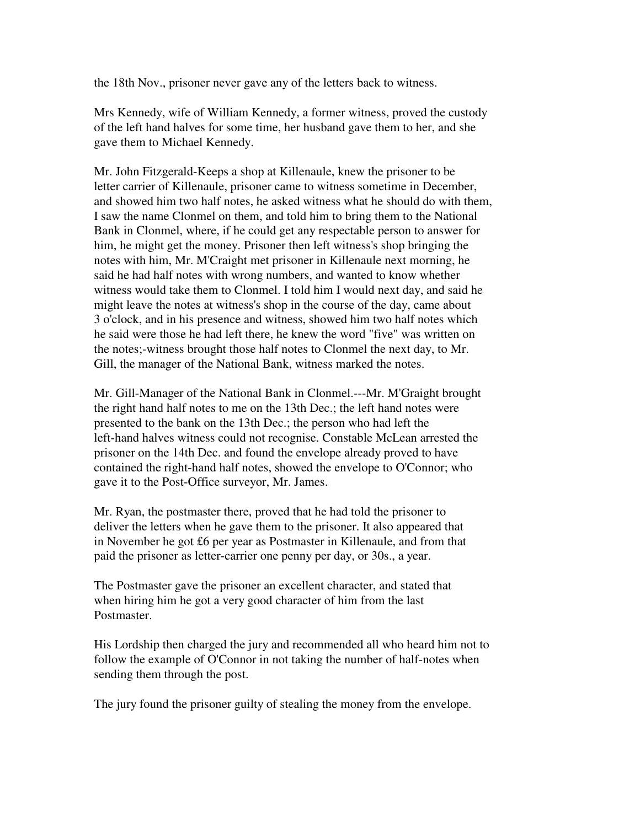the 18th Nov., prisoner never gave any of the letters back to witness.

Mrs Kennedy, wife of William Kennedy, a former witness, proved the custody of the left hand halves for some time, her husband gave them to her, and she gave them to Michael Kennedy.

Mr. John Fitzgerald-Keeps a shop at Killenaule, knew the prisoner to be letter carrier of Killenaule, prisoner came to witness sometime in December, and showed him two half notes, he asked witness what he should do with them, I saw the name Clonmel on them, and told him to bring them to the National Bank in Clonmel, where, if he could get any respectable person to answer for him, he might get the money. Prisoner then left witness's shop bringing the notes with him, Mr. M'Craight met prisoner in Killenaule next morning, he said he had half notes with wrong numbers, and wanted to know whether witness would take them to Clonmel. I told him I would next day, and said he might leave the notes at witness's shop in the course of the day, came about 3 o'clock, and in his presence and witness, showed him two half notes which he said were those he had left there, he knew the word "five" was written on the notes;-witness brought those half notes to Clonmel the next day, to Mr. Gill, the manager of the National Bank, witness marked the notes.

Mr. Gill-Manager of the National Bank in Clonmel.---Mr. M'Graight brought the right hand half notes to me on the 13th Dec.; the left hand notes were presented to the bank on the 13th Dec.; the person who had left the left-hand halves witness could not recognise. Constable McLean arrested the prisoner on the 14th Dec. and found the envelope already proved to have contained the right-hand half notes, showed the envelope to O'Connor; who gave it to the Post-Office surveyor, Mr. James.

Mr. Ryan, the postmaster there, proved that he had told the prisoner to deliver the letters when he gave them to the prisoner. It also appeared that in November he got £6 per year as Postmaster in Killenaule, and from that paid the prisoner as letter-carrier one penny per day, or 30s., a year.

The Postmaster gave the prisoner an excellent character, and stated that when hiring him he got a very good character of him from the last Postmaster.

His Lordship then charged the jury and recommended all who heard him not to follow the example of O'Connor in not taking the number of half-notes when sending them through the post.

The jury found the prisoner guilty of stealing the money from the envelope.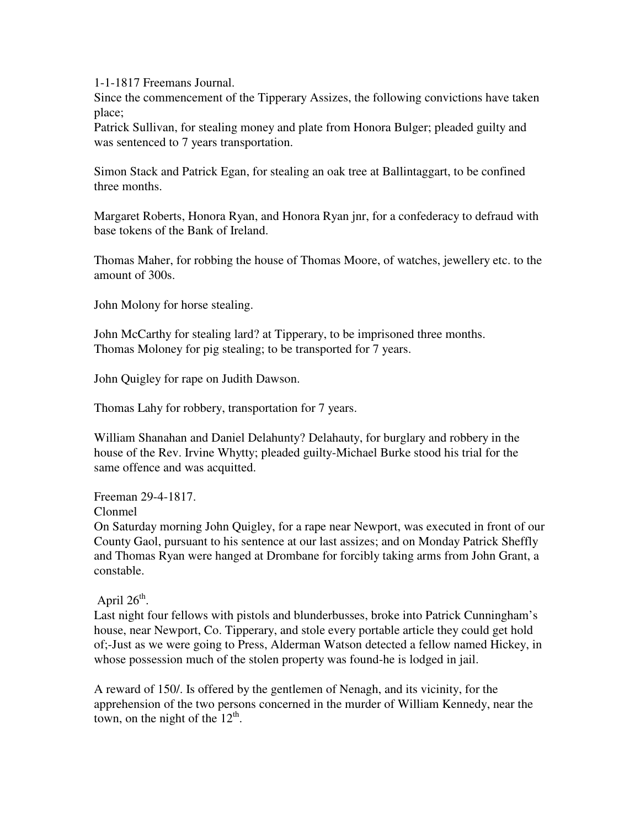1-1-1817 Freemans Journal.

Since the commencement of the Tipperary Assizes, the following convictions have taken place;

Patrick Sullivan, for stealing money and plate from Honora Bulger; pleaded guilty and was sentenced to 7 years transportation.

Simon Stack and Patrick Egan, for stealing an oak tree at Ballintaggart, to be confined three months.

Margaret Roberts, Honora Ryan, and Honora Ryan jnr, for a confederacy to defraud with base tokens of the Bank of Ireland.

Thomas Maher, for robbing the house of Thomas Moore, of watches, jewellery etc. to the amount of 300s.

John Molony for horse stealing.

John McCarthy for stealing lard? at Tipperary, to be imprisoned three months. Thomas Moloney for pig stealing; to be transported for 7 years.

John Quigley for rape on Judith Dawson.

Thomas Lahy for robbery, transportation for 7 years.

William Shanahan and Daniel Delahunty? Delahauty, for burglary and robbery in the house of the Rev. Irvine Whytty; pleaded guilty-Michael Burke stood his trial for the same offence and was acquitted.

Freeman 29-4-1817.

Clonmel

On Saturday morning John Quigley, for a rape near Newport, was executed in front of our County Gaol, pursuant to his sentence at our last assizes; and on Monday Patrick Sheffly and Thomas Ryan were hanged at Drombane for forcibly taking arms from John Grant, a constable.

April  $26<sup>th</sup>$ .

Last night four fellows with pistols and blunderbusses, broke into Patrick Cunningham's house, near Newport, Co. Tipperary, and stole every portable article they could get hold of;-Just as we were going to Press, Alderman Watson detected a fellow named Hickey, in whose possession much of the stolen property was found-he is lodged in jail.

A reward of 150/. Is offered by the gentlemen of Nenagh, and its vicinity, for the apprehension of the two persons concerned in the murder of William Kennedy, near the town, on the night of the  $12<sup>th</sup>$ .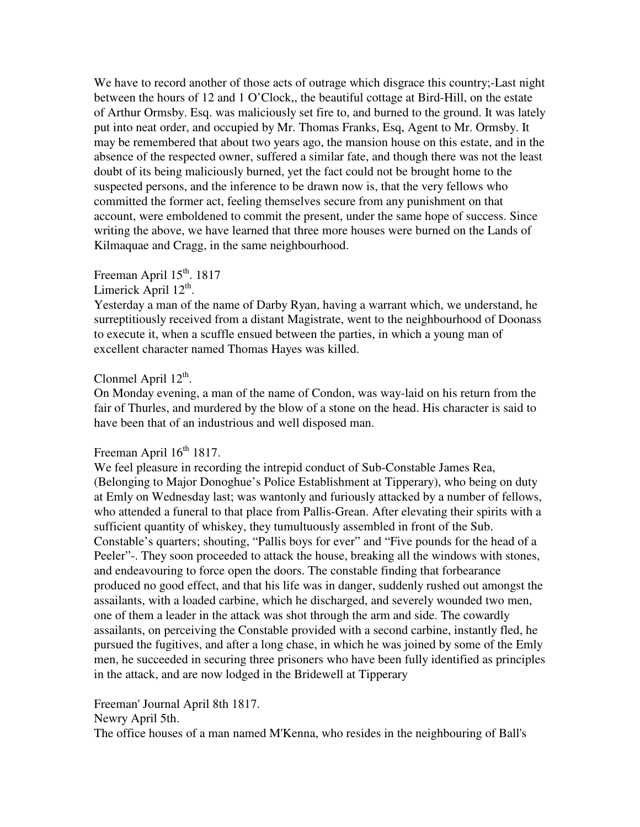We have to record another of those acts of outrage which disgrace this country;-Last night between the hours of 12 and 1 O'Clock,, the beautiful cottage at Bird-Hill, on the estate of Arthur Ormsby. Esq. was maliciously set fire to, and burned to the ground. It was lately put into neat order, and occupied by Mr. Thomas Franks, Esq, Agent to Mr. Ormsby. It may be remembered that about two years ago, the mansion house on this estate, and in the absence of the respected owner, suffered a similar fate, and though there was not the least doubt of its being maliciously burned, yet the fact could not be brought home to the suspected persons, and the inference to be drawn now is, that the very fellows who committed the former act, feeling themselves secure from any punishment on that account, were emboldened to commit the present, under the same hope of success. Since writing the above, we have learned that three more houses were burned on the Lands of Kilmaquae and Cragg, in the same neighbourhood.

## Freeman April 15<sup>th</sup>. 1817

Limerick April  $12^{\text{th}}$ .

Yesterday a man of the name of Darby Ryan, having a warrant which, we understand, he surreptitiously received from a distant Magistrate, went to the neighbourhood of Doonass to execute it, when a scuffle ensued between the parties, in which a young man of excellent character named Thomas Hayes was killed.

# Clonmel April  $12^{th}$ .

On Monday evening, a man of the name of Condon, was way-laid on his return from the fair of Thurles, and murdered by the blow of a stone on the head. His character is said to have been that of an industrious and well disposed man.

# Freeman April 16<sup>th</sup> 1817.

We feel pleasure in recording the intrepid conduct of Sub-Constable James Rea, (Belonging to Major Donoghue's Police Establishment at Tipperary), who being on duty at Emly on Wednesday last; was wantonly and furiously attacked by a number of fellows, who attended a funeral to that place from Pallis-Grean. After elevating their spirits with a sufficient quantity of whiskey, they tumultuously assembled in front of the Sub. Constable's quarters; shouting, "Pallis boys for ever" and "Five pounds for the head of a Peeler"-. They soon proceeded to attack the house, breaking all the windows with stones, and endeavouring to force open the doors. The constable finding that forbearance produced no good effect, and that his life was in danger, suddenly rushed out amongst the assailants, with a loaded carbine, which he discharged, and severely wounded two men, one of them a leader in the attack was shot through the arm and side. The cowardly assailants, on perceiving the Constable provided with a second carbine, instantly fled, he pursued the fugitives, and after a long chase, in which he was joined by some of the Emly men, he succeeded in securing three prisoners who have been fully identified as principles in the attack, and are now lodged in the Bridewell at Tipperary

Freeman' Journal April 8th 1817.

Newry April 5th.

The office houses of a man named M'Kenna, who resides in the neighbouring of Ball's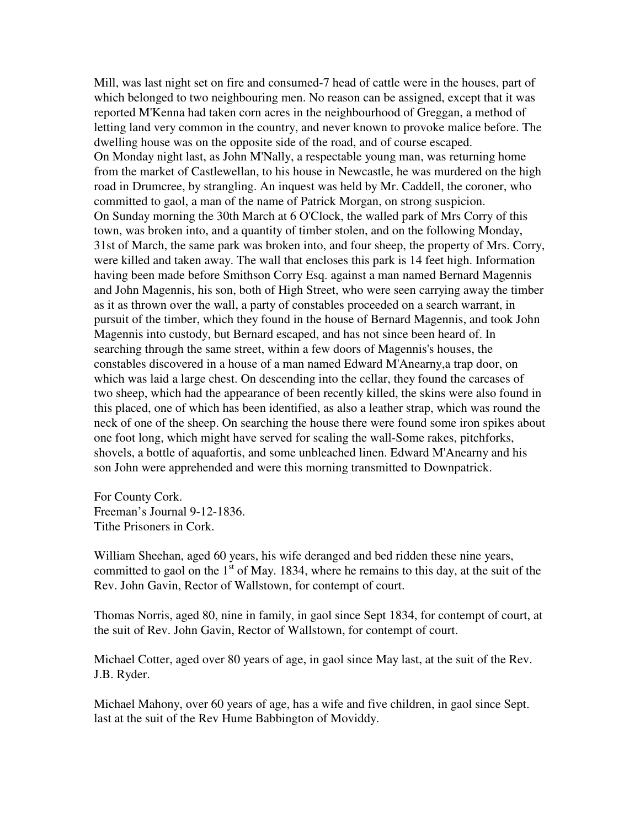Mill, was last night set on fire and consumed-7 head of cattle were in the houses, part of which belonged to two neighbouring men. No reason can be assigned, except that it was reported M'Kenna had taken corn acres in the neighbourhood of Greggan, a method of letting land very common in the country, and never known to provoke malice before. The dwelling house was on the opposite side of the road, and of course escaped. On Monday night last, as John M'Nally, a respectable young man, was returning home from the market of Castlewellan, to his house in Newcastle, he was murdered on the high road in Drumcree, by strangling. An inquest was held by Mr. Caddell, the coroner, who committed to gaol, a man of the name of Patrick Morgan, on strong suspicion. On Sunday morning the 30th March at 6 O'Clock, the walled park of Mrs Corry of this town, was broken into, and a quantity of timber stolen, and on the following Monday, 31st of March, the same park was broken into, and four sheep, the property of Mrs. Corry, were killed and taken away. The wall that encloses this park is 14 feet high. Information having been made before Smithson Corry Esq. against a man named Bernard Magennis and John Magennis, his son, both of High Street, who were seen carrying away the timber as it as thrown over the wall, a party of constables proceeded on a search warrant, in pursuit of the timber, which they found in the house of Bernard Magennis, and took John Magennis into custody, but Bernard escaped, and has not since been heard of. In searching through the same street, within a few doors of Magennis's houses, the constables discovered in a house of a man named Edward M'Anearny,a trap door, on which was laid a large chest. On descending into the cellar, they found the carcases of two sheep, which had the appearance of been recently killed, the skins were also found in this placed, one of which has been identified, as also a leather strap, which was round the neck of one of the sheep. On searching the house there were found some iron spikes about one foot long, which might have served for scaling the wall-Some rakes, pitchforks, shovels, a bottle of aquafortis, and some unbleached linen. Edward M'Anearny and his son John were apprehended and were this morning transmitted to Downpatrick.

For County Cork. Freeman's Journal 9-12-1836. Tithe Prisoners in Cork.

William Sheehan, aged 60 years, his wife deranged and bed ridden these nine years, committed to gaol on the  $1<sup>st</sup>$  of May. 1834, where he remains to this day, at the suit of the Rev. John Gavin, Rector of Wallstown, for contempt of court.

Thomas Norris, aged 80, nine in family, in gaol since Sept 1834, for contempt of court, at the suit of Rev. John Gavin, Rector of Wallstown, for contempt of court.

Michael Cotter, aged over 80 years of age, in gaol since May last, at the suit of the Rev. J.B. Ryder.

Michael Mahony, over 60 years of age, has a wife and five children, in gaol since Sept. last at the suit of the Rev Hume Babbington of Moviddy.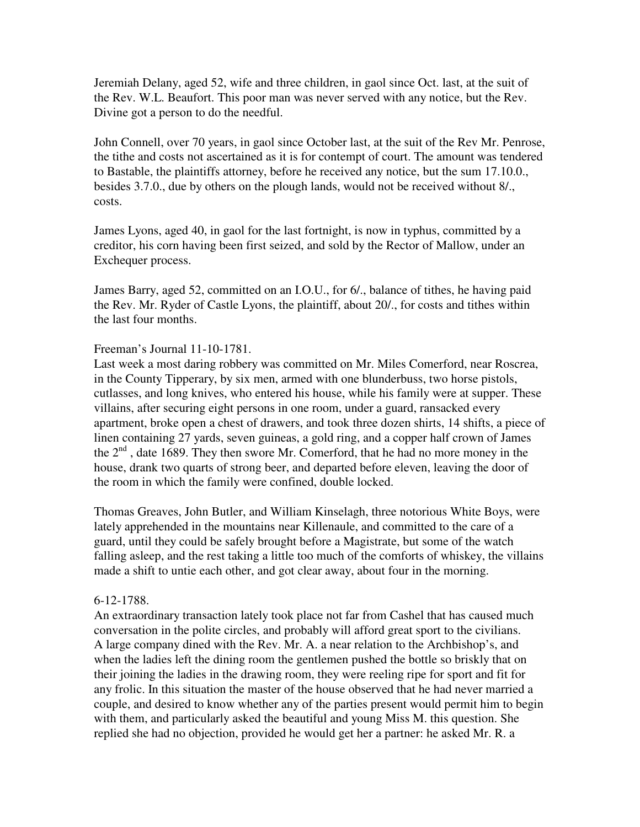Jeremiah Delany, aged 52, wife and three children, in gaol since Oct. last, at the suit of the Rev. W.L. Beaufort. This poor man was never served with any notice, but the Rev. Divine got a person to do the needful.

John Connell, over 70 years, in gaol since October last, at the suit of the Rev Mr. Penrose, the tithe and costs not ascertained as it is for contempt of court. The amount was tendered to Bastable, the plaintiffs attorney, before he received any notice, but the sum 17.10.0., besides 3.7.0., due by others on the plough lands, would not be received without 8/., costs.

James Lyons, aged 40, in gaol for the last fortnight, is now in typhus, committed by a creditor, his corn having been first seized, and sold by the Rector of Mallow, under an Exchequer process.

James Barry, aged 52, committed on an I.O.U., for 6/., balance of tithes, he having paid the Rev. Mr. Ryder of Castle Lyons, the plaintiff, about 20/., for costs and tithes within the last four months.

### Freeman's Journal 11-10-1781.

Last week a most daring robbery was committed on Mr. Miles Comerford, near Roscrea, in the County Tipperary, by six men, armed with one blunderbuss, two horse pistols, cutlasses, and long knives, who entered his house, while his family were at supper. These villains, after securing eight persons in one room, under a guard, ransacked every apartment, broke open a chest of drawers, and took three dozen shirts, 14 shifts, a piece of linen containing 27 yards, seven guineas, a gold ring, and a copper half crown of James the  $2<sup>nd</sup>$ , date 1689. They then swore Mr. Comerford, that he had no more money in the house, drank two quarts of strong beer, and departed before eleven, leaving the door of the room in which the family were confined, double locked.

Thomas Greaves, John Butler, and William Kinselagh, three notorious White Boys, were lately apprehended in the mountains near Killenaule, and committed to the care of a guard, until they could be safely brought before a Magistrate, but some of the watch falling asleep, and the rest taking a little too much of the comforts of whiskey, the villains made a shift to untie each other, and got clear away, about four in the morning.

#### 6-12-1788.

An extraordinary transaction lately took place not far from Cashel that has caused much conversation in the polite circles, and probably will afford great sport to the civilians. A large company dined with the Rev. Mr. A. a near relation to the Archbishop's, and when the ladies left the dining room the gentlemen pushed the bottle so briskly that on their joining the ladies in the drawing room, they were reeling ripe for sport and fit for any frolic. In this situation the master of the house observed that he had never married a couple, and desired to know whether any of the parties present would permit him to begin with them, and particularly asked the beautiful and young Miss M. this question. She replied she had no objection, provided he would get her a partner: he asked Mr. R. a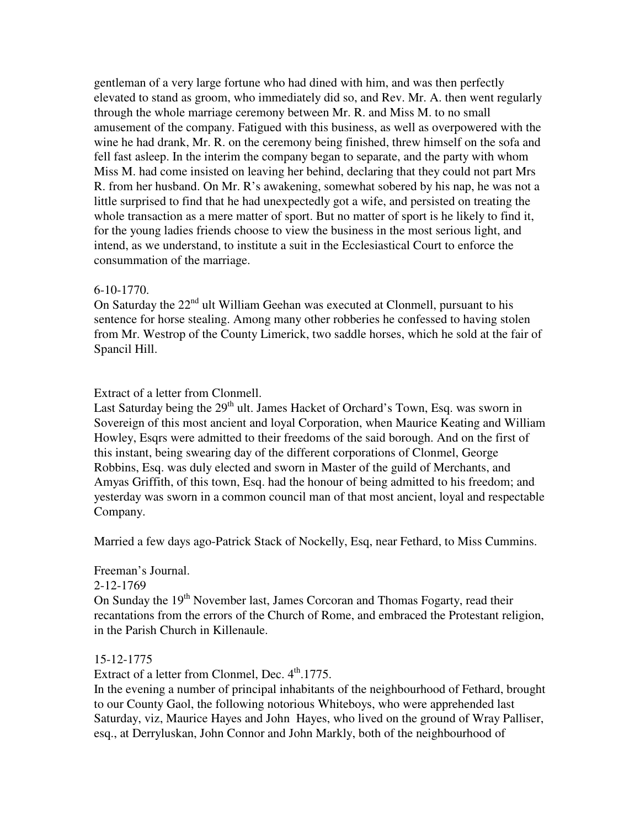gentleman of a very large fortune who had dined with him, and was then perfectly elevated to stand as groom, who immediately did so, and Rev. Mr. A. then went regularly through the whole marriage ceremony between Mr. R. and Miss M. to no small amusement of the company. Fatigued with this business, as well as overpowered with the wine he had drank, Mr. R. on the ceremony being finished, threw himself on the sofa and fell fast asleep. In the interim the company began to separate, and the party with whom Miss M. had come insisted on leaving her behind, declaring that they could not part Mrs R. from her husband. On Mr. R's awakening, somewhat sobered by his nap, he was not a little surprised to find that he had unexpectedly got a wife, and persisted on treating the whole transaction as a mere matter of sport. But no matter of sport is he likely to find it, for the young ladies friends choose to view the business in the most serious light, and intend, as we understand, to institute a suit in the Ecclesiastical Court to enforce the consummation of the marriage.

#### 6-10-1770.

On Saturday the 22<sup>nd</sup> ult William Geehan was executed at Clonmell, pursuant to his sentence for horse stealing. Among many other robberies he confessed to having stolen from Mr. Westrop of the County Limerick, two saddle horses, which he sold at the fair of Spancil Hill.

### Extract of a letter from Clonmell.

Last Saturday being the 29<sup>th</sup> ult. James Hacket of Orchard's Town, Esq. was sworn in Sovereign of this most ancient and loyal Corporation, when Maurice Keating and William Howley, Esqrs were admitted to their freedoms of the said borough. And on the first of this instant, being swearing day of the different corporations of Clonmel, George Robbins, Esq. was duly elected and sworn in Master of the guild of Merchants, and Amyas Griffith, of this town, Esq. had the honour of being admitted to his freedom; and yesterday was sworn in a common council man of that most ancient, loyal and respectable Company.

Married a few days ago-Patrick Stack of Nockelly, Esq, near Fethard, to Miss Cummins.

### Freeman's Journal.

2-12-1769

On Sunday the 19<sup>th</sup> November last, James Corcoran and Thomas Fogarty, read their recantations from the errors of the Church of Rome, and embraced the Protestant religion, in the Parish Church in Killenaule.

#### 15-12-1775

Extract of a letter from Clonmel, Dec.  $4<sup>th</sup>$ .1775.

In the evening a number of principal inhabitants of the neighbourhood of Fethard, brought to our County Gaol, the following notorious Whiteboys, who were apprehended last Saturday, viz, Maurice Hayes and John Hayes, who lived on the ground of Wray Palliser, esq., at Derryluskan, John Connor and John Markly, both of the neighbourhood of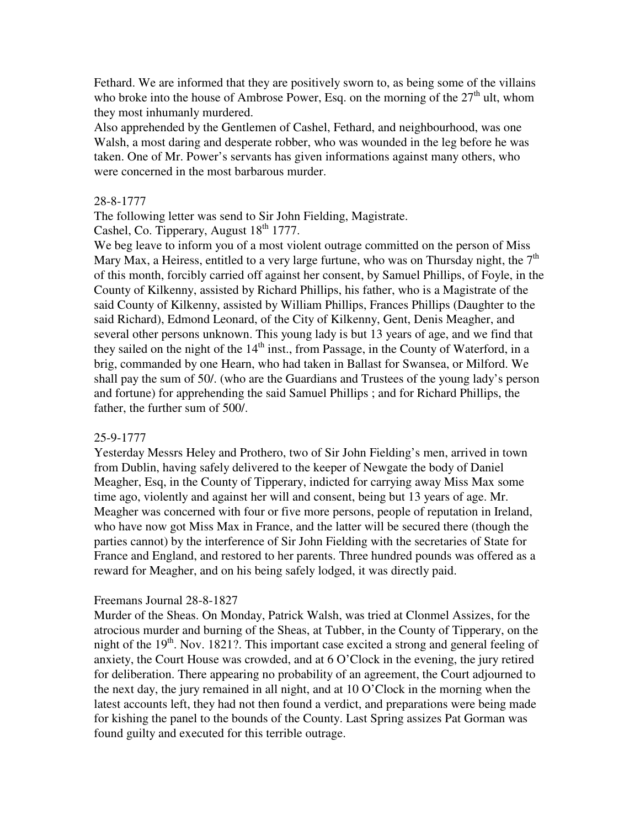Fethard. We are informed that they are positively sworn to, as being some of the villains who broke into the house of Ambrose Power, Esq. on the morning of the  $27<sup>th</sup>$  ult, whom they most inhumanly murdered.

Also apprehended by the Gentlemen of Cashel, Fethard, and neighbourhood, was one Walsh, a most daring and desperate robber, who was wounded in the leg before he was taken. One of Mr. Power's servants has given informations against many others, who were concerned in the most barbarous murder.

### 28-8-1777

The following letter was send to Sir John Fielding, Magistrate.

Cashel, Co. Tipperary, August  $18<sup>th</sup>$  1777.

We beg leave to inform you of a most violent outrage committed on the person of Miss Mary Max, a Heiress, entitled to a very large furtune, who was on Thursday night, the  $7<sup>th</sup>$ of this month, forcibly carried off against her consent, by Samuel Phillips, of Foyle, in the County of Kilkenny, assisted by Richard Phillips, his father, who is a Magistrate of the said County of Kilkenny, assisted by William Phillips, Frances Phillips (Daughter to the said Richard), Edmond Leonard, of the City of Kilkenny, Gent, Denis Meagher, and several other persons unknown. This young lady is but 13 years of age, and we find that they sailed on the night of the  $14<sup>th</sup>$  inst., from Passage, in the County of Waterford, in a brig, commanded by one Hearn, who had taken in Ballast for Swansea, or Milford. We shall pay the sum of 50/. (who are the Guardians and Trustees of the young lady's person and fortune) for apprehending the said Samuel Phillips ; and for Richard Phillips, the father, the further sum of 500/.

#### 25-9-1777

Yesterday Messrs Heley and Prothero, two of Sir John Fielding's men, arrived in town from Dublin, having safely delivered to the keeper of Newgate the body of Daniel Meagher, Esq, in the County of Tipperary, indicted for carrying away Miss Max some time ago, violently and against her will and consent, being but 13 years of age. Mr. Meagher was concerned with four or five more persons, people of reputation in Ireland, who have now got Miss Max in France, and the latter will be secured there (though the parties cannot) by the interference of Sir John Fielding with the secretaries of State for France and England, and restored to her parents. Three hundred pounds was offered as a reward for Meagher, and on his being safely lodged, it was directly paid.

#### Freemans Journal 28-8-1827

Murder of the Sheas. On Monday, Patrick Walsh, was tried at Clonmel Assizes, for the atrocious murder and burning of the Sheas, at Tubber, in the County of Tipperary, on the night of the  $19<sup>th</sup>$ . Nov. 1821?. This important case excited a strong and general feeling of anxiety, the Court House was crowded, and at 6 O'Clock in the evening, the jury retired for deliberation. There appearing no probability of an agreement, the Court adjourned to the next day, the jury remained in all night, and at 10 O'Clock in the morning when the latest accounts left, they had not then found a verdict, and preparations were being made for kishing the panel to the bounds of the County. Last Spring assizes Pat Gorman was found guilty and executed for this terrible outrage.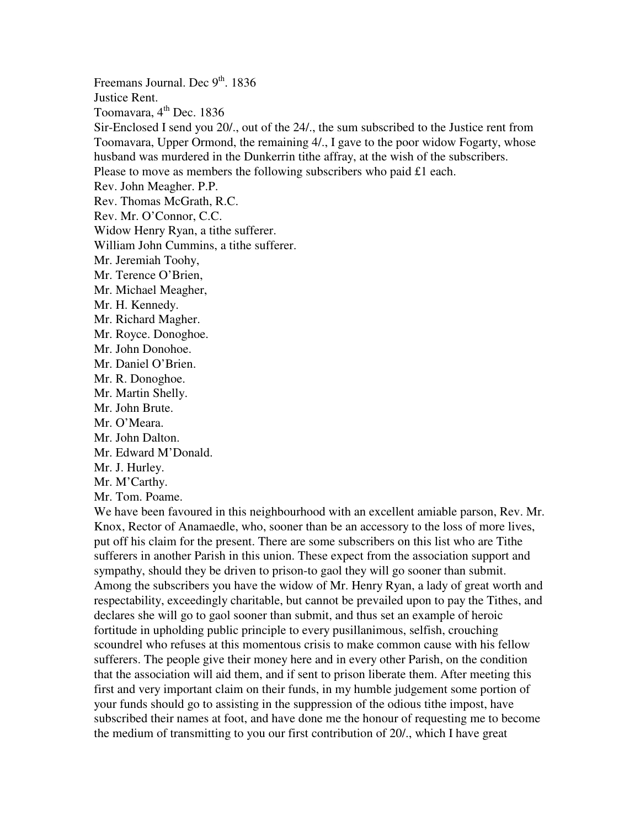Freemans Journal. Dec  $9<sup>th</sup>$ . 1836 Justice Rent. Toomavara,  $4<sup>th</sup>$  Dec. 1836 Sir-Enclosed I send you 20/., out of the 24/., the sum subscribed to the Justice rent from Toomavara, Upper Ormond, the remaining 4/., I gave to the poor widow Fogarty, whose husband was murdered in the Dunkerrin tithe affray, at the wish of the subscribers. Please to move as members the following subscribers who paid £1 each. Rev. John Meagher. P.P. Rev. Thomas McGrath, R.C. Rev. Mr. O'Connor, C.C. Widow Henry Ryan, a tithe sufferer. William John Cummins, a tithe sufferer. Mr. Jeremiah Toohy, Mr. Terence O'Brien, Mr. Michael Meagher, Mr. H. Kennedy. Mr. Richard Magher. Mr. Royce. Donoghoe. Mr. John Donohoe. Mr. Daniel O'Brien. Mr. R. Donoghoe. Mr. Martin Shelly. Mr. John Brute. Mr. O'Meara. Mr. John Dalton. Mr. Edward M'Donald. Mr. J. Hurley. Mr. M'Carthy. Mr. Tom. Poame. We have been favoured in this neighbourhood with an excellent amiable parson, Rev. Mr. Knox, Rector of Anamaedle, who, sooner than be an accessory to the loss of more lives, put off his claim for the present. There are some subscribers on this list who are Tithe sufferers in another Parish in this union. These expect from the association support and sympathy, should they be driven to prison-to gaol they will go sooner than submit. Among the subscribers you have the widow of Mr. Henry Ryan, a lady of great worth and

respectability, exceedingly charitable, but cannot be prevailed upon to pay the Tithes, and declares she will go to gaol sooner than submit, and thus set an example of heroic fortitude in upholding public principle to every pusillanimous, selfish, crouching scoundrel who refuses at this momentous crisis to make common cause with his fellow sufferers. The people give their money here and in every other Parish, on the condition that the association will aid them, and if sent to prison liberate them. After meeting this first and very important claim on their funds, in my humble judgement some portion of your funds should go to assisting in the suppression of the odious tithe impost, have subscribed their names at foot, and have done me the honour of requesting me to become the medium of transmitting to you our first contribution of 20/., which I have great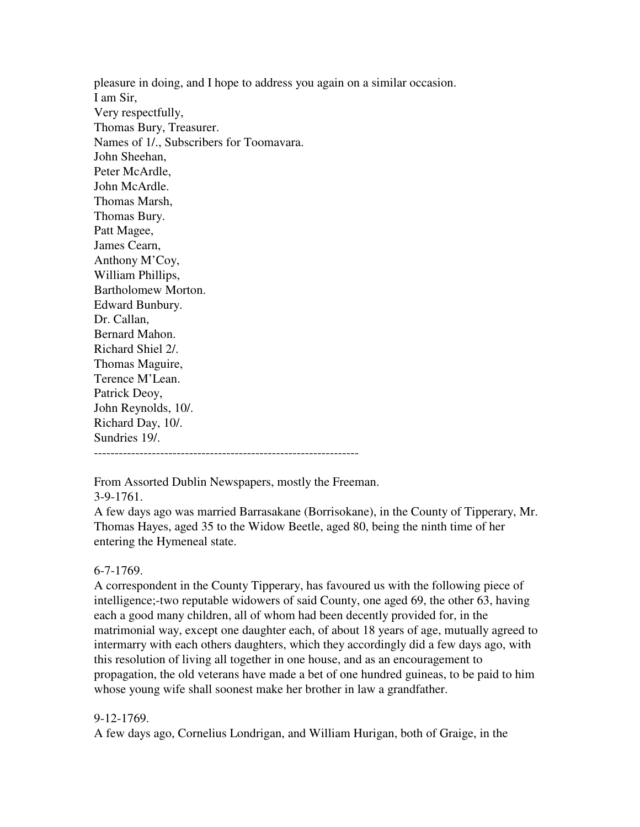pleasure in doing, and I hope to address you again on a similar occasion. I am Sir, Very respectfully, Thomas Bury, Treasurer. Names of 1/., Subscribers for Toomavara. John Sheehan, Peter McArdle, John McArdle. Thomas Marsh, Thomas Bury. Patt Magee, James Cearn, Anthony M'Coy, William Phillips, Bartholomew Morton. Edward Bunbury. Dr. Callan, Bernard Mahon. Richard Shiel 2/. Thomas Maguire, Terence M'Lean. Patrick Deoy, John Reynolds, 10/. Richard Day, 10/. Sundries 19/. ----------------------------------------------------------------

From Assorted Dublin Newspapers, mostly the Freeman.

3-9-1761.

A few days ago was married Barrasakane (Borrisokane), in the County of Tipperary, Mr. Thomas Hayes, aged 35 to the Widow Beetle, aged 80, being the ninth time of her entering the Hymeneal state.

# 6-7-1769.

A correspondent in the County Tipperary, has favoured us with the following piece of intelligence;-two reputable widowers of said County, one aged 69, the other 63, having each a good many children, all of whom had been decently provided for, in the matrimonial way, except one daughter each, of about 18 years of age, mutually agreed to intermarry with each others daughters, which they accordingly did a few days ago, with this resolution of living all together in one house, and as an encouragement to propagation, the old veterans have made a bet of one hundred guineas, to be paid to him whose young wife shall soonest make her brother in law a grandfather.

# 9-12-1769.

A few days ago, Cornelius Londrigan, and William Hurigan, both of Graige, in the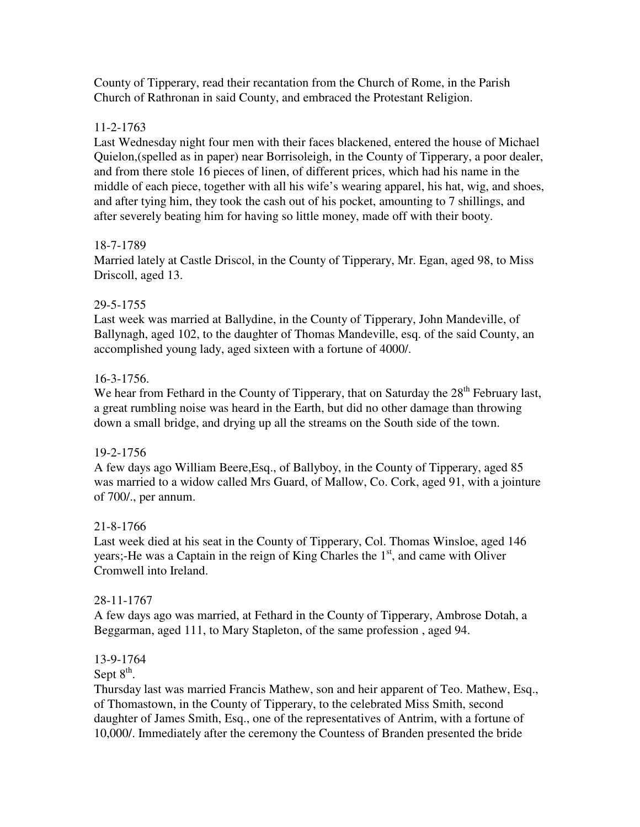County of Tipperary, read their recantation from the Church of Rome, in the Parish Church of Rathronan in said County, and embraced the Protestant Religion.

# 11-2-1763

Last Wednesday night four men with their faces blackened, entered the house of Michael Quielon,(spelled as in paper) near Borrisoleigh, in the County of Tipperary, a poor dealer, and from there stole 16 pieces of linen, of different prices, which had his name in the middle of each piece, together with all his wife's wearing apparel, his hat, wig, and shoes, and after tying him, they took the cash out of his pocket, amounting to 7 shillings, and after severely beating him for having so little money, made off with their booty.

# 18-7-1789

Married lately at Castle Driscol, in the County of Tipperary, Mr. Egan, aged 98, to Miss Driscoll, aged 13.

# 29-5-1755

Last week was married at Ballydine, in the County of Tipperary, John Mandeville, of Ballynagh, aged 102, to the daughter of Thomas Mandeville, esq. of the said County, an accomplished young lady, aged sixteen with a fortune of 4000/.

# 16-3-1756.

We hear from Fethard in the County of Tipperary, that on Saturday the 28<sup>th</sup> February last, a great rumbling noise was heard in the Earth, but did no other damage than throwing down a small bridge, and drying up all the streams on the South side of the town.

# 19-2-1756

A few days ago William Beere,Esq., of Ballyboy, in the County of Tipperary, aged 85 was married to a widow called Mrs Guard, of Mallow, Co. Cork, aged 91, with a jointure of 700/., per annum.

# 21-8-1766

Last week died at his seat in the County of Tipperary, Col. Thomas Winsloe, aged 146 years;-He was a Captain in the reign of King Charles the  $1<sup>st</sup>$ , and came with Oliver Cromwell into Ireland.

# 28-11-1767

A few days ago was married, at Fethard in the County of Tipperary, Ambrose Dotah, a Beggarman, aged 111, to Mary Stapleton, of the same profession , aged 94.

# 13-9-1764

Sept  $8^{\text{th}}$ .

Thursday last was married Francis Mathew, son and heir apparent of Teo. Mathew, Esq., of Thomastown, in the County of Tipperary, to the celebrated Miss Smith, second daughter of James Smith, Esq., one of the representatives of Antrim, with a fortune of 10,000/. Immediately after the ceremony the Countess of Branden presented the bride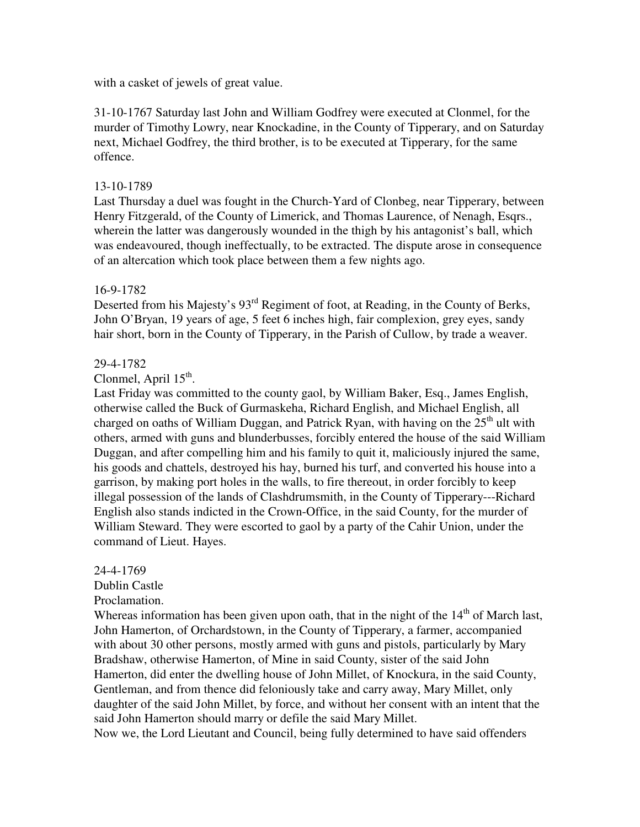with a casket of jewels of great value.

31-10-1767 Saturday last John and William Godfrey were executed at Clonmel, for the murder of Timothy Lowry, near Knockadine, in the County of Tipperary, and on Saturday next, Michael Godfrey, the third brother, is to be executed at Tipperary, for the same offence.

## 13-10-1789

Last Thursday a duel was fought in the Church-Yard of Clonbeg, near Tipperary, between Henry Fitzgerald, of the County of Limerick, and Thomas Laurence, of Nenagh, Esqrs., wherein the latter was dangerously wounded in the thigh by his antagonist's ball, which was endeavoured, though ineffectually, to be extracted. The dispute arose in consequence of an altercation which took place between them a few nights ago.

## 16-9-1782

Deserted from his Majesty's 93<sup>rd</sup> Regiment of foot, at Reading, in the County of Berks, John O'Bryan, 19 years of age, 5 feet 6 inches high, fair complexion, grey eyes, sandy hair short, born in the County of Tipperary, in the Parish of Cullow, by trade a weaver.

## 29-4-1782

# Clonmel, April  $15<sup>th</sup>$ .

Last Friday was committed to the county gaol, by William Baker, Esq., James English, otherwise called the Buck of Gurmaskeha, Richard English, and Michael English, all charged on oaths of William Duggan, and Patrick Ryan, with having on the  $25<sup>th</sup>$  ult with others, armed with guns and blunderbusses, forcibly entered the house of the said William Duggan, and after compelling him and his family to quit it, maliciously injured the same, his goods and chattels, destroyed his hay, burned his turf, and converted his house into a garrison, by making port holes in the walls, to fire thereout, in order forcibly to keep illegal possession of the lands of Clashdrumsmith, in the County of Tipperary---Richard English also stands indicted in the Crown-Office, in the said County, for the murder of William Steward. They were escorted to gaol by a party of the Cahir Union, under the command of Lieut. Hayes.

## 24-4-1769

## Dublin Castle

## Proclamation.

Whereas information has been given upon oath, that in the night of the  $14<sup>th</sup>$  of March last, John Hamerton, of Orchardstown, in the County of Tipperary, a farmer, accompanied with about 30 other persons, mostly armed with guns and pistols, particularly by Mary Bradshaw, otherwise Hamerton, of Mine in said County, sister of the said John Hamerton, did enter the dwelling house of John Millet, of Knockura, in the said County, Gentleman, and from thence did feloniously take and carry away, Mary Millet, only daughter of the said John Millet, by force, and without her consent with an intent that the said John Hamerton should marry or defile the said Mary Millet. Now we, the Lord Lieutant and Council, being fully determined to have said offenders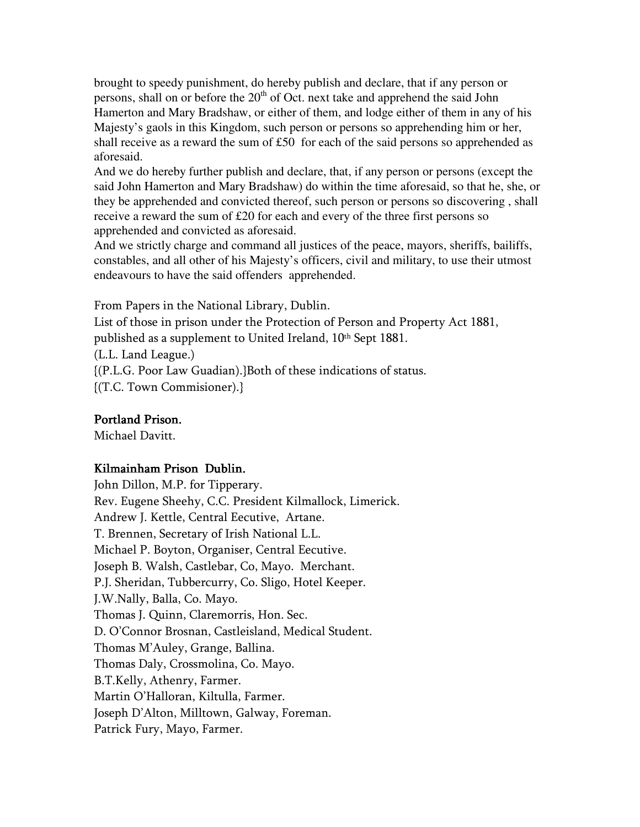brought to speedy punishment, do hereby publish and declare, that if any person or persons, shall on or before the  $20<sup>th</sup>$  of Oct. next take and apprehend the said John Hamerton and Mary Bradshaw, or either of them, and lodge either of them in any of his Majesty's gaols in this Kingdom, such person or persons so apprehending him or her, shall receive as a reward the sum of £50 for each of the said persons so apprehended as aforesaid.

And we do hereby further publish and declare, that, if any person or persons (except the said John Hamerton and Mary Bradshaw) do within the time aforesaid, so that he, she, or they be apprehended and convicted thereof, such person or persons so discovering , shall receive a reward the sum of £20 for each and every of the three first persons so apprehended and convicted as aforesaid.

And we strictly charge and command all justices of the peace, mayors, sheriffs, bailiffs, constables, and all other of his Majesty's officers, civil and military, to use their utmost endeavours to have the said offenders apprehended.

From Papers in the National Library, Dublin.

List of those in prison under the Protection of Person and Property Act 1881,

published as a supplement to United Ireland, 10<sup>th</sup> Sept 1881.

(L.L. Land League.)

{(P.L.G. Poor Law Guadian).}Both of these indications of status.

{(T.C. Town Commisioner).}

# Portland Prison.

Michael Davitt.

# Kilmainham Prison Dublin.

John Dillon, M.P. for Tipperary. Rev. Eugene Sheehy, C.C. President Kilmallock, Limerick. Andrew J. Kettle, Central Eecutive, Artane. T. Brennen, Secretary of Irish National L.L. Michael P. Boyton, Organiser, Central Eecutive. Joseph B. Walsh, Castlebar, Co, Mayo. Merchant. P.J. Sheridan, Tubbercurry, Co. Sligo, Hotel Keeper. J.W.Nally, Balla, Co. Mayo. Thomas J. Quinn, Claremorris, Hon. Sec. D. O'Connor Brosnan, Castleisland, Medical Student. Thomas M'Auley, Grange, Ballina. Thomas Daly, Crossmolina, Co. Mayo. B.T.Kelly, Athenry, Farmer. Martin O'Halloran, Kiltulla, Farmer. Joseph D'Alton, Milltown, Galway, Foreman. Patrick Fury, Mayo, Farmer.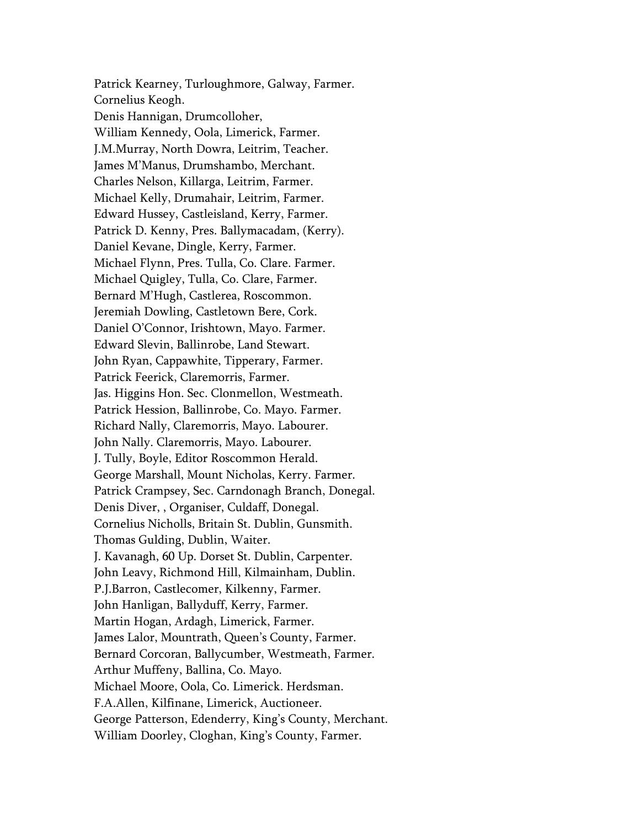Patrick Kearney, Turloughmore, Galway, Farmer. Cornelius Keogh. Denis Hannigan, Drumcolloher, William Kennedy, Oola, Limerick, Farmer. J.M.Murray, North Dowra, Leitrim, Teacher. James M'Manus, Drumshambo, Merchant. Charles Nelson, Killarga, Leitrim, Farmer. Michael Kelly, Drumahair, Leitrim, Farmer. Edward Hussey, Castleisland, Kerry, Farmer. Patrick D. Kenny, Pres. Ballymacadam, (Kerry). Daniel Kevane, Dingle, Kerry, Farmer. Michael Flynn, Pres. Tulla, Co. Clare. Farmer. Michael Quigley, Tulla, Co. Clare, Farmer. Bernard M'Hugh, Castlerea, Roscommon. Jeremiah Dowling, Castletown Bere, Cork. Daniel O'Connor, Irishtown, Mayo. Farmer. Edward Slevin, Ballinrobe, Land Stewart. John Ryan, Cappawhite, Tipperary, Farmer. Patrick Feerick, Claremorris, Farmer. Jas. Higgins Hon. Sec. Clonmellon, Westmeath. Patrick Hession, Ballinrobe, Co. Mayo. Farmer. Richard Nally, Claremorris, Mayo. Labourer. John Nally. Claremorris, Mayo. Labourer. J. Tully, Boyle, Editor Roscommon Herald. George Marshall, Mount Nicholas, Kerry. Farmer. Patrick Crampsey, Sec. Carndonagh Branch, Donegal. Denis Diver, , Organiser, Culdaff, Donegal. Cornelius Nicholls, Britain St. Dublin, Gunsmith. Thomas Gulding, Dublin, Waiter. J. Kavanagh, 60 Up. Dorset St. Dublin, Carpenter. John Leavy, Richmond Hill, Kilmainham, Dublin. P.J.Barron, Castlecomer, Kilkenny, Farmer. John Hanligan, Ballyduff, Kerry, Farmer. Martin Hogan, Ardagh, Limerick, Farmer. James Lalor, Mountrath, Queen's County, Farmer. Bernard Corcoran, Ballycumber, Westmeath, Farmer. Arthur Muffeny, Ballina, Co. Mayo. Michael Moore, Oola, Co. Limerick. Herdsman. F.A.Allen, Kilfinane, Limerick, Auctioneer. George Patterson, Edenderry, King's County, Merchant. William Doorley, Cloghan, King's County, Farmer.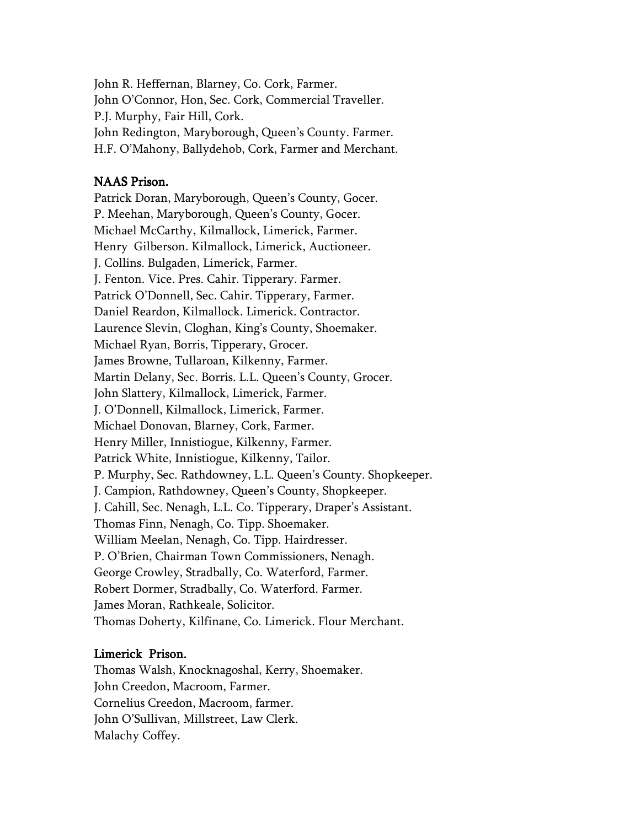John R. Heffernan, Blarney, Co. Cork, Farmer. John O'Connor, Hon, Sec. Cork, Commercial Traveller. P.J. Murphy, Fair Hill, Cork. John Redington, Maryborough, Queen's County. Farmer. H.F. O'Mahony, Ballydehob, Cork, Farmer and Merchant.

#### NAAS Prison.

Patrick Doran, Maryborough, Queen's County, Gocer. P. Meehan, Maryborough, Queen's County, Gocer. Michael McCarthy, Kilmallock, Limerick, Farmer. Henry Gilberson. Kilmallock, Limerick, Auctioneer. J. Collins. Bulgaden, Limerick, Farmer. J. Fenton. Vice. Pres. Cahir. Tipperary. Farmer. Patrick O'Donnell, Sec. Cahir. Tipperary, Farmer. Daniel Reardon, Kilmallock. Limerick. Contractor. Laurence Slevin, Cloghan, King's County, Shoemaker. Michael Ryan, Borris, Tipperary, Grocer. James Browne, Tullaroan, Kilkenny, Farmer. Martin Delany, Sec. Borris. L.L. Queen's County, Grocer. John Slattery, Kilmallock, Limerick, Farmer. J. O'Donnell, Kilmallock, Limerick, Farmer. Michael Donovan, Blarney, Cork, Farmer. Henry Miller, Innistiogue, Kilkenny, Farmer. Patrick White, Innistiogue, Kilkenny, Tailor. P. Murphy, Sec. Rathdowney, L.L. Queen's County. Shopkeeper. J. Campion, Rathdowney, Queen's County, Shopkeeper. J. Cahill, Sec. Nenagh, L.L. Co. Tipperary, Draper's Assistant. Thomas Finn, Nenagh, Co. Tipp. Shoemaker. William Meelan, Nenagh, Co. Tipp. Hairdresser. P. O'Brien, Chairman Town Commissioners, Nenagh. George Crowley, Stradbally, Co. Waterford, Farmer. Robert Dormer, Stradbally, Co. Waterford. Farmer. James Moran, Rathkeale, Solicitor. Thomas Doherty, Kilfinane, Co. Limerick. Flour Merchant.

### Limerick Prison.

Thomas Walsh, Knocknagoshal, Kerry, Shoemaker. John Creedon, Macroom, Farmer. Cornelius Creedon, Macroom, farmer. John O'Sullivan, Millstreet, Law Clerk. Malachy Coffey.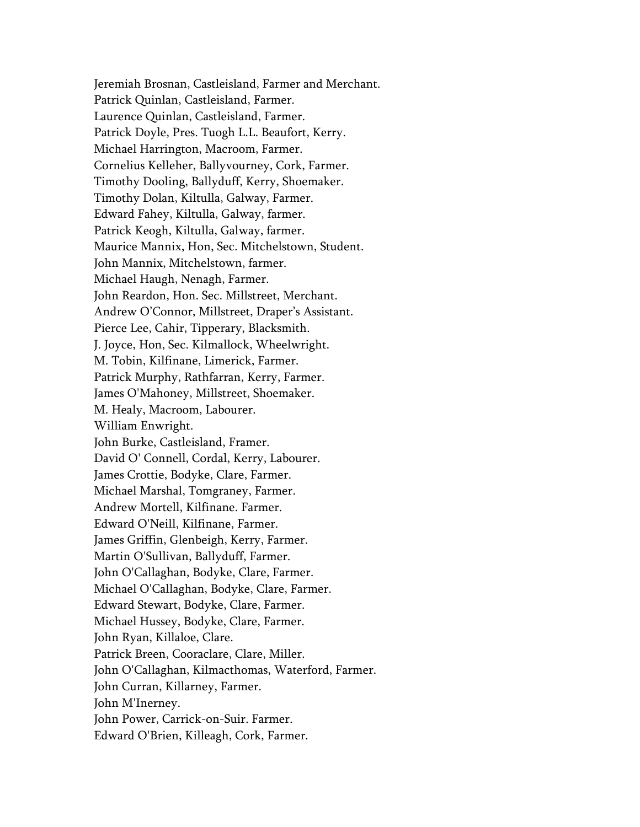Jeremiah Brosnan, Castleisland, Farmer and Merchant. Patrick Quinlan, Castleisland, Farmer. Laurence Quinlan, Castleisland, Farmer. Patrick Doyle, Pres. Tuogh L.L. Beaufort, Kerry. Michael Harrington, Macroom, Farmer. Cornelius Kelleher, Ballyvourney, Cork, Farmer. Timothy Dooling, Ballyduff, Kerry, Shoemaker. Timothy Dolan, Kiltulla, Galway, Farmer. Edward Fahey, Kiltulla, Galway, farmer. Patrick Keogh, Kiltulla, Galway, farmer. Maurice Mannix, Hon, Sec. Mitchelstown, Student. John Mannix, Mitchelstown, farmer. Michael Haugh, Nenagh, Farmer. John Reardon, Hon. Sec. Millstreet, Merchant. Andrew O'Connor, Millstreet, Draper's Assistant. Pierce Lee, Cahir, Tipperary, Blacksmith. J. Joyce, Hon, Sec. Kilmallock, Wheelwright. M. Tobin, Kilfinane, Limerick, Farmer. Patrick Murphy, Rathfarran, Kerry, Farmer. James O'Mahoney, Millstreet, Shoemaker. M. Healy, Macroom, Labourer. William Enwright. John Burke, Castleisland, Framer. David O' Connell, Cordal, Kerry, Labourer. James Crottie, Bodyke, Clare, Farmer. Michael Marshal, Tomgraney, Farmer. Andrew Mortell, Kilfinane. Farmer. Edward O'Neill, Kilfinane, Farmer. James Griffin, Glenbeigh, Kerry, Farmer. Martin O'Sullivan, Ballyduff, Farmer. John O'Callaghan, Bodyke, Clare, Farmer. Michael O'Callaghan, Bodyke, Clare, Farmer. Edward Stewart, Bodyke, Clare, Farmer. Michael Hussey, Bodyke, Clare, Farmer. John Ryan, Killaloe, Clare. Patrick Breen, Cooraclare, Clare, Miller. John O'Callaghan, Kilmacthomas, Waterford, Farmer. John Curran, Killarney, Farmer. John M'Inerney. John Power, Carrick-on-Suir. Farmer. Edward O'Brien, Killeagh, Cork, Farmer.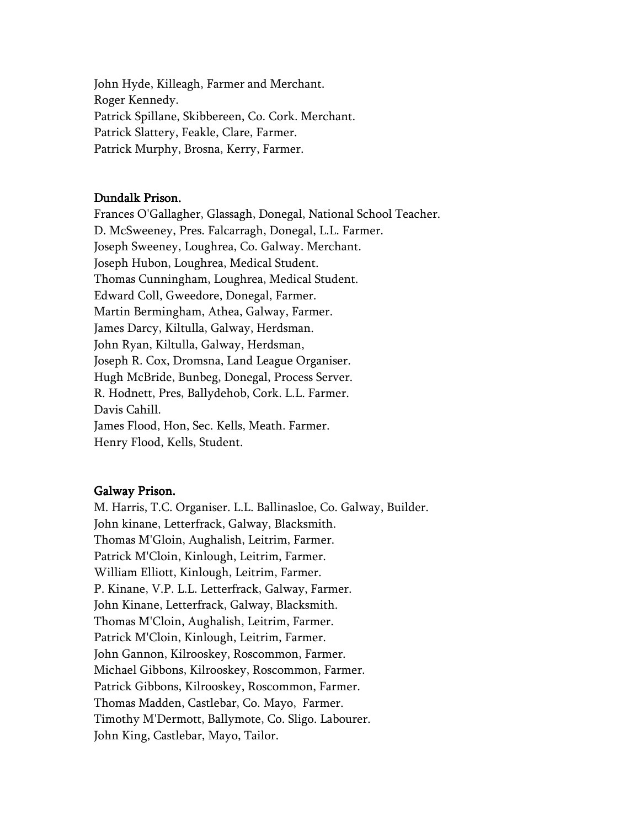John Hyde, Killeagh, Farmer and Merchant. Roger Kennedy. Patrick Spillane, Skibbereen, Co. Cork. Merchant. Patrick Slattery, Feakle, Clare, Farmer. Patrick Murphy, Brosna, Kerry, Farmer.

### Dundalk Prison.

Frances O'Gallagher, Glassagh, Donegal, National School Teacher. D. McSweeney, Pres. Falcarragh, Donegal, L.L. Farmer. Joseph Sweeney, Loughrea, Co. Galway. Merchant. Joseph Hubon, Loughrea, Medical Student. Thomas Cunningham, Loughrea, Medical Student. Edward Coll, Gweedore, Donegal, Farmer. Martin Bermingham, Athea, Galway, Farmer. James Darcy, Kiltulla, Galway, Herdsman. John Ryan, Kiltulla, Galway, Herdsman, Joseph R. Cox, Dromsna, Land League Organiser. Hugh McBride, Bunbeg, Donegal, Process Server. R. Hodnett, Pres, Ballydehob, Cork. L.L. Farmer. Davis Cahill. James Flood, Hon, Sec. Kells, Meath. Farmer. Henry Flood, Kells, Student.

#### Galway Prison.

M. Harris, T.C. Organiser. L.L. Ballinasloe, Co. Galway, Builder. John kinane, Letterfrack, Galway, Blacksmith. Thomas M'Gloin, Aughalish, Leitrim, Farmer. Patrick M'Cloin, Kinlough, Leitrim, Farmer. William Elliott, Kinlough, Leitrim, Farmer. P. Kinane, V.P. L.L. Letterfrack, Galway, Farmer. John Kinane, Letterfrack, Galway, Blacksmith. Thomas M'Cloin, Aughalish, Leitrim, Farmer. Patrick M'Cloin, Kinlough, Leitrim, Farmer. John Gannon, Kilrooskey, Roscommon, Farmer. Michael Gibbons, Kilrooskey, Roscommon, Farmer. Patrick Gibbons, Kilrooskey, Roscommon, Farmer. Thomas Madden, Castlebar, Co. Mayo, Farmer. Timothy M'Dermott, Ballymote, Co. Sligo. Labourer. John King, Castlebar, Mayo, Tailor.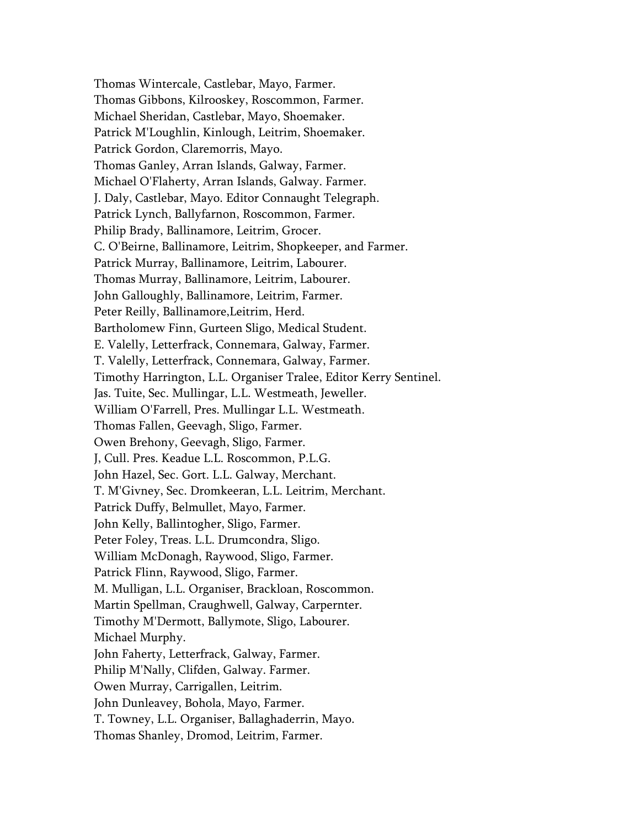Thomas Wintercale, Castlebar, Mayo, Farmer. Thomas Gibbons, Kilrooskey, Roscommon, Farmer. Michael Sheridan, Castlebar, Mayo, Shoemaker. Patrick M'Loughlin, Kinlough, Leitrim, Shoemaker. Patrick Gordon, Claremorris, Mayo. Thomas Ganley, Arran Islands, Galway, Farmer. Michael O'Flaherty, Arran Islands, Galway. Farmer. J. Daly, Castlebar, Mayo. Editor Connaught Telegraph. Patrick Lynch, Ballyfarnon, Roscommon, Farmer. Philip Brady, Ballinamore, Leitrim, Grocer. C. O'Beirne, Ballinamore, Leitrim, Shopkeeper, and Farmer. Patrick Murray, Ballinamore, Leitrim, Labourer. Thomas Murray, Ballinamore, Leitrim, Labourer. John Galloughly, Ballinamore, Leitrim, Farmer. Peter Reilly, Ballinamore,Leitrim, Herd. Bartholomew Finn, Gurteen Sligo, Medical Student. E. Valelly, Letterfrack, Connemara, Galway, Farmer. T. Valelly, Letterfrack, Connemara, Galway, Farmer. Timothy Harrington, L.L. Organiser Tralee, Editor Kerry Sentinel. Jas. Tuite, Sec. Mullingar, L.L. Westmeath, Jeweller. William O'Farrell, Pres. Mullingar L.L. Westmeath. Thomas Fallen, Geevagh, Sligo, Farmer. Owen Brehony, Geevagh, Sligo, Farmer. J, Cull. Pres. Keadue L.L. Roscommon, P.L.G. John Hazel, Sec. Gort. L.L. Galway, Merchant. T. M'Givney, Sec. Dromkeeran, L.L. Leitrim, Merchant. Patrick Duffy, Belmullet, Mayo, Farmer. John Kelly, Ballintogher, Sligo, Farmer. Peter Foley, Treas. L.L. Drumcondra, Sligo. William McDonagh, Raywood, Sligo, Farmer. Patrick Flinn, Raywood, Sligo, Farmer. M. Mulligan, L.L. Organiser, Brackloan, Roscommon. Martin Spellman, Craughwell, Galway, Carpernter. Timothy M'Dermott, Ballymote, Sligo, Labourer. Michael Murphy. John Faherty, Letterfrack, Galway, Farmer. Philip M'Nally, Clifden, Galway. Farmer. Owen Murray, Carrigallen, Leitrim. John Dunleavey, Bohola, Mayo, Farmer. T. Towney, L.L. Organiser, Ballaghaderrin, Mayo. Thomas Shanley, Dromod, Leitrim, Farmer.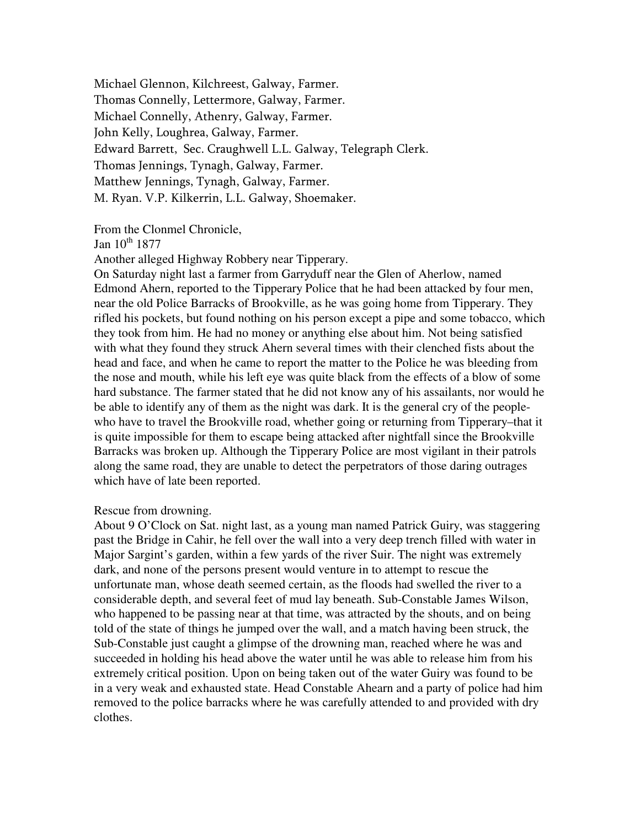Michael Glennon, Kilchreest, Galway, Farmer. Thomas Connelly, Lettermore, Galway, Farmer. Michael Connelly, Athenry, Galway, Farmer. John Kelly, Loughrea, Galway, Farmer. Edward Barrett, Sec. Craughwell L.L. Galway, Telegraph Clerk. Thomas Jennings, Tynagh, Galway, Farmer. Matthew Jennings, Tynagh, Galway, Farmer. M. Ryan. V.P. Kilkerrin, L.L. Galway, Shoemaker.

From the Clonmel Chronicle,

Jan  $10^{th}$  1877

Another alleged Highway Robbery near Tipperary.

On Saturday night last a farmer from Garryduff near the Glen of Aherlow, named Edmond Ahern, reported to the Tipperary Police that he had been attacked by four men, near the old Police Barracks of Brookville, as he was going home from Tipperary. They rifled his pockets, but found nothing on his person except a pipe and some tobacco, which they took from him. He had no money or anything else about him. Not being satisfied with what they found they struck Ahern several times with their clenched fists about the head and face, and when he came to report the matter to the Police he was bleeding from the nose and mouth, while his left eye was quite black from the effects of a blow of some hard substance. The farmer stated that he did not know any of his assailants, nor would he be able to identify any of them as the night was dark. It is the general cry of the peoplewho have to travel the Brookville road, whether going or returning from Tipperary–that it is quite impossible for them to escape being attacked after nightfall since the Brookville Barracks was broken up. Although the Tipperary Police are most vigilant in their patrols along the same road, they are unable to detect the perpetrators of those daring outrages which have of late been reported.

#### Rescue from drowning.

About 9 O'Clock on Sat. night last, as a young man named Patrick Guiry, was staggering past the Bridge in Cahir, he fell over the wall into a very deep trench filled with water in Major Sargint's garden, within a few yards of the river Suir. The night was extremely dark, and none of the persons present would venture in to attempt to rescue the unfortunate man, whose death seemed certain, as the floods had swelled the river to a considerable depth, and several feet of mud lay beneath. Sub-Constable James Wilson, who happened to be passing near at that time, was attracted by the shouts, and on being told of the state of things he jumped over the wall, and a match having been struck, the Sub-Constable just caught a glimpse of the drowning man, reached where he was and succeeded in holding his head above the water until he was able to release him from his extremely critical position. Upon on being taken out of the water Guiry was found to be in a very weak and exhausted state. Head Constable Ahearn and a party of police had him removed to the police barracks where he was carefully attended to and provided with dry clothes.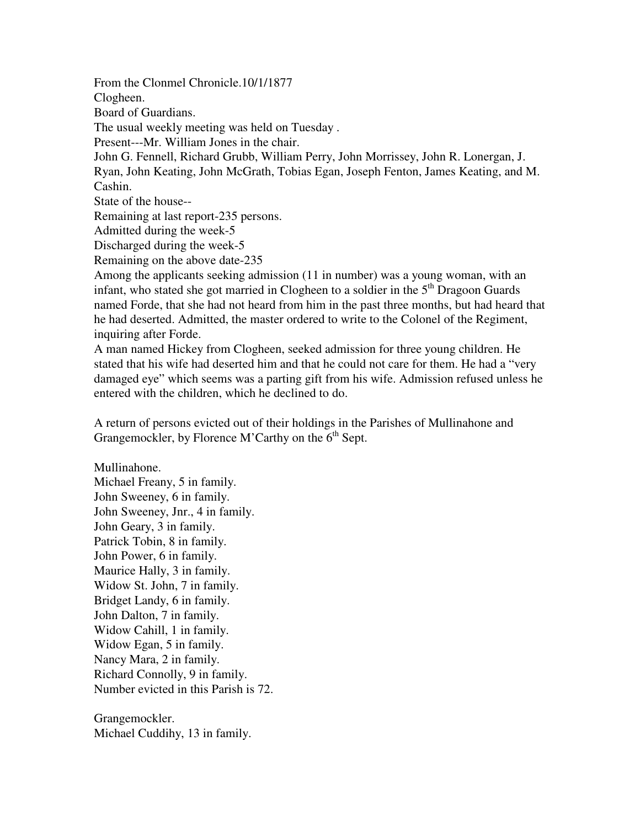From the Clonmel Chronicle.10/1/1877 Clogheen. Board of Guardians. The usual weekly meeting was held on Tuesday . Present---Mr. William Jones in the chair. John G. Fennell, Richard Grubb, William Perry, John Morrissey, John R. Lonergan, J. Ryan, John Keating, John McGrath, Tobias Egan, Joseph Fenton, James Keating, and M. Cashin. State of the house-- Remaining at last report-235 persons. Admitted during the week-5 Discharged during the week-5 Remaining on the above date-235 Among the applicants seeking admission (11 in number) was a young woman, with an infant, who stated she got married in Clogheen to a soldier in the  $5<sup>th</sup>$  Dragoon Guards named Forde, that she had not heard from him in the past three months, but had heard that he had deserted. Admitted, the master ordered to write to the Colonel of the Regiment,

inquiring after Forde. A man named Hickey from Clogheen, seeked admission for three young children. He stated that his wife had deserted him and that he could not care for them. He had a "very damaged eye" which seems was a parting gift from his wife. Admission refused unless he entered with the children, which he declined to do.

A return of persons evicted out of their holdings in the Parishes of Mullinahone and Grangemockler, by Florence M'Carthy on the  $6<sup>th</sup>$  Sept.

Mullinahone. Michael Freany, 5 in family. John Sweeney, 6 in family. John Sweeney, Jnr., 4 in family. John Geary, 3 in family. Patrick Tobin, 8 in family. John Power, 6 in family. Maurice Hally, 3 in family. Widow St. John, 7 in family. Bridget Landy, 6 in family. John Dalton, 7 in family. Widow Cahill, 1 in family. Widow Egan, 5 in family. Nancy Mara, 2 in family. Richard Connolly, 9 in family. Number evicted in this Parish is 72.

Grangemockler. Michael Cuddihy, 13 in family.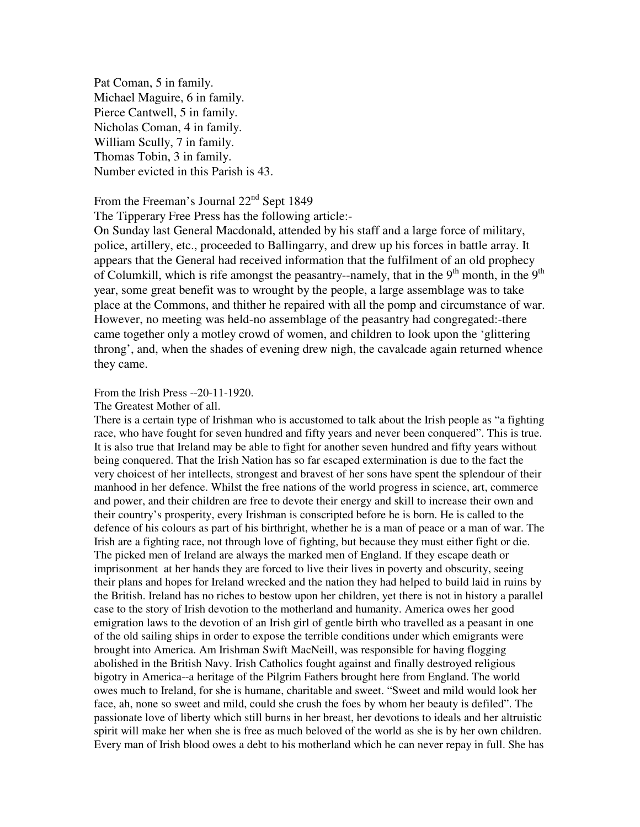Pat Coman, 5 in family. Michael Maguire, 6 in family. Pierce Cantwell, 5 in family. Nicholas Coman, 4 in family. William Scully, 7 in family. Thomas Tobin, 3 in family. Number evicted in this Parish is 43.

From the Freeman's Journal 22<sup>nd</sup> Sept 1849

The Tipperary Free Press has the following article:-

On Sunday last General Macdonald, attended by his staff and a large force of military, police, artillery, etc., proceeded to Ballingarry, and drew up his forces in battle array. It appears that the General had received information that the fulfilment of an old prophecy of Columkill, which is rife amongst the peasantry--namely, that in the  $9<sup>th</sup>$  month, in the  $9<sup>th</sup>$ year, some great benefit was to wrought by the people, a large assemblage was to take place at the Commons, and thither he repaired with all the pomp and circumstance of war. However, no meeting was held-no assemblage of the peasantry had congregated:-there came together only a motley crowd of women, and children to look upon the 'glittering throng', and, when the shades of evening drew nigh, the cavalcade again returned whence they came.

#### From the Irish Press --20-11-1920.

#### The Greatest Mother of all.

There is a certain type of Irishman who is accustomed to talk about the Irish people as "a fighting race, who have fought for seven hundred and fifty years and never been conquered". This is true. It is also true that Ireland may be able to fight for another seven hundred and fifty years without being conquered. That the Irish Nation has so far escaped extermination is due to the fact the very choicest of her intellects, strongest and bravest of her sons have spent the splendour of their manhood in her defence. Whilst the free nations of the world progress in science, art, commerce and power, and their children are free to devote their energy and skill to increase their own and their country's prosperity, every Irishman is conscripted before he is born. He is called to the defence of his colours as part of his birthright, whether he is a man of peace or a man of war. The Irish are a fighting race, not through love of fighting, but because they must either fight or die. The picked men of Ireland are always the marked men of England. If they escape death or imprisonment at her hands they are forced to live their lives in poverty and obscurity, seeing their plans and hopes for Ireland wrecked and the nation they had helped to build laid in ruins by the British. Ireland has no riches to bestow upon her children, yet there is not in history a parallel case to the story of Irish devotion to the motherland and humanity. America owes her good emigration laws to the devotion of an Irish girl of gentle birth who travelled as a peasant in one of the old sailing ships in order to expose the terrible conditions under which emigrants were brought into America. Am Irishman Swift MacNeill, was responsible for having flogging abolished in the British Navy. Irish Catholics fought against and finally destroyed religious bigotry in America--a heritage of the Pilgrim Fathers brought here from England. The world owes much to Ireland, for she is humane, charitable and sweet. "Sweet and mild would look her face, ah, none so sweet and mild, could she crush the foes by whom her beauty is defiled". The passionate love of liberty which still burns in her breast, her devotions to ideals and her altruistic spirit will make her when she is free as much beloved of the world as she is by her own children. Every man of Irish blood owes a debt to his motherland which he can never repay in full. She has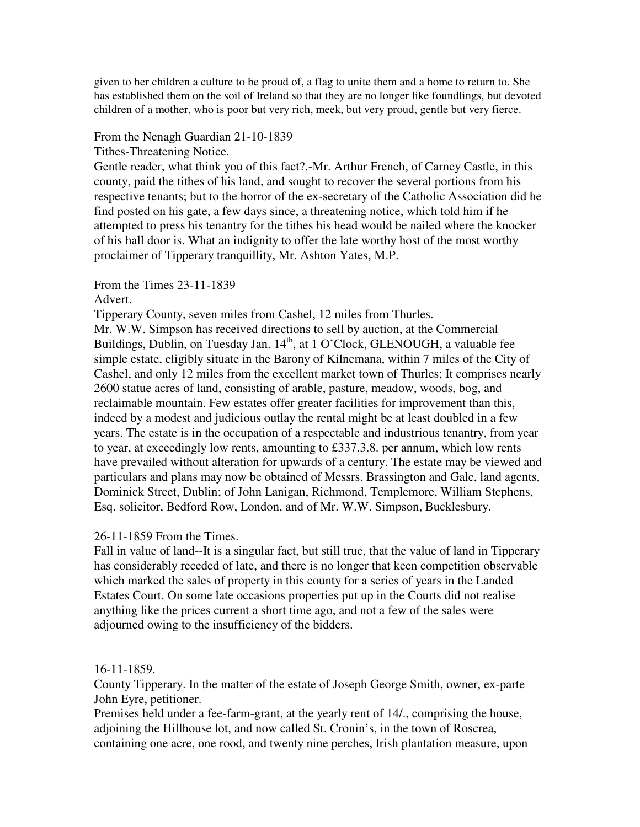given to her children a culture to be proud of, a flag to unite them and a home to return to. She has established them on the soil of Ireland so that they are no longer like foundlings, but devoted children of a mother, who is poor but very rich, meek, but very proud, gentle but very fierce.

### From the Nenagh Guardian 21-10-1839

Tithes-Threatening Notice.

Gentle reader, what think you of this fact?.-Mr. Arthur French, of Carney Castle, in this county, paid the tithes of his land, and sought to recover the several portions from his respective tenants; but to the horror of the ex-secretary of the Catholic Association did he find posted on his gate, a few days since, a threatening notice, which told him if he attempted to press his tenantry for the tithes his head would be nailed where the knocker of his hall door is. What an indignity to offer the late worthy host of the most worthy proclaimer of Tipperary tranquillity, Mr. Ashton Yates, M.P.

# From the Times 23-11-1839

### Advert.

Tipperary County, seven miles from Cashel, 12 miles from Thurles.

Mr. W.W. Simpson has received directions to sell by auction, at the Commercial Buildings, Dublin, on Tuesday Jan. 14<sup>th</sup>, at 1 O'Clock, GLENOUGH, a valuable fee simple estate, eligibly situate in the Barony of Kilnemana, within 7 miles of the City of Cashel, and only 12 miles from the excellent market town of Thurles; It comprises nearly 2600 statue acres of land, consisting of arable, pasture, meadow, woods, bog, and reclaimable mountain. Few estates offer greater facilities for improvement than this, indeed by a modest and judicious outlay the rental might be at least doubled in a few years. The estate is in the occupation of a respectable and industrious tenantry, from year to year, at exceedingly low rents, amounting to £337.3.8. per annum, which low rents have prevailed without alteration for upwards of a century. The estate may be viewed and particulars and plans may now be obtained of Messrs. Brassington and Gale, land agents, Dominick Street, Dublin; of John Lanigan, Richmond, Templemore, William Stephens, Esq. solicitor, Bedford Row, London, and of Mr. W.W. Simpson, Bucklesbury.

## 26-11-1859 From the Times.

Fall in value of land--It is a singular fact, but still true, that the value of land in Tipperary has considerably receded of late, and there is no longer that keen competition observable which marked the sales of property in this county for a series of years in the Landed Estates Court. On some late occasions properties put up in the Courts did not realise anything like the prices current a short time ago, and not a few of the sales were adjourned owing to the insufficiency of the bidders.

#### 16-11-1859.

County Tipperary. In the matter of the estate of Joseph George Smith, owner, ex-parte John Eyre, petitioner.

Premises held under a fee-farm-grant, at the yearly rent of 14/., comprising the house, adjoining the Hillhouse lot, and now called St. Cronin's, in the town of Roscrea, containing one acre, one rood, and twenty nine perches, Irish plantation measure, upon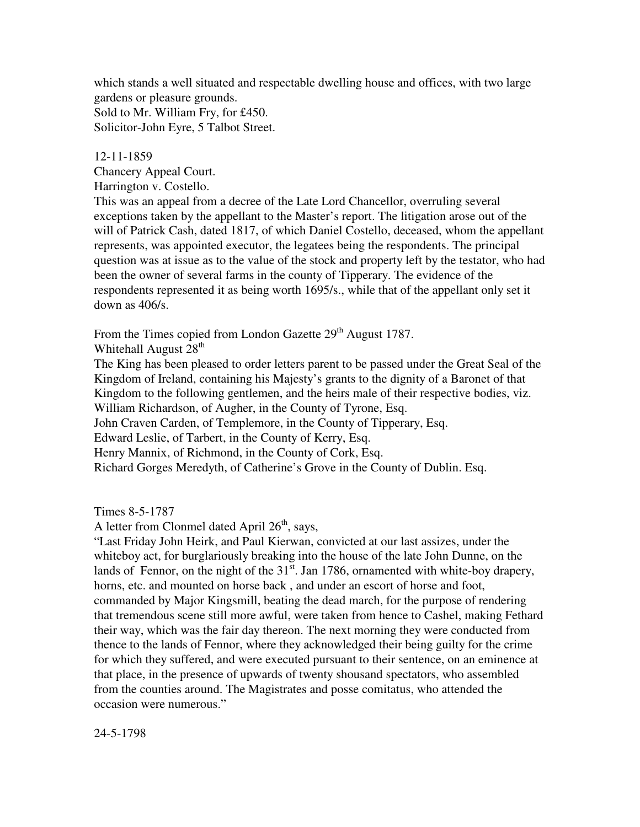which stands a well situated and respectable dwelling house and offices, with two large gardens or pleasure grounds. Sold to Mr. William Fry, for £450. Solicitor-John Eyre, 5 Talbot Street.

### 12-11-1859

Chancery Appeal Court.

Harrington v. Costello.

This was an appeal from a decree of the Late Lord Chancellor, overruling several exceptions taken by the appellant to the Master's report. The litigation arose out of the will of Patrick Cash, dated 1817, of which Daniel Costello, deceased, whom the appellant represents, was appointed executor, the legatees being the respondents. The principal question was at issue as to the value of the stock and property left by the testator, who had been the owner of several farms in the county of Tipperary. The evidence of the respondents represented it as being worth 1695/s., while that of the appellant only set it down as 406/s.

From the Times copied from London Gazette 29<sup>th</sup> August 1787.

Whitehall August 28<sup>th</sup>

The King has been pleased to order letters parent to be passed under the Great Seal of the Kingdom of Ireland, containing his Majesty's grants to the dignity of a Baronet of that Kingdom to the following gentlemen, and the heirs male of their respective bodies, viz. William Richardson, of Augher, in the County of Tyrone, Esq.

John Craven Carden, of Templemore, in the County of Tipperary, Esq.

Edward Leslie, of Tarbert, in the County of Kerry, Esq.

Henry Mannix, of Richmond, in the County of Cork, Esq.

Richard Gorges Meredyth, of Catherine's Grove in the County of Dublin. Esq.

Times 8-5-1787

A letter from Clonmel dated April  $26<sup>th</sup>$ , says,

"Last Friday John Heirk, and Paul Kierwan, convicted at our last assizes, under the whiteboy act, for burglariously breaking into the house of the late John Dunne, on the lands of Fennor, on the night of the  $31<sup>st</sup>$ . Jan 1786, ornamented with white-boy drapery, horns, etc. and mounted on horse back , and under an escort of horse and foot, commanded by Major Kingsmill, beating the dead march, for the purpose of rendering that tremendous scene still more awful, were taken from hence to Cashel, making Fethard their way, which was the fair day thereon. The next morning they were conducted from thence to the lands of Fennor, where they acknowledged their being guilty for the crime for which they suffered, and were executed pursuant to their sentence, on an eminence at that place, in the presence of upwards of twenty shousand spectators, who assembled from the counties around. The Magistrates and posse comitatus, who attended the occasion were numerous."

24-5-1798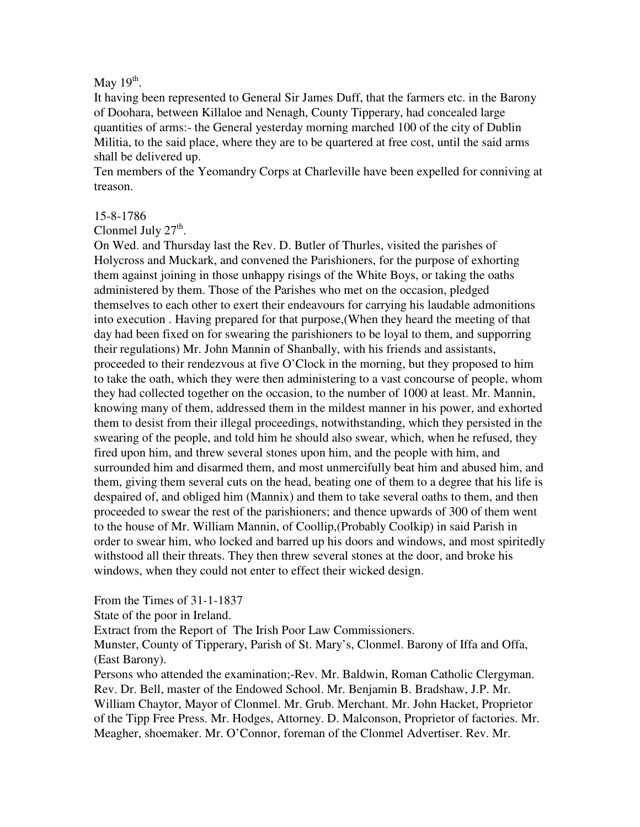# May  $19<sup>th</sup>$ .

It having been represented to General Sir James Duff, that the farmers etc. in the Barony of Doohara, between Killaloe and Nenagh, County Tipperary, had concealed large quantities of arms:- the General yesterday morning marched 100 of the city of Dublin Militia, to the said place, where they are to be quartered at free cost, until the said arms shall be delivered up.

Ten members of the Yeomandry Corps at Charleville have been expelled for conniving at treason.

## 15-8-1786

Clonmel July  $27<sup>th</sup>$ .

On Wed. and Thursday last the Rev. D. Butler of Thurles, visited the parishes of Holycross and Muckark, and convened the Parishioners, for the purpose of exhorting them against joining in those unhappy risings of the White Boys, or taking the oaths administered by them. Those of the Parishes who met on the occasion, pledged themselves to each other to exert their endeavours for carrying his laudable admonitions into execution . Having prepared for that purpose,(When they heard the meeting of that day had been fixed on for swearing the parishioners to be loyal to them, and supporring their regulations) Mr. John Mannin of Shanbally, with his friends and assistants, proceeded to their rendezvous at five O'Clock in the morning, but they proposed to him to take the oath, which they were then administering to a vast concourse of people, whom they had collected together on the occasion, to the number of 1000 at least. Mr. Mannin, knowing many of them, addressed them in the mildest manner in his power, and exhorted them to desist from their illegal proceedings, notwithstanding, which they persisted in the swearing of the people, and told him he should also swear, which, when he refused, they fired upon him, and threw several stones upon him, and the people with him, and surrounded him and disarmed them, and most unmercifully beat him and abused him, and them, giving them several cuts on the head, beating one of them to a degree that his life is despaired of, and obliged him (Mannix) and them to take several oaths to them, and then proceeded to swear the rest of the parishioners; and thence upwards of 300 of them went to the house of Mr. William Mannin, of Coollip,(Probably Coolkip) in said Parish in order to swear him, who locked and barred up his doors and windows, and most spiritedly withstood all their threats. They then threw several stones at the door, and broke his windows, when they could not enter to effect their wicked design.

From the Times of 31-1-1837

State of the poor in Ireland.

Extract from the Report of The Irish Poor Law Commissioners.

Munster, County of Tipperary, Parish of St. Mary's, Clonmel. Barony of Iffa and Offa, (East Barony).

Persons who attended the examination;-Rev. Mr. Baldwin, Roman Catholic Clergyman. Rev. Dr. Bell, master of the Endowed School. Mr. Benjamin B. Bradshaw, J.P. Mr. William Chaytor, Mayor of Clonmel. Mr. Grub. Merchant. Mr. John Hacket, Proprietor of the Tipp Free Press. Mr. Hodges, Attorney. D. Malconson, Proprietor of factories. Mr. Meagher, shoemaker. Mr. O'Connor, foreman of the Clonmel Advertiser. Rev. Mr.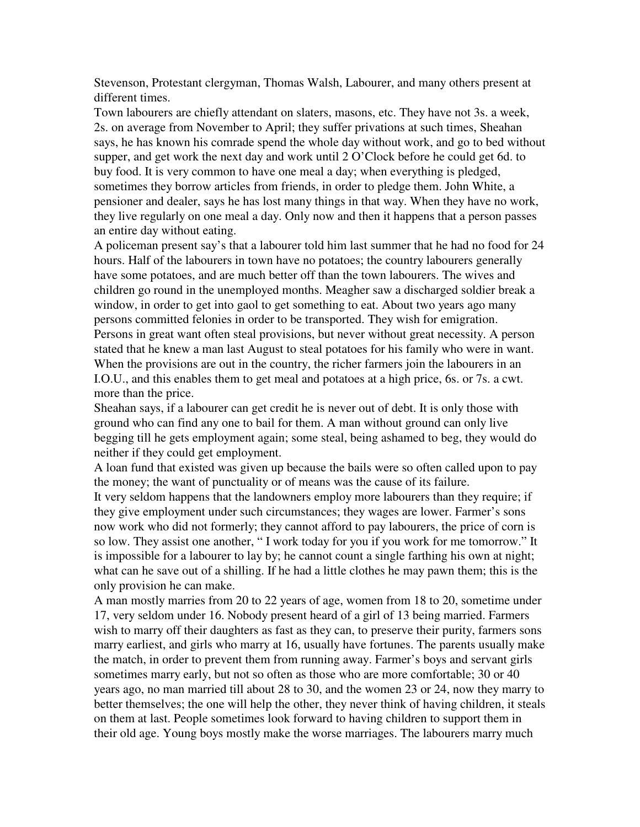Stevenson, Protestant clergyman, Thomas Walsh, Labourer, and many others present at different times.

Town labourers are chiefly attendant on slaters, masons, etc. They have not 3s. a week, 2s. on average from November to April; they suffer privations at such times, Sheahan says, he has known his comrade spend the whole day without work, and go to bed without supper, and get work the next day and work until 2 O'Clock before he could get 6d. to buy food. It is very common to have one meal a day; when everything is pledged, sometimes they borrow articles from friends, in order to pledge them. John White, a pensioner and dealer, says he has lost many things in that way. When they have no work, they live regularly on one meal a day. Only now and then it happens that a person passes an entire day without eating.

A policeman present say's that a labourer told him last summer that he had no food for 24 hours. Half of the labourers in town have no potatoes; the country labourers generally have some potatoes, and are much better off than the town labourers. The wives and children go round in the unemployed months. Meagher saw a discharged soldier break a window, in order to get into gaol to get something to eat. About two years ago many persons committed felonies in order to be transported. They wish for emigration. Persons in great want often steal provisions, but never without great necessity. A person stated that he knew a man last August to steal potatoes for his family who were in want. When the provisions are out in the country, the richer farmers join the labourers in an I.O.U., and this enables them to get meal and potatoes at a high price, 6s. or 7s. a cwt. more than the price.

Sheahan says, if a labourer can get credit he is never out of debt. It is only those with ground who can find any one to bail for them. A man without ground can only live begging till he gets employment again; some steal, being ashamed to beg, they would do neither if they could get employment.

A loan fund that existed was given up because the bails were so often called upon to pay the money; the want of punctuality or of means was the cause of its failure.

It very seldom happens that the landowners employ more labourers than they require; if they give employment under such circumstances; they wages are lower. Farmer's sons now work who did not formerly; they cannot afford to pay labourers, the price of corn is so low. They assist one another, " I work today for you if you work for me tomorrow." It is impossible for a labourer to lay by; he cannot count a single farthing his own at night; what can he save out of a shilling. If he had a little clothes he may pawn them; this is the only provision he can make.

A man mostly marries from 20 to 22 years of age, women from 18 to 20, sometime under 17, very seldom under 16. Nobody present heard of a girl of 13 being married. Farmers wish to marry off their daughters as fast as they can, to preserve their purity, farmers sons marry earliest, and girls who marry at 16, usually have fortunes. The parents usually make the match, in order to prevent them from running away. Farmer's boys and servant girls sometimes marry early, but not so often as those who are more comfortable; 30 or 40 years ago, no man married till about 28 to 30, and the women 23 or 24, now they marry to better themselves; the one will help the other, they never think of having children, it steals on them at last. People sometimes look forward to having children to support them in their old age. Young boys mostly make the worse marriages. The labourers marry much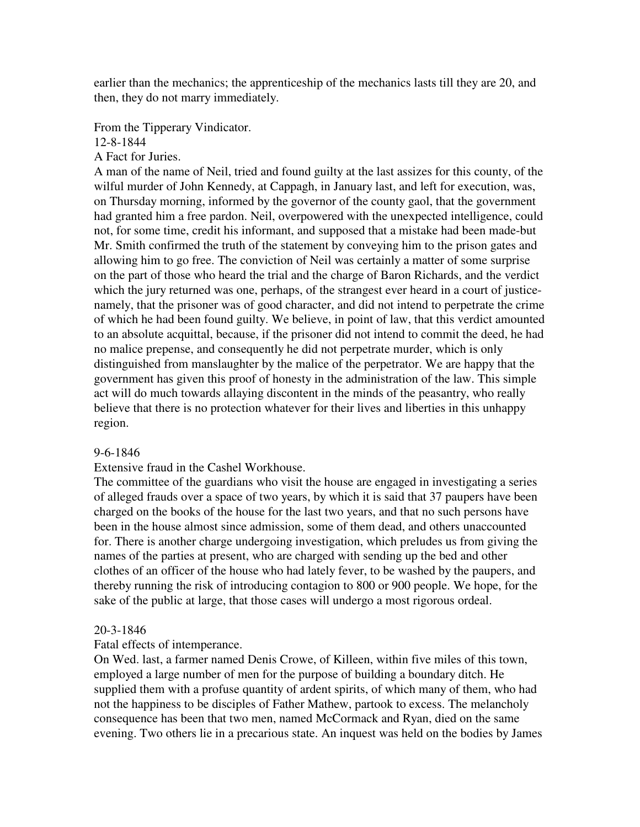earlier than the mechanics; the apprenticeship of the mechanics lasts till they are 20, and then, they do not marry immediately.

From the Tipperary Vindicator.

12-8-1844

A Fact for Juries.

A man of the name of Neil, tried and found guilty at the last assizes for this county, of the wilful murder of John Kennedy, at Cappagh, in January last, and left for execution, was, on Thursday morning, informed by the governor of the county gaol, that the government had granted him a free pardon. Neil, overpowered with the unexpected intelligence, could not, for some time, credit his informant, and supposed that a mistake had been made-but Mr. Smith confirmed the truth of the statement by conveying him to the prison gates and allowing him to go free. The conviction of Neil was certainly a matter of some surprise on the part of those who heard the trial and the charge of Baron Richards, and the verdict which the jury returned was one, perhaps, of the strangest ever heard in a court of justicenamely, that the prisoner was of good character, and did not intend to perpetrate the crime of which he had been found guilty. We believe, in point of law, that this verdict amounted to an absolute acquittal, because, if the prisoner did not intend to commit the deed, he had no malice prepense, and consequently he did not perpetrate murder, which is only distinguished from manslaughter by the malice of the perpetrator. We are happy that the government has given this proof of honesty in the administration of the law. This simple act will do much towards allaying discontent in the minds of the peasantry, who really believe that there is no protection whatever for their lives and liberties in this unhappy region.

## 9-6-1846

## Extensive fraud in the Cashel Workhouse.

The committee of the guardians who visit the house are engaged in investigating a series of alleged frauds over a space of two years, by which it is said that 37 paupers have been charged on the books of the house for the last two years, and that no such persons have been in the house almost since admission, some of them dead, and others unaccounted for. There is another charge undergoing investigation, which preludes us from giving the names of the parties at present, who are charged with sending up the bed and other clothes of an officer of the house who had lately fever, to be washed by the paupers, and thereby running the risk of introducing contagion to 800 or 900 people. We hope, for the sake of the public at large, that those cases will undergo a most rigorous ordeal.

#### 20-3-1846

## Fatal effects of intemperance.

On Wed. last, a farmer named Denis Crowe, of Killeen, within five miles of this town, employed a large number of men for the purpose of building a boundary ditch. He supplied them with a profuse quantity of ardent spirits, of which many of them, who had not the happiness to be disciples of Father Mathew, partook to excess. The melancholy consequence has been that two men, named McCormack and Ryan, died on the same evening. Two others lie in a precarious state. An inquest was held on the bodies by James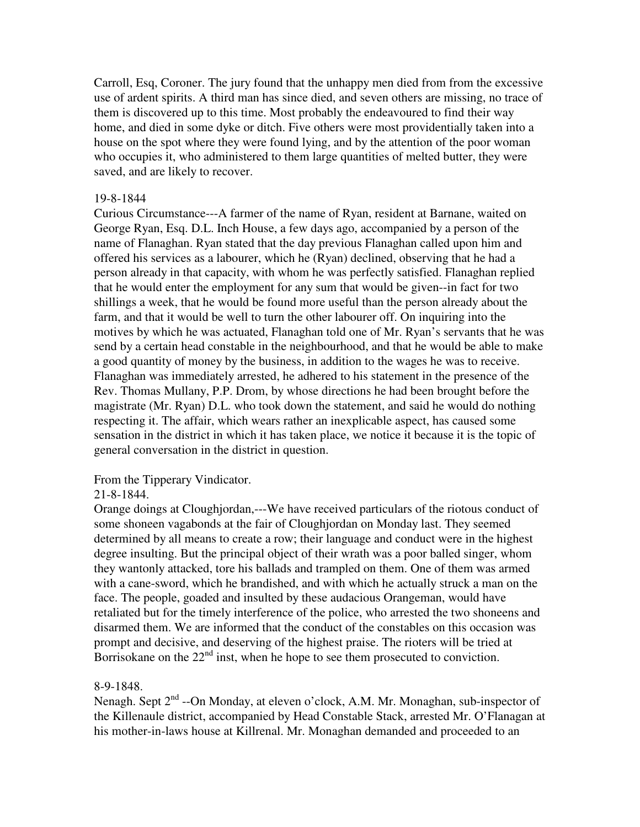Carroll, Esq, Coroner. The jury found that the unhappy men died from from the excessive use of ardent spirits. A third man has since died, and seven others are missing, no trace of them is discovered up to this time. Most probably the endeavoured to find their way home, and died in some dyke or ditch. Five others were most providentially taken into a house on the spot where they were found lying, and by the attention of the poor woman who occupies it, who administered to them large quantities of melted butter, they were saved, and are likely to recover.

### 19-8-1844

Curious Circumstance---A farmer of the name of Ryan, resident at Barnane, waited on George Ryan, Esq. D.L. Inch House, a few days ago, accompanied by a person of the name of Flanaghan. Ryan stated that the day previous Flanaghan called upon him and offered his services as a labourer, which he (Ryan) declined, observing that he had a person already in that capacity, with whom he was perfectly satisfied. Flanaghan replied that he would enter the employment for any sum that would be given--in fact for two shillings a week, that he would be found more useful than the person already about the farm, and that it would be well to turn the other labourer off. On inquiring into the motives by which he was actuated, Flanaghan told one of Mr. Ryan's servants that he was send by a certain head constable in the neighbourhood, and that he would be able to make a good quantity of money by the business, in addition to the wages he was to receive. Flanaghan was immediately arrested, he adhered to his statement in the presence of the Rev. Thomas Mullany, P.P. Drom, by whose directions he had been brought before the magistrate (Mr. Ryan) D.L. who took down the statement, and said he would do nothing respecting it. The affair, which wears rather an inexplicable aspect, has caused some sensation in the district in which it has taken place, we notice it because it is the topic of general conversation in the district in question.

# From the Tipperary Vindicator.

# 21-8-1844.

Orange doings at Cloughjordan,---We have received particulars of the riotous conduct of some shoneen vagabonds at the fair of Cloughjordan on Monday last. They seemed determined by all means to create a row; their language and conduct were in the highest degree insulting. But the principal object of their wrath was a poor balled singer, whom they wantonly attacked, tore his ballads and trampled on them. One of them was armed with a cane-sword, which he brandished, and with which he actually struck a man on the face. The people, goaded and insulted by these audacious Orangeman, would have retaliated but for the timely interference of the police, who arrested the two shoneens and disarmed them. We are informed that the conduct of the constables on this occasion was prompt and decisive, and deserving of the highest praise. The rioters will be tried at Borrisokane on the  $22<sup>nd</sup>$  inst, when he hope to see them prosecuted to conviction.

# 8-9-1848.

Nenagh. Sept  $2<sup>nd</sup>$  --On Monday, at eleven o'clock, A.M. Mr. Monaghan, sub-inspector of the Killenaule district, accompanied by Head Constable Stack, arrested Mr. O'Flanagan at his mother-in-laws house at Killrenal. Mr. Monaghan demanded and proceeded to an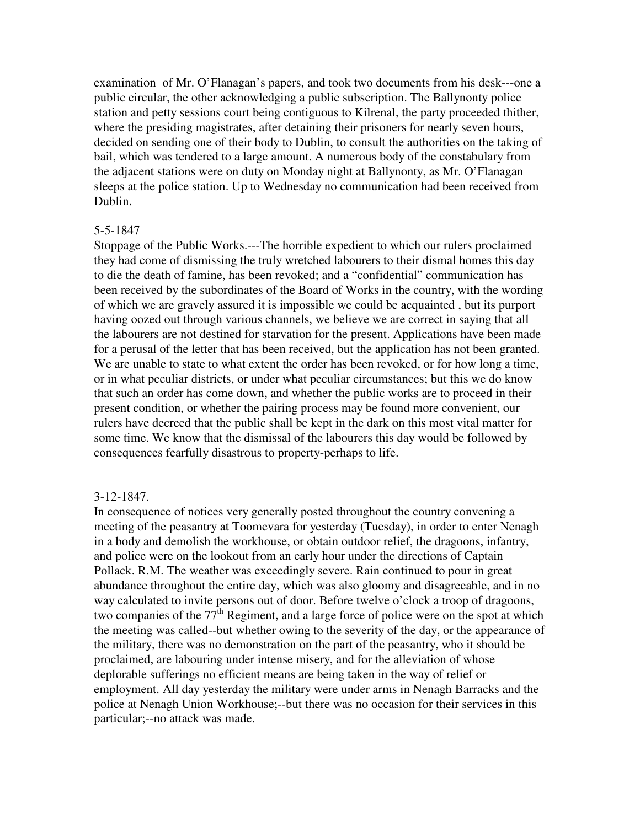examination of Mr. O'Flanagan's papers, and took two documents from his desk---one a public circular, the other acknowledging a public subscription. The Ballynonty police station and petty sessions court being contiguous to Kilrenal, the party proceeded thither, where the presiding magistrates, after detaining their prisoners for nearly seven hours, decided on sending one of their body to Dublin, to consult the authorities on the taking of bail, which was tendered to a large amount. A numerous body of the constabulary from the adjacent stations were on duty on Monday night at Ballynonty, as Mr. O'Flanagan sleeps at the police station. Up to Wednesday no communication had been received from Dublin.

#### 5-5-1847

Stoppage of the Public Works.---The horrible expedient to which our rulers proclaimed they had come of dismissing the truly wretched labourers to their dismal homes this day to die the death of famine, has been revoked; and a "confidential" communication has been received by the subordinates of the Board of Works in the country, with the wording of which we are gravely assured it is impossible we could be acquainted , but its purport having oozed out through various channels, we believe we are correct in saying that all the labourers are not destined for starvation for the present. Applications have been made for a perusal of the letter that has been received, but the application has not been granted. We are unable to state to what extent the order has been revoked, or for how long a time, or in what peculiar districts, or under what peculiar circumstances; but this we do know that such an order has come down, and whether the public works are to proceed in their present condition, or whether the pairing process may be found more convenient, our rulers have decreed that the public shall be kept in the dark on this most vital matter for some time. We know that the dismissal of the labourers this day would be followed by consequences fearfully disastrous to property-perhaps to life.

#### 3-12-1847.

In consequence of notices very generally posted throughout the country convening a meeting of the peasantry at Toomevara for yesterday (Tuesday), in order to enter Nenagh in a body and demolish the workhouse, or obtain outdoor relief, the dragoons, infantry, and police were on the lookout from an early hour under the directions of Captain Pollack. R.M. The weather was exceedingly severe. Rain continued to pour in great abundance throughout the entire day, which was also gloomy and disagreeable, and in no way calculated to invite persons out of door. Before twelve o'clock a troop of dragoons, two companies of the  $77<sup>th</sup>$  Regiment, and a large force of police were on the spot at which the meeting was called--but whether owing to the severity of the day, or the appearance of the military, there was no demonstration on the part of the peasantry, who it should be proclaimed, are labouring under intense misery, and for the alleviation of whose deplorable sufferings no efficient means are being taken in the way of relief or employment. All day yesterday the military were under arms in Nenagh Barracks and the police at Nenagh Union Workhouse;--but there was no occasion for their services in this particular;--no attack was made.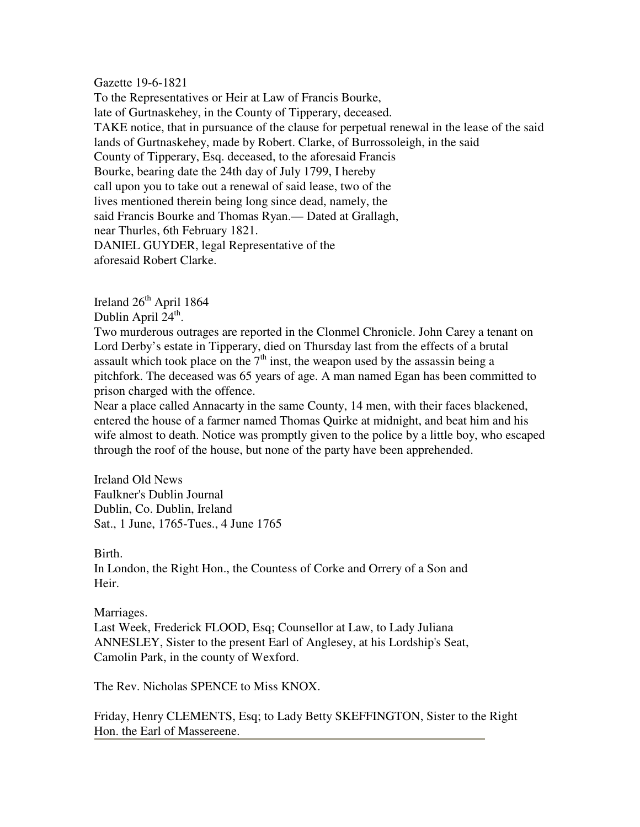Gazette 19-6-1821

To the Representatives or Heir at Law of Francis Bourke, late of Gurtnaskehey, in the County of Tipperary, deceased. TAKE notice, that in pursuance of the clause for perpetual renewal in the lease of the said lands of Gurtnaskehey, made by Robert. Clarke, of Burrossoleigh, in the said County of Tipperary, Esq. deceased, to the aforesaid Francis Bourke, bearing date the 24th day of July 1799, I hereby call upon you to take out a renewal of said lease, two of the lives mentioned therein being long since dead, namely, the said Francis Bourke and Thomas Ryan.— Dated at Grallagh, near Thurles, 6th February 1821. DANIEL GUYDER, legal Representative of the aforesaid Robert Clarke.

Ireland  $26<sup>th</sup>$  April 1864 Dublin April 24<sup>th</sup>.

Two murderous outrages are reported in the Clonmel Chronicle. John Carey a tenant on Lord Derby's estate in Tipperary, died on Thursday last from the effects of a brutal assault which took place on the  $7<sup>th</sup>$  inst, the weapon used by the assassin being a pitchfork. The deceased was 65 years of age. A man named Egan has been committed to prison charged with the offence.

Near a place called Annacarty in the same County, 14 men, with their faces blackened, entered the house of a farmer named Thomas Quirke at midnight, and beat him and his wife almost to death. Notice was promptly given to the police by a little boy, who escaped through the roof of the house, but none of the party have been apprehended.

Ireland Old News Faulkner's Dublin Journal Dublin, Co. Dublin, Ireland Sat., 1 June, 1765-Tues., 4 June 1765

Birth.

In London, the Right Hon., the Countess of Corke and Orrery of a Son and Heir.

Marriages.

Last Week, Frederick FLOOD, Esq; Counsellor at Law, to Lady Juliana ANNESLEY, Sister to the present Earl of Anglesey, at his Lordship's Seat, Camolin Park, in the county of Wexford.

The Rev. Nicholas SPENCE to Miss KNOX.

Friday, Henry CLEMENTS, Esq; to Lady Betty SKEFFINGTON, Sister to the Right Hon. the Earl of Massereene.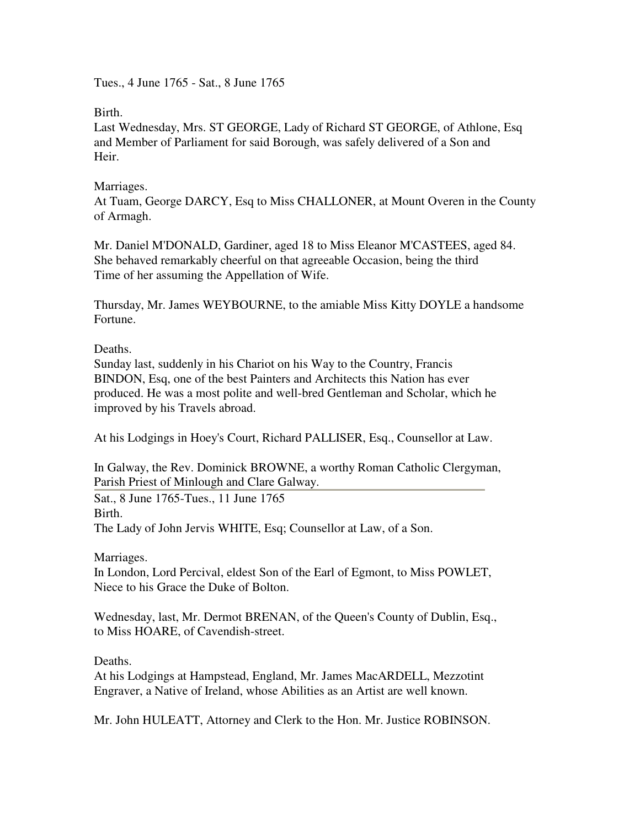Tues., 4 June 1765 - Sat., 8 June 1765

Birth.

Last Wednesday, Mrs. ST GEORGE, Lady of Richard ST GEORGE, of Athlone, Esq and Member of Parliament for said Borough, was safely delivered of a Son and Heir.

# Marriages.

At Tuam, George DARCY, Esq to Miss CHALLONER, at Mount Overen in the County of Armagh.

Mr. Daniel M'DONALD, Gardiner, aged 18 to Miss Eleanor M'CASTEES, aged 84. She behaved remarkably cheerful on that agreeable Occasion, being the third Time of her assuming the Appellation of Wife.

Thursday, Mr. James WEYBOURNE, to the amiable Miss Kitty DOYLE a handsome Fortune.

Deaths.

Sunday last, suddenly in his Chariot on his Way to the Country, Francis BINDON, Esq, one of the best Painters and Architects this Nation has ever produced. He was a most polite and well-bred Gentleman and Scholar, which he improved by his Travels abroad.

At his Lodgings in Hoey's Court, Richard PALLISER, Esq., Counsellor at Law.

In Galway, the Rev. Dominick BROWNE, a worthy Roman Catholic Clergyman, Parish Priest of Minlough and Clare Galway.

Sat., 8 June 1765-Tues., 11 June 1765 Birth. The Lady of John Jervis WHITE, Esq; Counsellor at Law, of a Son.

Marriages.

In London, Lord Percival, eldest Son of the Earl of Egmont, to Miss POWLET, Niece to his Grace the Duke of Bolton.

Wednesday, last, Mr. Dermot BRENAN, of the Queen's County of Dublin, Esq., to Miss HOARE, of Cavendish-street.

Deaths.

At his Lodgings at Hampstead, England, Mr. James MacARDELL, Mezzotint Engraver, a Native of Ireland, whose Abilities as an Artist are well known.

Mr. John HULEATT, Attorney and Clerk to the Hon. Mr. Justice ROBINSON.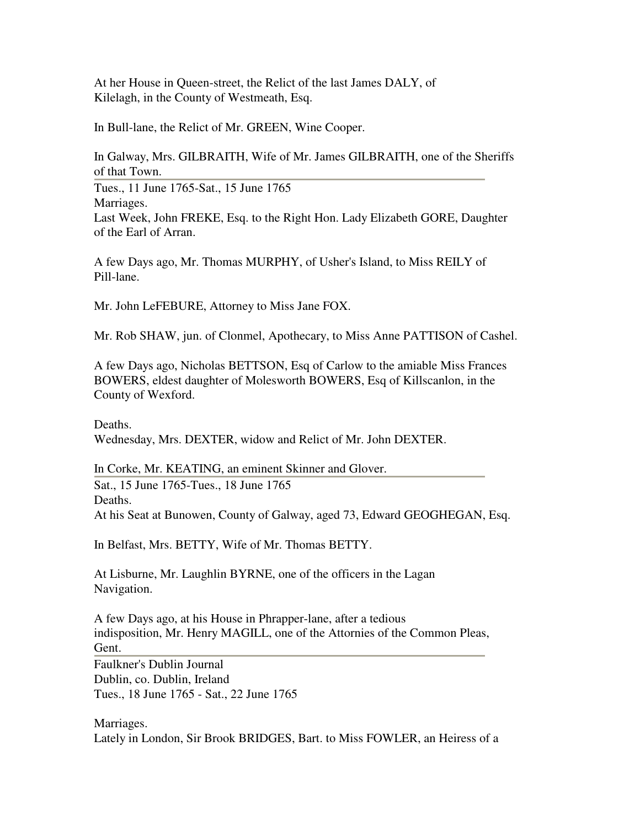At her House in Queen-street, the Relict of the last James DALY, of Kilelagh, in the County of Westmeath, Esq.

In Bull-lane, the Relict of Mr. GREEN, Wine Cooper.

In Galway, Mrs. GILBRAITH, Wife of Mr. James GILBRAITH, one of the Sheriffs of that Town. Tues., 11 June 1765-Sat., 15 June 1765 Marriages. Last Week, John FREKE, Esq. to the Right Hon. Lady Elizabeth GORE, Daughter of the Earl of Arran.

A few Days ago, Mr. Thomas MURPHY, of Usher's Island, to Miss REILY of Pill-lane.

Mr. John LeFEBURE, Attorney to Miss Jane FOX.

Mr. Rob SHAW, jun. of Clonmel, Apothecary, to Miss Anne PATTISON of Cashel.

A few Days ago, Nicholas BETTSON, Esq of Carlow to the amiable Miss Frances BOWERS, eldest daughter of Molesworth BOWERS, Esq of Killscanlon, in the County of Wexford.

Deaths. Wednesday, Mrs. DEXTER, widow and Relict of Mr. John DEXTER.

In Corke, Mr. KEATING, an eminent Skinner and Glover. Sat., 15 June 1765-Tues., 18 June 1765 Deaths. At his Seat at Bunowen, County of Galway, aged 73, Edward GEOGHEGAN, Esq.

In Belfast, Mrs. BETTY, Wife of Mr. Thomas BETTY.

At Lisburne, Mr. Laughlin BYRNE, one of the officers in the Lagan Navigation.

A few Days ago, at his House in Phrapper-lane, after a tedious indisposition, Mr. Henry MAGILL, one of the Attornies of the Common Pleas, Gent. Faulkner's Dublin Journal Dublin, co. Dublin, Ireland

Tues., 18 June 1765 - Sat., 22 June 1765

Marriages. Lately in London, Sir Brook BRIDGES, Bart. to Miss FOWLER, an Heiress of a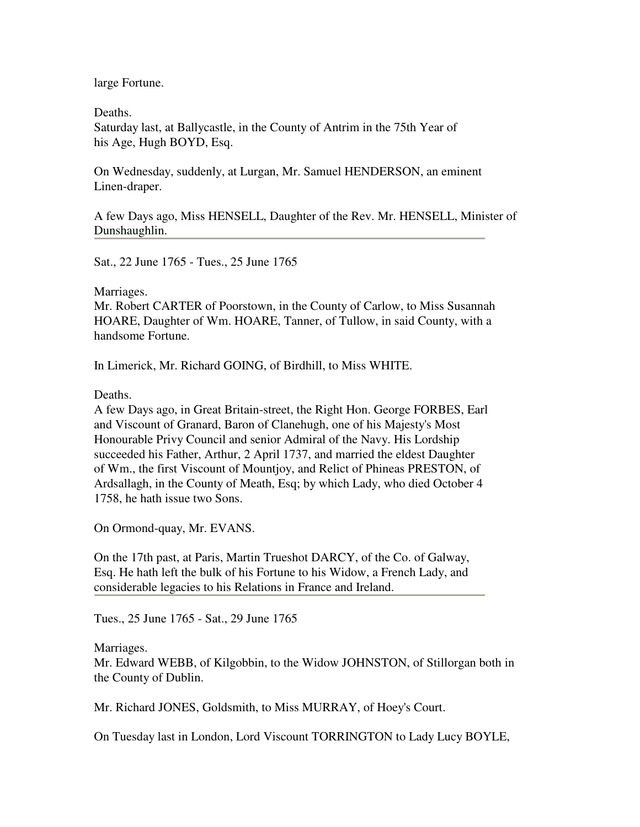large Fortune.

Deaths. Saturday last, at Ballycastle, in the County of Antrim in the 75th Year of his Age, Hugh BOYD, Esq.

On Wednesday, suddenly, at Lurgan, Mr. Samuel HENDERSON, an eminent Linen-draper.

A few Days ago, Miss HENSELL, Daughter of the Rev. Mr. HENSELL, Minister of Dunshaughlin.

Sat., 22 June 1765 - Tues., 25 June 1765

Marriages.

Mr. Robert CARTER of Poorstown, in the County of Carlow, to Miss Susannah HOARE, Daughter of Wm. HOARE, Tanner, of Tullow, in said County, with a handsome Fortune.

In Limerick, Mr. Richard GOING, of Birdhill, to Miss WHITE.

Deaths.

A few Days ago, in Great Britain-street, the Right Hon. George FORBES, Earl and Viscount of Granard, Baron of Clanehugh, one of his Majesty's Most Honourable Privy Council and senior Admiral of the Navy. His Lordship succeeded his Father, Arthur, 2 April 1737, and married the eldest Daughter of Wm., the first Viscount of Mountjoy, and Relict of Phineas PRESTON, of Ardsallagh, in the County of Meath, Esq; by which Lady, who died October 4 1758, he hath issue two Sons.

On Ormond-quay, Mr. EVANS.

On the 17th past, at Paris, Martin Trueshot DARCY, of the Co. of Galway, Esq. He hath left the bulk of his Fortune to his Widow, a French Lady, and considerable legacies to his Relations in France and Ireland.

Tues., 25 June 1765 - Sat., 29 June 1765

Marriages.

Mr. Edward WEBB, of Kilgobbin, to the Widow JOHNSTON, of Stillorgan both in the County of Dublin.

Mr. Richard JONES, Goldsmith, to Miss MURRAY, of Hoey's Court.

On Tuesday last in London, Lord Viscount TORRINGTON to Lady Lucy BOYLE,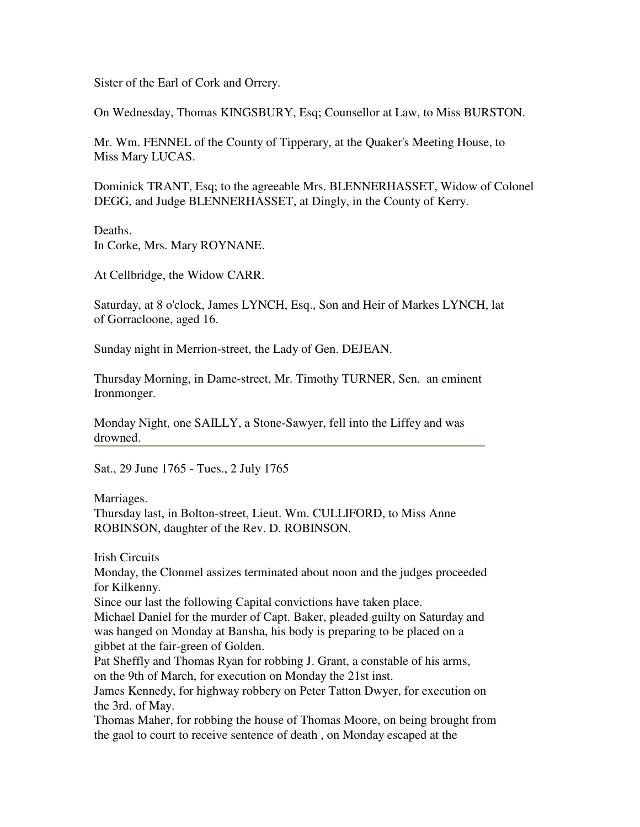Sister of the Earl of Cork and Orrery.

On Wednesday, Thomas KINGSBURY, Esq; Counsellor at Law, to Miss BURSTON.

Mr. Wm. FENNEL of the County of Tipperary, at the Quaker's Meeting House, to Miss Mary LUCAS.

Dominick TRANT, Esq; to the agreeable Mrs. BLENNERHASSET, Widow of Colonel DEGG, and Judge BLENNERHASSET, at Dingly, in the County of Kerry.

Deaths. In Corke, Mrs. Mary ROYNANE.

At Cellbridge, the Widow CARR.

Saturday, at 8 o'clock, James LYNCH, Esq., Son and Heir of Markes LYNCH, lat of Gorracloone, aged 16.

Sunday night in Merrion-street, the Lady of Gen. DEJEAN.

Thursday Morning, in Dame-street, Mr. Timothy TURNER, Sen. an eminent Ironmonger.

Monday Night, one SAILLY, a Stone-Sawyer, fell into the Liffey and was drowned.

Sat., 29 June 1765 - Tues., 2 July 1765

Marriages.

Thursday last, in Bolton-street, Lieut. Wm. CULLIFORD, to Miss Anne ROBINSON, daughter of the Rev. D. ROBINSON.

Irish Circuits

Monday, the Clonmel assizes terminated about noon and the judges proceeded for Kilkenny.

Since our last the following Capital convictions have taken place.

Michael Daniel for the murder of Capt. Baker, pleaded guilty on Saturday and was hanged on Monday at Bansha, his body is preparing to be placed on a gibbet at the fair-green of Golden.

Pat Sheffly and Thomas Ryan for robbing J. Grant, a constable of his arms, on the 9th of March, for execution on Monday the 21st inst.

James Kennedy, for highway robbery on Peter Tatton Dwyer, for execution on the 3rd. of May.

Thomas Maher, for robbing the house of Thomas Moore, on being brought from the gaol to court to receive sentence of death , on Monday escaped at the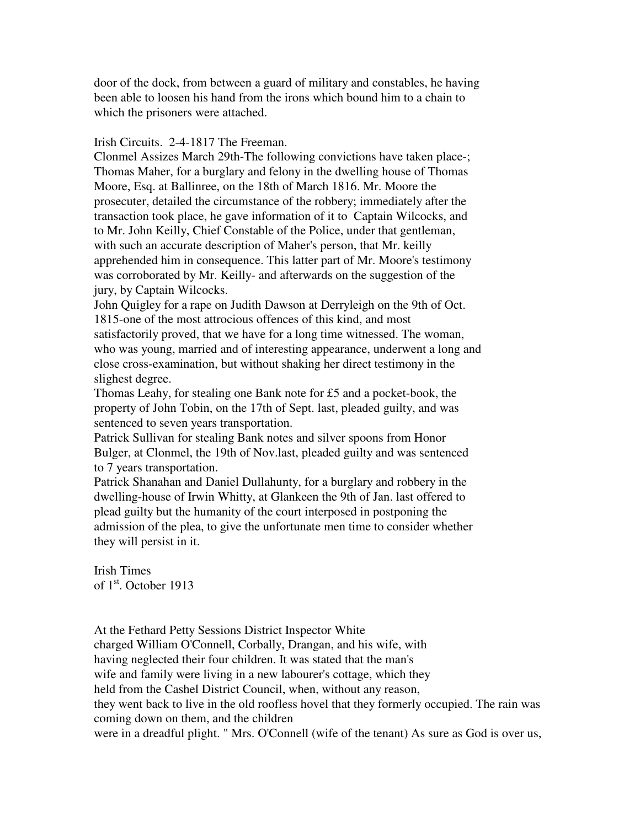door of the dock, from between a guard of military and constables, he having been able to loosen his hand from the irons which bound him to a chain to which the prisoners were attached.

### Irish Circuits. 2-4-1817 The Freeman.

Clonmel Assizes March 29th-The following convictions have taken place-; Thomas Maher, for a burglary and felony in the dwelling house of Thomas Moore, Esq. at Ballinree, on the 18th of March 1816. Mr. Moore the prosecuter, detailed the circumstance of the robbery; immediately after the transaction took place, he gave information of it to Captain Wilcocks, and to Mr. John Keilly, Chief Constable of the Police, under that gentleman, with such an accurate description of Maher's person, that Mr. keilly apprehended him in consequence. This latter part of Mr. Moore's testimony was corroborated by Mr. Keilly- and afterwards on the suggestion of the jury, by Captain Wilcocks.

John Quigley for a rape on Judith Dawson at Derryleigh on the 9th of Oct. 1815-one of the most attrocious offences of this kind, and most satisfactorily proved, that we have for a long time witnessed. The woman, who was young, married and of interesting appearance, underwent a long and close cross-examination, but without shaking her direct testimony in the slighest degree.

Thomas Leahy, for stealing one Bank note for £5 and a pocket-book, the property of John Tobin, on the 17th of Sept. last, pleaded guilty, and was sentenced to seven years transportation.

Patrick Sullivan for stealing Bank notes and silver spoons from Honor Bulger, at Clonmel, the 19th of Nov.last, pleaded guilty and was sentenced to 7 years transportation.

Patrick Shanahan and Daniel Dullahunty, for a burglary and robbery in the dwelling-house of Irwin Whitty, at Glankeen the 9th of Jan. last offered to plead guilty but the humanity of the court interposed in postponing the admission of the plea, to give the unfortunate men time to consider whether they will persist in it.

Irish Times of 1<sup>st</sup>. October 1913

At the Fethard Petty Sessions District Inspector White charged William O'Connell, Corbally, Drangan, and his wife, with having neglected their four children. It was stated that the man's wife and family were living in a new labourer's cottage, which they held from the Cashel District Council, when, without any reason, they went back to live in the old roofless hovel that they formerly occupied. The rain was coming down on them, and the children were in a dreadful plight. " Mrs. O'Connell (wife of the tenant) As sure as God is over us,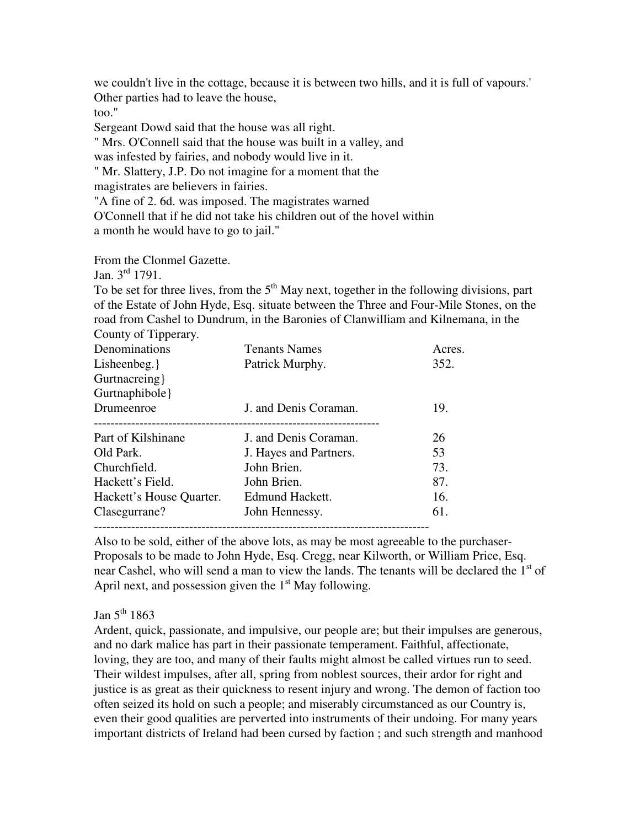we couldn't live in the cottage, because it is between two hills, and it is full of vapours.' Other parties had to leave the house,

too."

Sergeant Dowd said that the house was all right.

" Mrs. O'Connell said that the house was built in a valley, and

was infested by fairies, and nobody would live in it.

" Mr. Slattery, J.P. Do not imagine for a moment that the

magistrates are believers in fairies.

"A fine of 2. 6d. was imposed. The magistrates warned

O'Connell that if he did not take his children out of the hovel within a month he would have to go to jail."

From the Clonmel Gazette.

Jan.  $3^{rd}$  1791.

To be set for three lives, from the  $5<sup>th</sup>$  May next, together in the following divisions, part of the Estate of John Hyde, Esq. situate between the Three and Four-Mile Stones, on the road from Cashel to Dundrum, in the Baronies of Clanwilliam and Kilnemana, in the County of Tipperary.

| Denominations            | <b>Tenants Names</b>   | Acres. |
|--------------------------|------------------------|--------|
| Lisheenbeg.              | Patrick Murphy.        | 352.   |
| Gurtnacreing }           |                        |        |
| Gurtnaphibole }          |                        |        |
| Drumeenroe               | J. and Denis Coraman.  | 19.    |
| Part of Kilshinane       | J. and Denis Coraman.  | 26     |
| Old Park.                | J. Hayes and Partners. | 53     |
| Churchfield.             | John Brien.            | 73.    |
| Hackett's Field.         | John Brien.            | 87.    |
| Hackett's House Quarter. | Edmund Hackett.        | 16.    |
| Clasegurrane?            | John Hennessy.         | 61.    |
|                          |                        |        |

Also to be sold, either of the above lots, as may be most agreeable to the purchaser-Proposals to be made to John Hyde, Esq. Cregg, near Kilworth, or William Price, Esq. near Cashel, who will send a man to view the lands. The tenants will be declared the  $1<sup>st</sup>$  of April next, and possession given the  $1<sup>st</sup>$  May following.

Jan  $5^{th}$  1863

Ardent, quick, passionate, and impulsive, our people are; but their impulses are generous, and no dark malice has part in their passionate temperament. Faithful, affectionate, loving, they are too, and many of their faults might almost be called virtues run to seed. Their wildest impulses, after all, spring from noblest sources, their ardor for right and justice is as great as their quickness to resent injury and wrong. The demon of faction too often seized its hold on such a people; and miserably circumstanced as our Country is, even their good qualities are perverted into instruments of their undoing. For many years important districts of Ireland had been cursed by faction ; and such strength and manhood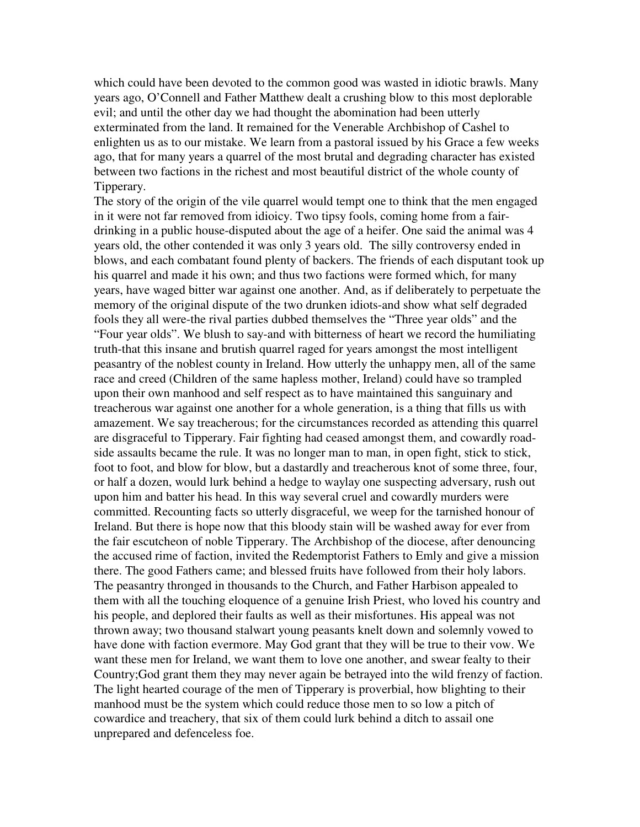which could have been devoted to the common good was wasted in idiotic brawls. Many years ago, O'Connell and Father Matthew dealt a crushing blow to this most deplorable evil; and until the other day we had thought the abomination had been utterly exterminated from the land. It remained for the Venerable Archbishop of Cashel to enlighten us as to our mistake. We learn from a pastoral issued by his Grace a few weeks ago, that for many years a quarrel of the most brutal and degrading character has existed between two factions in the richest and most beautiful district of the whole county of Tipperary.

The story of the origin of the vile quarrel would tempt one to think that the men engaged in it were not far removed from idioicy. Two tipsy fools, coming home from a fairdrinking in a public house-disputed about the age of a heifer. One said the animal was 4 years old, the other contended it was only 3 years old. The silly controversy ended in blows, and each combatant found plenty of backers. The friends of each disputant took up his quarrel and made it his own; and thus two factions were formed which, for many years, have waged bitter war against one another. And, as if deliberately to perpetuate the memory of the original dispute of the two drunken idiots-and show what self degraded fools they all were-the rival parties dubbed themselves the "Three year olds" and the "Four year olds". We blush to say-and with bitterness of heart we record the humiliating truth-that this insane and brutish quarrel raged for years amongst the most intelligent peasantry of the noblest county in Ireland. How utterly the unhappy men, all of the same race and creed (Children of the same hapless mother, Ireland) could have so trampled upon their own manhood and self respect as to have maintained this sanguinary and treacherous war against one another for a whole generation, is a thing that fills us with amazement. We say treacherous; for the circumstances recorded as attending this quarrel are disgraceful to Tipperary. Fair fighting had ceased amongst them, and cowardly roadside assaults became the rule. It was no longer man to man, in open fight, stick to stick, foot to foot, and blow for blow, but a dastardly and treacherous knot of some three, four, or half a dozen, would lurk behind a hedge to waylay one suspecting adversary, rush out upon him and batter his head. In this way several cruel and cowardly murders were committed. Recounting facts so utterly disgraceful, we weep for the tarnished honour of Ireland. But there is hope now that this bloody stain will be washed away for ever from the fair escutcheon of noble Tipperary. The Archbishop of the diocese, after denouncing the accused rime of faction, invited the Redemptorist Fathers to Emly and give a mission there. The good Fathers came; and blessed fruits have followed from their holy labors. The peasantry thronged in thousands to the Church, and Father Harbison appealed to them with all the touching eloquence of a genuine Irish Priest, who loved his country and his people, and deplored their faults as well as their misfortunes. His appeal was not thrown away; two thousand stalwart young peasants knelt down and solemnly vowed to have done with faction evermore. May God grant that they will be true to their vow. We want these men for Ireland, we want them to love one another, and swear fealty to their Country;God grant them they may never again be betrayed into the wild frenzy of faction. The light hearted courage of the men of Tipperary is proverbial, how blighting to their manhood must be the system which could reduce those men to so low a pitch of cowardice and treachery, that six of them could lurk behind a ditch to assail one unprepared and defenceless foe.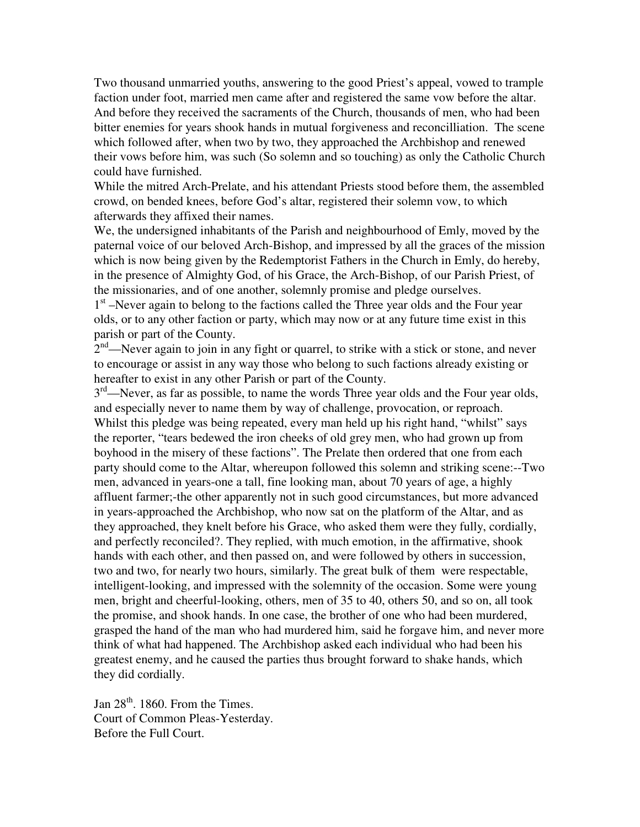Two thousand unmarried youths, answering to the good Priest's appeal, vowed to trample faction under foot, married men came after and registered the same vow before the altar. And before they received the sacraments of the Church, thousands of men, who had been bitter enemies for years shook hands in mutual forgiveness and reconcilliation. The scene which followed after, when two by two, they approached the Archbishop and renewed their vows before him, was such (So solemn and so touching) as only the Catholic Church could have furnished.

While the mitred Arch-Prelate, and his attendant Priests stood before them, the assembled crowd, on bended knees, before God's altar, registered their solemn vow, to which afterwards they affixed their names.

We, the undersigned inhabitants of the Parish and neighbourhood of Emly, moved by the paternal voice of our beloved Arch-Bishop, and impressed by all the graces of the mission which is now being given by the Redemptorist Fathers in the Church in Emly, do hereby, in the presence of Almighty God, of his Grace, the Arch-Bishop, of our Parish Priest, of the missionaries, and of one another, solemnly promise and pledge ourselves.

1<sup>st</sup> –Never again to belong to the factions called the Three year olds and the Four year olds, or to any other faction or party, which may now or at any future time exist in this parish or part of the County.

 $2<sup>nd</sup>$ —Never again to join in any fight or quarrel, to strike with a stick or stone, and never to encourage or assist in any way those who belong to such factions already existing or hereafter to exist in any other Parish or part of the County.

 $3<sup>rd</sup>$ —Never, as far as possible, to name the words Three year olds and the Four year olds, and especially never to name them by way of challenge, provocation, or reproach. Whilst this pledge was being repeated, every man held up his right hand, "whilst" says the reporter, "tears bedewed the iron cheeks of old grey men, who had grown up from boyhood in the misery of these factions". The Prelate then ordered that one from each party should come to the Altar, whereupon followed this solemn and striking scene:--Two men, advanced in years-one a tall, fine looking man, about 70 years of age, a highly affluent farmer;-the other apparently not in such good circumstances, but more advanced in years-approached the Archbishop, who now sat on the platform of the Altar, and as they approached, they knelt before his Grace, who asked them were they fully, cordially, and perfectly reconciled?. They replied, with much emotion, in the affirmative, shook hands with each other, and then passed on, and were followed by others in succession, two and two, for nearly two hours, similarly. The great bulk of them were respectable, intelligent-looking, and impressed with the solemnity of the occasion. Some were young men, bright and cheerful-looking, others, men of 35 to 40, others 50, and so on, all took the promise, and shook hands. In one case, the brother of one who had been murdered, grasped the hand of the man who had murdered him, said he forgave him, and never more think of what had happened. The Archbishop asked each individual who had been his greatest enemy, and he caused the parties thus brought forward to shake hands, which they did cordially.

Jan  $28<sup>th</sup>$ . 1860. From the Times. Court of Common Pleas-Yesterday. Before the Full Court.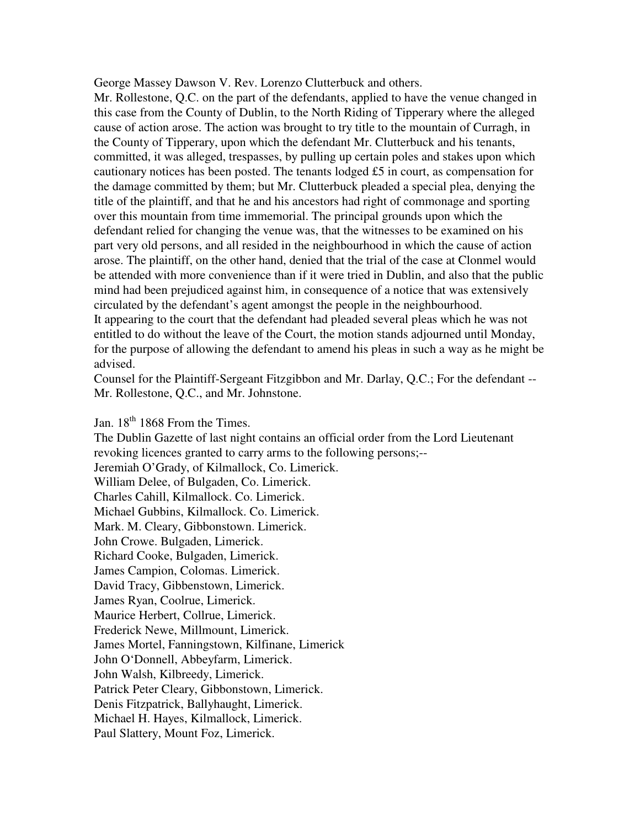George Massey Dawson V. Rev. Lorenzo Clutterbuck and others.

Mr. Rollestone, Q.C. on the part of the defendants, applied to have the venue changed in this case from the County of Dublin, to the North Riding of Tipperary where the alleged cause of action arose. The action was brought to try title to the mountain of Curragh, in the County of Tipperary, upon which the defendant Mr. Clutterbuck and his tenants, committed, it was alleged, trespasses, by pulling up certain poles and stakes upon which cautionary notices has been posted. The tenants lodged £5 in court, as compensation for the damage committed by them; but Mr. Clutterbuck pleaded a special plea, denying the title of the plaintiff, and that he and his ancestors had right of commonage and sporting over this mountain from time immemorial. The principal grounds upon which the defendant relied for changing the venue was, that the witnesses to be examined on his part very old persons, and all resided in the neighbourhood in which the cause of action arose. The plaintiff, on the other hand, denied that the trial of the case at Clonmel would be attended with more convenience than if it were tried in Dublin, and also that the public mind had been prejudiced against him, in consequence of a notice that was extensively circulated by the defendant's agent amongst the people in the neighbourhood. It appearing to the court that the defendant had pleaded several pleas which he was not entitled to do without the leave of the Court, the motion stands adjourned until Monday, for the purpose of allowing the defendant to amend his pleas in such a way as he might be advised.

Counsel for the Plaintiff-Sergeant Fitzgibbon and Mr. Darlay, Q.C.; For the defendant -- Mr. Rollestone, Q.C., and Mr. Johnstone.

Jan.  $18<sup>th</sup> 1868$  From the Times.

The Dublin Gazette of last night contains an official order from the Lord Lieutenant revoking licences granted to carry arms to the following persons;-- Jeremiah O'Grady, of Kilmallock, Co. Limerick. William Delee, of Bulgaden, Co. Limerick. Charles Cahill, Kilmallock. Co. Limerick. Michael Gubbins, Kilmallock. Co. Limerick. Mark. M. Cleary, Gibbonstown. Limerick. John Crowe. Bulgaden, Limerick. Richard Cooke, Bulgaden, Limerick. James Campion, Colomas. Limerick. David Tracy, Gibbenstown, Limerick. James Ryan, Coolrue, Limerick. Maurice Herbert, Collrue, Limerick. Frederick Newe, Millmount, Limerick. James Mortel, Fanningstown, Kilfinane, Limerick John O'Donnell, Abbeyfarm, Limerick. John Walsh, Kilbreedy, Limerick. Patrick Peter Cleary, Gibbonstown, Limerick. Denis Fitzpatrick, Ballyhaught, Limerick. Michael H. Hayes, Kilmallock, Limerick. Paul Slattery, Mount Foz, Limerick.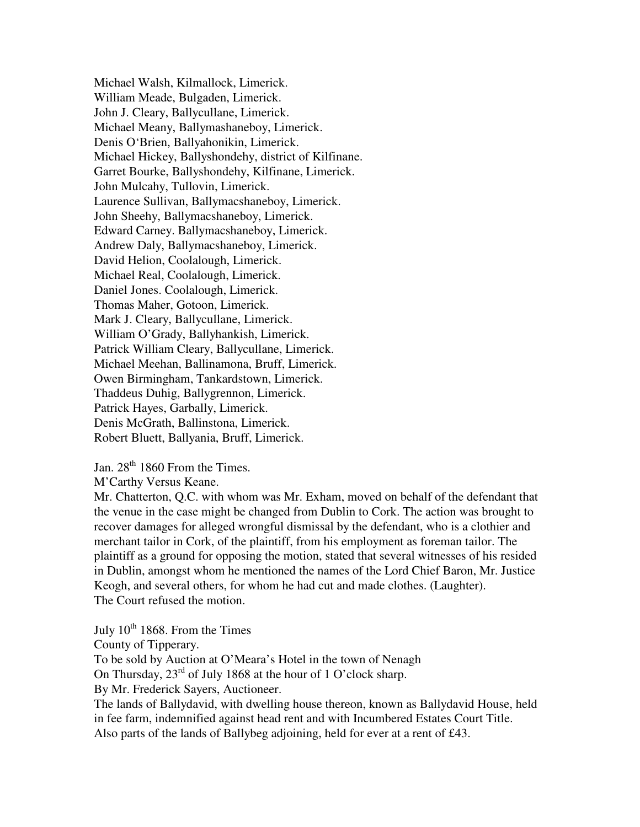Michael Walsh, Kilmallock, Limerick. William Meade, Bulgaden, Limerick. John J. Cleary, Ballycullane, Limerick. Michael Meany, Ballymashaneboy, Limerick. Denis O'Brien, Ballyahonikin, Limerick. Michael Hickey, Ballyshondehy, district of Kilfinane. Garret Bourke, Ballyshondehy, Kilfinane, Limerick. John Mulcahy, Tullovin, Limerick. Laurence Sullivan, Ballymacshaneboy, Limerick. John Sheehy, Ballymacshaneboy, Limerick. Edward Carney. Ballymacshaneboy, Limerick. Andrew Daly, Ballymacshaneboy, Limerick. David Helion, Coolalough, Limerick. Michael Real, Coolalough, Limerick. Daniel Jones. Coolalough, Limerick. Thomas Maher, Gotoon, Limerick. Mark J. Cleary, Ballycullane, Limerick. William O'Grady, Ballyhankish, Limerick. Patrick William Cleary, Ballycullane, Limerick. Michael Meehan, Ballinamona, Bruff, Limerick. Owen Birmingham, Tankardstown, Limerick. Thaddeus Duhig, Ballygrennon, Limerick. Patrick Hayes, Garbally, Limerick. Denis McGrath, Ballinstona, Limerick. Robert Bluett, Ballyania, Bruff, Limerick.

Jan.  $28<sup>th</sup> 1860$  From the Times.

M'Carthy Versus Keane.

Mr. Chatterton, Q.C. with whom was Mr. Exham, moved on behalf of the defendant that the venue in the case might be changed from Dublin to Cork. The action was brought to recover damages for alleged wrongful dismissal by the defendant, who is a clothier and merchant tailor in Cork, of the plaintiff, from his employment as foreman tailor. The plaintiff as a ground for opposing the motion, stated that several witnesses of his resided in Dublin, amongst whom he mentioned the names of the Lord Chief Baron, Mr. Justice Keogh, and several others, for whom he had cut and made clothes. (Laughter). The Court refused the motion.

July  $10^{th}$  1868. From the Times County of Tipperary. To be sold by Auction at O'Meara's Hotel in the town of Nenagh On Thursday,  $23^{rd}$  of July 1868 at the hour of 1 O'clock sharp. By Mr. Frederick Sayers, Auctioneer. The lands of Ballydavid, with dwelling house thereon, known as Ballydavid House, held in fee farm, indemnified against head rent and with Incumbered Estates Court Title. Also parts of the lands of Ballybeg adjoining, held for ever at a rent of £43.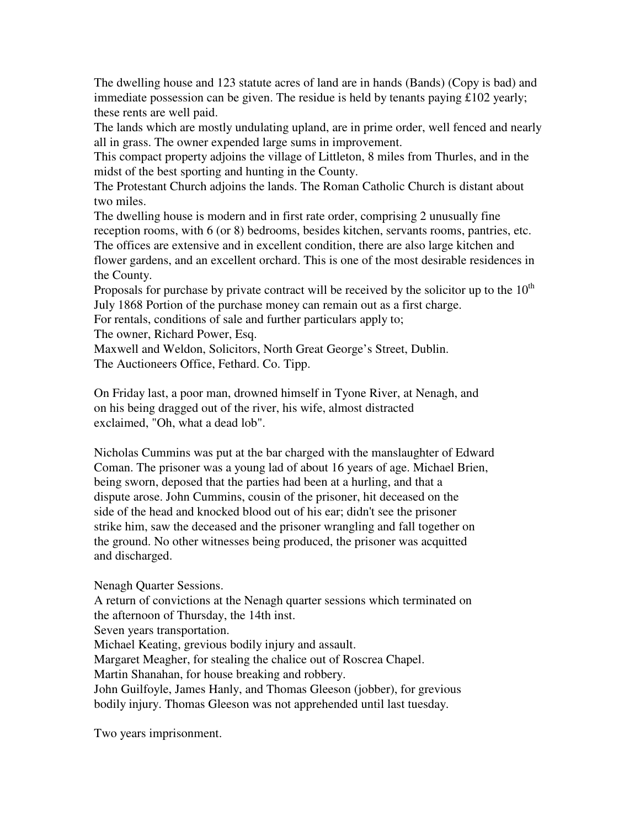The dwelling house and 123 statute acres of land are in hands (Bands) (Copy is bad) and immediate possession can be given. The residue is held by tenants paying £102 yearly; these rents are well paid.

The lands which are mostly undulating upland, are in prime order, well fenced and nearly all in grass. The owner expended large sums in improvement.

This compact property adjoins the village of Littleton, 8 miles from Thurles, and in the midst of the best sporting and hunting in the County.

The Protestant Church adjoins the lands. The Roman Catholic Church is distant about two miles.

The dwelling house is modern and in first rate order, comprising 2 unusually fine reception rooms, with 6 (or 8) bedrooms, besides kitchen, servants rooms, pantries, etc. The offices are extensive and in excellent condition, there are also large kitchen and flower gardens, and an excellent orchard. This is one of the most desirable residences in the County.

Proposals for purchase by private contract will be received by the solicitor up to the  $10<sup>th</sup>$ July 1868 Portion of the purchase money can remain out as a first charge.

For rentals, conditions of sale and further particulars apply to;

The owner, Richard Power, Esq.

Maxwell and Weldon, Solicitors, North Great George's Street, Dublin. The Auctioneers Office, Fethard. Co. Tipp.

On Friday last, a poor man, drowned himself in Tyone River, at Nenagh, and on his being dragged out of the river, his wife, almost distracted exclaimed, "Oh, what a dead lob".

Nicholas Cummins was put at the bar charged with the manslaughter of Edward Coman. The prisoner was a young lad of about 16 years of age. Michael Brien, being sworn, deposed that the parties had been at a hurling, and that a dispute arose. John Cummins, cousin of the prisoner, hit deceased on the side of the head and knocked blood out of his ear; didn't see the prisoner strike him, saw the deceased and the prisoner wrangling and fall together on the ground. No other witnesses being produced, the prisoner was acquitted and discharged.

Nenagh Quarter Sessions.

A return of convictions at the Nenagh quarter sessions which terminated on the afternoon of Thursday, the 14th inst.

Seven years transportation.

Michael Keating, grevious bodily injury and assault.

Margaret Meagher, for stealing the chalice out of Roscrea Chapel.

Martin Shanahan, for house breaking and robbery.

John Guilfoyle, James Hanly, and Thomas Gleeson (jobber), for grevious bodily injury. Thomas Gleeson was not apprehended until last tuesday.

Two years imprisonment.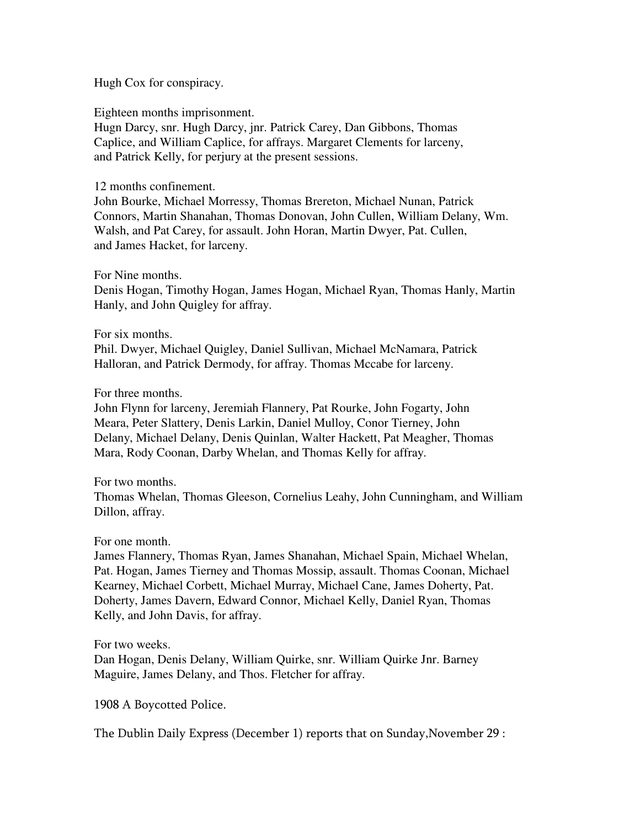Hugh Cox for conspiracy.

Eighteen months imprisonment.

Hugn Darcy, snr. Hugh Darcy, jnr. Patrick Carey, Dan Gibbons, Thomas Caplice, and William Caplice, for affrays. Margaret Clements for larceny, and Patrick Kelly, for perjury at the present sessions.

12 months confinement.

John Bourke, Michael Morressy, Thomas Brereton, Michael Nunan, Patrick Connors, Martin Shanahan, Thomas Donovan, John Cullen, William Delany, Wm. Walsh, and Pat Carey, for assault. John Horan, Martin Dwyer, Pat. Cullen, and James Hacket, for larceny.

For Nine months.

Denis Hogan, Timothy Hogan, James Hogan, Michael Ryan, Thomas Hanly, Martin Hanly, and John Quigley for affray.

For six months.

Phil. Dwyer, Michael Quigley, Daniel Sullivan, Michael McNamara, Patrick Halloran, and Patrick Dermody, for affray. Thomas Mccabe for larceny.

For three months.

John Flynn for larceny, Jeremiah Flannery, Pat Rourke, John Fogarty, John Meara, Peter Slattery, Denis Larkin, Daniel Mulloy, Conor Tierney, John Delany, Michael Delany, Denis Quinlan, Walter Hackett, Pat Meagher, Thomas Mara, Rody Coonan, Darby Whelan, and Thomas Kelly for affray.

For two months.

Thomas Whelan, Thomas Gleeson, Cornelius Leahy, John Cunningham, and William Dillon, affray.

For one month.

James Flannery, Thomas Ryan, James Shanahan, Michael Spain, Michael Whelan, Pat. Hogan, James Tierney and Thomas Mossip, assault. Thomas Coonan, Michael Kearney, Michael Corbett, Michael Murray, Michael Cane, James Doherty, Pat. Doherty, James Davern, Edward Connor, Michael Kelly, Daniel Ryan, Thomas Kelly, and John Davis, for affray.

For two weeks.

Dan Hogan, Denis Delany, William Quirke, snr. William Quirke Jnr. Barney Maguire, James Delany, and Thos. Fletcher for affray.

1908 A Boycotted Police.

The Dublin Daily Express (December 1) reports that on Sunday,November 29 :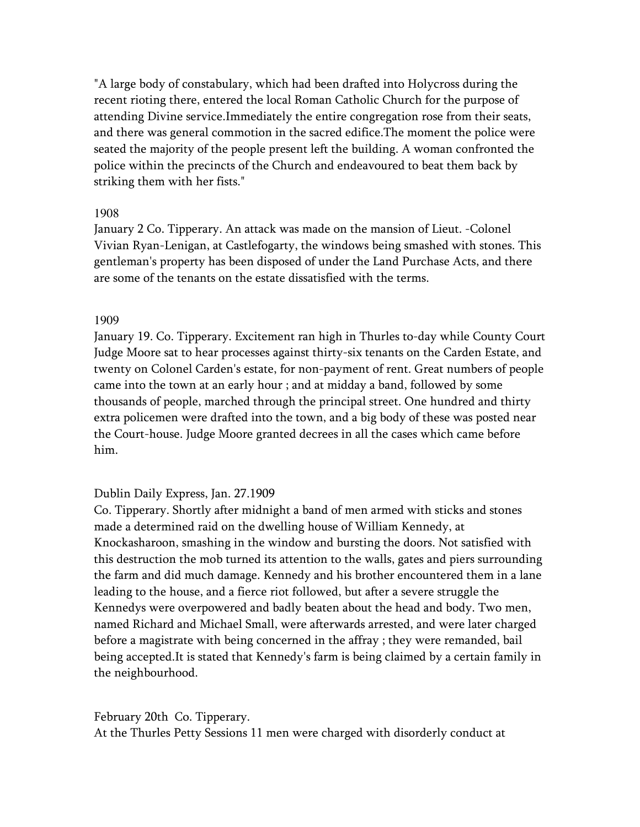"A large body of constabulary, which had been drafted into Holycross during the recent rioting there, entered the local Roman Catholic Church for the purpose of attending Divine service.Immediately the entire congregation rose from their seats, and there was general commotion in the sacred edifice.The moment the police were seated the majority of the people present left the building. A woman confronted the police within the precincts of the Church and endeavoured to beat them back by striking them with her fists."

### 1908

January 2 Co. Tipperary. An attack was made on the mansion of Lieut. -Colonel Vivian Ryan-Lenigan, at Castlefogarty, the windows being smashed with stones. This gentleman's property has been disposed of under the Land Purchase Acts, and there are some of the tenants on the estate dissatisfied with the terms.

### 1909

January 19. Co. Tipperary. Excitement ran high in Thurles to-day while County Court Judge Moore sat to hear processes against thirty-six tenants on the Carden Estate, and twenty on Colonel Carden's estate, for non-payment of rent. Great numbers of people came into the town at an early hour ; and at midday a band, followed by some thousands of people, marched through the principal street. One hundred and thirty extra policemen were drafted into the town, and a big body of these was posted near the Court-house. Judge Moore granted decrees in all the cases which came before him.

# Dublin Daily Express, Jan. 27.1909

Co. Tipperary. Shortly after midnight a band of men armed with sticks and stones made a determined raid on the dwelling house of William Kennedy, at Knockasharoon, smashing in the window and bursting the doors. Not satisfied with this destruction the mob turned its attention to the walls, gates and piers surrounding the farm and did much damage. Kennedy and his brother encountered them in a lane leading to the house, and a fierce riot followed, but after a severe struggle the Kennedys were overpowered and badly beaten about the head and body. Two men, named Richard and Michael Small, were afterwards arrested, and were later charged before a magistrate with being concerned in the affray ; they were remanded, bail being accepted.It is stated that Kennedy's farm is being claimed by a certain family in the neighbourhood.

# February 20th Co. Tipperary.

At the Thurles Petty Sessions 11 men were charged with disorderly conduct at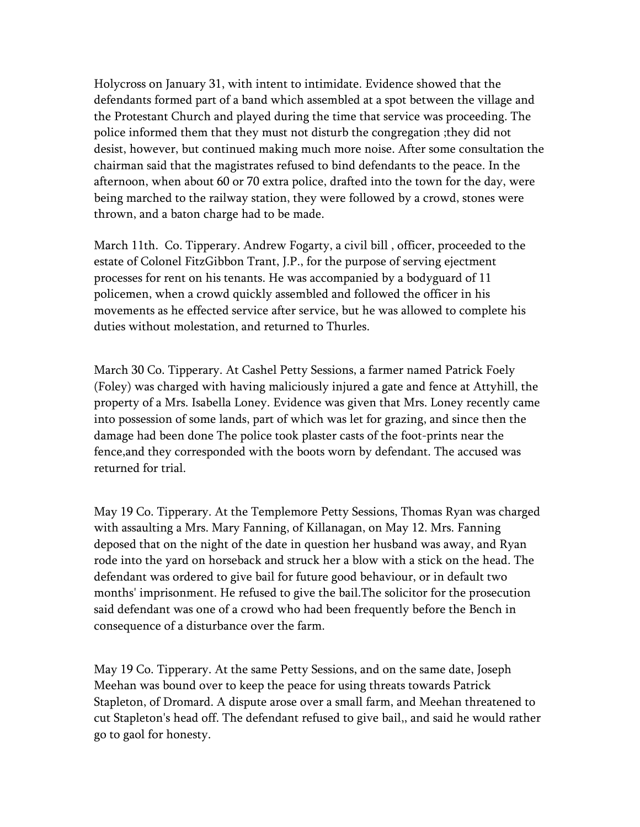Holycross on January 31, with intent to intimidate. Evidence showed that the defendants formed part of a band which assembled at a spot between the village and the Protestant Church and played during the time that service was proceeding. The police informed them that they must not disturb the congregation ;they did not desist, however, but continued making much more noise. After some consultation the chairman said that the magistrates refused to bind defendants to the peace. In the afternoon, when about 60 or 70 extra police, drafted into the town for the day, were being marched to the railway station, they were followed by a crowd, stones were thrown, and a baton charge had to be made.

March 11th. Co. Tipperary. Andrew Fogarty, a civil bill , officer, proceeded to the estate of Colonel FitzGibbon Trant, J.P., for the purpose of serving ejectment processes for rent on his tenants. He was accompanied by a bodyguard of 11 policemen, when a crowd quickly assembled and followed the officer in his movements as he effected service after service, but he was allowed to complete his duties without molestation, and returned to Thurles.

March 30 Co. Tipperary. At Cashel Petty Sessions, a farmer named Patrick Foely (Foley) was charged with having maliciously injured a gate and fence at Attyhill, the property of a Mrs. Isabella Loney. Evidence was given that Mrs. Loney recently came into possession of some lands, part of which was let for grazing, and since then the damage had been done The police took plaster casts of the foot-prints near the fence,and they corresponded with the boots worn by defendant. The accused was returned for trial.

May 19 Co. Tipperary. At the Templemore Petty Sessions, Thomas Ryan was charged with assaulting a Mrs. Mary Fanning, of Killanagan, on May 12. Mrs. Fanning deposed that on the night of the date in question her husband was away, and Ryan rode into the yard on horseback and struck her a blow with a stick on the head. The defendant was ordered to give bail for future good behaviour, or in default two months' imprisonment. He refused to give the bail.The solicitor for the prosecution said defendant was one of a crowd who had been frequently before the Bench in consequence of a disturbance over the farm.

May 19 Co. Tipperary. At the same Petty Sessions, and on the same date, Joseph Meehan was bound over to keep the peace for using threats towards Patrick Stapleton, of Dromard. A dispute arose over a small farm, and Meehan threatened to cut Stapleton's head off. The defendant refused to give bail,, and said he would rather go to gaol for honesty.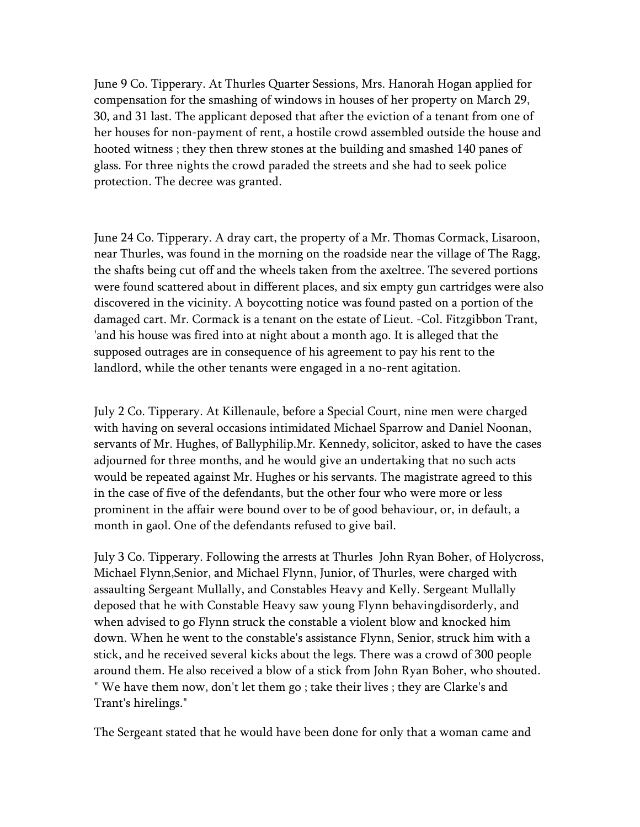June 9 Co. Tipperary. At Thurles Quarter Sessions, Mrs. Hanorah Hogan applied for compensation for the smashing of windows in houses of her property on March 29, 30, and 31 last. The applicant deposed that after the eviction of a tenant from one of her houses for non-payment of rent, a hostile crowd assembled outside the house and hooted witness ; they then threw stones at the building and smashed 140 panes of glass. For three nights the crowd paraded the streets and she had to seek police protection. The decree was granted.

June 24 Co. Tipperary. A dray cart, the property of a Mr. Thomas Cormack, Lisaroon, near Thurles, was found in the morning on the roadside near the village of The Ragg, the shafts being cut off and the wheels taken from the axeltree. The severed portions were found scattered about in different places, and six empty gun cartridges were also discovered in the vicinity. A boycotting notice was found pasted on a portion of the damaged cart. Mr. Cormack is a tenant on the estate of Lieut. -Col. Fitzgibbon Trant, 'and his house was fired into at night about a month ago. It is alleged that the supposed outrages are in consequence of his agreement to pay his rent to the landlord, while the other tenants were engaged in a no-rent agitation.

July 2 Co. Tipperary. At Killenaule, before a Special Court, nine men were charged with having on several occasions intimidated Michael Sparrow and Daniel Noonan, servants of Mr. Hughes, of Ballyphilip.Mr. Kennedy, solicitor, asked to have the cases adjourned for three months, and he would give an undertaking that no such acts would be repeated against Mr. Hughes or his servants. The magistrate agreed to this in the case of five of the defendants, but the other four who were more or less prominent in the affair were bound over to be of good behaviour, or, in default, a month in gaol. One of the defendants refused to give bail.

July 3 Co. Tipperary. Following the arrests at Thurles John Ryan Boher, of Holycross, Michael Flynn,Senior, and Michael Flynn, Junior, of Thurles, were charged with assaulting Sergeant Mullally, and Constables Heavy and Kelly. Sergeant Mullally deposed that he with Constable Heavy saw young Flynn behavingdisorderly, and when advised to go Flynn struck the constable a violent blow and knocked him down. When he went to the constable's assistance Flynn, Senior, struck him with a stick, and he received several kicks about the legs. There was a crowd of 300 people around them. He also received a blow of a stick from John Ryan Boher, who shouted. " We have them now, don't let them go ; take their lives ; they are Clarke's and Trant's hirelings."

The Sergeant stated that he would have been done for only that a woman came and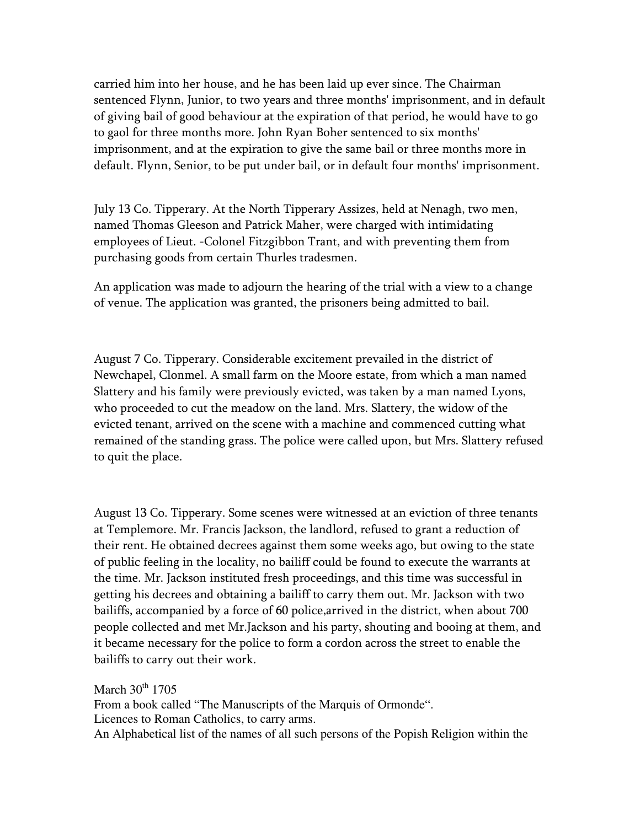carried him into her house, and he has been laid up ever since. The Chairman sentenced Flynn, Junior, to two years and three months' imprisonment, and in default of giving bail of good behaviour at the expiration of that period, he would have to go to gaol for three months more. John Ryan Boher sentenced to six months' imprisonment, and at the expiration to give the same bail or three months more in default. Flynn, Senior, to be put under bail, or in default four months' imprisonment.

July 13 Co. Tipperary. At the North Tipperary Assizes, held at Nenagh, two men, named Thomas Gleeson and Patrick Maher, were charged with intimidating employees of Lieut. -Colonel Fitzgibbon Trant, and with preventing them from purchasing goods from certain Thurles tradesmen.

An application was made to adjourn the hearing of the trial with a view to a change of venue. The application was granted, the prisoners being admitted to bail.

August 7 Co. Tipperary. Considerable excitement prevailed in the district of Newchapel, Clonmel. A small farm on the Moore estate, from which a man named Slattery and his family were previously evicted, was taken by a man named Lyons, who proceeded to cut the meadow on the land. Mrs. Slattery, the widow of the evicted tenant, arrived on the scene with a machine and commenced cutting what remained of the standing grass. The police were called upon, but Mrs. Slattery refused to quit the place.

August 13 Co. Tipperary. Some scenes were witnessed at an eviction of three tenants at Templemore. Mr. Francis Jackson, the landlord, refused to grant a reduction of their rent. He obtained decrees against them some weeks ago, but owing to the state of public feeling in the locality, no bailiff could be found to execute the warrants at the time. Mr. Jackson instituted fresh proceedings, and this time was successful in getting his decrees and obtaining a bailiff to carry them out. Mr. Jackson with two bailiffs, accompanied by a force of 60 police,arrived in the district, when about 700 people collected and met Mr.Jackson and his party, shouting and booing at them, and it became necessary for the police to form a cordon across the street to enable the bailiffs to carry out their work.

March  $30<sup>th</sup>$  1705 From a book called "The Manuscripts of the Marquis of Ormonde". Licences to Roman Catholics, to carry arms. An Alphabetical list of the names of all such persons of the Popish Religion within the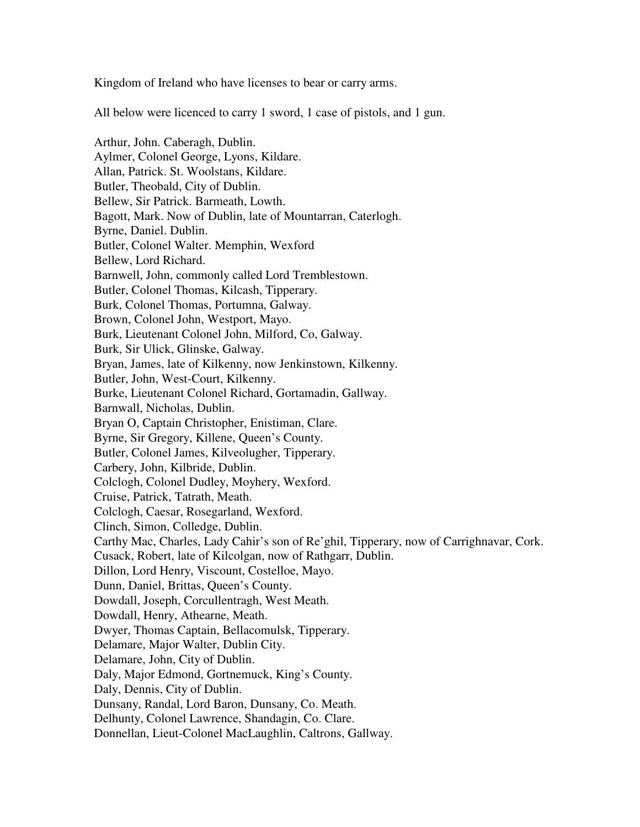Kingdom of Ireland who have licenses to bear or carry arms.

All below were licenced to carry 1 sword, 1 case of pistols, and 1 gun.

Arthur, John. Caberagh, Dublin. Aylmer, Colonel George, Lyons, Kildare. Allan, Patrick. St. Woolstans, Kildare. Butler, Theobald, City of Dublin. Bellew, Sir Patrick. Barmeath, Lowth. Bagott, Mark. Now of Dublin, late of Mountarran, Caterlogh. Byrne, Daniel. Dublin. Butler, Colonel Walter. Memphin, Wexford Bellew, Lord Richard. Barnwell, John, commonly called Lord Tremblestown. Butler, Colonel Thomas, Kilcash, Tipperary. Burk, Colonel Thomas, Portumna, Galway. Brown, Colonel John, Westport, Mayo. Burk, Lieutenant Colonel John, Milford, Co, Galway. Burk, Sir Ulick, Glinske, Galway. Bryan, James, late of Kilkenny, now Jenkinstown, Kilkenny. Butler, John, West-Court, Kilkenny. Burke, Lieutenant Colonel Richard, Gortamadin, Gallway. Barnwall, Nicholas, Dublin. Bryan O, Captain Christopher, Enistiman, Clare. Byrne, Sir Gregory, Killene, Queen's County. Butler, Colonel James, Kilveolugher, Tipperary. Carbery, John, Kilbride, Dublin. Colclogh, Colonel Dudley, Moyhery, Wexford. Cruise, Patrick, Tatrath, Meath. Colclogh, Caesar, Rosegarland, Wexford. Clinch, Simon, Colledge, Dublin. Carthy Mac, Charles, Lady Cahir's son of Re'ghil, Tipperary, now of Carrighnavar, Cork. Cusack, Robert, late of Kilcolgan, now of Rathgarr, Dublin. Dillon, Lord Henry, Viscount, Costelloe, Mayo. Dunn, Daniel, Brittas, Queen's County. Dowdall, Joseph, Corcullentragh, West Meath. Dowdall, Henry, Athearne, Meath. Dwyer, Thomas Captain, Bellacomulsk, Tipperary. Delamare, Major Walter, Dublin City. Delamare, John, City of Dublin. Daly, Major Edmond, Gortnemuck, King's County. Daly, Dennis, City of Dublin. Dunsany, Randal, Lord Baron, Dunsany, Co. Meath. Delhunty, Colonel Lawrence, Shandagin, Co. Clare. Donnellan, Lieut-Colonel MacLaughlin, Caltrons, Gallway.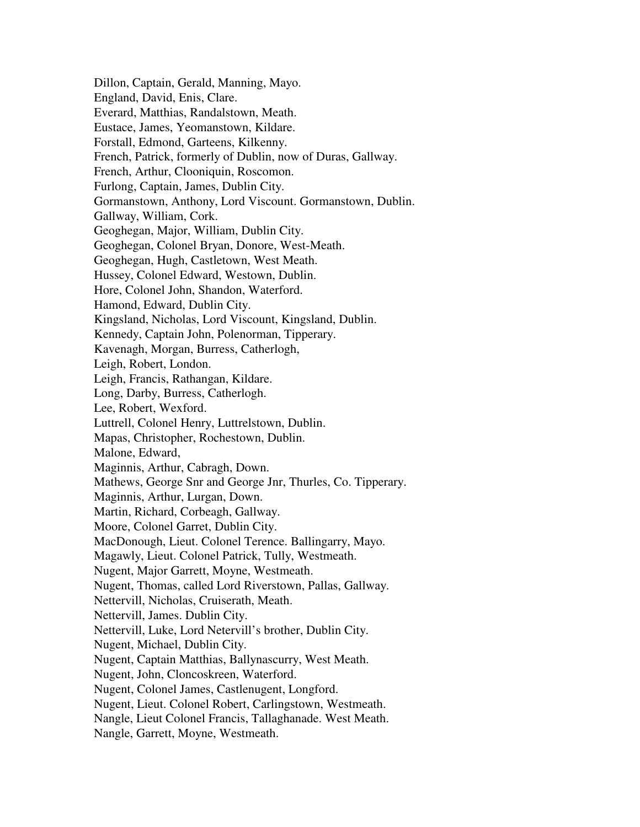Dillon, Captain, Gerald, Manning, Mayo. England, David, Enis, Clare. Everard, Matthias, Randalstown, Meath. Eustace, James, Yeomanstown, Kildare. Forstall, Edmond, Garteens, Kilkenny. French, Patrick, formerly of Dublin, now of Duras, Gallway. French, Arthur, Clooniquin, Roscomon. Furlong, Captain, James, Dublin City. Gormanstown, Anthony, Lord Viscount. Gormanstown, Dublin. Gallway, William, Cork. Geoghegan, Major, William, Dublin City. Geoghegan, Colonel Bryan, Donore, West-Meath. Geoghegan, Hugh, Castletown, West Meath. Hussey, Colonel Edward, Westown, Dublin. Hore, Colonel John, Shandon, Waterford. Hamond, Edward, Dublin City. Kingsland, Nicholas, Lord Viscount, Kingsland, Dublin. Kennedy, Captain John, Polenorman, Tipperary. Kavenagh, Morgan, Burress, Catherlogh, Leigh, Robert, London. Leigh, Francis, Rathangan, Kildare. Long, Darby, Burress, Catherlogh. Lee, Robert, Wexford. Luttrell, Colonel Henry, Luttrelstown, Dublin. Mapas, Christopher, Rochestown, Dublin. Malone, Edward, Maginnis, Arthur, Cabragh, Down. Mathews, George Snr and George Jnr, Thurles, Co. Tipperary. Maginnis, Arthur, Lurgan, Down. Martin, Richard, Corbeagh, Gallway. Moore, Colonel Garret, Dublin City. MacDonough, Lieut. Colonel Terence. Ballingarry, Mayo. Magawly, Lieut. Colonel Patrick, Tully, Westmeath. Nugent, Major Garrett, Moyne, Westmeath. Nugent, Thomas, called Lord Riverstown, Pallas, Gallway. Nettervill, Nicholas, Cruiserath, Meath. Nettervill, James. Dublin City. Nettervill, Luke, Lord Netervill's brother, Dublin City. Nugent, Michael, Dublin City. Nugent, Captain Matthias, Ballynascurry, West Meath. Nugent, John, Cloncoskreen, Waterford. Nugent, Colonel James, Castlenugent, Longford. Nugent, Lieut. Colonel Robert, Carlingstown, Westmeath. Nangle, Lieut Colonel Francis, Tallaghanade. West Meath. Nangle, Garrett, Moyne, Westmeath.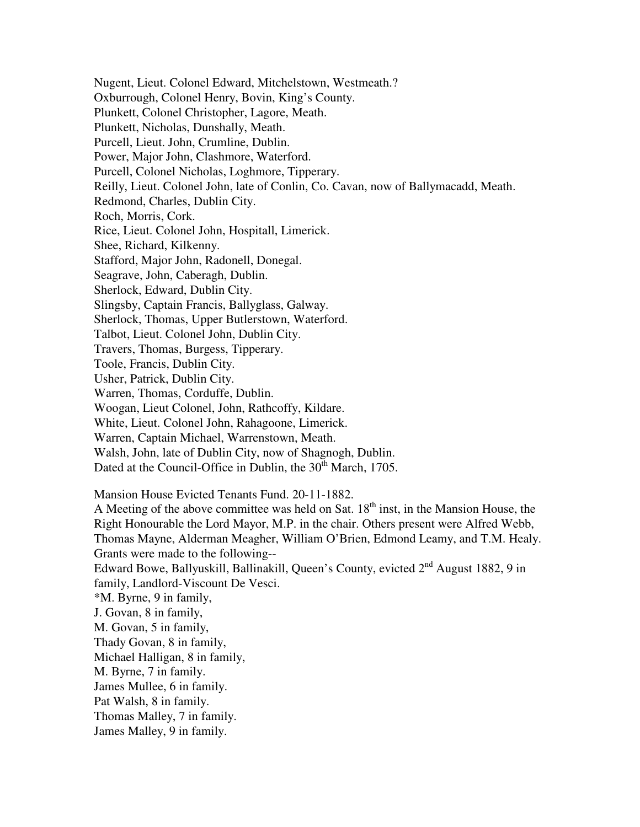Nugent, Lieut. Colonel Edward, Mitchelstown, Westmeath.? Oxburrough, Colonel Henry, Bovin, King's County. Plunkett, Colonel Christopher, Lagore, Meath. Plunkett, Nicholas, Dunshally, Meath. Purcell, Lieut. John, Crumline, Dublin. Power, Major John, Clashmore, Waterford. Purcell, Colonel Nicholas, Loghmore, Tipperary. Reilly, Lieut. Colonel John, late of Conlin, Co. Cavan, now of Ballymacadd, Meath. Redmond, Charles, Dublin City. Roch, Morris, Cork. Rice, Lieut. Colonel John, Hospitall, Limerick. Shee, Richard, Kilkenny. Stafford, Major John, Radonell, Donegal. Seagrave, John, Caberagh, Dublin. Sherlock, Edward, Dublin City. Slingsby, Captain Francis, Ballyglass, Galway. Sherlock, Thomas, Upper Butlerstown, Waterford. Talbot, Lieut. Colonel John, Dublin City. Travers, Thomas, Burgess, Tipperary. Toole, Francis, Dublin City. Usher, Patrick, Dublin City. Warren, Thomas, Corduffe, Dublin. Woogan, Lieut Colonel, John, Rathcoffy, Kildare. White, Lieut. Colonel John, Rahagoone, Limerick. Warren, Captain Michael, Warrenstown, Meath. Walsh, John, late of Dublin City, now of Shagnogh, Dublin. Dated at the Council-Office in Dublin, the 30<sup>th</sup> March, 1705. Mansion House Evicted Tenants Fund. 20-11-1882. A Meeting of the above committee was held on Sat.  $18<sup>th</sup>$  inst, in the Mansion House, the Right Honourable the Lord Mayor, M.P. in the chair. Others present were Alfred Webb, Thomas Mayne, Alderman Meagher, William O'Brien, Edmond Leamy, and T.M. Healy. Grants were made to the following-- Edward Bowe, Ballyuskill, Ballinakill, Queen's County, evicted 2nd August 1882, 9 in family, Landlord-Viscount De Vesci. \*M. Byrne, 9 in family,

J. Govan, 8 in family,

M. Govan, 5 in family,

Thady Govan, 8 in family,

Michael Halligan, 8 in family,

M. Byrne, 7 in family.

James Mullee, 6 in family.

Pat Walsh, 8 in family.

Thomas Malley, 7 in family.

James Malley, 9 in family.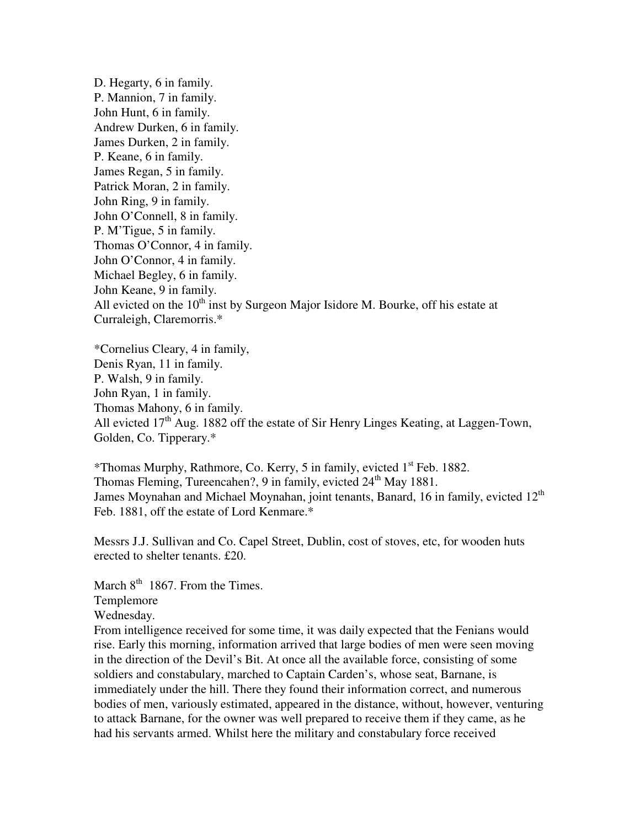D. Hegarty, 6 in family. P. Mannion, 7 in family. John Hunt, 6 in family. Andrew Durken, 6 in family. James Durken, 2 in family. P. Keane, 6 in family. James Regan, 5 in family. Patrick Moran, 2 in family. John Ring, 9 in family. John O'Connell, 8 in family. P. M'Tigue, 5 in family. Thomas O'Connor, 4 in family. John O'Connor, 4 in family. Michael Begley, 6 in family. John Keane, 9 in family. All evicted on the  $10<sup>th</sup>$  inst by Surgeon Major Isidore M. Bourke, off his estate at Curraleigh, Claremorris.\*

\*Cornelius Cleary, 4 in family, Denis Ryan, 11 in family. P. Walsh, 9 in family. John Ryan, 1 in family. Thomas Mahony, 6 in family. All evicted  $17<sup>th</sup>$  Aug. 1882 off the estate of Sir Henry Linges Keating, at Laggen-Town, Golden, Co. Tipperary.\*

\*Thomas Murphy, Rathmore, Co. Kerry, 5 in family, evicted 1st Feb. 1882. Thomas Fleming, Tureencahen?, 9 in family, evicted  $24<sup>th</sup>$  May 1881. James Moynahan and Michael Moynahan, joint tenants, Banard, 16 in family, evicted  $12<sup>th</sup>$ Feb. 1881, off the estate of Lord Kenmare.\*

Messrs J.J. Sullivan and Co. Capel Street, Dublin, cost of stoves, etc, for wooden huts erected to shelter tenants. £20.

March  $8<sup>th</sup>$  1867. From the Times. Templemore Wednesday.

From intelligence received for some time, it was daily expected that the Fenians would rise. Early this morning, information arrived that large bodies of men were seen moving in the direction of the Devil's Bit. At once all the available force, consisting of some soldiers and constabulary, marched to Captain Carden's, whose seat, Barnane, is immediately under the hill. There they found their information correct, and numerous bodies of men, variously estimated, appeared in the distance, without, however, venturing to attack Barnane, for the owner was well prepared to receive them if they came, as he had his servants armed. Whilst here the military and constabulary force received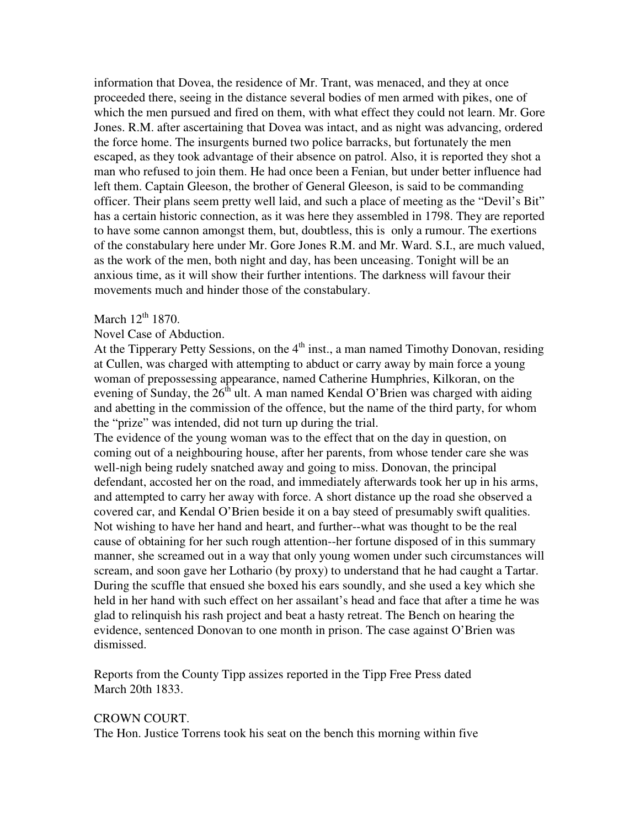information that Dovea, the residence of Mr. Trant, was menaced, and they at once proceeded there, seeing in the distance several bodies of men armed with pikes, one of which the men pursued and fired on them, with what effect they could not learn. Mr. Gore Jones. R.M. after ascertaining that Dovea was intact, and as night was advancing, ordered the force home. The insurgents burned two police barracks, but fortunately the men escaped, as they took advantage of their absence on patrol. Also, it is reported they shot a man who refused to join them. He had once been a Fenian, but under better influence had left them. Captain Gleeson, the brother of General Gleeson, is said to be commanding officer. Their plans seem pretty well laid, and such a place of meeting as the "Devil's Bit" has a certain historic connection, as it was here they assembled in 1798. They are reported to have some cannon amongst them, but, doubtless, this is only a rumour. The exertions of the constabulary here under Mr. Gore Jones R.M. and Mr. Ward. S.I., are much valued, as the work of the men, both night and day, has been unceasing. Tonight will be an anxious time, as it will show their further intentions. The darkness will favour their movements much and hinder those of the constabulary.

# March  $12^{th}$  1870.

### Novel Case of Abduction.

At the Tipperary Petty Sessions, on the  $4<sup>th</sup>$  inst., a man named Timothy Donovan, residing at Cullen, was charged with attempting to abduct or carry away by main force a young woman of prepossessing appearance, named Catherine Humphries, Kilkoran, on the evening of Sunday, the  $26<sup>th</sup>$  ult. A man named Kendal O'Brien was charged with aiding and abetting in the commission of the offence, but the name of the third party, for whom the "prize" was intended, did not turn up during the trial.

The evidence of the young woman was to the effect that on the day in question, on coming out of a neighbouring house, after her parents, from whose tender care she was well-nigh being rudely snatched away and going to miss. Donovan, the principal defendant, accosted her on the road, and immediately afterwards took her up in his arms, and attempted to carry her away with force. A short distance up the road she observed a covered car, and Kendal O'Brien beside it on a bay steed of presumably swift qualities. Not wishing to have her hand and heart, and further--what was thought to be the real cause of obtaining for her such rough attention--her fortune disposed of in this summary manner, she screamed out in a way that only young women under such circumstances will scream, and soon gave her Lothario (by proxy) to understand that he had caught a Tartar. During the scuffle that ensued she boxed his ears soundly, and she used a key which she held in her hand with such effect on her assailant's head and face that after a time he was glad to relinquish his rash project and beat a hasty retreat. The Bench on hearing the evidence, sentenced Donovan to one month in prison. The case against O'Brien was dismissed.

Reports from the County Tipp assizes reported in the Tipp Free Press dated March 20th 1833.

### CROWN COURT.

The Hon. Justice Torrens took his seat on the bench this morning within five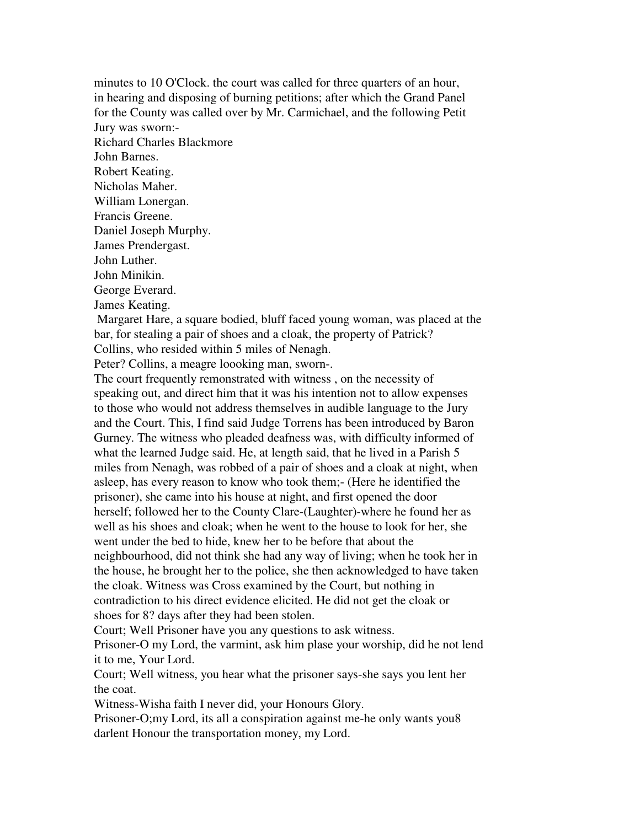minutes to 10 O'Clock. the court was called for three quarters of an hour, in hearing and disposing of burning petitions; after which the Grand Panel for the County was called over by Mr. Carmichael, and the following Petit Jury was sworn:- Richard Charles Blackmore John Barnes. Robert Keating. Nicholas Maher. William Lonergan. Francis Greene. Daniel Joseph Murphy. James Prendergast. John Luther. John Minikin. George Everard. James Keating. Margaret Hare, a square bodied, bluff faced young woman, was placed at the bar, for stealing a pair of shoes and a cloak, the property of Patrick? Collins, who resided within 5 miles of Nenagh. Peter? Collins, a meagre loooking man, sworn-. The court frequently remonstrated with witness , on the necessity of speaking out, and direct him that it was his intention not to allow expenses to those who would not address themselves in audible language to the Jury and the Court. This, I find said Judge Torrens has been introduced by Baron Gurney. The witness who pleaded deafness was, with difficulty informed of what the learned Judge said. He, at length said, that he lived in a Parish 5 miles from Nenagh, was robbed of a pair of shoes and a cloak at night, when asleep, has every reason to know who took them;- (Here he identified the prisoner), she came into his house at night, and first opened the door herself; followed her to the County Clare-(Laughter)-where he found her as well as his shoes and cloak; when he went to the house to look for her, she went under the bed to hide, knew her to be before that about the neighbourhood, did not think she had any way of living; when he took her in the house, he brought her to the police, she then acknowledged to have taken the cloak. Witness was Cross examined by the Court, but nothing in contradiction to his direct evidence elicited. He did not get the cloak or shoes for 8? days after they had been stolen. Court; Well Prisoner have you any questions to ask witness.

Prisoner-O my Lord, the varmint, ask him plase your worship, did he not lend it to me, Your Lord.

Court; Well witness, you hear what the prisoner says-she says you lent her the coat.

Witness-Wisha faith I never did, your Honours Glory.

Prisoner-O;my Lord, its all a conspiration against me-he only wants you8 darlent Honour the transportation money, my Lord.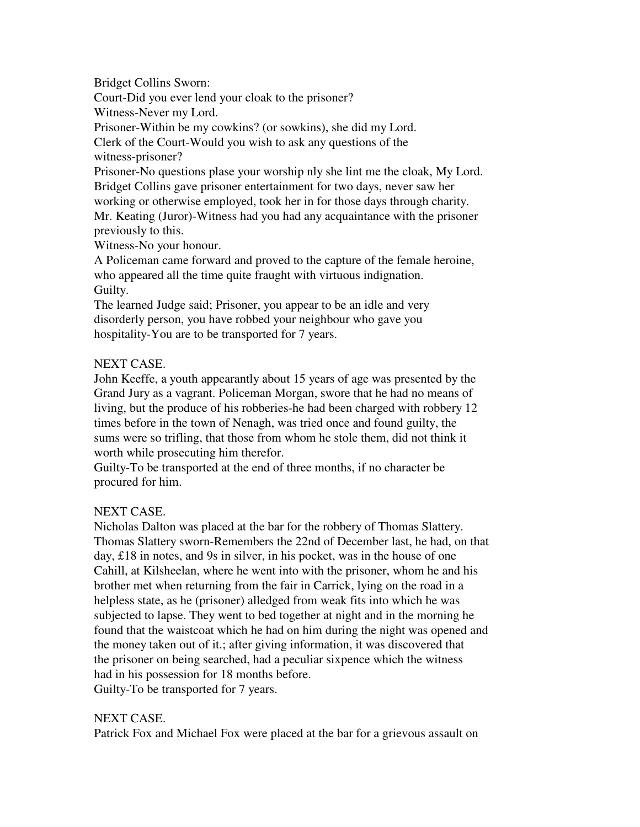Bridget Collins Sworn:

Court-Did you ever lend your cloak to the prisoner?

Witness-Never my Lord.

Prisoner-Within be my cowkins? (or sowkins), she did my Lord.

Clerk of the Court-Would you wish to ask any questions of the witness-prisoner?

Prisoner-No questions plase your worship nly she lint me the cloak, My Lord. Bridget Collins gave prisoner entertainment for two days, never saw her

working or otherwise employed, took her in for those days through charity. Mr. Keating (Juror)-Witness had you had any acquaintance with the prisoner previously to this.

Witness-No your honour.

A Policeman came forward and proved to the capture of the female heroine, who appeared all the time quite fraught with virtuous indignation. Guilty.

The learned Judge said; Prisoner, you appear to be an idle and very disorderly person, you have robbed your neighbour who gave you hospitality-You are to be transported for 7 years.

# NEXT CASE.

John Keeffe, a youth appearantly about 15 years of age was presented by the Grand Jury as a vagrant. Policeman Morgan, swore that he had no means of living, but the produce of his robberies-he had been charged with robbery 12 times before in the town of Nenagh, was tried once and found guilty, the sums were so trifling, that those from whom he stole them, did not think it worth while prosecuting him therefor.

Guilty-To be transported at the end of three months, if no character be procured for him.

# NEXT CASE.

Nicholas Dalton was placed at the bar for the robbery of Thomas Slattery. Thomas Slattery sworn-Remembers the 22nd of December last, he had, on that day, £18 in notes, and 9s in silver, in his pocket, was in the house of one Cahill, at Kilsheelan, where he went into with the prisoner, whom he and his brother met when returning from the fair in Carrick, lying on the road in a helpless state, as he (prisoner) alledged from weak fits into which he was subjected to lapse. They went to bed together at night and in the morning he found that the waistcoat which he had on him during the night was opened and the money taken out of it.; after giving information, it was discovered that the prisoner on being searched, had a peculiar sixpence which the witness had in his possession for 18 months before. Guilty-To be transported for 7 years.

# NEXT CASE.

Patrick Fox and Michael Fox were placed at the bar for a grievous assault on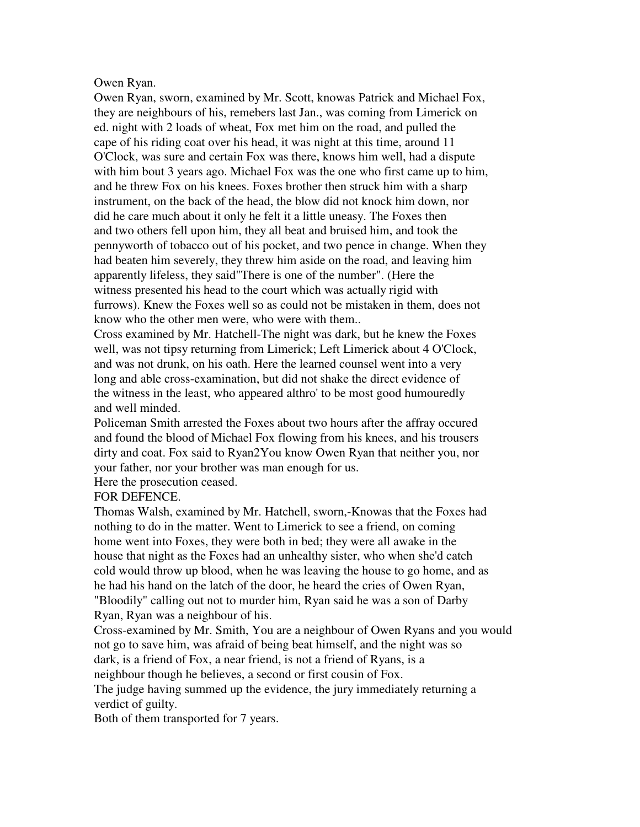# Owen Ryan.

Owen Ryan, sworn, examined by Mr. Scott, knowas Patrick and Michael Fox, they are neighbours of his, remebers last Jan., was coming from Limerick on ed. night with 2 loads of wheat, Fox met him on the road, and pulled the cape of his riding coat over his head, it was night at this time, around 11 O'Clock, was sure and certain Fox was there, knows him well, had a dispute with him bout 3 years ago. Michael Fox was the one who first came up to him, and he threw Fox on his knees. Foxes brother then struck him with a sharp instrument, on the back of the head, the blow did not knock him down, nor did he care much about it only he felt it a little uneasy. The Foxes then and two others fell upon him, they all beat and bruised him, and took the pennyworth of tobacco out of his pocket, and two pence in change. When they had beaten him severely, they threw him aside on the road, and leaving him apparently lifeless, they said"There is one of the number". (Here the witness presented his head to the court which was actually rigid with furrows). Knew the Foxes well so as could not be mistaken in them, does not know who the other men were, who were with them..

Cross examined by Mr. Hatchell-The night was dark, but he knew the Foxes well, was not tipsy returning from Limerick; Left Limerick about 4 O'Clock, and was not drunk, on his oath. Here the learned counsel went into a very long and able cross-examination, but did not shake the direct evidence of the witness in the least, who appeared althro' to be most good humouredly and well minded.

Policeman Smith arrested the Foxes about two hours after the affray occured and found the blood of Michael Fox flowing from his knees, and his trousers dirty and coat. Fox said to Ryan2You know Owen Ryan that neither you, nor your father, nor your brother was man enough for us.

Here the prosecution ceased.

FOR DEFENCE.

Thomas Walsh, examined by Mr. Hatchell, sworn,-Knowas that the Foxes had nothing to do in the matter. Went to Limerick to see a friend, on coming home went into Foxes, they were both in bed; they were all awake in the house that night as the Foxes had an unhealthy sister, who when she'd catch cold would throw up blood, when he was leaving the house to go home, and as he had his hand on the latch of the door, he heard the cries of Owen Ryan, "Bloodily" calling out not to murder him, Ryan said he was a son of Darby Ryan, Ryan was a neighbour of his.

Cross-examined by Mr. Smith, You are a neighbour of Owen Ryans and you would not go to save him, was afraid of being beat himself, and the night was so dark, is a friend of Fox, a near friend, is not a friend of Ryans, is a

neighbour though he believes, a second or first cousin of Fox.

The judge having summed up the evidence, the jury immediately returning a verdict of guilty.

Both of them transported for 7 years.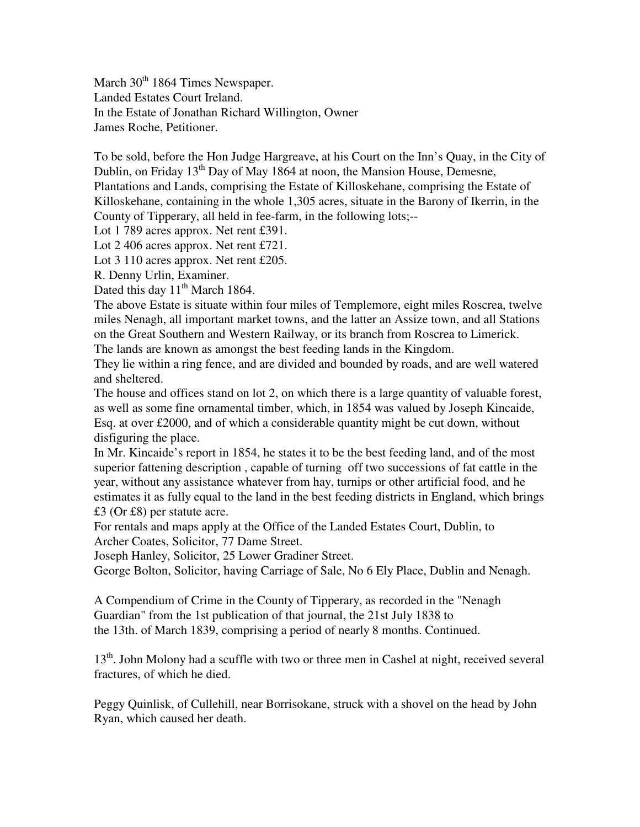March 30<sup>th</sup> 1864 Times Newspaper. Landed Estates Court Ireland. In the Estate of Jonathan Richard Willington, Owner James Roche, Petitioner.

To be sold, before the Hon Judge Hargreave, at his Court on the Inn's Quay, in the City of Dublin, on Friday  $13<sup>th</sup>$  Day of May 1864 at noon, the Mansion House, Demesne, Plantations and Lands, comprising the Estate of Killoskehane, comprising the Estate of Killoskehane, containing in the whole 1,305 acres, situate in the Barony of Ikerrin, in the County of Tipperary, all held in fee-farm, in the following lots;--

Lot 1 789 acres approx. Net rent £391.

Lot 2 406 acres approx. Net rent £721.

Lot 3 110 acres approx. Net rent £205.

R. Denny Urlin, Examiner.

Dated this day  $11<sup>th</sup>$  March 1864.

The above Estate is situate within four miles of Templemore, eight miles Roscrea, twelve miles Nenagh, all important market towns, and the latter an Assize town, and all Stations on the Great Southern and Western Railway, or its branch from Roscrea to Limerick.

The lands are known as amongst the best feeding lands in the Kingdom.

They lie within a ring fence, and are divided and bounded by roads, and are well watered and sheltered.

The house and offices stand on lot 2, on which there is a large quantity of valuable forest, as well as some fine ornamental timber, which, in 1854 was valued by Joseph Kincaide, Esq. at over £2000, and of which a considerable quantity might be cut down, without disfiguring the place.

In Mr. Kincaide's report in 1854, he states it to be the best feeding land, and of the most superior fattening description , capable of turning off two successions of fat cattle in the year, without any assistance whatever from hay, turnips or other artificial food, and he estimates it as fully equal to the land in the best feeding districts in England, which brings £3 (Or £8) per statute acre.

For rentals and maps apply at the Office of the Landed Estates Court, Dublin, to Archer Coates, Solicitor, 77 Dame Street.

Joseph Hanley, Solicitor, 25 Lower Gradiner Street.

George Bolton, Solicitor, having Carriage of Sale, No 6 Ely Place, Dublin and Nenagh.

A Compendium of Crime in the County of Tipperary, as recorded in the "Nenagh Guardian" from the 1st publication of that journal, the 21st July 1838 to the 13th. of March 1839, comprising a period of nearly 8 months. Continued.

13<sup>th</sup>. John Molony had a scuffle with two or three men in Cashel at night, received several fractures, of which he died.

Peggy Quinlisk, of Cullehill, near Borrisokane, struck with a shovel on the head by John Ryan, which caused her death.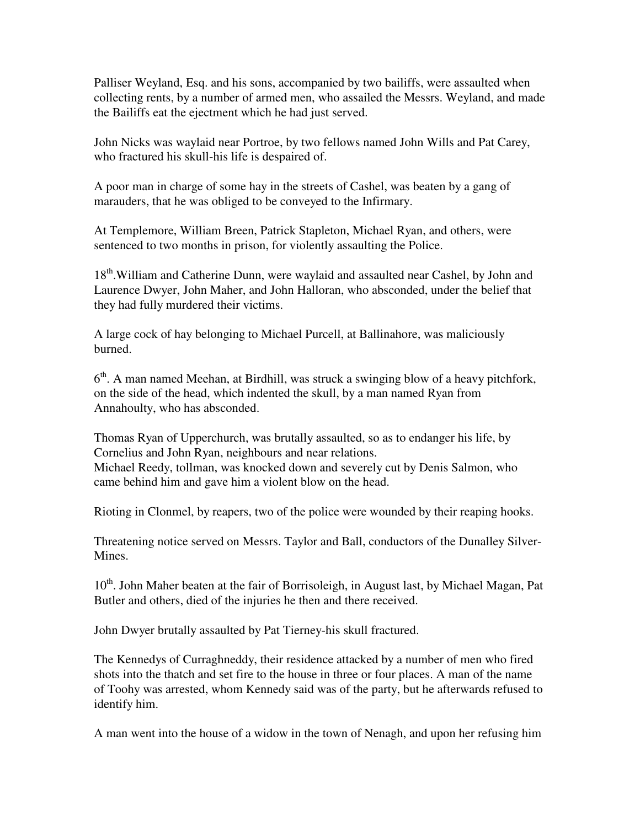Palliser Weyland, Esq. and his sons, accompanied by two bailiffs, were assaulted when collecting rents, by a number of armed men, who assailed the Messrs. Weyland, and made the Bailiffs eat the ejectment which he had just served.

John Nicks was waylaid near Portroe, by two fellows named John Wills and Pat Carey, who fractured his skull-his life is despaired of.

A poor man in charge of some hay in the streets of Cashel, was beaten by a gang of marauders, that he was obliged to be conveyed to the Infirmary.

At Templemore, William Breen, Patrick Stapleton, Michael Ryan, and others, were sentenced to two months in prison, for violently assaulting the Police.

18<sup>th</sup>.William and Catherine Dunn, were waylaid and assaulted near Cashel, by John and Laurence Dwyer, John Maher, and John Halloran, who absconded, under the belief that they had fully murdered their victims.

A large cock of hay belonging to Michael Purcell, at Ballinahore, was maliciously burned.

6<sup>th</sup>. A man named Meehan, at Birdhill, was struck a swinging blow of a heavy pitchfork, on the side of the head, which indented the skull, by a man named Ryan from Annahoulty, who has absconded.

Thomas Ryan of Upperchurch, was brutally assaulted, so as to endanger his life, by Cornelius and John Ryan, neighbours and near relations. Michael Reedy, tollman, was knocked down and severely cut by Denis Salmon, who came behind him and gave him a violent blow on the head.

Rioting in Clonmel, by reapers, two of the police were wounded by their reaping hooks.

Threatening notice served on Messrs. Taylor and Ball, conductors of the Dunalley Silver-Mines.

10<sup>th</sup>. John Maher beaten at the fair of Borrisoleigh, in August last, by Michael Magan, Pat Butler and others, died of the injuries he then and there received.

John Dwyer brutally assaulted by Pat Tierney-his skull fractured.

The Kennedys of Curraghneddy, their residence attacked by a number of men who fired shots into the thatch and set fire to the house in three or four places. A man of the name of Toohy was arrested, whom Kennedy said was of the party, but he afterwards refused to identify him.

A man went into the house of a widow in the town of Nenagh, and upon her refusing him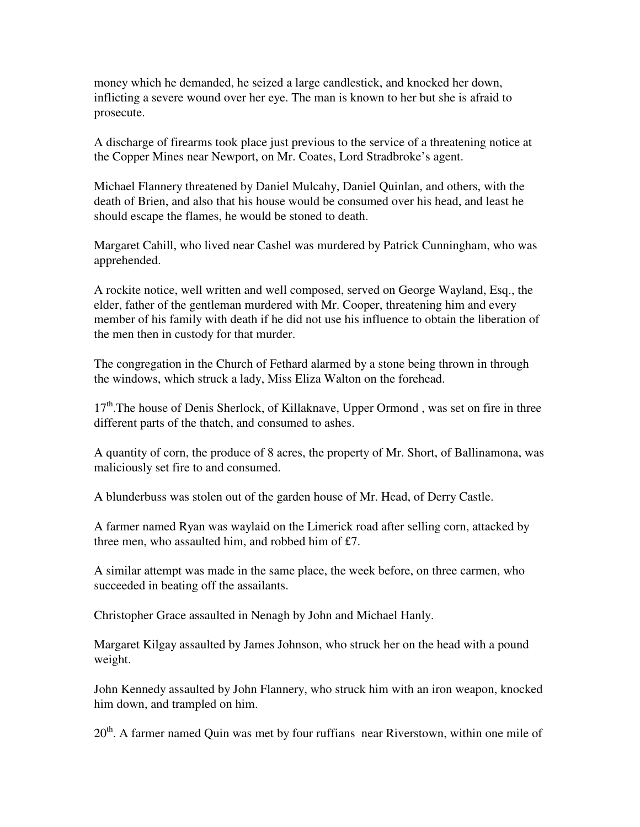money which he demanded, he seized a large candlestick, and knocked her down, inflicting a severe wound over her eye. The man is known to her but she is afraid to prosecute.

A discharge of firearms took place just previous to the service of a threatening notice at the Copper Mines near Newport, on Mr. Coates, Lord Stradbroke's agent.

Michael Flannery threatened by Daniel Mulcahy, Daniel Quinlan, and others, with the death of Brien, and also that his house would be consumed over his head, and least he should escape the flames, he would be stoned to death.

Margaret Cahill, who lived near Cashel was murdered by Patrick Cunningham, who was apprehended.

A rockite notice, well written and well composed, served on George Wayland, Esq., the elder, father of the gentleman murdered with Mr. Cooper, threatening him and every member of his family with death if he did not use his influence to obtain the liberation of the men then in custody for that murder.

The congregation in the Church of Fethard alarmed by a stone being thrown in through the windows, which struck a lady, Miss Eliza Walton on the forehead.

17<sup>th</sup>.The house of Denis Sherlock, of Killaknave, Upper Ormond, was set on fire in three different parts of the thatch, and consumed to ashes.

A quantity of corn, the produce of 8 acres, the property of Mr. Short, of Ballinamona, was maliciously set fire to and consumed.

A blunderbuss was stolen out of the garden house of Mr. Head, of Derry Castle.

A farmer named Ryan was waylaid on the Limerick road after selling corn, attacked by three men, who assaulted him, and robbed him of £7.

A similar attempt was made in the same place, the week before, on three carmen, who succeeded in beating off the assailants.

Christopher Grace assaulted in Nenagh by John and Michael Hanly.

Margaret Kilgay assaulted by James Johnson, who struck her on the head with a pound weight.

John Kennedy assaulted by John Flannery, who struck him with an iron weapon, knocked him down, and trampled on him.

20<sup>th</sup>. A farmer named Quin was met by four ruffians near Riverstown, within one mile of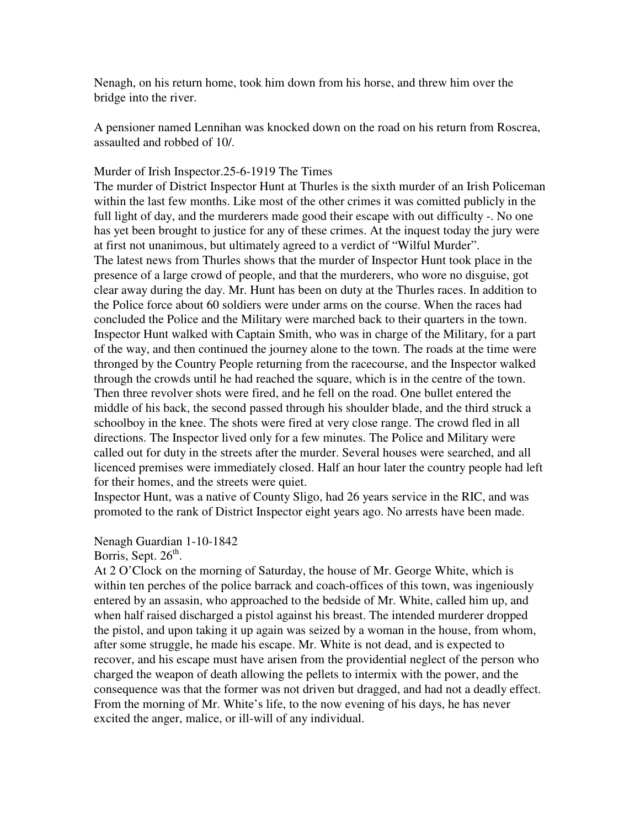Nenagh, on his return home, took him down from his horse, and threw him over the bridge into the river.

A pensioner named Lennihan was knocked down on the road on his return from Roscrea, assaulted and robbed of 10/.

### Murder of Irish Inspector.25-6-1919 The Times

The murder of District Inspector Hunt at Thurles is the sixth murder of an Irish Policeman within the last few months. Like most of the other crimes it was comitted publicly in the full light of day, and the murderers made good their escape with out difficulty -. No one has yet been brought to justice for any of these crimes. At the inquest today the jury were at first not unanimous, but ultimately agreed to a verdict of "Wilful Murder". The latest news from Thurles shows that the murder of Inspector Hunt took place in the presence of a large crowd of people, and that the murderers, who wore no disguise, got clear away during the day. Mr. Hunt has been on duty at the Thurles races. In addition to the Police force about 60 soldiers were under arms on the course. When the races had concluded the Police and the Military were marched back to their quarters in the town. Inspector Hunt walked with Captain Smith, who was in charge of the Military, for a part of the way, and then continued the journey alone to the town. The roads at the time were thronged by the Country People returning from the racecourse, and the Inspector walked through the crowds until he had reached the square, which is in the centre of the town. Then three revolver shots were fired, and he fell on the road. One bullet entered the middle of his back, the second passed through his shoulder blade, and the third struck a schoolboy in the knee. The shots were fired at very close range. The crowd fled in all directions. The Inspector lived only for a few minutes. The Police and Military were called out for duty in the streets after the murder. Several houses were searched, and all licenced premises were immediately closed. Half an hour later the country people had left for their homes, and the streets were quiet.

Inspector Hunt, was a native of County Sligo, had 26 years service in the RIC, and was promoted to the rank of District Inspector eight years ago. No arrests have been made.

Nenagh Guardian 1-10-1842

Borris, Sept. 26<sup>th</sup>.

At 2 O'Clock on the morning of Saturday, the house of Mr. George White, which is within ten perches of the police barrack and coach-offices of this town, was ingeniously entered by an assasin, who approached to the bedside of Mr. White, called him up, and when half raised discharged a pistol against his breast. The intended murderer dropped the pistol, and upon taking it up again was seized by a woman in the house, from whom, after some struggle, he made his escape. Mr. White is not dead, and is expected to recover, and his escape must have arisen from the providential neglect of the person who charged the weapon of death allowing the pellets to intermix with the power, and the consequence was that the former was not driven but dragged, and had not a deadly effect. From the morning of Mr. White's life, to the now evening of his days, he has never excited the anger, malice, or ill-will of any individual.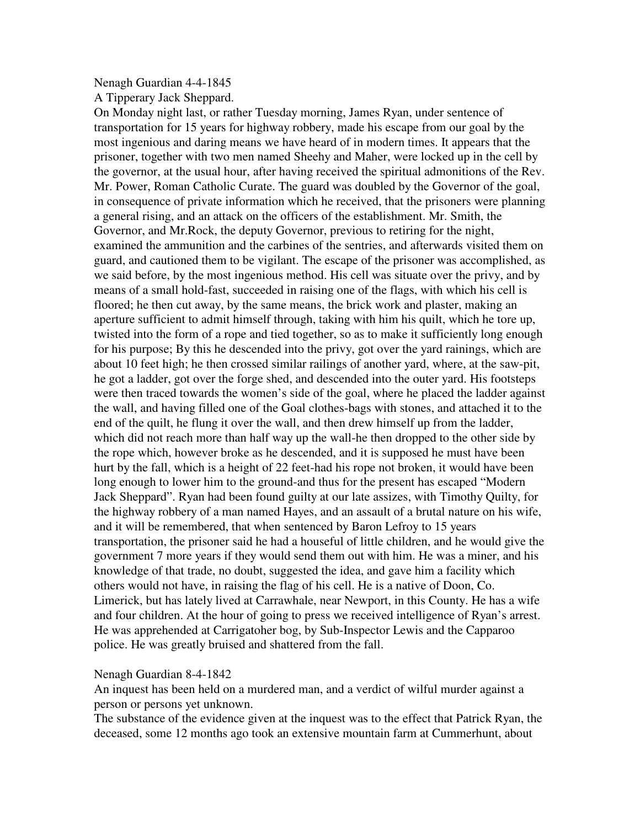### Nenagh Guardian 4-4-1845

A Tipperary Jack Sheppard.

On Monday night last, or rather Tuesday morning, James Ryan, under sentence of transportation for 15 years for highway robbery, made his escape from our goal by the most ingenious and daring means we have heard of in modern times. It appears that the prisoner, together with two men named Sheehy and Maher, were locked up in the cell by the governor, at the usual hour, after having received the spiritual admonitions of the Rev. Mr. Power, Roman Catholic Curate. The guard was doubled by the Governor of the goal, in consequence of private information which he received, that the prisoners were planning a general rising, and an attack on the officers of the establishment. Mr. Smith, the Governor, and Mr.Rock, the deputy Governor, previous to retiring for the night, examined the ammunition and the carbines of the sentries, and afterwards visited them on guard, and cautioned them to be vigilant. The escape of the prisoner was accomplished, as we said before, by the most ingenious method. His cell was situate over the privy, and by means of a small hold-fast, succeeded in raising one of the flags, with which his cell is floored; he then cut away, by the same means, the brick work and plaster, making an aperture sufficient to admit himself through, taking with him his quilt, which he tore up, twisted into the form of a rope and tied together, so as to make it sufficiently long enough for his purpose; By this he descended into the privy, got over the yard rainings, which are about 10 feet high; he then crossed similar railings of another yard, where, at the saw-pit, he got a ladder, got over the forge shed, and descended into the outer yard. His footsteps were then traced towards the women's side of the goal, where he placed the ladder against the wall, and having filled one of the Goal clothes-bags with stones, and attached it to the end of the quilt, he flung it over the wall, and then drew himself up from the ladder, which did not reach more than half way up the wall-he then dropped to the other side by the rope which, however broke as he descended, and it is supposed he must have been hurt by the fall, which is a height of 22 feet-had his rope not broken, it would have been long enough to lower him to the ground-and thus for the present has escaped "Modern Jack Sheppard". Ryan had been found guilty at our late assizes, with Timothy Quilty, for the highway robbery of a man named Hayes, and an assault of a brutal nature on his wife, and it will be remembered, that when sentenced by Baron Lefroy to 15 years transportation, the prisoner said he had a houseful of little children, and he would give the government 7 more years if they would send them out with him. He was a miner, and his knowledge of that trade, no doubt, suggested the idea, and gave him a facility which others would not have, in raising the flag of his cell. He is a native of Doon, Co. Limerick, but has lately lived at Carrawhale, near Newport, in this County. He has a wife and four children. At the hour of going to press we received intelligence of Ryan's arrest. He was apprehended at Carrigatoher bog, by Sub-Inspector Lewis and the Capparoo police. He was greatly bruised and shattered from the fall.

### Nenagh Guardian 8-4-1842

An inquest has been held on a murdered man, and a verdict of wilful murder against a person or persons yet unknown.

The substance of the evidence given at the inquest was to the effect that Patrick Ryan, the deceased, some 12 months ago took an extensive mountain farm at Cummerhunt, about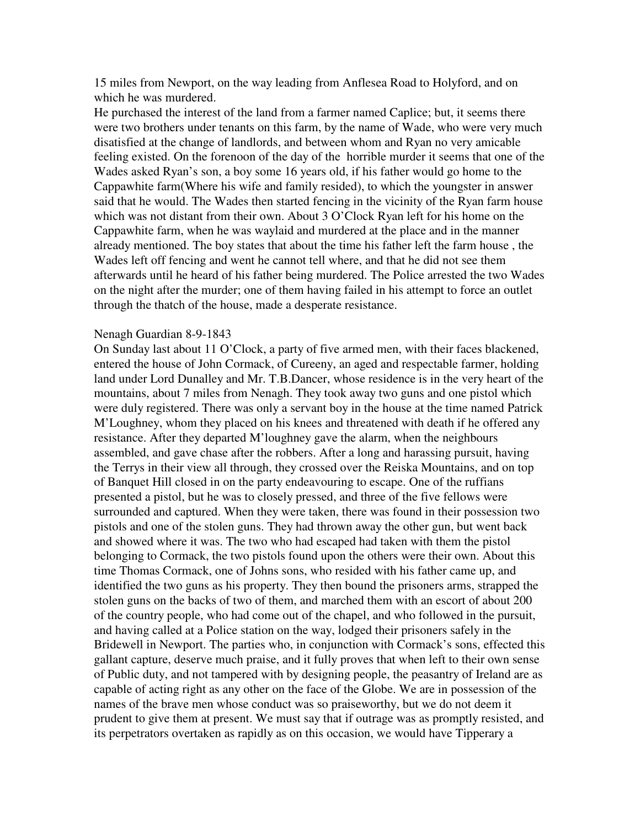15 miles from Newport, on the way leading from Anflesea Road to Holyford, and on which he was murdered.

He purchased the interest of the land from a farmer named Caplice; but, it seems there were two brothers under tenants on this farm, by the name of Wade, who were very much disatisfied at the change of landlords, and between whom and Ryan no very amicable feeling existed. On the forenoon of the day of the horrible murder it seems that one of the Wades asked Ryan's son, a boy some 16 years old, if his father would go home to the Cappawhite farm(Where his wife and family resided), to which the youngster in answer said that he would. The Wades then started fencing in the vicinity of the Ryan farm house which was not distant from their own. About 3 O'Clock Ryan left for his home on the Cappawhite farm, when he was waylaid and murdered at the place and in the manner already mentioned. The boy states that about the time his father left the farm house , the Wades left off fencing and went he cannot tell where, and that he did not see them afterwards until he heard of his father being murdered. The Police arrested the two Wades on the night after the murder; one of them having failed in his attempt to force an outlet through the thatch of the house, made a desperate resistance.

#### Nenagh Guardian 8-9-1843

On Sunday last about 11 O'Clock, a party of five armed men, with their faces blackened, entered the house of John Cormack, of Cureeny, an aged and respectable farmer, holding land under Lord Dunalley and Mr. T.B.Dancer, whose residence is in the very heart of the mountains, about 7 miles from Nenagh. They took away two guns and one pistol which were duly registered. There was only a servant boy in the house at the time named Patrick M'Loughney, whom they placed on his knees and threatened with death if he offered any resistance. After they departed M'loughney gave the alarm, when the neighbours assembled, and gave chase after the robbers. After a long and harassing pursuit, having the Terrys in their view all through, they crossed over the Reiska Mountains, and on top of Banquet Hill closed in on the party endeavouring to escape. One of the ruffians presented a pistol, but he was to closely pressed, and three of the five fellows were surrounded and captured. When they were taken, there was found in their possession two pistols and one of the stolen guns. They had thrown away the other gun, but went back and showed where it was. The two who had escaped had taken with them the pistol belonging to Cormack, the two pistols found upon the others were their own. About this time Thomas Cormack, one of Johns sons, who resided with his father came up, and identified the two guns as his property. They then bound the prisoners arms, strapped the stolen guns on the backs of two of them, and marched them with an escort of about 200 of the country people, who had come out of the chapel, and who followed in the pursuit, and having called at a Police station on the way, lodged their prisoners safely in the Bridewell in Newport. The parties who, in conjunction with Cormack's sons, effected this gallant capture, deserve much praise, and it fully proves that when left to their own sense of Public duty, and not tampered with by designing people, the peasantry of Ireland are as capable of acting right as any other on the face of the Globe. We are in possession of the names of the brave men whose conduct was so praiseworthy, but we do not deem it prudent to give them at present. We must say that if outrage was as promptly resisted, and its perpetrators overtaken as rapidly as on this occasion, we would have Tipperary a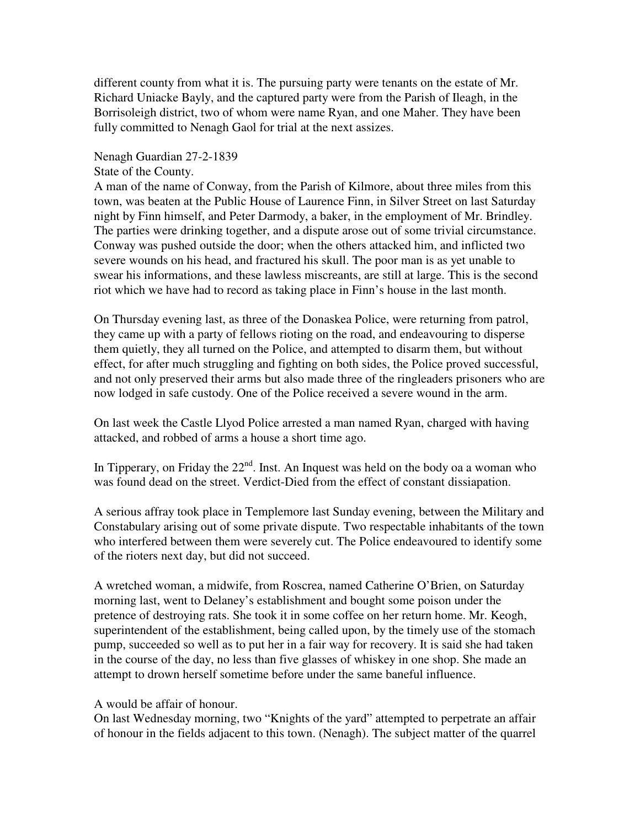different county from what it is. The pursuing party were tenants on the estate of Mr. Richard Uniacke Bayly, and the captured party were from the Parish of Ileagh, in the Borrisoleigh district, two of whom were name Ryan, and one Maher. They have been fully committed to Nenagh Gaol for trial at the next assizes.

### Nenagh Guardian 27-2-1839

### State of the County.

A man of the name of Conway, from the Parish of Kilmore, about three miles from this town, was beaten at the Public House of Laurence Finn, in Silver Street on last Saturday night by Finn himself, and Peter Darmody, a baker, in the employment of Mr. Brindley. The parties were drinking together, and a dispute arose out of some trivial circumstance. Conway was pushed outside the door; when the others attacked him, and inflicted two severe wounds on his head, and fractured his skull. The poor man is as yet unable to swear his informations, and these lawless miscreants, are still at large. This is the second riot which we have had to record as taking place in Finn's house in the last month.

On Thursday evening last, as three of the Donaskea Police, were returning from patrol, they came up with a party of fellows rioting on the road, and endeavouring to disperse them quietly, they all turned on the Police, and attempted to disarm them, but without effect, for after much struggling and fighting on both sides, the Police proved successful, and not only preserved their arms but also made three of the ringleaders prisoners who are now lodged in safe custody. One of the Police received a severe wound in the arm.

On last week the Castle Llyod Police arrested a man named Ryan, charged with having attacked, and robbed of arms a house a short time ago.

In Tipperary, on Friday the  $22<sup>nd</sup>$ . Inst. An Inquest was held on the body oa a woman who was found dead on the street. Verdict-Died from the effect of constant dissiapation.

A serious affray took place in Templemore last Sunday evening, between the Military and Constabulary arising out of some private dispute. Two respectable inhabitants of the town who interfered between them were severely cut. The Police endeavoured to identify some of the rioters next day, but did not succeed.

A wretched woman, a midwife, from Roscrea, named Catherine O'Brien, on Saturday morning last, went to Delaney's establishment and bought some poison under the pretence of destroying rats. She took it in some coffee on her return home. Mr. Keogh, superintendent of the establishment, being called upon, by the timely use of the stomach pump, succeeded so well as to put her in a fair way for recovery. It is said she had taken in the course of the day, no less than five glasses of whiskey in one shop. She made an attempt to drown herself sometime before under the same baneful influence.

# A would be affair of honour.

On last Wednesday morning, two "Knights of the yard" attempted to perpetrate an affair of honour in the fields adjacent to this town. (Nenagh). The subject matter of the quarrel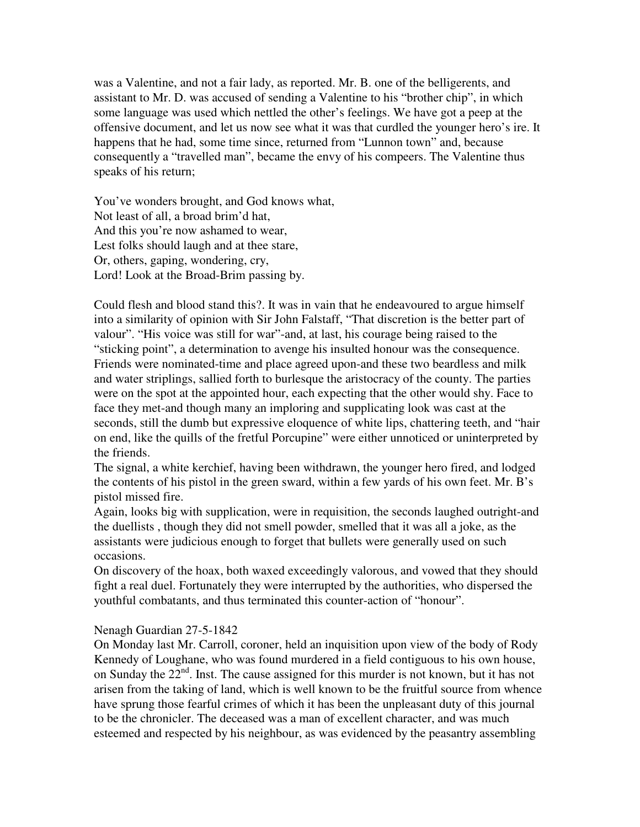was a Valentine, and not a fair lady, as reported. Mr. B. one of the belligerents, and assistant to Mr. D. was accused of sending a Valentine to his "brother chip", in which some language was used which nettled the other's feelings. We have got a peep at the offensive document, and let us now see what it was that curdled the younger hero's ire. It happens that he had, some time since, returned from "Lunnon town" and, because consequently a "travelled man", became the envy of his compeers. The Valentine thus speaks of his return;

You've wonders brought, and God knows what, Not least of all, a broad brim'd hat, And this you're now ashamed to wear, Lest folks should laugh and at thee stare, Or, others, gaping, wondering, cry, Lord! Look at the Broad-Brim passing by.

Could flesh and blood stand this?. It was in vain that he endeavoured to argue himself into a similarity of opinion with Sir John Falstaff, "That discretion is the better part of valour". "His voice was still for war"-and, at last, his courage being raised to the "sticking point", a determination to avenge his insulted honour was the consequence. Friends were nominated-time and place agreed upon-and these two beardless and milk and water striplings, sallied forth to burlesque the aristocracy of the county. The parties were on the spot at the appointed hour, each expecting that the other would shy. Face to face they met-and though many an imploring and supplicating look was cast at the seconds, still the dumb but expressive eloquence of white lips, chattering teeth, and "hair on end, like the quills of the fretful Porcupine" were either unnoticed or uninterpreted by the friends.

The signal, a white kerchief, having been withdrawn, the younger hero fired, and lodged the contents of his pistol in the green sward, within a few yards of his own feet. Mr. B's pistol missed fire.

Again, looks big with supplication, were in requisition, the seconds laughed outright-and the duellists , though they did not smell powder, smelled that it was all a joke, as the assistants were judicious enough to forget that bullets were generally used on such occasions.

On discovery of the hoax, both waxed exceedingly valorous, and vowed that they should fight a real duel. Fortunately they were interrupted by the authorities, who dispersed the youthful combatants, and thus terminated this counter-action of "honour".

# Nenagh Guardian 27-5-1842

On Monday last Mr. Carroll, coroner, held an inquisition upon view of the body of Rody Kennedy of Loughane, who was found murdered in a field contiguous to his own house, on Sunday the 22<sup>nd</sup>. Inst. The cause assigned for this murder is not known, but it has not arisen from the taking of land, which is well known to be the fruitful source from whence have sprung those fearful crimes of which it has been the unpleasant duty of this journal to be the chronicler. The deceased was a man of excellent character, and was much esteemed and respected by his neighbour, as was evidenced by the peasantry assembling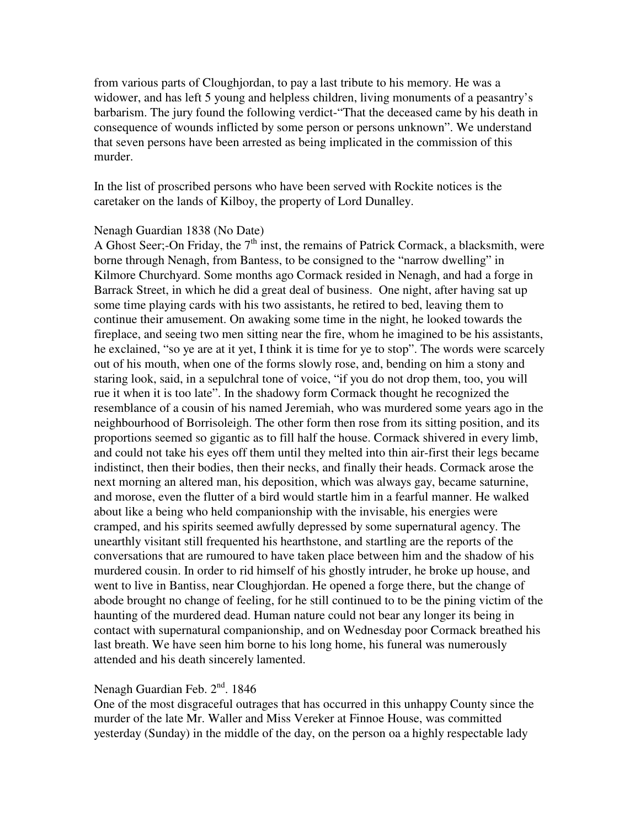from various parts of Cloughjordan, to pay a last tribute to his memory. He was a widower, and has left 5 young and helpless children, living monuments of a peasantry's barbarism. The jury found the following verdict-"That the deceased came by his death in consequence of wounds inflicted by some person or persons unknown". We understand that seven persons have been arrested as being implicated in the commission of this murder.

In the list of proscribed persons who have been served with Rockite notices is the caretaker on the lands of Kilboy, the property of Lord Dunalley.

### Nenagh Guardian 1838 (No Date)

A Ghost Seer;-On Friday, the  $7<sup>th</sup>$  inst, the remains of Patrick Cormack, a blacksmith, were borne through Nenagh, from Bantess, to be consigned to the "narrow dwelling" in Kilmore Churchyard. Some months ago Cormack resided in Nenagh, and had a forge in Barrack Street, in which he did a great deal of business. One night, after having sat up some time playing cards with his two assistants, he retired to bed, leaving them to continue their amusement. On awaking some time in the night, he looked towards the fireplace, and seeing two men sitting near the fire, whom he imagined to be his assistants, he exclained, "so ye are at it yet, I think it is time for ye to stop". The words were scarcely out of his mouth, when one of the forms slowly rose, and, bending on him a stony and staring look, said, in a sepulchral tone of voice, "if you do not drop them, too, you will rue it when it is too late". In the shadowy form Cormack thought he recognized the resemblance of a cousin of his named Jeremiah, who was murdered some years ago in the neighbourhood of Borrisoleigh. The other form then rose from its sitting position, and its proportions seemed so gigantic as to fill half the house. Cormack shivered in every limb, and could not take his eyes off them until they melted into thin air-first their legs became indistinct, then their bodies, then their necks, and finally their heads. Cormack arose the next morning an altered man, his deposition, which was always gay, became saturnine, and morose, even the flutter of a bird would startle him in a fearful manner. He walked about like a being who held companionship with the invisable, his energies were cramped, and his spirits seemed awfully depressed by some supernatural agency. The unearthly visitant still frequented his hearthstone, and startling are the reports of the conversations that are rumoured to have taken place between him and the shadow of his murdered cousin. In order to rid himself of his ghostly intruder, he broke up house, and went to live in Bantiss, near Cloughjordan. He opened a forge there, but the change of abode brought no change of feeling, for he still continued to to be the pining victim of the haunting of the murdered dead. Human nature could not bear any longer its being in contact with supernatural companionship, and on Wednesday poor Cormack breathed his last breath. We have seen him borne to his long home, his funeral was numerously attended and his death sincerely lamented.

# Nenagh Guardian Feb.  $2<sup>nd</sup>$ . 1846

One of the most disgraceful outrages that has occurred in this unhappy County since the murder of the late Mr. Waller and Miss Vereker at Finnoe House, was committed yesterday (Sunday) in the middle of the day, on the person oa a highly respectable lady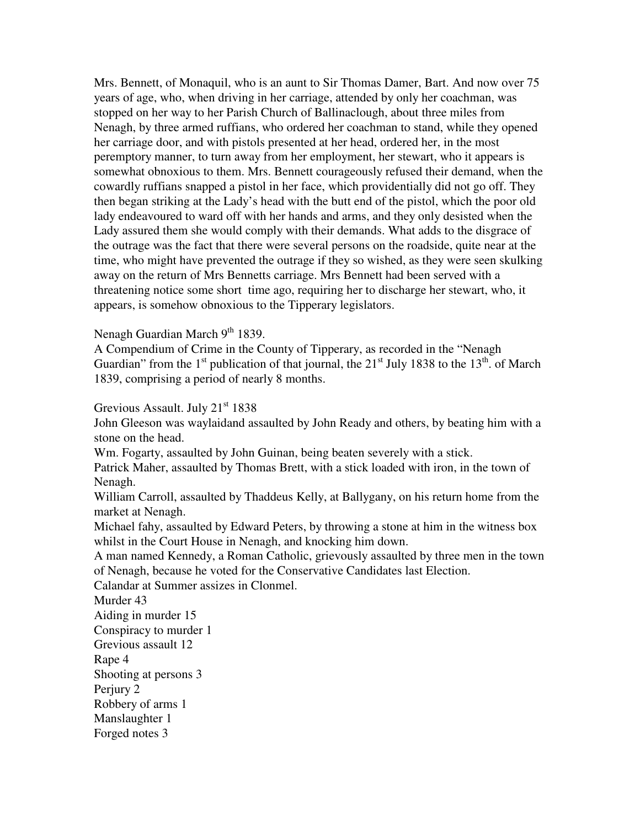Mrs. Bennett, of Monaquil, who is an aunt to Sir Thomas Damer, Bart. And now over 75 years of age, who, when driving in her carriage, attended by only her coachman, was stopped on her way to her Parish Church of Ballinaclough, about three miles from Nenagh, by three armed ruffians, who ordered her coachman to stand, while they opened her carriage door, and with pistols presented at her head, ordered her, in the most peremptory manner, to turn away from her employment, her stewart, who it appears is somewhat obnoxious to them. Mrs. Bennett courageously refused their demand, when the cowardly ruffians snapped a pistol in her face, which providentially did not go off. They then began striking at the Lady's head with the butt end of the pistol, which the poor old lady endeavoured to ward off with her hands and arms, and they only desisted when the Lady assured them she would comply with their demands. What adds to the disgrace of the outrage was the fact that there were several persons on the roadside, quite near at the time, who might have prevented the outrage if they so wished, as they were seen skulking away on the return of Mrs Bennetts carriage. Mrs Bennett had been served with a threatening notice some short time ago, requiring her to discharge her stewart, who, it appears, is somehow obnoxious to the Tipperary legislators.

## Nenagh Guardian March  $9<sup>th</sup>$  1839.

A Compendium of Crime in the County of Tipperary, as recorded in the "Nenagh Guardian" from the  $1<sup>st</sup>$  publication of that journal, the  $21<sup>st</sup>$  July 1838 to the  $13<sup>th</sup>$  of March 1839, comprising a period of nearly 8 months.

Grevious Assault. July 21<sup>st</sup> 1838

John Gleeson was waylaidand assaulted by John Ready and others, by beating him with a stone on the head.

Wm. Fogarty, assaulted by John Guinan, being beaten severely with a stick.

Patrick Maher, assaulted by Thomas Brett, with a stick loaded with iron, in the town of Nenagh.

William Carroll, assaulted by Thaddeus Kelly, at Ballygany, on his return home from the market at Nenagh.

Michael fahy, assaulted by Edward Peters, by throwing a stone at him in the witness box whilst in the Court House in Nenagh, and knocking him down.

A man named Kennedy, a Roman Catholic, grievously assaulted by three men in the town of Nenagh, because he voted for the Conservative Candidates last Election.

Calandar at Summer assizes in Clonmel.

Murder 43

Aiding in murder 15

Conspiracy to murder 1

Grevious assault 12

Rape 4

Shooting at persons 3

Perjury 2

Robbery of arms 1

Manslaughter 1

Forged notes 3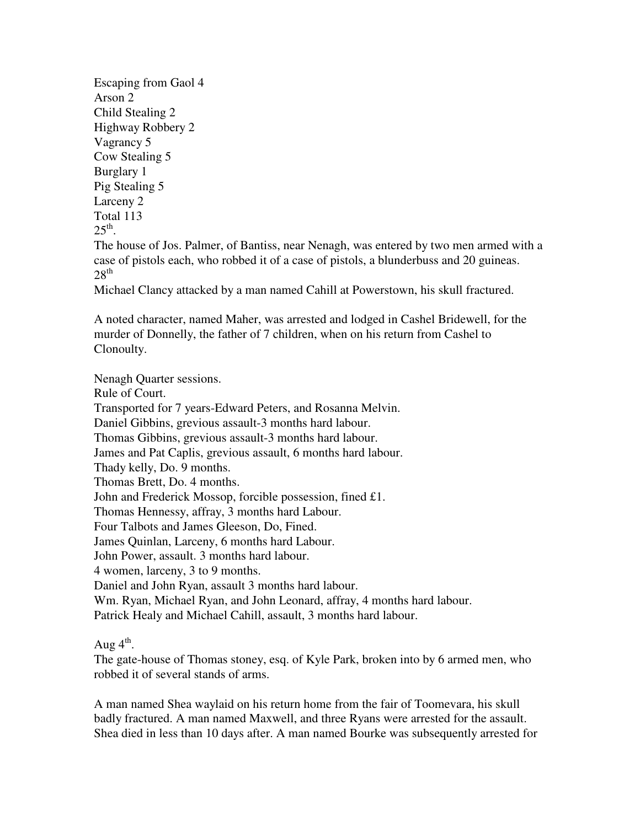Escaping from Gaol 4 Arson 2 Child Stealing 2 Highway Robbery 2 Vagrancy 5 Cow Stealing 5 Burglary 1 Pig Stealing 5 Larceny 2 Total 113  $25^{\text{th}}$ .

The house of Jos. Palmer, of Bantiss, near Nenagh, was entered by two men armed with a case of pistols each, who robbed it of a case of pistols, a blunderbuss and 20 guineas.  $28<sup>th</sup>$ 

Michael Clancy attacked by a man named Cahill at Powerstown, his skull fractured.

A noted character, named Maher, was arrested and lodged in Cashel Bridewell, for the murder of Donnelly, the father of 7 children, when on his return from Cashel to Clonoulty.

Nenagh Quarter sessions.

Rule of Court.

Transported for 7 years-Edward Peters, and Rosanna Melvin.

Daniel Gibbins, grevious assault-3 months hard labour.

Thomas Gibbins, grevious assault-3 months hard labour.

James and Pat Caplis, grevious assault, 6 months hard labour.

Thady kelly, Do. 9 months.

Thomas Brett, Do. 4 months.

John and Frederick Mossop, forcible possession, fined £1.

Thomas Hennessy, affray, 3 months hard Labour.

Four Talbots and James Gleeson, Do, Fined.

James Quinlan, Larceny, 6 months hard Labour.

John Power, assault. 3 months hard labour.

4 women, larceny, 3 to 9 months.

Daniel and John Ryan, assault 3 months hard labour.

Wm. Ryan, Michael Ryan, and John Leonard, affray, 4 months hard labour.

Patrick Healy and Michael Cahill, assault, 3 months hard labour.

Aug  $4^{\text{th}}$ .

The gate-house of Thomas stoney, esq. of Kyle Park, broken into by 6 armed men, who robbed it of several stands of arms.

A man named Shea waylaid on his return home from the fair of Toomevara, his skull badly fractured. A man named Maxwell, and three Ryans were arrested for the assault. Shea died in less than 10 days after. A man named Bourke was subsequently arrested for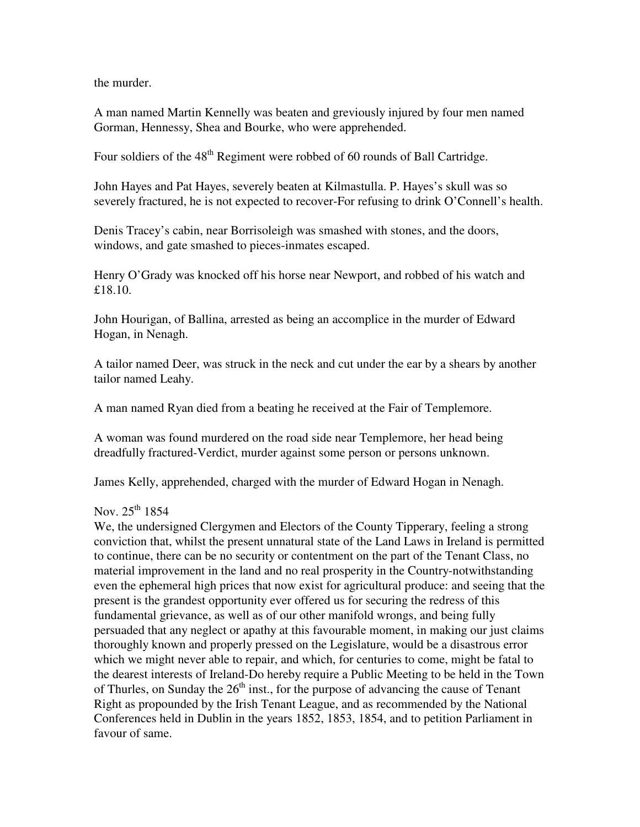the murder.

A man named Martin Kennelly was beaten and greviously injured by four men named Gorman, Hennessy, Shea and Bourke, who were apprehended.

Four soldiers of the  $48<sup>th</sup>$  Regiment were robbed of 60 rounds of Ball Cartridge.

John Hayes and Pat Hayes, severely beaten at Kilmastulla. P. Hayes's skull was so severely fractured, he is not expected to recover-For refusing to drink O'Connell's health.

Denis Tracey's cabin, near Borrisoleigh was smashed with stones, and the doors, windows, and gate smashed to pieces-inmates escaped.

Henry O'Grady was knocked off his horse near Newport, and robbed of his watch and £18.10.

John Hourigan, of Ballina, arrested as being an accomplice in the murder of Edward Hogan, in Nenagh.

A tailor named Deer, was struck in the neck and cut under the ear by a shears by another tailor named Leahy.

A man named Ryan died from a beating he received at the Fair of Templemore.

A woman was found murdered on the road side near Templemore, her head being dreadfully fractured-Verdict, murder against some person or persons unknown.

James Kelly, apprehended, charged with the murder of Edward Hogan in Nenagh.

#### Nov.  $25^{th}$  1854

We, the undersigned Clergymen and Electors of the County Tipperary, feeling a strong conviction that, whilst the present unnatural state of the Land Laws in Ireland is permitted to continue, there can be no security or contentment on the part of the Tenant Class, no material improvement in the land and no real prosperity in the Country-notwithstanding even the ephemeral high prices that now exist for agricultural produce: and seeing that the present is the grandest opportunity ever offered us for securing the redress of this fundamental grievance, as well as of our other manifold wrongs, and being fully persuaded that any neglect or apathy at this favourable moment, in making our just claims thoroughly known and properly pressed on the Legislature, would be a disastrous error which we might never able to repair, and which, for centuries to come, might be fatal to the dearest interests of Ireland-Do hereby require a Public Meeting to be held in the Town of Thurles, on Sunday the  $26<sup>th</sup>$  inst., for the purpose of advancing the cause of Tenant Right as propounded by the Irish Tenant League, and as recommended by the National Conferences held in Dublin in the years 1852, 1853, 1854, and to petition Parliament in favour of same.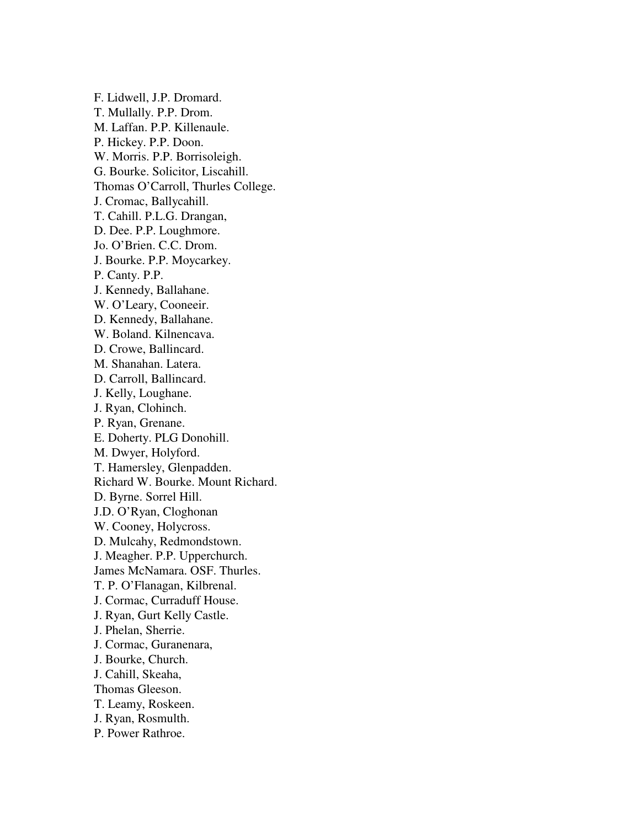F. Lidwell, J.P. Dromard. T. Mullally. P.P. Drom. M. Laffan. P.P. Killenaule. P. Hickey. P.P. Doon. W. Morris. P.P. Borrisoleigh. G. Bourke. Solicitor, Liscahill. Thomas O'Carroll, Thurles College. J. Cromac, Ballycahill. T. Cahill. P.L.G. Drangan, D. Dee. P.P. Loughmore. Jo. O'Brien. C.C. Drom. J. Bourke. P.P. Moycarkey. P. Canty. P.P. J. Kennedy, Ballahane. W. O'Leary, Cooneeir. D. Kennedy, Ballahane. W. Boland. Kilnencava. D. Crowe, Ballincard. M. Shanahan. Latera. D. Carroll, Ballincard. J. Kelly, Loughane. J. Ryan, Clohinch. P. Ryan, Grenane. E. Doherty. PLG Donohill. M. Dwyer, Holyford. T. Hamersley, Glenpadden. Richard W. Bourke. Mount Richard. D. Byrne. Sorrel Hill. J.D. O'Ryan, Cloghonan W. Cooney, Holycross. D. Mulcahy, Redmondstown. J. Meagher. P.P. Upperchurch. James McNamara. OSF. Thurles. T. P. O'Flanagan, Kilbrenal. J. Cormac, Curraduff House. J. Ryan, Gurt Kelly Castle. J. Phelan, Sherrie. J. Cormac, Guranenara, J. Bourke, Church. J. Cahill, Skeaha, Thomas Gleeson. T. Leamy, Roskeen. J. Ryan, Rosmulth. P. Power Rathroe.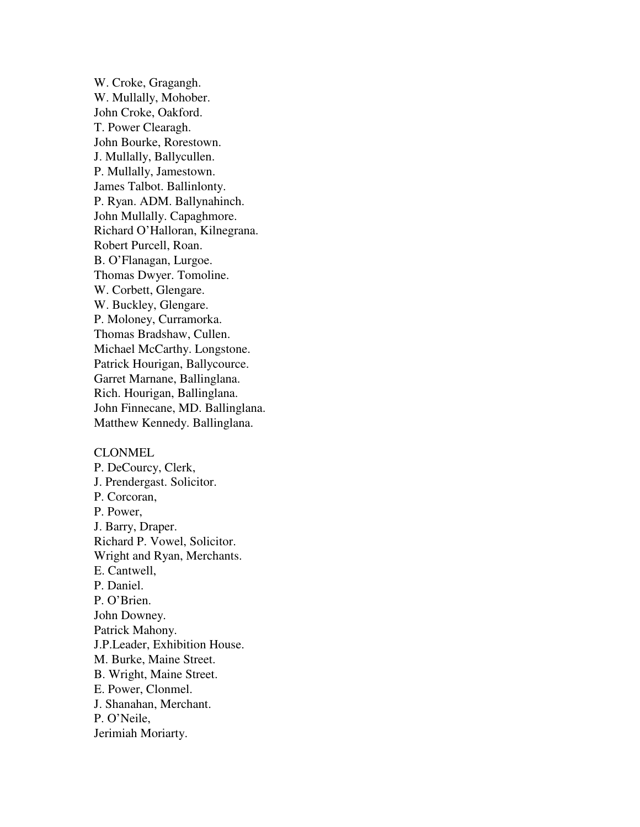W. Croke, Gragangh. W. Mullally, Mohober. John Croke, Oakford. T. Power Clearagh. John Bourke, Rorestown. J. Mullally, Ballycullen. P. Mullally, Jamestown. James Talbot. Ballinlonty. P. Ryan. ADM. Ballynahinch. John Mullally. Capaghmore. Richard O'Halloran, Kilnegrana. Robert Purcell, Roan. B. O'Flanagan, Lurgoe. Thomas Dwyer. Tomoline. W. Corbett, Glengare. W. Buckley, Glengare. P. Moloney, Curramorka. Thomas Bradshaw, Cullen. Michael McCarthy. Longstone. Patrick Hourigan, Ballycource. Garret Marnane, Ballinglana. Rich. Hourigan, Ballinglana. John Finnecane, MD. Ballinglana. Matthew Kennedy. Ballinglana.

#### CLONMEL

P. DeCourcy, Clerk, J. Prendergast. Solicitor. P. Corcoran, P. Power, J. Barry, Draper. Richard P. Vowel, Solicitor. Wright and Ryan, Merchants. E. Cantwell, P. Daniel. P. O'Brien. John Downey. Patrick Mahony. J.P.Leader, Exhibition House. M. Burke, Maine Street. B. Wright, Maine Street. E. Power, Clonmel. J. Shanahan, Merchant. P. O'Neile, Jerimiah Moriarty.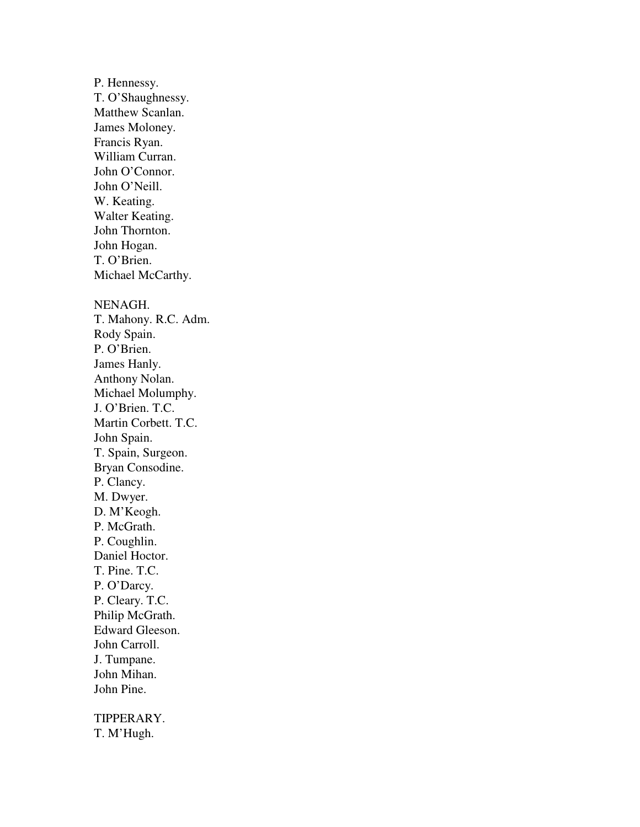P. Hennessy. T. O'Shaughnessy. Matthew Scanlan. James Moloney. Francis Ryan. William Curran. John O'Connor. John O'Neill. W. Keating. Walter Keating. John Thornton. John Hogan. T. O'Brien. Michael McCarthy. NENAGH. T. Mahony. R.C. Adm. Rody Spain. P. O'Brien. James Hanly. Anthony Nolan. Michael Molumphy. J. O'Brien. T.C. Martin Corbett. T.C. John Spain. T. Spain, Surgeon. Bryan Consodine. P. Clancy. M. Dwyer. D. M'Keogh. P. McGrath. P. Coughlin. Daniel Hoctor. T. Pine. T.C. P. O'Darcy. P. Cleary. T.C. Philip McGrath. Edward Gleeson. John Carroll. J. Tumpane. John Mihan. John Pine.

TIPPERARY. T. M'Hugh.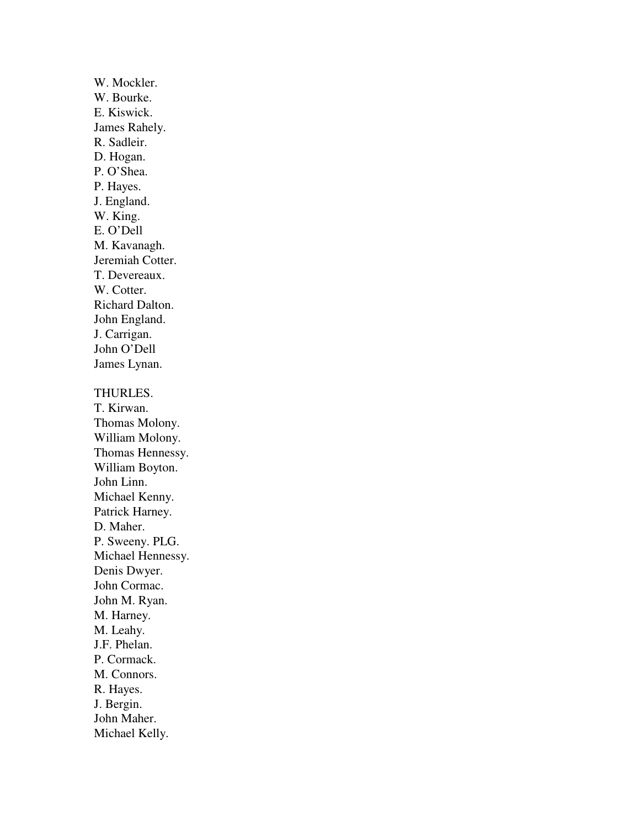W. Mockler. W. Bourke. E. Kiswick. James Rahely. R. Sadleir. D. Hogan. P. O'Shea. P. Hayes. J. England. W. King. E. O'Dell M. Kavanagh. Jeremiah Cotter. T. Devereaux. W. Cotter. Richard Dalton. John England. J. Carrigan. John O'Dell James Lynan. THURLES. T. Kirwan. Thomas Molony. William Molony. Thomas Hennessy. William Boyton. John Linn. Michael Kenny. Patrick Harney. D. Maher. P. Sweeny. PLG. Michael Hennessy. Denis Dwyer. John Cormac. John M. Ryan. M. Harney. M. Leahy. J.F. Phelan. P. Cormack. M. Connors. R. Hayes. J. Bergin. John Maher. Michael Kelly.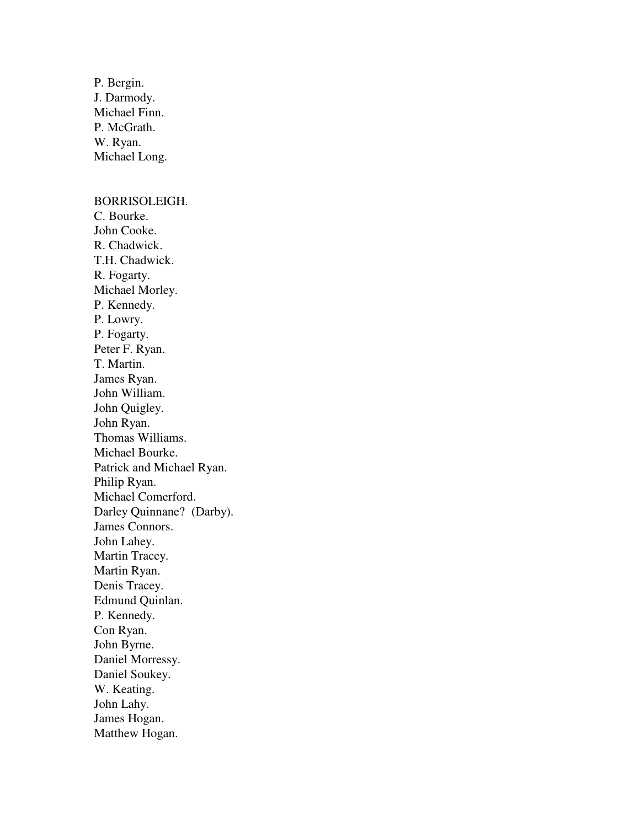P. Bergin. J. Darmody. Michael Finn. P. McGrath. W. Ryan. Michael Long.

#### BORRISOLEIGH.

C. Bourke. John Cooke. R. Chadwick. T.H. Chadwick. R. Fogarty. Michael Morley. P. Kennedy. P. Lowry. P. Fogarty. Peter F. Ryan. T. Martin. James Ryan. John William. John Quigley. John Ryan. Thomas Williams. Michael Bourke. Patrick and Michael Ryan. Philip Ryan. Michael Comerford. Darley Quinnane? (Darby). James Connors. John Lahey. Martin Tracey. Martin Ryan. Denis Tracey. Edmund Quinlan. P. Kennedy. Con Ryan. John Byrne. Daniel Morressy. Daniel Soukey. W. Keating. John Lahy. James Hogan. Matthew Hogan.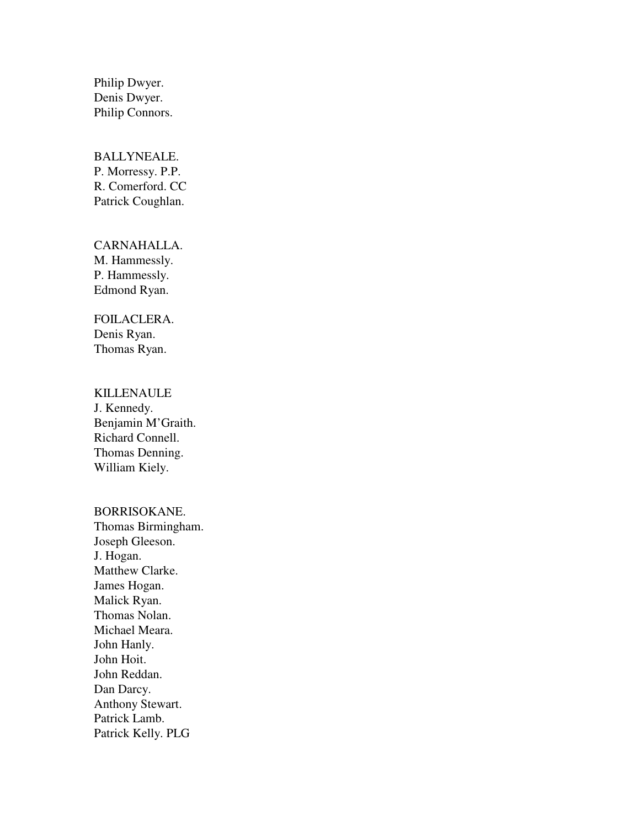Philip Dwyer. Denis Dwyer. Philip Connors.

## BALLYNEALE. P. Morressy. P.P. R. Comerford. CC Patrick Coughlan.

## CARNAHALLA. M. Hammessly. P. Hammessly. Edmond Ryan.

# FOILACLERA. Denis Ryan.

Thomas Ryan.

# KILLENAULE

J. Kennedy. Benjamin M'Graith. Richard Connell. Thomas Denning. William Kiely.

## BORRISOKANE.

Thomas Birmingham. Joseph Gleeson. J. Hogan. Matthew Clarke. James Hogan. Malick Ryan. Thomas Nolan. Michael Meara. John Hanly. John Hoit. John Reddan. Dan Darcy. Anthony Stewart. Patrick Lamb. Patrick Kelly. PLG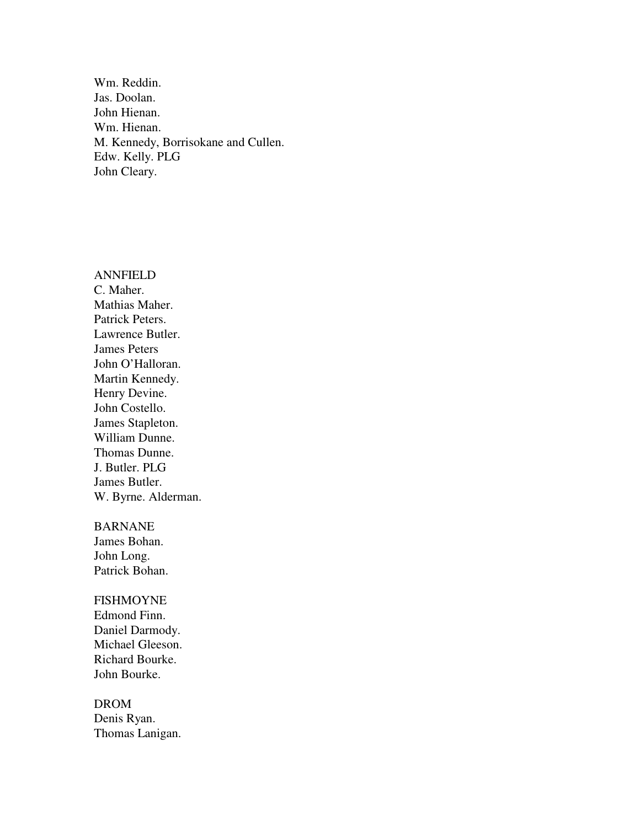Wm. Reddin. Jas. Doolan. John Hienan. Wm. Hienan. M. Kennedy, Borrisokane and Cullen. Edw. Kelly. PLG John Cleary.

ANNFIELD C. Maher. Mathias Maher. Patrick Peters. Lawrence Butler. James Peters John O'Halloran. Martin Kennedy. Henry Devine. John Costello. James Stapleton. William Dunne. Thomas Dunne. J. Butler. PLG James Butler. W. Byrne. Alderman.

BARNANE

James Bohan. John Long. Patrick Bohan.

FISHMOYNE

Edmond Finn. Daniel Darmody. Michael Gleeson. Richard Bourke. John Bourke.

DROM Denis Ryan. Thomas Lanigan.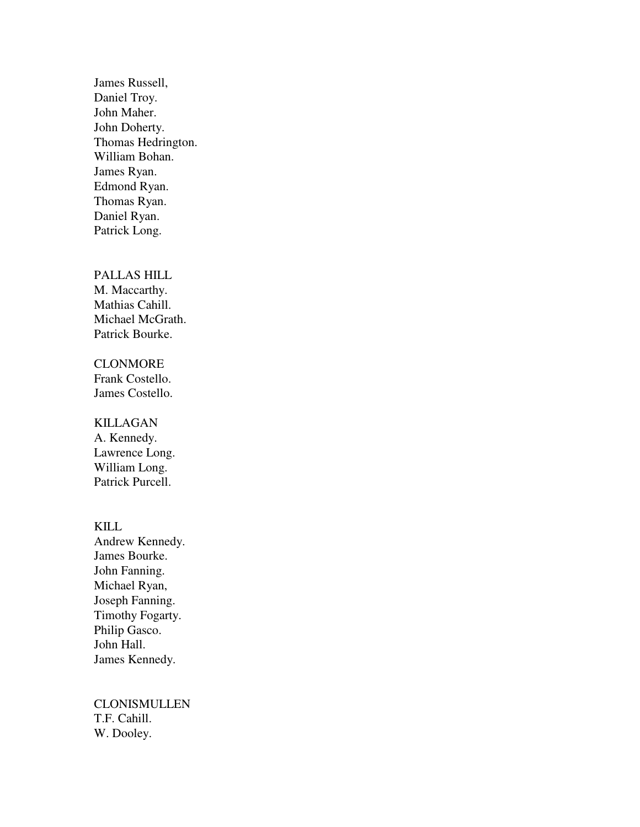James Russell, Daniel Troy. John Maher. John Doherty. Thomas Hedrington. William Bohan. James Ryan. Edmond Ryan. Thomas Ryan. Daniel Ryan. Patrick Long.

#### PALLAS HILL

M. Maccarthy. Mathias Cahill. Michael McGrath. Patrick Bourke.

## **CLONMORE**

Frank Costello. James Costello.

#### KILLAGAN

A. Kennedy. Lawrence Long. William Long. Patrick Purcell.

#### KILL

Andrew Kennedy. James Bourke. John Fanning. Michael Ryan, Joseph Fanning. Timothy Fogarty. Philip Gasco. John Hall. James Kennedy.

CLONISMULLEN T.F. Cahill. W. Dooley.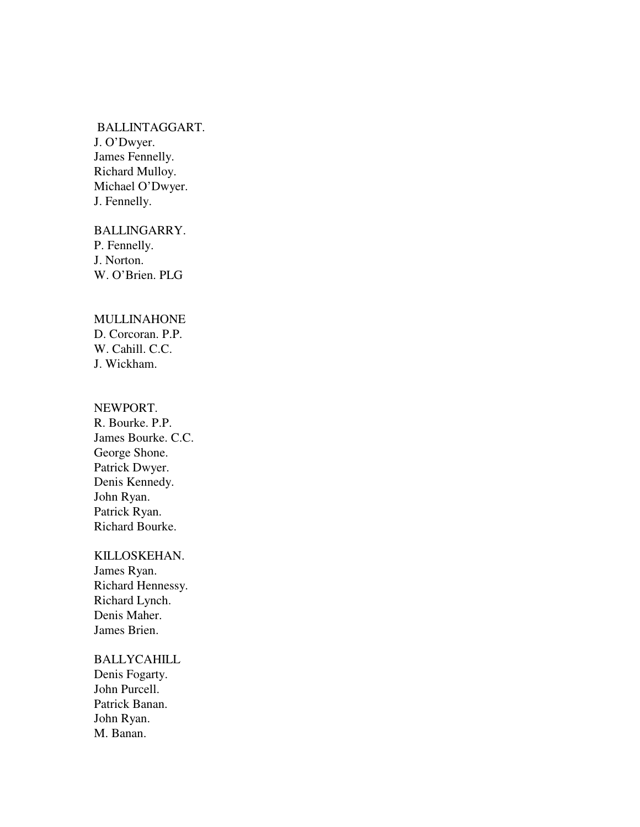#### BALLINTAGGART.

J. O'Dwyer. James Fennelly. Richard Mulloy. Michael O'Dwyer. J. Fennelly.

BALLINGARRY. P. Fennelly. J. Norton. W. O'Brien. PLG

### MULLINAHONE

D. Corcoran. P.P. W. Cahill. C.C. J. Wickham.

### NEWPORT.

R. Bourke. P.P. James Bourke. C.C. George Shone. Patrick Dwyer. Denis Kennedy. John Ryan. Patrick Ryan. Richard Bourke.

#### KILLOSKEHAN.

James Ryan. Richard Hennessy. Richard Lynch. Denis Maher. James Brien.

## BALLYCAHILL

Denis Fogarty. John Purcell. Patrick Banan. John Ryan. M. Banan.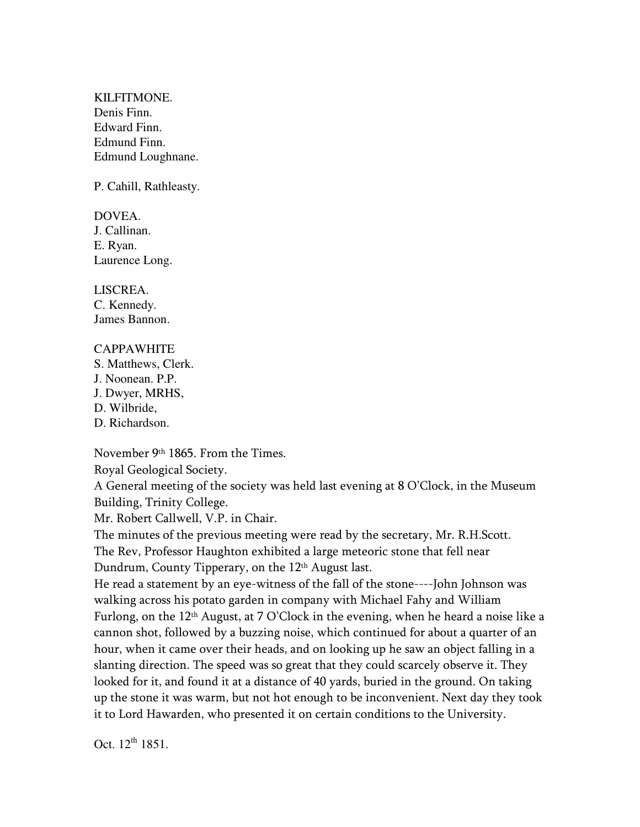KILFITMONE. Denis Finn. Edward Finn. Edmund Finn. Edmund Loughnane.

P. Cahill, Rathleasty.

DOVEA. J. Callinan. E. Ryan. Laurence Long.

LISCREA. C. Kennedy. James Bannon.

## CAPPAWHITE

S. Matthews, Clerk. J. Noonean. P.P. J. Dwyer, MRHS, D. Wilbride, D. Richardson.

November 9th 1865. From the Times.

Royal Geological Society.

A General meeting of the society was held last evening at 8 O'Clock, in the Museum Building, Trinity College.

Mr. Robert Callwell, V.P. in Chair.

The minutes of the previous meeting were read by the secretary, Mr. R.H.Scott. The Rev, Professor Haughton exhibited a large meteoric stone that fell near Dundrum, County Tipperary, on the 12<sup>th</sup> August last.

He read a statement by an eye-witness of the fall of the stone----John Johnson was walking across his potato garden in company with Michael Fahy and William Furlong, on the 12th August, at 7 O'Clock in the evening, when he heard a noise like a cannon shot, followed by a buzzing noise, which continued for about a quarter of an hour, when it came over their heads, and on looking up he saw an object falling in a slanting direction. The speed was so great that they could scarcely observe it. They looked for it, and found it at a distance of 40 yards, buried in the ground. On taking up the stone it was warm, but not hot enough to be inconvenient. Next day they took it to Lord Hawarden, who presented it on certain conditions to the University.

Oct.  $12^{th}$  1851.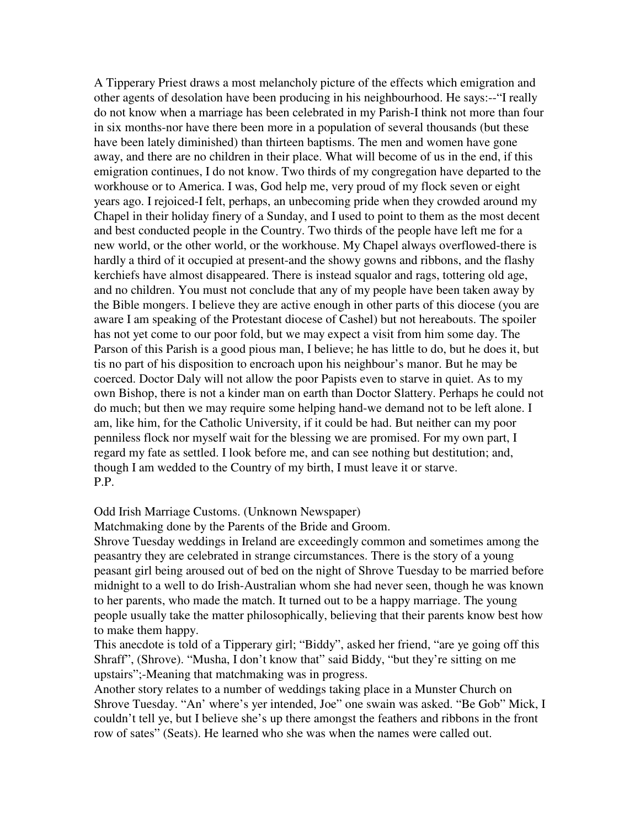A Tipperary Priest draws a most melancholy picture of the effects which emigration and other agents of desolation have been producing in his neighbourhood. He says:--"I really do not know when a marriage has been celebrated in my Parish-I think not more than four in six months-nor have there been more in a population of several thousands (but these have been lately diminished) than thirteen baptisms. The men and women have gone away, and there are no children in their place. What will become of us in the end, if this emigration continues, I do not know. Two thirds of my congregation have departed to the workhouse or to America. I was, God help me, very proud of my flock seven or eight years ago. I rejoiced-I felt, perhaps, an unbecoming pride when they crowded around my Chapel in their holiday finery of a Sunday, and I used to point to them as the most decent and best conducted people in the Country. Two thirds of the people have left me for a new world, or the other world, or the workhouse. My Chapel always overflowed-there is hardly a third of it occupied at present-and the showy gowns and ribbons, and the flashy kerchiefs have almost disappeared. There is instead squalor and rags, tottering old age, and no children. You must not conclude that any of my people have been taken away by the Bible mongers. I believe they are active enough in other parts of this diocese (you are aware I am speaking of the Protestant diocese of Cashel) but not hereabouts. The spoiler has not yet come to our poor fold, but we may expect a visit from him some day. The Parson of this Parish is a good pious man, I believe; he has little to do, but he does it, but tis no part of his disposition to encroach upon his neighbour's manor. But he may be coerced. Doctor Daly will not allow the poor Papists even to starve in quiet. As to my own Bishop, there is not a kinder man on earth than Doctor Slattery. Perhaps he could not do much; but then we may require some helping hand-we demand not to be left alone. I am, like him, for the Catholic University, if it could be had. But neither can my poor penniless flock nor myself wait for the blessing we are promised. For my own part, I regard my fate as settled. I look before me, and can see nothing but destitution; and, though I am wedded to the Country of my birth, I must leave it or starve. P.P.

#### Odd Irish Marriage Customs. (Unknown Newspaper)

Matchmaking done by the Parents of the Bride and Groom.

Shrove Tuesday weddings in Ireland are exceedingly common and sometimes among the peasantry they are celebrated in strange circumstances. There is the story of a young peasant girl being aroused out of bed on the night of Shrove Tuesday to be married before midnight to a well to do Irish-Australian whom she had never seen, though he was known to her parents, who made the match. It turned out to be a happy marriage. The young people usually take the matter philosophically, believing that their parents know best how to make them happy.

This anecdote is told of a Tipperary girl; "Biddy", asked her friend, "are ye going off this Shraff", (Shrove). "Musha, I don't know that" said Biddy, "but they're sitting on me upstairs";-Meaning that matchmaking was in progress.

Another story relates to a number of weddings taking place in a Munster Church on Shrove Tuesday. "An' where's yer intended, Joe" one swain was asked. "Be Gob" Mick, I couldn't tell ye, but I believe she's up there amongst the feathers and ribbons in the front row of sates" (Seats). He learned who she was when the names were called out.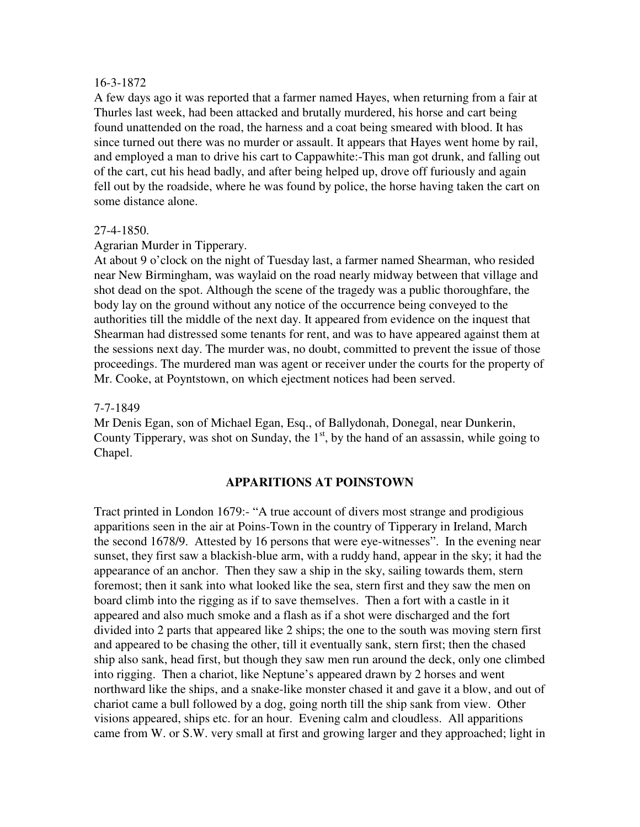#### 16-3-1872

A few days ago it was reported that a farmer named Hayes, when returning from a fair at Thurles last week, had been attacked and brutally murdered, his horse and cart being found unattended on the road, the harness and a coat being smeared with blood. It has since turned out there was no murder or assault. It appears that Hayes went home by rail, and employed a man to drive his cart to Cappawhite:-This man got drunk, and falling out of the cart, cut his head badly, and after being helped up, drove off furiously and again fell out by the roadside, where he was found by police, the horse having taken the cart on some distance alone.

#### 27-4-1850.

Agrarian Murder in Tipperary.

At about 9 o'clock on the night of Tuesday last, a farmer named Shearman, who resided near New Birmingham, was waylaid on the road nearly midway between that village and shot dead on the spot. Although the scene of the tragedy was a public thoroughfare, the body lay on the ground without any notice of the occurrence being conveyed to the authorities till the middle of the next day. It appeared from evidence on the inquest that Shearman had distressed some tenants for rent, and was to have appeared against them at the sessions next day. The murder was, no doubt, committed to prevent the issue of those proceedings. The murdered man was agent or receiver under the courts for the property of Mr. Cooke, at Poyntstown, on which ejectment notices had been served.

#### 7-7-1849

Mr Denis Egan, son of Michael Egan, Esq., of Ballydonah, Donegal, near Dunkerin, County Tipperary, was shot on Sunday, the  $1<sup>st</sup>$ , by the hand of an assassin, while going to Chapel.

## **APPARITIONS AT POINSTOWN**

Tract printed in London 1679:- "A true account of divers most strange and prodigious apparitions seen in the air at Poins-Town in the country of Tipperary in Ireland, March the second 1678/9. Attested by 16 persons that were eye-witnesses". In the evening near sunset, they first saw a blackish-blue arm, with a ruddy hand, appear in the sky; it had the appearance of an anchor. Then they saw a ship in the sky, sailing towards them, stern foremost; then it sank into what looked like the sea, stern first and they saw the men on board climb into the rigging as if to save themselves. Then a fort with a castle in it appeared and also much smoke and a flash as if a shot were discharged and the fort divided into 2 parts that appeared like 2 ships; the one to the south was moving stern first and appeared to be chasing the other, till it eventually sank, stern first; then the chased ship also sank, head first, but though they saw men run around the deck, only one climbed into rigging. Then a chariot, like Neptune's appeared drawn by 2 horses and went northward like the ships, and a snake-like monster chased it and gave it a blow, and out of chariot came a bull followed by a dog, going north till the ship sank from view. Other visions appeared, ships etc. for an hour. Evening calm and cloudless. All apparitions came from W. or S.W. very small at first and growing larger and they approached; light in